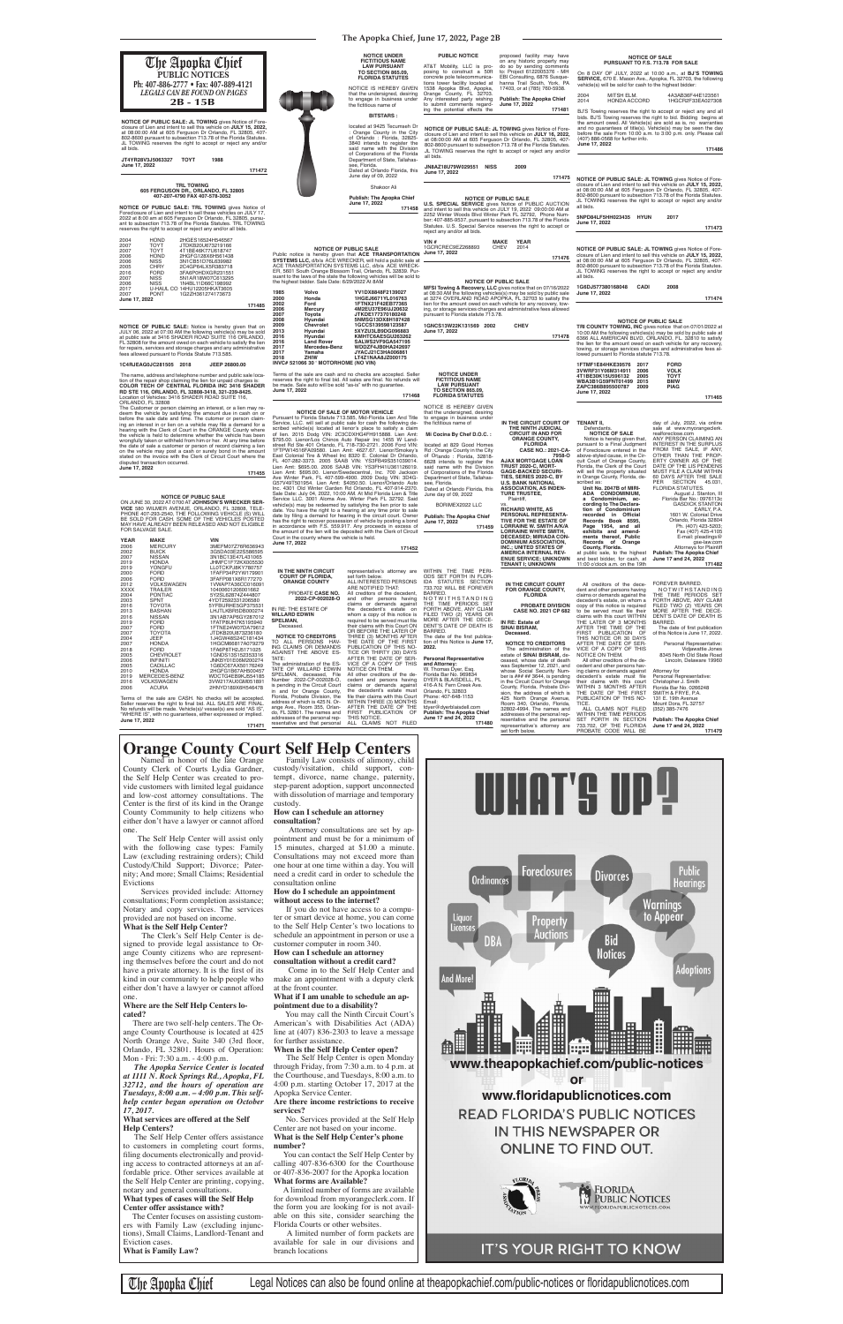**NOTICE OF PUBLIC SALE: JL TOWING** gives Notice of Fore-<br>closure of Lien and intent to sell this vehicle on **JULY 15, 2022,**<br>at 08:00:00 AM at 605 Ferguson Dr Orlando, FL 32805, 407-<br>802-8600 pursuant to subsection 713.78 JL TOWING reserves the right to accept or reject any and/or all bids.

**JT4YR28V3J5063327 TOYT 1988 June 17, 2022**

**171472**

TICE.<br>ALL CLAIMS NOT FILED Attorney for Personal Representative: Christopher J. Smith Florida Bar No. 0266248 SMITH & FRYE, P.A. 131 E. 19th Avenue Mount Dora, FL 32757 (352) 385-7476

IN RE: THE ESTATE OF **WILLARD EDWIN SPELMAN, Deceased** 

All other creditors of the dering claims or demands against<br>decedent's estate must file<br>their claims with this court<br>WITHIN 3 MONTHS AFTER<br>WITHIN 3 MONTHS AFTER<br>THE DATE OF THE FIRST<br>PUBLICATION OF THIS NO-FOREVER BARRED.<br>NOTWITHSTANDING<br>THE TIME PERIODS SET FORTH ABOVE, ANY CLAIM FILED TWO (2) YEARS OR MORE AFTER THE DECE-DENT'S DATE OF DEATH IS BARRED.<br>The date of first publication of this Notice is June 17, 2022. Personal Representative: Vidjawattie Jones 8345 North Old State Road Lincoln, Delaware 19960

ALL CLAIMS NOT FILED WITHIN THE TIME PERIODS SET FORTH IN SECTION 733.702, OF THE FLORIDA PROBATE CODE WILL BE **Publish: The Apopka Chief June 17 and 24, 2022 171479**

 PROBATE **CASE NO. 2022-CP-002028-O**

> **NOTICE TO CREDITORS** The administration of the estate of **SINAI BISRAM,** de-ceased, whose date of death was September 12, 2021, and whose Social Security Number is ### ## 3644, is pending<br>in the Circuit Court for Orange<br>County, Florida, Probate Divi-<br>sion, the address of which is 425 North Orange Avenue,<br>Room 340, Orlando, Florida,<br>32802-4994. The names and<br>addresses of the personal representative and the personal representative's attorney are set forth below. **Personal Representative<br><b>and Attorney:**<br>W. Thomas Dyer, Esq.<br>Florida Bar No. 969834<br>DYER & BLAISDELL, PL 416-A N. Fern Creek Ave. Orlando, FL 32803 Phone: 407-648-1153 Email: tdyer@dyerblaisdell.com **Publish: The Apopka Chief June 17 and 24, 2022 171480**

**NOTICE OF PUBLIC SALE**<br>10:00 AM the following vehicles(s) may be sold by public sale at<br>10:00 AM the following vehicles(s) may be sold by public sale at<br>6366 ALL AMERICAN BLVD, ORLANDO, FL. 32810 to satisfy<br>the lien for t towing, or storage services charges and administrative fees al-lowed pursuant to Florida statute 713.78.

**NOTICE TO CREDITORS** TO ALL PERSONS HAV-ING CLAIMS OR DEMANDS AGAINST THE ABOVE ES-TATE: The administration of the ES-TATE OF WILLARD EDWIN SPELMAN, deceased, File Number 2022-CP-002028-O,

is pending in the Circuit Court in and for Orange County, Florida, Probate Division, the address of which is 425 N. Or-ange Ave., Room 355, Orlan-do, FL 32801. The names and

addresses of the personal rep-resentative and that personal

**IN THE CIRCUIT COURT FOR ORANGE COUNTY, FLORIDA PROBATE DIVISION CASE NO. 2021 CP 682 IN RE: Estate of SINAI BISRAM, Deceased.** All creditors of the decedent and other persons having claims or demands against the decedent's estate, on whom a<br>copy of this notice is required<br>to be served must file their<br>claims with this court WITHIN<br>THE LATER OF 3 MONTHS<br>AFTER THE TIME OF THE FIRST PUBLICATION OF THIS NOTICE OR 30 DAYS AFTER THE DATE OF SER-VICE OF A COPY OF THIS NOTICE ON THEM. N O T W I T H S TA N D I N G<br>THE TIME PERIODS SET<br>FILED TWO (2) YEARS OR<br>FILED TWO (2) YEARS OR<br>MORE AFTER THE DECE-<br>DENT'S DATE OF DEATH IS BARRED.<br>The date of the first publica-<br>tion of this Notice is **June 17, NOTICE OF SALE** Notice is hereby given that, pursuant to a Final Judgment of Foreclosure entered in the above-styled cause, in the Circuit Court of Orange County, Florida, the Clerk of the Court will sell the property situated in Orange County, Florida, de-**Unit No. 2047B of MIRI-ADA CONDOMINIUM, a Condominium, according to The Declaration of Condominium**  recorded in Official **Records Book 8595, Page 1954, and all exhibits and amendments thereof, Public Records of Orange**  at public sale, to the highest and best bidder, for cash, at 11:00 o'clock a.m. on the 19th

and other persons having claims or demands against the decedent's estate on whom a copy of this notice is required to be served must file<br>their claims with this Court ON OR BEFORE THE LATER OF THREE (3) MONTHS AFTER THE DATE OF THE FIRST PUBLICATION OF THIS NO-TICE OR THIRTY (30) DAYS AFTER THE DATE OF SER-VICE OF A COPY OF THIS NOTICE ON THEM. All other creditors of the de-cedent and persons having claims or demands against<br>the decedent's estate must file their claims with this Court<br>WITHIN THREE (3) MONTHS<br>AFTER THE DATE OF THE<br>FIRST PUBLICATION OF THIS NOTICE. ALL CLAIMS NOT FILED

**2022.**

The Customer or person claiming an interest, or a lien may re-deem the vehicle by satisfying the amount due in cash on or before the sale date and time. The cutomer or person claiming an interest in or lien on a vehicle may file a demand for a hearing with the Clerk of Court in the ORANGE County where the vehicle is held to determine whether the vehicle has been wrongfully taken or withheld from him or her. At any time before<br>the date of sale a customer or person of record claiming a lien<br>on the vehicle may post a cash or surety bond in the amount<br>stated on the invoice with the Cl

Named in honor of the late Orange County Clerk of Courts Lydia Gardner, the Self Help Center was created to provide customers with limited legal guidance and low-cost attorney consultations. The Center is the first of its kind in the Orange County Community to help citizens who either don't have a lawyer or cannot afford one.

| ОF        | TENANT II,<br>Defendants.<br><b>NOTICE OF SALE</b>            | day of July, 2022, via online<br>sale at www.myorangeclerk.<br>realforeclose.com |
|-----------|---------------------------------------------------------------|----------------------------------------------------------------------------------|
|           | Notice is hereby given that,                                  | ANY PERSON CLAIMING AN                                                           |
| CA-       | pursuant to a Final Judgment<br>of Foreclosure entered in the | <b>INTEREST IN THE SURPLUS</b><br>FROM THE SALE, IF ANY,                         |
| 8-O       | above-styled cause, in the Cir-                               | OTHER THAN THE PROP-                                                             |
|           | cuit Court of Orange County,                                  | ERTY OWNER AS OF THE                                                             |
|           | Florida, the Clerk of the Court                               | DATE OF THE LIS PENDENS                                                          |
|           | will sell the property situated                               | MUST FILE A CLAIM WITHIN                                                         |
|           | in Orange County, Florida, de-                                | 60 DAYS AFTER THE SALE                                                           |
|           | scribed as:                                                   | SECTION 45.031,<br>PER                                                           |
| J-        | Unit No. 2047B of MIRI-                                       | <b>FLORIDA STATUTES.</b>                                                         |
|           | ADA CONDOMINIUM,                                              | August J. Stanton, III                                                           |
|           | a Condominium, ac-                                            | Florida Bar No.: 0976113c                                                        |
|           | cording to The Declara-                                       | <b>GASDICK STANTON</b>                                                           |
|           | tion of Condominium                                           | EARLY, P.A.                                                                      |
| Ά-        | recorded in Official                                          | 1601 W. Colonial Drive                                                           |
| F         | Records Book<br>8595,                                         | Orlando, Florida 32804                                                           |
| ΊA        | Page 1954, and all<br>exhibits and amend-                     | Ph. (407) 423-5203;                                                              |
| I,<br>DN- | ments thereof, Public                                         | Fax (407) 425-4105<br>E-mail: pleadings@                                         |
| J,        | Records of Orange                                             | gse-law.com                                                                      |
|           | County, Florida.                                              | <b>Attorneys for Plaintiff</b>                                                   |
| J-        | at public sale, to the highest                                | Publish: The Apopka Chief                                                        |
| WN        | and best bidder, for cash, at                                 | June 17 and 24, 2022                                                             |
|           | 11:00 o'clock a.m. on the 19th                                | 171482                                                                           |
|           |                                                               |                                                                                  |

| 1FTMF1E84HKE39576 | 2017 | <b>FORD</b> |        |
|-------------------|------|-------------|--------|
| 3VWRF31Y06M314911 | 2006 | νοι κ       |        |
| 4T1BE30K15U596132 | 2005 | TOYT        |        |
| WBA3B1G59FNT01499 | 2015 | <b>BMW</b>  |        |
| ZAPC386B895500787 | 2009 | <b>PIAG</b> |        |
| June 17, 2022     |      |             |        |
|                   |      |             | 171465 |
|                   |      |             |        |

171475 **NOTICE OF PUBLIC SALE: JL TOWING** gives Notice of Foreclosure of Lien and intent to sell this vehicle on **JULY 15, 2022,** at 08:00:00 AM at 605 Ferguson Dr Orlando, FL 32805, 407- 802-8600 pursuant to subsection 713.78 of the Florida Statutes. JL TOWING reserves the right to accept or reject any and/or **5NPD84LF5HH023435 HYUN 2017 171473 NOTICE OF PUBLIC SALE: JL TOWING** gives Notice of Foreclosure of Lien and intent to sell this vehicle on **JULY 15, 2022,** at 08:00:00 AM at 605 Ferguson Dr Orlando, FL 32805, 407- 802-8600 pursuant to subsection 713.78 of the Florida Statutes. JL TOWING reserves the right to accept or reject any and/or **1G6DJ577380168048 CADI 2008 June 17, 2022 171474 171486**



# **NOTICE OF PUBLIC SALE**  ON JUNE 30, 2022 AT 0700 AT **JOHNSON'S WRECKER SER-VICE** 580 WILMER AVENUE, ORLANDO, FL 32808, TELE-<br>PHONE 407-293-2540, THE FOLLOWING VEHICLE (S) WILL<br>BE SOLD FOR CASH. SOME OF THE VEHICLES POSTED<br>MAY HAVE ALREADY BEEN RELEASED AND NOT ELIGIBLE FOR SALVAGE SALE.

| YEAR        | <b>MAKE</b>       | VIN               |
|-------------|-------------------|-------------------|
| 2006        | <b>MERCURY</b>    | 3MEFM07Z76R636943 |
| 2002        | <b>BUICK</b>      | 3G5DA03E22S586595 |
| 2007        | <b>NISSAN</b>     | 3N1BC13E47L431065 |
| 2019        | <b>HONDA</b>      | JHMFC1F72KX005530 |
| 2019        | YONGFU            | LL0TCKPJ8KY780757 |
| 2000        | <b>FORD</b>       | 1FAFP34P2YW179901 |
| 2006        | <b>FORD</b>       | 3FAFP081X6R177270 |
| 2012        | <b>VOLKSWAGEN</b> | 1VWAP7A36CC016091 |
| <b>XXXX</b> | <b>TRAILER</b>    | 10400601206001662 |
| 2004        | <b>PONTIAC</b>    | 5Y2SL62874Z444807 |
| 2003        | SPNT              | 4YDT2592331206580 |
| 2016        | <b>TOYOTA</b>     | 5YFBURHE5GP375531 |
| 2013        | <b>BASHAN</b>     | LHJTLKBR5DB000274 |
| 2016        | <b>NISSAN</b>     | 3N1AB7AP6GY287012 |
| 2019        | <b>FORD</b>       | 1FATP8UH7K5195940 |
| 2007        | <b>FORD</b>       | 1FTNE24W07DA79612 |
| 2007        | <b>TOYOTA</b>     | JTDKB20U873236180 |
| 2004        | JEEP              | 1J4GW48S24C181434 |
| 2007        | <b>HONDA</b>      | 1HGCM66817A079279 |
| 2018        | <b>FORD</b>       | 1FA6P8TH2J5171025 |
| 2005        | <b>CHEVROLET</b>  | 1GNDS13S152353316 |
| 2006        | <b>INFINITI</b>   | JNKBY01E06M200274 |
| 2005        | CADILLAC          | 1G6DC67AX50176249 |
| 2010        | <b>HONDA</b>      | 2HGFG1B67AH500457 |
| 2019        | MERCEDES-BENZ     | WDCTG4EB9KJ554185 |
| 2016        | VOLKSWAGEN        | 3VW217AU0GM051891 |
| 2006        | <b>ACURA</b>      | 2HNYD189X6H546478 |
|             |                   |                   |

Terms of the sale are CASH. No checks will be accepted. Seller reserves the right to final bid. ALL SALES ARE FINAL.<br>No refunds will be made. Vehicle(s)/ vessel(s) are sold "AS IS",<br>"WHERE IS", with no guarantees, either expressed or implied.<br>**June 17, 2022 171471**

**NOTICE OF PUBLIC SALE:** Notice is hereby given that on JULY 06, 2022 at 07:00 AM the following vehicle(s) may be sold at public sale at 3416 SHADER ROAD SUITE 116 ORLANDO, FL 32808 for the amount owed on each vehicle to satisfy the lien for repairs, services and storage charges and any administrative fees allowed pursuant to Florida Statute 713.585.

**1C4RJEAG0JC281505 2018 JEEP 26800.00**

The name, address and telephone number and public sale location of the repair shop claiming the lien for unpaid charges is:<br>COLOR TECH OF CENTRAL FLORIDA INC 3416 SHADER<br>RD STE 116, ORLANDO, FL 32808-3418, 321-239-8425.<br>Lo

disputed transaction occurred. **June 17, 2022 171455**

# **TRL TOWING 605 FERGUSON DR., ORLANDO, FL 32805 407-207-4790 FAX 407-578-3052**

**NOTICE OF PUBLIC SALE: TRL TOWING** gives Notice of Foreclosure of Lien and intent to sell these vehicles on JULY 17, 2022 at 8:00 am at 605 Ferguson Dr Orlando, FL 32805, pursu-ant to subsection 713.78 of the Florida Statutes. TRL TOWING reserves the right to accept or reject any and/or all bids.

| 2004          | <b>HOND</b> | 2HGES16524H546567           |        |
|---------------|-------------|-----------------------------|--------|
| 2007          | <b>TOYT</b> | JTDKB20U673219166           |        |
| 2007          | <b>TOYT</b> | 4T1BE46K77U618747           |        |
| 2006          | <b>HOND</b> | 2HGFG128X6H561438           |        |
| 2006          | <b>NISS</b> | 3N1CB51D76L639982           |        |
| 2005          | CHRY        | 2C4GP64LX5R383718           |        |
| 2016          | FORD        | 3FA6P0HDXGR231551           |        |
| 2007          | <b>NISS</b> | 5N1AR18W07C613295           |        |
| 2006          | <b>NISS</b> | 1N4BL11D66C198992           |        |
| 2017          |             | U-HAUL CO 14HU12205HKAT3605 |        |
| 2007          | <b>PONT</b> | 1G2ZH361274173673           |        |
| June 17, 2022 |             |                             |        |
|               |             |                             | 171485 |





# IT'S YOUR RIGHT TO KNOW

The Apopka Chief Legal Notices can also be found online at theapopkachief.com/public-notices or floridapublicnotices.com

 The Self Help Center will assist only with the following case types: Family Law (excluding restraining orders); Child Custody/Child Support; Divorce; Paternity; And more; Small Claims; Residential Evictions

 Services provided include: Attorney consultations; Form completion assistance; Notary and copy services. The services provided are not based on income. **What is the Self Help Center?**

 The Clerk's Self Help Center is designed to provide legal assistance to Orange County citizens who are representing themselves before the court and do not have a private attorney. It is the first of its kind in our community to help people who either don't have a lawyer or cannot afford one.

### **Where are the Self Help Centers located?**

 There are two self-help centers. The Orange County Courthouse is located at 425 North Orange Ave, Suite 340 (3rd floor, Orlando, FL 32801. Hours of Operation: Mon - Fri: 7:30 a.m. - 4:00 p.m.

 *The Apopka Service Center is located at 1111 N. Rock Springs Rd., Apopka, FL 32712, and the hours of operation are Tuesdays, 8:00 a.m. – 4:00 p.m. This selfhelp center began operation on October 17, 2017.*

### **What services are offered at the Self Help Centers?**

 The Self Help Center offers assistance to customers in completing court forms, filing documents electronically and providing access to contracted attorneys at an affordable price. Other services available at the Self Help Center are printing, copying, notary and general consultations. **What types of cases will the Self Help Center offer assistance with?**

 The Center focuses on assisting customers with Family Law (excluding injunctions), Small Claims, Landlord-Tenant and Eviction cases. **What is Family Law?**

 Family Law consists of alimony, child custody/visitation, child support, contempt, divorce, name change, paternity, step-parent adoption, support unconnected with dissolution of marriage and temporary custody.

### **How can I schedule an attorney consultation?**

 Attorney consultations are set by appointment and must be for a minimum of 15 minutes, charged at \$1.00 a minute. Consultations may not exceed more than one hour at one time within a day. You will need a credit card in order to schedule the consultation online

### **How do I schedule an appointment without access to the internet?**

 If you do not have access to a computer or smart device at home, you can come to the Self Help Center's two locations to schedule an appointment in person or use a customer computer in room 340. **How can I schedule an attorney consultation without a credit card?**

 Come in to the Self Help Center and make an appointment with a deputy clerk at the front counter.

### **What if I am unable to schedule an appointment due to a disability?**

 You may call the Ninth Circuit Court's American's with Disabilities Act (ADA) line at (407) 836-2303 to leave a message for further assistance.

### **When is the Self Help Center open?**

 The Self Help Center is open Monday through Friday, from 7:30 a.m. to 4 p.m. at the Courthouse, and Tuesdays, 8:00 a.m. to 4:00 p.m. starting October 17, 2017 at the Apopka Service Center.

**Are there income restrictions to receive services?**

 No. Services provided at the Self Help Center are not based on your income. **What is the Self Help Center's phone number?**

 You can contact the Self Help Center by calling 407-836-6300 for the Courthouse or 407-836-2007 for the Apopka location **What forms are Available?**

 A limited number of forms are available for download from myorangeclerk.com. If the form you are looking for is not available on this site, consider searching the Florida Courts or other websites.

 A limited number of form packets are available for sale in our divisions and branch locations

# IIIUAT'S III

# **Orange County Court Self Help Centers**

**PUBLIC NOTICES** The Apopka Chief **Ph: 407-886-2777 • Fax: 407-889-4121** *LEGALS CAN BE FOUND ON PAGES* **2B - 15B** 

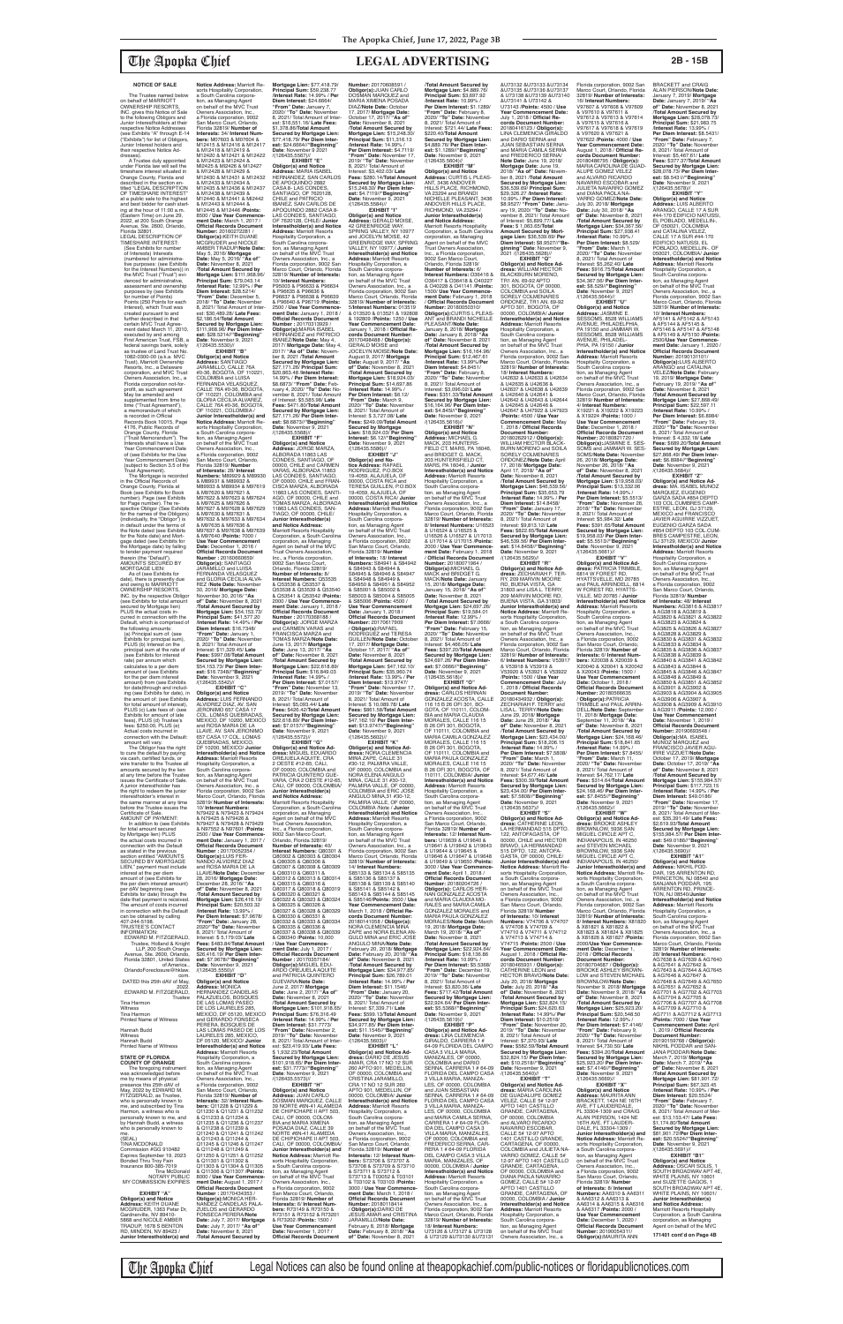### **NOTICE OF SALE**

The Trustee named below on behalf of MARRIOTT OWNERSHIP RESORTS, INC. gives this Notice of Sale to the following Obligors and Junior Interestholders at their respective Notice Addresses (see Exhibits "A" through E-14 ("Exhibits") for list of Obligors, Junior Interest holders and their respective Notice Ad-

dresses). A Trustee duly appointed under Florida law will sell the timeshare interest situated in Orange County, Florida and described in the section en-titled "LEGAL DESCRIPTION OF TIMESHARE INTEREST" at a public sale to the highest and best bidder for cash starting at the hour of 11:00 a.m. (Eastern Time) on June 29, 2022, at 200 South Orange Avenue, Ste. 2600, Orlando, Florida 32801. LEGAL DESCRIPTION OF TIMESHARE INTEREST: (See Exhibits for number of Interests) Interests (numbered for administrative purposes: (see Exhibits for the Interest Numbers)) in the MVC Trust ("Trust") evidenced for administrative, assessment and ownership purposes by (see Exhibits for number of Points) Points (250 Points for each Interest), which Trust was created pursuant to and further described in that certain MVC Trust Agree ment dated March 11, 2010,<br>executed by and among executed by and among First American Trust, FSB, a federal savings bank, solely as trustee of Land Trust No. 1082-0300-00 (a.k.a. MVC Trust), Marriott Ownership Resorts, Inc., a Delaware corporation, and MVC Trust Owners Association, Inc., a Florida corporation not-forprofit, as such agreement May be amended and supplemented from time to time ("Trust Agreement"), a memorandum of which is recorded in Official Records Book 10015, Page 4176, Public Records of Orange County, Florida ("Trust Memorandum"). The Interests shall have a Use Year Commencement Date of (see Exhibits for the Use Year Commencement Date) (subject to Section 3.5 of the Trust Agreement). The Mortgage is recorded in the Official Records of Orange County, Florida at

Book (see Exhibits for Book number). Page (see Exhibits for Page number). The re-spective Obligor (See Exhibits for the names of the Obligors) (individually, the "Obligor") is in default under the terms of the Note dated (see Exhibits for the Note date) and Mortgage dated (see Exhibits for the Mortgage date) by failing to tender payment required therein (the "Default"). AMOUNTS SECURED BY

MORTGAGE LIEN: As of (see Exhibits for date), there is presently due and owing to MARRIOTT OWNERSHIP RESORTS, INC. by the respective Obligo where Exhibits for total amour secured by Mortgage lien) PLUS the actual costs incurred in connection with the Default, which is comprised of<br>the following amounts: the following amounts: (a) Principal sum of: (see Exhibits for principal sum), PLUS (b) Interest on the principal sum at the rate of (see Exhibits for interest rate) per annum which calculates to a per diem amount of (see Exhibits for the per diem interest amount) from (see Exhibits for date)through and includ-ing (see Exhibits for date), in the amount of: (see Exhibits for total amount of interest), PLUS (c) Late fees of: (see Exhibits for amount of late fees), PLUS (d) Trustee's fees: \$250.00, PLUS (e)

tion, as Managing Agent<br>on behalf of the MVC Trust<br>Owners Association, Inc., a Florida corporation, 9002 San Marco Court, Orlando,<br>Florida 32819/ **Number** Florida 32819/ **Number<br><b>of Interest**s: 28/ I**nterest<br>Numbers:** M89929 & M89930<br>& M89931 & M89934 & M97619 & M97620 & M97621 & M97622 & M97623 & M97624 & M97625 & M97626 & M97627 & M97628 & M97629 & M97630 & M97631 & & M97630 & M97631 &<br>M97632 & M97633 & M97634 & M97635 & M97636 & M97637 & M97638 & M97639 & M97640 /**Points:** 7000 / **Use Year Commencement Date:** December 1, 2016 / **Official Records Document Number :** 20160660659/ **Obligor(s):** SANTIAGO JARAMILLO and LUISA FERNANDA VELASQUEZ and GLORIA CECILIA ALVA-REZ /**Note Date:** November 30, 2016/ **Mortgage Date:** November 30, 2016/ **"As of" Date:** November 8, 2021 /**Total Amount Secured by Mortgage Lien:** \$54,153.73/ **Principal Sum:** \$41,577.20 /**Interest Rate:** 14.49% / **Per Diem Interest:** \$16.7348/ **"From" Date:** January 1, 2020/ **"To" Date:** November 8, 2021/ Total Amount of Interest: \$11,329.45/ **Late Junior Interestholder(s)**  Trust Owners Association, & Q53536 & Q53537 & **Number :** 20170368188 / 8, 2021/ Total Amount of

Actual costs incurred in connection with the Default: amount will vary. The Obligor has the right to cure the default by paying via cash, certified funds, or wire transfer to the Trustee all amounts secured by the lien at any time before the Trustee issues the Certificate of Sale. A junior interestholder has the right to redeem the junior interestholder's interest in the same manner at any time before the Trustee issues the Certificate of Sale. AMOUNT OF PAYMENT: In addition to (see Exhibits for total amount secure by Mortgage lien) PLUS<br>the actual costs incurred in connection with the Default as stated in the previous section entitled "AMOUNTS SECURED BY MORTGAGE LIEN," payment must include interest at the per diem amount of (see Exhibits for the per diem interest amount) per dAV beginning (see Exhibits for date) through the date that payment is received. The amount of costs incurred in connection with the Default can be obtained by calling 407-244-5198. TRUSTEE'S CONTACT INFORMATION: EDWARD M. FITZGERALD, Trustee, Holland & Knight LLP, 200 South Orange Avenue, Ste. 2600, Orlando, Florida 32801, United States of America., OrlandoForeclosure@hklaw. com. DATED this 25th dAV of May, 2022. EDWARD M. FITZGERALD, **Trustee** Tina Harmon Witness Tina Harmon Printed Name of Witness Hannah Budd Witness Hannah Budd Printed Name of Witness **STATE OF FLORIDA COUNTY OF ORANGE** The foregoing instrument was acknowledged before me by means of physical presence this 25th dAV of May, 2022 by EDWARD M. FITZGERALD, as Trustee, who is personally known to me, and subscribed by Tina Harmon, a witness who is personally known to me, and by Hannah Budd, a witness who is personally known to me. (SEAL) TINA MCDONALD Commission #GG 910482 Expires September 19, 2023 Bonded Thru Troy Fain Insurance 800-385-7019 Tina McDonald NOTARY PUBLIC MY COMMISSION EXPIRES **EXHIBIT "A" Obligor(s) and Notice Address:** KEITH DUANE MCGRUDER, 1363 Petar Dr Gardnerville, NV 89410- 5868 and NICOLE AMBER TRADUP, 1678 S BENTON RD, MINDEN, NV 89423 / **Junior Interestholder(s) and Fees: \$997.08/Total Amount<br><b>Secured by Mortgage Lien:**<br>\$54,153.73/ **Per Diem Inter-**<br>**est:** \$16.7348//**"Beginning"<br>Date**: November 9, 2021<br>/(126435.5542)// **EXHIBIT "C"<br><b>Address:** LUIS FERNANDO<br>**ALVIDREZ DIAZ, AV. SAN<br>JERONIMO 657 CASA 17<br>JERONIMO 657 CASA 17<br>COL. LOMAS QUEBRADAS,** MEXICO, DF 10200, MEXICO and ROSA MARIA DE LA<br>LLAVE, AV, SAN JERONIMO LLAVE, AV. SAN JERONIMO 657 CASA 17 COL. LOMAS QUEBRADAS, MEXICO, DF 10200, MEXICO/ **Junior Interestholder(s) and Notice Address:** Marriott Resorts Hospitality Corporation, a South Carolina corpora-tion, as Managing Agent on behalf of the MVC Trust Owners Association, Inc., a Florida corporation, 9002 San Marco Court, Orlando, Florida 32819/ **Number of Interests:** 10/ **Interest Numbers:** N79422 & N79423 & N79424 & N79425 & N79426 & N79427 & N79428 & N79429 & N97552 & N97601 /**Points:** 2500 / **Use Year Commence-ment Date:** January 1, 2017 / **Official Records Document Number :** 20170052354 / **Obligor(s):**LUIS FER-NANDO ALVIDREZ DIAZ and ROSA MARIA DE LA LLAVE/**Note Date:** December 28, 2016/ **Mortgage Date:** December 28, 2016/ **"As of" Date:** November 8, 2021 /**Total Amount Secured by Mortgage Lien:** \$26,416.19/ **Principal Sum:** \$20,503.32 /**Interest Rate:** 13.99% / **Per Diem Interest:** \$7.9678/ **"From" Date:** January 28, 2020/**"To" Date:** November 8, 2021/ Total Amount of Interest: \$ 5,179:03/ **Late Fees:** \$483.84/**Total Amount Secured by Mortgage Lien:**  \$26,416.19/ **Per Diem Interest:** \$7.9678//"**Beginning"**<br>**Date**: November 9, 2021<br>/(126435.5550)// **EXHIBIT "D" Obligor(s) and Notice Address:** MONICA HERNANDEZ CANDELAS PALAZUELOS, BOSQUES DE LAS LOMAS PASEO DE LOS LAURELES 285 MEXICO, DF 05120, MEXICO and GERARDO FONSECA PERERA, BOSQUES DE LAS LOMAS PASEO DE LOS LAURELES 285, MEXICO, DF 05120, MEXICO/ **Junior Interestholder(s) and Notice Address:** Marriott Resorts Hospitality Corporation, a South Carolina corpora-tion, as Managing Agent on behalf of the MVC Trust Owners Association, Inc., a Florida corporation, 9002 San Marco Court, Orlando, Florida 32819/ **Number of Interests:** 32/ **Interest Numbers:** Q11228 & Q11229 & Q11230 & Q11231 & Q11232 & Q11233 & Q11234 & Q11235 & Q11236 & Q11237 & Q11238 & Q11239 & Q11240 & Q11241 & Q11242 & Q11243 & Q11244 & Q11245 & Q11246 & Q11247 & Q11248 & Q11249 & Q11250 & Q11251 & Q11252 & Q11301 & Q11302 & Q11303 & Q11304 & Q11305 & Q11306 & Q11307 /**Points:** 8000 / **Use Year Commencement Date:** August 1, 2017 / **Official Records Document<br><b>Number :** 20170434353 /<br>**Obligor(s):**MONICA HER-<br>NANDEZ CANDELAS PALA-ZUELOS and GERARDO FONSECA PERERA/**Note Date:** July 7, 2017/ **Mortgage Date:** July 7, 2017/ **"As of" Date:** November 8, 2021 /**Total Amount Secured by** 

**Notice Address:** Marriott Resorts Hospitality Corporation, a South Carolina corporation, as Managing Agent<br>on behalf of the MVC Trust Owners Association, Inc. a Florida corporation, 9002 San Marco Court, Orlando, Florida 32819/ **Number of Interests:** 34/ **Interest Num-bers:** M07603 & M07604 & M12415 & M12416 & M12417 & M12418 & M12419 & M12420 & M12421 & M12422 & M12423 & M12424 & Ml2425 & Ml2426 & M12427 & M12428 & M12429 &<br>M12430 & M12431 & M12432 M12430 & M12431 & M12432<br>& M12433 & M12436 & M12437<br>M12435 & M12436 & M12437<br>& M12440 & M12441 & M12442<br>& M12443 & M12444 & M12445 & M12446 /**Points:** 8500 / **Use Year Commence-ment Date:** March 1, 2017 / **Official Records Document Number:** 20160272281 / **ObIigor(s):**KEITH DUANE MCGRUDER and NICOLE AMBER TRADUP/**Note Date:** May 5, 2016/ **Mortgage Date:** May 5, 2016/ **"As of" Date:** November 8, 2021 /**Total Amount Secured by Mortgage Lien:** \$111,968.96/ **Principal Sum:** \$79,043.14 /**Interest Rate:** 12.99% / **Per Diem Interest:** \$28.5214/ **"From" Date:** December 5, 2018/ **"To" Date:** November 8, 2021/ Total Amount of Inter-est: \$30,489.28/ **Late Fees:** \$2,186.54/**Total Amount Secured by Mortgage Lien:**  \$111,968.96/ **Per Diem Interest:** \$28.5214//**"Beginning" Date**: November 9, 2021 /(126435.5530)// **EXHIBIT "B" Obligor(s) and Notice Address:** SANTIAGO<br>JARAMiLLO, CALLE 76A #0-36, BOGOTA, OF 110221, COLOMBIA and LUISA FERNANDA VELASQUEZ, CALLE 76A #0-36, BOGOTA, OF 110221, COLOMBIA and GLORIA CECILIA ALVAREZ, CALLE 76A #0-36, BOGOTA OF 110221, COLOMBIA / **Junior Interestholder(s) and Notice Address:** Marriott Resorts Hospitality Corporation, a South Carolina corpora-**Mortgage Lien:** \$77,418.79/ **Principal Sum:** \$59,238.77 /**Interest Rate:** 14.99% / **Per Diem Interest:** \$24.6664/ **"From" Date:** January 7, 2020/ **"To" Date:** November 8, 2021/ Total Amount of Inter-est: \$16,551.16/ **Late Fees:** \$1,378.86/**Total Amount Secured by Mortgage Lien:**  \$77,418.79/ **Per Diem Interest:** \$24.6664//**"Beginning"<br>Date**: November 9 2021<br>/(126435.5567)//<br>**EXHIBIT** "E" **Obligor(s) and Notice Address:** MARIA ISABEL HERNANDEZ, SAN CARLOS DE APOQUINDO 2882 CASA 8- LAS CONDES, SANTIAGO, OF 7620128, CHILE and PATRICIO IBANEZ, SAN CARLOS DE APOQUINDO 2882 CASA 8-<br>LAS CONDES, SANTIAGO,<br>OF 7620128, CHILE/ **Junior Interestholder(s) and Notice Address:** Marriott Resorts Hospitality Corporation, a

**Number:** 20170608591 /<br>**Obligor(s):**JUAN CARLO<br>DOSMAN MARQUEZ and MARIA XIMENA POSADA DIAZ/**Note Date:** October 17, 2017/ **Mortgage Date:** October 17, 2017/ **"As of" Date:** November 8, 2021 /**Total Amount Secured by Mortgage Lien:** \$15,248.30/ **Principal Sum:** \$11,316.13 /**Interest Rate:** 14.99% / **Per Diem Interest:** \$4.7119/ **"From" Date:** November 17, 2019/ **"To" Date:** November 8, 2021/ Total Amount of Interest: \$3,402.03/ **Late Fees:** \$280.14/**Total Amount Secured by Mortgage Lien:**  \$15,248.30/ **Per Diem Interest:** \$4.7119//**"Beginning" Date**: November 9, 2021<br>/(126435.5584)// **EXHIBIT "I" Obligor(s) and Notice Address:** GERALD MOISE, 42 GREENRIDGE WAY, SPRING VALLEY, NY 10977 and JOCELYN MOISE, 42 GREENRIDGE WAY, SPRING VALLEY, NY 10977,/ **Junior Interestholder(s) and Notice Address:** Marriott Resorts Marco Court, Orlando, Florida 32819/ **Number of Interests:** 5/**Interest Numbers:** 013519 & 013520 & 013521 & 192808 & 192809 /**Points:** 1250 / **Use cords Document Number:** 20170498488 / **Obligor(s):** GERALD MOISE and JOCELYN MOISE/**Note Date:** August 9, 2017/ **Mortgage Date:** August 9, 2017/ **"As of" Date:** November 8, 2021 **Interest:** \$6.12//**"Beginning"**<br>**Date**: November 9, 2021<br>/(126435.5586)// RODRIGUEZ, P.O.BOX 19-4059, ALAJUELA, OF 00000, COSTA RICA and TERESA GUILLEN, P.O.BOX 19-4059, ALAJUELA, OF 00000, COSTA RICA/ **Junior Interestholder(s) and Notice<br><b>Address:** Marriott Resorts<br>Hospitality Corporation, a & S85006 /**Points:** 4500 / **Use Year Commencement Date:** January 1, 2018 / **Official Records Document**  GUILLEN/**Note Date:** October 17, 2017/ **Mortgage Date:** October 17, 2017/ **"As of" "From" Date:** November 17, 2019/ **"To" Date:** November 8, 2021/ Total Amount of Interest: \$ 10,089.78/ **Late Fees:** \$861.58/**Total Amount Secured by Mortgage Lien:**  \$47,162.10/ **Per Diem Inter-**/**Total Amount Secured by Mortgage Lien:** \$4,889.76/ **Principal Sum:** \$3,697.92 /**Interest Rate:** 10.99% / **Per Diem Interest:** \$1.1289/ **"From" Date:** February 8, 2020/ **"To" Date:** November 8, 2021/ Total Amount of Interest: \$721.44/ **Late Fees:** \$220.40/**Total Amount Secured by Mortgage Lien:**  \$4,889.76/ **Per Diem Inter-est:** \$1.1289//**"Beginning" Date**: November 9, 2021 /(126435.5604)// **EXHIBIT "M" Obligor(s) and Notice Address:** CURTIS L PLEAS-ANT, 3436 ANDOVER HILLS PLACE, RICHMOND, VA 23294 and BRANDI NICHELLE PLEASANT, 3436 ANDOVER HILLS PLACE, RICHMOND, VA 23294 / **Junior Interestholder(s) and Notice Address:** Marriott Resorts Hospitality Corporation, a South Carolina<br>corporation, as Managing corporation, as Managing Agent on behalf of the MVC Trust Owners Association, Inc., a Florida corporation, 9002 San Marco Court, Orlando, Florida 32819/ **Number of Interests:** 6/ **Interest Numbers:** O36416 & O36417 & O36418 & O40227 & O40228 & O41141 /**Points:** 1500/ **Use Year Commencement Date:** February 1, 2018 / **Official Records Document<br><b>Number:** 20180050310/<br>**Obligor(s):**CURTIS L PLEAS-<br>ANT and BRANDI NICHELLE PLEASANT/**Note Date:** January 8, 2018/ **Mortgage Date:** January 8, 2018/ **"As of" Date:** November 8, 2021 /**Total Amount Secured by Mortgage Lien:** \$16,164.96/ **Principal Sum:** \$12,467.61 /**Interest Rate:** 13.99%/**Per Diem Interest:** \$4.8451/ **"From" Date:** February 8, 2020/ **"To" Date:** November 8, 2021/ Total Amount of Interest: \$3,096.02/ **Late Fees: \$351.33/Total Amoun Secured by Mortgage Lien:**  \$16,164.96/ **Per Diem Interest:** \$4.845l//**"Beginning"**<br>**Date**: November 9, 2021<br>/(126435.5616)// **EXHIBIT "N"<br><b>Address:** MICHAEL G.<br>Address: MICHAEL G.<br>MACK, 203 HUNTERS-<br>FIELD CT, MARS, PA 16046, and BRIDGET G. MACK, 203 HUNTERSFIELD CT, MARS, PA 16046, / **Junior Interestholder(s) and Notice<br><b>Address:** Marriott Resorts<br>Hospitality Corporation, a<br>South Carolina corporation, as Managing Agent<br>on behalf of the MVC Trust Owners Association, Inc., a Florida corporation, 9002 San Marco Court, Orlando, Florida 32819/ **Number of Interests:** 8/ **Interest Numbers:** U16523 & U16524 & U16525 & U16526 & U16527 & U17013 & U17014 & U17015 /**Points:** 2000 / **Use Year Commence-ment Date:** February 1, 2018 / **Official Records Document Number:** 20180071964 / **Obligor(s):**MICHAEL G. MACK and BRIDGET G. MACK/**Note Date:** January 15, 2018/ **Mortgage Date:** January 15, 2018/ **"As of" Date:** November 8, 2021 /**Total Amount Secured by Mortgage Lien:** \$24,697.26/ **Principal Sum:** \$19,584.01 /**Interest Rate:** 12.99% / **Per Diem Interest:** \$7.0666/ **"From" Date:** February 15, 2020/ **"To" Date:** November 8, 2021/ Total Amount of Interest: \$4,466.05/ **Late Fees:** \$397.20/**Total Amount Secured by Mortgage Lien:**  \$24,697.26/ **Per Diem Interest:** \$7.0666//**"Beginning" Date**: November 9, 2021 /(126435.5618)// **EXHIBIT "O" Obligor(s) and Notice Ad-dress:** CARLOS HERNAN GONZALEZ ACOSTA, CALLE 116 15 B 26 OFI 301, BO-GOTA, OF 110111, COLOM-BIA and MARIA CLAUDIA MORALES, CALLE 116 15 B 26 OFI 301, BOGOTA, OF 110111, COLOMBIA and MARIA CAMILA GONZALEZ MORALES, CALLE 116 15 B 26 OFI 301, BOGOTA,  $F$  110111, COLOMBIA MARIA PAULA GONZALEZ MORALES, CALLE 116 15 B 26 OFI 301, BOGOTA, OF 110111, COLOMBIA/ **Junior Interestholder(s) and Notice Address:** Marriott Resorts Hospitality Corporation, a<br>South Carolina corpora-South Carolina corpora-tion, as Managing Agent on behalf of the MVC Trust Owners Association, Inc., a Florida corporation, 9002 San Marco Court, Orlando, Florida 32819/ **Number of Interests:** 12/ **Interest Num-bers:** U19639 & U19640 & U19641 & U19642 & U19643 & U19644 & U19645 & U19646 & U19647 & U19648 & U19649 & U19650 /**Points:** 3000 / **Use Year Commence-ment Date:** April 1, 2018 / **Official Records Document Number:** 20180204726 / **Obligor(s):** CARLOS HER-NAN GONZALEZ ACOSTA and MARIA CLAUDIA MO-RALES and MARIA CAMILA GONZALEZ MORALES and MARIA PAULA GONZALEZ MORALES/**Note Date:** March 19, 2018/ **Mortgage Date:** March 19, 2018/ **"As of" Date:** November 8, 2021 /**Total Amount Secured by Mortgage Lien:** \$22,924.64/ **Principal Sum:** \$18,136.86 /**Interest Rate:** 10.99% / **Per Diem Interest:** \$5.5368/ **"From" Date:** December 19, 2019/ "To" Date: Novembe 8, 2021/ Total Amount of Interest: \$3,820.36/ **Late Fees:** \$717.42/**Total Amount Secured by Mortgage Lien:**  \$22,924.64/ **Per Diem Interest:** \$5.5368//**"Beginning" Date**: November 9, 2021<br>/(126435.5619)// **EXHIBIT "P" Obligor(s) and Notice Ad-dress:** LINA CLEMENCIA GIRALDO, CARRERA 1 # 64-09 FLORIDA DEL CAMPO CASA 3 VILLA MARIA, MANIZALES, OF 00000,<br>COLOMBIA and DARIO<br>SERNA, CARRERA 1 # 64-09<br>FLORIDA DEL CAMPO CASA 3 VILLA MARIA, MANIZA-LES, OF 00000, COLOMBIA and JUAN SEBASTIAN SERNA, CARRERA 1 # 64-09 FLORIDA DEL CAMPO CASA 3 VILLA MARIA, MANIZA-LES, OF 00000, COLOMBIA<br>and MARIA CAMILA SERNA, CARRERA 1 # 64-09 FLOR-IDA DEL CAMPO CASA 3 VILLA MARIA, MANIZALES, OF 00000, COLOMBIA and FREDERICO SERNA, CAR-RERA 1 # 64-09 FLORIDA DEL CAMPO CASA 3 VILLA MARIA, MANIZALES, OF 00000, COLOMBIA / **Junior Interestholder(s) and Notice Address:** Marriott Resorts Hospitality Corporation, a South Carolina corporation, as Managing Agent<br>on behalf of the MVC Trust Owners Association, Inc., a Florida corporation, 9002 San Marco Court, Orlando, Florida 32819/ **Number of Interests:** 18/ **Interest Numbers:** U73126 & U73127 & U73128 & U73129 &U73130 &U73131 **of" Date:** November 8, 2021<br>/**Total Amount Secured by<br><b>Mortgage Lien:** \$23,434.00/<br>**Principal Sum:** \$18,206.15 /**Interest Rate:** 14.99% / **Per Diem Interest:** \$7.5808/

**"From" Date:** March 1, 2020/ **"To" Date:** November 8, 2021/ Total Amount of Interest: \$4,677.46/ **Late Fees:** \$300.39/**Total Amount Secured by Mortgage Lien:**  \$23,434.00/ **Per Diem Interest:** \$7.5808//**"Beginning" Date**: November 9, 2021 /(126435.5637)// **EXHIBIT "S" Obligor(s) and Notice Ad-dress:** CATHERINE LEON, LA HERMANDAD 515 DPTO.<br>122, ANTOFAGASTA, OF<br>00000, CHILE and HECTOR BRAVO, LA HERMANDAD 515 DPTO. 122, ANTOFA-GASTA, OF 00000, CHILE/ **Junior Interestholder(s) and Notice Address:** Marriott Re-sorts Hospitality Corporation, a South Carolina corporation, as Managing Agent<br>on behalf of the MVC Trust Owners Association, Inc., a Florida corporation, 9002 San Marco Court, Orlando, Florida 32819/ **Number of Interests:** 10/ **Interest Numbers:** V74706 & V74707 & V74708 & V74709 & V74710 & V74711 & V74712 & V74713 & V74714 & V74715 /**Points:** 2500 / **Use Year Commencement Date:** August 1, 2018 / **Official Records Document Number:** 20180465931 / **Obligor(s):** CATHERINE LEON and HECTOR BRAVO/**Note Date:** July 20, 2018/ **Mortgage Date:** July 20, 2018/ **"As of" Date:** November 8, 2021 /**Total Amount Secured by Mortgage Lien:** \$32,824.15/ **Principal Sum:** \$24,620.63 /**Interest Rate:** 14.99%/ **Per Diem Interest:** \$10.2518/ **"From" Date:** November 20, 2019/ **"To" Date:** November 8, 2021/ Total Amount of Interest: \$7,370.93/ **Late Fees: \$582.59/Total Amount<br><b>Secured by Mortgage Lien:**<br>\$32,824.15/ **Per Diem Inter-<br>est: \$10.2518//"Beginning"<br><b>Date**: November 9, 2021<br>/(126435.5640)// **EXHIBIT "T" Obligor(s) and Notice Ad-dress:** MARIA CAROLINA DE GUADALUPE GOMEZ VELEZ, CALLE 5# 12-97 APTO 1401 CASTILLO GRANDE, CARTAGENA, OF 00000, COLOMBIA<br>and ALVARO BICARDO and ALVARO RICARDO<br>NAVARRO ESCOBAR,<br>CALLE 5# 12-97 APTO 1401 CASTILLO GRANDE, CARTAGENA, OF 00000, COLOMBIA and JULIETA NA-VARRO GOMEZ, CALLE 5# 12-97 APTO 1401 CASTILLO GRANDE, CARTAGENA, OF 00000, COLOMBIA and DIANA PAOLA NAVARRO GOMEZ, CALLE 5# 12-97 APTO 1401 CASTILLO GRANDE, CARTAGENA, OF 00000, COLOMBIA / **Junior Interestholder(s) and Notice Address:** Marriott Resorts Hospitality Corporation, a South Carolina corpora tion, as Managing Agent<br>on behalf of the MVC Trust<br>Owners Association, Inc., a

The Apopka Chief Legal Notices can also be found online at theapopkachief.com/public-notices or floridapublicnotices.com

South Carolina corporation, as Managing Agent<br>on behalf of the MVC Trust Owners Association, Inc., a Florida corporation, 9002 San Marco Court, Orlando, Florida 32819/ **Number of Interests:** 10/ **Interest Numbers:** P95003 & P96633 & P96634 & P96635 & P96636 & P96637 & P96638 & P96639 & P96640 & P96719 /**Points:** 2500 / **Use Year Commence-ment Date:** January 1, 2018 / **Official Records Document Number :** 20170313929 / **Obligor(s):**MARIA ISABEL<br>HERNANDEZ and PATRICIO IBANEZ/**Note Date:** May 4, 2017/ **Mortgage Date:** May 4, 2017/ **"As of" Date:** Novem-ber 8, 2021 /**Total Amount Secured by Mortgage Lien:**  \$27,171.26/ **Principal Sum:** \$20,863.48 /**Interest Rate:** 14.99% / **Per Diem Interest:** \$8.6873/ **"From" Date:** Feb-ruary 4, 2020/ **"To" Date:** November 8, 2021/ Total Amount of Interest: \$5,585.98/ **Late Fees:** \$471.80/**Total Amount Secured by Mortgage Lien:**  \$27,171.26/ **Per Diem Inter-est:** \$8.6873//**"Beginning" Date**: November 9, 2021<br>/(126435.5568)// **EXHIBIT "F" Obligor(s) and Notice Address:** JORGE MARZA, ALBORADA 11863 LAS CONDES, SANTIAGO, OF 00000, CHILE and CARMEN<br>VARAS, ALBORADA 11863 VARAS, ALBORADA 11863 LAS CONDES, SANTIAGO, OF 00000, CHILE and FRAN-CISCA MARZA, ALBORADA 11863 LAS CONDES, SANTI-AGO, OF 00000, CHILE and OMAS MARZA, ALBORADA 11863 LAS CONDES, SAN-TIAGO, OF 00000, CHILE/ **and Notice Address:** Marriott Resorts Hospitality Corporation, a South Carolina corporation, as Managing Agent on behalf of the MVC Inc., a Florida corporation, 9002 San Marco Court, Orlando, Florida 32819/<br>**Number of Interests:** 8/<br>**Interest Numbers:** Q53535 Q53538 & Q53539 & Q53540 & Q53541 & Q53542 /**Points:** 2000 / **Use Year Commence-ment Date:** January 1, 2018 / **Official Records Document Obligor(s):** JORGE MARZA and CARMEN VARAS and FRANCISCA MARZA and TOMAS MARZA/**Note Date:** June 13, 2017/ **Mortgage Date:** June 13, 2017/ **"As of" Date:** November 8, 2021 /**Total Amount Secured by Mortgage Lien:** \$22,618.89/ **Principal Sum:** \$16,849.03 /**Interest Rate:** 14.99% / **Per Diem Interest:** \$7.0157/ **"From" Date:** November 13, 2019/ **"To" Date:** November Interest: \$5,093.44/ **Late Fees:** \$426.42/**Total Amount Secured by Mortgage Lien:**  \$22,618.89/ **Per Diem Interest:** \$7.0157//**"Beginning" Date**: November 9, 2021 /(126435.5572)// **EXHIBIT "G" Obligor(s) and Notice Address: MIGUEL EDUARDO**<br>OBE ILIELA AOLIITE, CBA OREJUELA AQUITE, CRA 2 OESTE #12-65, CALI, OF 00000, COLOMBIA and PATRICIA QUINTERO GUE-VARA, CRA 2 OESTE #12-65, CALI, OF 00000, COLOMBIA/ **Junior Interestholder(s) and Notice Address:** Marriott Resorts Hospitality Corporation, a South Carolina corporation, as Managing Agent on behalf of the MVC Trust Owners Association, Inc., a Florida corporation, 9002 San Marco Court, Orlando, Florida 32819/ **Number of Interests:** 40/ **Interest Numbers:** Q80301 & Q80302 & Q80303 & Q80304 & Q80305 & Q80306 & Q80307 & Q80308 & Q80309 & Q80310 & Q80311 & Q80312 & Q80313 & Q80314 & Q80315 & Q80316 & Q80317 & Q80318 & Q80319 & Q80320 & Q80321 & Q80322 & Q80323 & Q80324 & Q80325 & Q80326 & Q80327 & Q80328 & Q80329 & Q80330 & Q80331 & Q80332 & Q80333 & Q80334 & Q80335 & Q80336 & Q80337 & Q80338 & Q80339 & Q80340 /**Points:** 10,000 / **Use Year Commencement Date:** July 1, 2017 / **Official Records Document Number :** 20170357184/ **Obligor(s):**MIGUEL EDU-ARDO OREJUELA AQUITE and PATRICIA QUINTERO GUEVARA/**Note Date:** June 2, 2017/ **Mortgage Date:** June 2, 2017/ **"As of" Date:** November 8, 2021 /**Total Amount Secured by Mortgage Lien:** \$101,918.65/ **Principal Sum:** \$76,316.49 /**Interest Rate:** 14.99% / **Per Diem Interest:** \$31.7773/ **"From" Date:** November 2, 2019/ **"To" Date:** November 8, 2021/ Total Amount of Interest: \$23,419.93/ **Late Fees:** \$ 1,932.23/**Total Amount Secured by Mortgage Lien:**  \$101,918.65/ **Per Diem Inter-est:** \$31.7773//**"Beginning" Date**: November 9, 2021 /(126435.5573)// **EXHIBIT "H" Obligor(s) and Notice<br><b>Address:** JUAN CARLO<br>DOSMAN MARQUEZ, CALLE 39 NORTE #6N-41 ALAMEDA DE CHIPICHAPE II APT 503, CALI, OF 00000, COLOM-<br>BIA and MARIA XIMENA BIA and MARIA XIMENA<br>POSADA DIAZ, CALLE 39<br>NORTE #6N-41 ALAMEDA<br>DE CHIPICHAPE II APT 503, CALI, OF 00000, COLOMBIA/ **Junior Interestholder(s) and Notice Address:** Marriott Resorts Hospitality Corporation, a South Carolina corporation, as Managing Agent<br>on behalf of the MVC Trust<br>Owners Association, Inc., a Florida corporation, 9002 San Marco Court, Orlando, Florida 32819/ **Number of Interests:** 6/ **Interest Numbers:** R73149 & R73150 & R73151 & R73152 & R73201 & R73202 /**Points:** 1500 / **Use Year Commencement Date:** November 1, 2017 / **Official Records Document**  Hospitality Corporation, a South Carolina corporation, as Managing Agent on behalf of the MVC Trust Owners Association, Inc., a Florida corporation, 9002 San **Year Commencement Date:** January 1, 2018 / **Official Re-**/**Total Amount Secured by Mortgage Lien:** \$18,924.03/ **Principal Sum:** \$14,697.86 /**Interest Rate:** 14.99% / **Per Diem Interest:** \$6.12/ **"From" Date:** March 9, 2020/ **"To" Date:** November 8, 2021/ Total Amount of Interest: \$ 3,727.08/ **Late Fees:** \$249.09/**Total Amount Secured by Mortgage Lien:** \$18,924.03/ **Per Diem Obligor(s) and No-tice Address:** RAFAEL South Carolina corporation, as Managing Agent<br>on behalf of the MVC Trust Owners Association, Inc., a Florida corporation, 9002 San Marco Court, Orlando, Florida 32819/ **Number of Interests:** 18/ **Interest Numbers:** S84941 & S84942<br>& S84943 & S84944 & & S84943 & S84944 & S84945 & S84946 & S84947 & S84948 & S84949 & S84950 & S84951 & S84952 & S85001 & S85002 & S85003 & S85004 & S85005 **Number:** 20170617909 / **Obligor(s):**RAFAEL RODRIGUEZ and TERESA **Date:** November 8, 2021 /**Total Amount Secured by Mortgage Lien:** \$47,162.10/ **Principal Sum:** \$35,960.74 /**Interest Rate:** 13.99% / **Per Diem Interest:** \$13.9747/ **est:** \$13.9747//**"Beginning" Date**: November 9, 2021 /(126435.5602)// **EXHIBIT "K" Obligor(s) and Notice Ad-**

**EXHIBIT "J"**

**EXHIBIT "V"<br>
<b>Obligor(s) and Notice Ad-**<br> **dress:** PATRICIA TRIMBLE,<br>
6814 W FOREST RD,<br>
HYATTSVELLE, MD 20785 and PAUL ARRINDELL, 6814 W FOREST RD, HYATTS-VILLE, MD 20785 / **Junior Interestholder(s) and Notice Address:** Marriott Resorts Hospitality Corporation, a South Carolina corporation, as Managing Agent<br>on behalf of the MVC Trust Owners Association, Inc., a Florida corporation, 9002 San Marco Court, Orlando, Florida 32819/ **Number of Interests:** 6/ **Interest Numbers:** X20038 & X20039 &<br>X20040 & X20041 & X20043 X20040 & X20041 & X20042 & X20043 /**Points:** 1500 / **Use Year Commencement Date:** October 1, 2018 / **Official Records Document Number:** 20180566635 / **Obligor(s):**PATRICIA TRIMBLE and PAUL ARRIN-DELL/**Note Date:** September 11, 2018/ **Mortgage Date:** September 11, 2018/ **"As of" Date:** November 8, 2021 /**Total Amount Secured by Mortgage Lien:** \$24,168.46/ **Principal Sum:** \$18,841.65 /**Interest Rate:** 14.99% / **Per Diem Interest:** \$7.8455/ **"From" Date:** March 11, 2020/ **"To" Date:** November 8, 2021/ Total Amount of Interest: \$4,762.17/ **Late Fees:** \$314.64/**Total Amount Secured by Mortgage Lien:**  \$24,168.46/ **Per Diem Interest:** \$7.8455//**''Beginning''**<br>**Date**: November 9, 2021<br>/(126435.5662)// **EXHIBIT "W" Obligor(s) and Notice Ad-dress:** BROOKE ASHLEY BROWNLOW, 5936 SAN MIGUEL CIRCLE APT C, INDIANAPOLIS, IN 46250 and STEVEN MICHAEL BROWNLOW, 5936 SAN MIGUEL CIRCLE APT C,<br>INDIANAPOLIS, IN 46250 INDIANAPOLIS, IN 46250/ **Junior Interestholder(s) and Notice Address:** Marriott Resorts Hospitality Corporation. a South Carolina corporation, as Managing Agent on behalf of the MVC Trust Owners Association, Inc., a Florida corporation, 9002 San Marco Court, Orlando, Florida 32819/ **Number of Interests:** 8/ **Interest Numbers:** X81820 & X81821 & X81822 & X81823 & X81824 & X81825 & X81826 & X81827 /**Points:** 2000/**Use Year Commencement Date:** December 1, 2018 / **Official Records Document Number:** 20180704687 / **Obligor(s):** BROOKE ASHLEY BROWN-LOW and STEVEN MICHAEL BROWNLOW/**Note Date:** November 9, 2018/ **Mortgage Date:** November 9, 2018/ **"As of" Date:** November 8, 2021 /**Total Amount Secured by Mortgage Lien:** \$25,923.20/ **Principal Sum:** \$20,548.50 /**Interest Rate:** 12.99% / **Per Diem Interest:** \$7.4146/ **"From" Date:** February 9, 2020/ **"To" Date:** November 8, 2021/ Total Amount of Interest: \$4,730.50/ **Late Fees:** \$394.20/**Total Amount Secured by Mortgage Lien:**  \$25,923.20/ **Per Diem Inter-est:** \$7.4146//**"Beginning" Date**: November 9, 2021 /(126435.5669)// **EXHIBIT "X" Obligor(s) and Notice<br><b>Address:** MAURITA ANN<br>BRACKETT, 1424 NE 16TH<br>AVE, FT LAUDERDALE, FL 33304-1309 and CRAIG ALAN PIERSON, 1424 NE 16TH AVE, FT LAUDER-DALE, FL 33304-1309 / **Junior Interestholder(s) and Notice Address:** Marriott Resorts Hospitality Corporation, a South Carolina corporation, as Managing Agent<br>on behalf of the MVC Trust<br>Owners Association, Inc., a Florida corporation, 9002 San Marco Court, Orlando, Florida 32819/ **Number of Interests: 8/ Interest<br><b>Numbers:** AA6310 & AA6311<br>& AA6312 & AA6313 & AA6314 & AA6315 & AA6316 & AA6317 /**Points:** 2000 / **Use Year Commencement Date:** December 1, 2020 / **Official Records Document** 

**dress:** NORA CLEMENCIA MINA ZAPE, CALLE 31 #30-12, PALMIRA VALLE, OF 00000, COLOMBIA and NORA ELENA ANGULO MINA, CALLE 31 #30-12, PALMIRA VALLE, OF 00000 COLOMBIA and ERIC JOSE<br>ANGULO MINA 31 #30-12 ANGULO MINA,31 #30-12,<br>PALMIRA VALLE, OF 00000,<br>COLOMBIA /Note / **Junior**<br>**Interestholder(s) and Notice Address:** Marriott Resorts Hospitality Corporation, a South Carolina corpora tion, as Managing Agent<br>on behalf of the MVC Trust Owners Association, Inc., a Florida corporation, 9002 San Marco Court, Orlando, Florida 32819/ **Number of Interests:** 14/ **Interest Numbers:** S85133 & S85134 & S85135 & S85136 & S85137 & S85138 & S85139 & S85140 & S85141 & S85142 &<br>S85143 & S85144 & S85145 S85143 & S85144 & S85145 & S85146/**Points:** 3500 / **Use Year Commencement Date:** March 1, 2018 / **Official Records Document Number:** 20180141058 / **Obligor(s):** NORA CLEMENCIA MINA ZAPE and NORA ELENA AN-GULO MINA and ERIC JOSE ANGULO MINA/**Note Date:** February 20, 2018/ **Mortgage Date:** February 20, 2018/ **"As of" Date:** November 8, 2021 /**Total Amount Secured by Mortgage Lien:** \$34,977.85/ **Principal Sum:** \$26,789.01 /**Interest Rate:** 14.99% / **Per Diem Interest:** \$11.1546/ **"From" Date:** January 20, 2020/ **"To" Date:** November 8, 2021/ Total Amount of Interest: \$7,339.71/ **Late Fees:** \$599.13/**Total Amount Secured by Mortgage Lien:**  \$34,977.85/ **Per Diem Interest:** \$11.1546//**"Beginning"<br><b>Date**: November 9, 2021<br>/(126435.5603)// **EXHIBIT "L" Obligor(s) and Notice Ad-<br>dress: DARIO DE JESUS<br>AMAR, CRA 17 NO 12 SUR<br>260 APTO 901, MEDELLIN,<br>OF 00000, COLOMBIA and** CRISTINA JARAMILLO, CRA 17 NO 12 SUR 260 APTO 901, MEDELLIN, OF 00000, COLOMBIA/ **Junior Interestholder(s) and Notice Address:** Marriott Resorts Hospitality Corporation, a South Carolina corporation, as Managing Agent<br>on behalf of the MVC Trust<br>Owners Association, Inc., a Florida corporation, 9002 San Marco Court, Orlando, Florida 32819/ **Number of Interests:** 12/ **Interest Num-bers:** S73706 & S73707 & S73708 & S73709 & S73710 & S73711 & S73712 & S73713 & T03052 & T03101 & T03102 & T03103 /**Points:** 3000 / **Use Year Commence-ment Date:** March 1, 2018 / **Official Records Document Number:** 20180118414 / **Obligor(s):**DARIO DE JESUS AMAR and CRISTINA JARAMILLO/**Note Date:** February 8, 2018/ **Mortgage Date:** February 8, 2018/ **"As of" Date:** November 8, 2021

&U73141 & U73142 & U73143 /**Points:** 4500 / **Use Year Commencement Date:** July 1, 2018 / **Official Re-cords Document Number:** 20180416123 / **Obligor(s):** LINA CLEMENCIA GIRALDO and DARIO SERNA and JUAN SEBASTIAN SERNA and MARIA CAMILA SERNA and FREDERICO SERNA/ **Note Date:** June 19, 2018/ **Mortgage Date:** June 19, 2018/ **"As of" Date:** November 8, 2021 /**Total Amount Secured by Mortgage Lien:**  \$36,539.69/ **Principal Sum:** \$29,326.27 /**Interest Rate:** 10.99% / **Per Diem Interest:** \$8.9527/ **"From" Date:** January 19, 2020/ **"To" Date:** No-vember 8, 2021/ Total Amount of Interest: \$5,899.77/ **Late Fees:** \$ 1,063.65/**Total Amount Secured by Mort-gage Lien:** \$36,539.69/ **Per Diem Interest:** \$8.9527//**"Be-ginning" Date**: November 9, 2021 /(126435.5628)// **EXHIBIT "Q" Obligor(s) and Notice Ad-dress:** WILLIAM HECTOR BLACKBURN MORENO, TR1 AN. 69-92 APTO<br>301, BOGOTA, OF 00000,<br>COLOMBIA and SOILA SORELY COLMENARES ORDONEZ, TR1 AN. 69-92 APTO 301, BOGOTA, OF 00000, COLOMBIA/ **Junior Interestholder(s) and Notice Address:** Marriott Resorts Hospitality Corporation, a South Carolina corporation, as Managing Agent<br>on behalf of the MVC Trust<br>Owners Association, Inc., a Florida corporation, 9002 San Marco Court, Orlando, Florida<br>32819/ Number of Interests: 32819/ **Number of Interests:** 18/ **Interest Numbers:** U42632 & U42633 & U42634 & U42635 & U42636 & U42637 & U42638 & U42639 & U42640 & U42641 & U42642 & U42643 & U42644 & U42645 & U42646 & U42647 & U47922 & U47923 /**Points:** 4500 / **Use Year Commencement Date:** May 1, 2018 / **Official Records Document Number:** 20180262912 / **Obligor(s):**<br>WILLIAM HECTOR BLACK-<br>BURN MORENO and SOILA<br>SORELY COLMENARES ORDONEZ/**Note Date:** April 17, 2018/ **Mortgage Date:** April 17, 2018/ **"As of" Date:** November 8, 2021 /**Total Amount Secured by Mortgage Lien:** \$46,539.56/ **Principal Sum:** \$35,653.79 /**Interest Rate:** 14.99% / **Per Diem Interest:** \$14.8458/ **"From" Date:** January 17, 2020/ **"To" Date:** November 8, 2021/ Total Amount of Interest: \$9,813.12/ **Late Fees:** \$822.65/**Total Amount Secured by Mortgage Lien:**  \$46,539.56/ **Per Diem Inter-est:** \$14.8458//**"Beginning" Date**: November 9, 2021 /(126435.5629)// **EXHIBIT "R" Obligor(s) and Notice Ad-<br><b>dress:** ZECHARIAH F. TER-<br>RY, 209 MARVIN MOORE<br>RD, BUENA VISTA, GA 31803 and LISA L. TERRY, 209 MARVIN MOORE RD, BUENA VISTA, GA 31803/ **Junior Interestholder(s) and Notice Address:** Marriott Resorts Hospitality Corporation, a South Carolina corporation, as Managing Agent<br>on behalf of the MVC Trust Owners Association, Inc., a Florida corporation, 9002 San Marco Court, Orlando, Florida 32819/ **Number of Interests:** 6/ **Interest Numbers:** V53917 & V53918 & V53919 & V53920 & V53921 & V53922 /**Points:** 1500 / **Use Year Commencement Date:** July 1, 2018 / **Official Records**  Document Number 20180434932 / **Obligor(s):** ZECHARIAH F. TERRY and LISA L. TERRY/**Note Date:** June 29, 2018/ **Mortgage Date:** June 29, 2018/ **"As** 

&U73132 &U73133 &U73134 &U73135 &U73136 &U73137 & U73138 &U73139 &U73140 Florida corporation, 9002 San Marco Court, Orlando, Florida 32819/ **Number of Interests:** 16/ **Interest Numbers:** V97607 & V97608 & V97609 & V97610 & V97611 & V97612 & V97613 & V97614 & V97615 & V97616 & V97617 & V97618 & V97619 & V97620 & V97621 & V97622 /**Points:** 4000 / **Use Year Commencement Date:** August 1, 2018 / **Official Re-<br><b>cords Document Number:**<br>20180486795 / **Obligor(s**):<br>MARIA CAROLINA DE GUAD-<br>ALUPE GOMEZ VELEZ and ALVARO RICARDO<br>NAVARRO ESCOBAR and<br>JULIETA NAVARRO GOMEZ<br>and DIANA PAOLA NA-VARRO GOMEZ/**Note Date:** July 30, 2018/ Mortgage<br>Date: July 30, 2018/ "As<br>of" Date: November 8, 2021<br>/Total Amount Secured by<br>Mortgage Lien: \$34,367.56/<br>Principal Sum: \$27,938.41<br>/Interest Rate: 10.99% / **Per Diem Interest:** \$8.529/ **"From" Date:** March 1, 2020/ **"To" Date:** November 8, 2021/ Total Amount of Interest: \$5,262.40/ **Late Fees:** \$916.75/**Total Amount Secured by Mortgage Lien:**  \$34,367.56/ **Per Diem Inter-est:** \$8.529//**"Beginning" Date**: November 9, 2021 /(126435.5644)// **EXHIBIT "U" Obligor(s) and Notice Address:** JASMINE E. SESSOMS, 8528 WILLIAMS AVENUE, PHILADELPHIA, PA 19150 and JAMMAR W. SESSOMS, 8528 WILLIAMS AVENUE, PHILADEL-PHIA, PA 19150 / **Junior Interestholder(s) and Notice Address:** Marriott Resorts Hospitality Corporation, a South Carolina corporation, as Managing Agent<br>on behalf of the MVC Trust<br>Owners Association, Inc., a Florida corporation, 9002 San Marco Court, Orlando, Florida 32819/ **Number of Interests:** 4/ **Interest Numbers:** X19221 & X19222 & X19223 & X19224 /**Points:** 1000 / **Use Year Commencement Date:** December 1, 2018 / **Official Records Document Number:** 20180821720 /<br>**Obligor(s):**JASMINE E. SES-<br>SOMS and JAMMAR W. SES-SOMS/**Note Date:** November 26, 2018/ **Mortgage Date:** November 26, 2018/ **"As**  Interest: \$5,984.32/ **Late** 

**Number:** 20190054311/ **Obligor(s):**MAURITA ANN

BRACKETT and CRAIG ALAN PIERSON/**Note Date:** January 7, 2019/ **Mortgage Date:** January 7, 2019/ **"As of" Date:** November 8, 2021

**of" Date:** November 8, 2021 /**Total Amount Secured by Mortgage Lien:** \$19,958.03/ **Principal Sum:** \$13,332.06 /**Interest Rate:** 14.99% / **Per Diem Interest:** \$5.5513/ **"From" Date:** November 26, 2018/ **"To" Date:** November 8, 2021/ Total Amount of **Fees:** \$391.65/**Total Amount<br><b>Secured by Mortgage Lien:**<br>\$19,958.03/ **Per Diem Inter-**<br>**est:** \$5.5513//**"Beginning"**<br>**Date**: November 9, 2021<br>/(126435.5661)// **est:** \$6.8984//**"Beginning" Date**: November 9, 2021 /(126435.5684)// **EXHIBIT "Z" Obligor(s) and Notice Ad-dress:** MA. ISABEL MUNOZ MARQUEZ, EUGENIO<br>GARZA SADA #854 DEPTO 103 COL.CUMBRES CAMP-ESTRE, LEON, GJ 37129, MEXICO and FRANCISCO JAVIER AGUIRRE VIZZUET, EUGENIO GARZA SADA #854 DEPTO 103 COL.CUM-BRES CAMPESTRE, LEON, GJ 37129, MEXICO/ **Junior Interestholder(s) and Notice Address:** Marriott Resorts Hospitality Corporation, a South Carolina corporation, as Managing Agent<br>on behalf of the MVC Trust<br>Owners Association, Inc., a Florida corporation, 9002 San Marco Court, Orlando, Florida 32819/ **Number of Interests:** 48/ **Interest<br><b>Numbers:** AG3816 & AG3817<br>& AG3818 & AG3819 &<br>AG3820 & AG3821 & AG3822 & AG3823 & AG3824 & AG3825 & AG3826 & AG3827 & AG3828 & AG3829 & AG3830 & AG3831 & AG3832 & AG3833 & AG3834 & AG3835 & AG3836 & AG3837 & AG3838 & AG3839 & AG3840 & AG3841 & AG3842 & AG3843 & AG3844 & AG3845 & AG3846 & AG3847 & AG3848 & AG3849 & AG3850 & AG3851 & AG3852 & AG3901 & AG3902 & AG3903 & AG3904 & AG3905 & AG3906 & AG3907 & AG3908 & AG3909 & AG3910 & AG3911 /**Points:** 12,000 / **Use Year Commencement Date:** November 1, 2019 / **Official Records Document Number:** 20190693548 / **Obligor(s):**MA. ISABEL MUNOZ MARQUEZ and FRANCISCO JAVIER AGU-<br>IRRE VIZZUET/Note Date: IRRE VIZZUET/**Note Date:** October 17, 2019/ **Mortgage Date:** October 17, 2019/ **"As of" Date:** November 8, 2021 /**Total Amount Secured by Mortgage Lien:** \$155,984.57/ **Principal Sum:** \$117,723.15 /**Interest Rate:** 14.99% / **Per Diem Interest:** \$49.0186/ **"From" Date:** November 17, 2019/ **"To" Date:** November 8, 2021/ Total Amount of Merest: \$35,391.49/ **Late Fees:** \$2,619.93/**Total Amount Secured by Mortgage Lien:**  \$155,984.57/ **Per Diem Inter-est:** \$49.0186//**"Beginning" Date**: November 9, 2021 /(126435.5690)// **EXHIBIT "A1" Obligor(s) and Notice<br><b>Address:** NIKHIL POD-<br>DAR, 195 ARRENTON RD, PRINCETON, NJ 08540 and SANJANA PODDAR, 195 ARRENTON RD, PRINCE-TON, NJ 08540/**Junior Interestholder(s) and Notice Address:** Marriott Resorts Hospitality Corporation, a South Carolina corpora-<br>tion, as Managing Agen tion, as Managing Agent<br>on behalf of the MVC Trust<br>Owners Association, Inc., a<br>Florida corporation, 9002 San Marco Court, Orlando, Florida 32819/ **Number of Interests:** 28/ **Interest Numbers:** AG7638 & AG7639 & AG7640 & AG7641 & AG7642 & AG7643 & AG7644 & AG7645 & AG7646 & AG7647 & AG7648 & AG7649 & AG7650 & AG7651 & AG7652 & AG7701 & AG7702 & AG7703 & AG7704 & AG7705 & AG7706 & AG7707 & AG7708 & AG7709 & AG7710 & AG7711 & AG7712 & AG7713 /**Points:** 7000 / **Use Year Commencement Date:** April 1, 2019 / **Official Records Document Number:** 20190159768 / **Obligor(s):** NIKHIL PODDAR and SAN-<br>JANA PODDAR/**Note Date**: JANA PODDAR/Note Date:<br>March 7, 2019/ Mortgage<br>Date: March 7, 2019/ "As<br>of" Date: November 8, 2021<br>Mortgage Lien: \$81,901.72/<br>Mortgage Lien: \$81,901.72/<br>Principal Sum: \$67,323.45 /**Interest Rate:** 10.99% / **Per Diem Interest:** \$20.5524/ **"From" Date:** February 7, 2020/ "To" Date: Novembe 8, 2021/ Total Amount of Mer-est: \$13,153.47/ **Late Fees:** \$1,174.80/**Total Amount Secured by Mortgage Lien:**  \$81,901.72/**Per Diem Inter-est:** \$20.5524//**"Beginning" Date**: November 9, 2021<br>/(126435.5691)// **EXHIBIT "B1" Obligor(s) and Notice Address:** OSCAR SOLIS, 1 SOUTH BROADWAV APT 4E, WHITE PLAINS, NY 10601 and SUZETTE GAGOS, 1 SOUTH BROADWAY APT 4E. WHITE PLAINS, NY 10601/ **Junior Interestholder(s) and Notice Address:** Marriott Resorts Hospitality Corporation, a South Carolina corporation, as Managing Agent on behalf of the MVC

/**Total Amount Secured by Mortgage Lien:** \$28,078.73/ **Principal Sum:** \$21,983.75 /**Interest Rate:** 13.99% / **Per Diem Interest:** \$8.5431/ **"From" Date:** February 7, 2020/ **"To" Date:** November 8, 2021/ Total Amount of Interest: \$5,467.61/ **Late Fees:** \$377.37/**Total Amount Secured by Mortgage Lien:**  \$28,078.73/ **Per Diem Interest:** \$8.543 l//"**Beginning"**<br>**Date**: November 9, 2021<br>/(126435.5678)// **EXHIBIT "Y" Obligor(s) and Notice Address:** LUIS ALBERTO ARANGO, CALLE 17 A SUR<br>#44-170 EDIFICIO NATUSSI,<br>EL POBLADO, MEDELLIN-,<br>OF 050021, COLOMBIA<br>and CATALINA VELEZ,<br>CALLE 17 A SUR #44-170 EDIFICIO NATUSSI, EL POBLADO, MEDELLIN-, OF 050021, COLOMBIA/ **Junior Interestholder(s) and Notice Address:** Marriott Resorts Hospitality Corporation, a South Carolina corpora-tion, as Managing Agent on behalf of the MVC Trust Owners Association, Inc., a Florida corporation, 9002 San Marco Court, Orlando, Florida 32819/ **Number of Interests:** 10/ **Interest Numbers:** AF5141 & AF5142 & AF5143 & AF5144 & AF5145 & AF5146 & AF5147 & AF5148 & AF5149 & AF5150 /**Points:** 2500/**Use Year Commence-ment Date:** January 1, 2020 / **Official Records Document Number:** 20190131101/<br>**Obligor(s):**LUIS ALBERTO<br>ARANGO and CATALINA VELEZ/**Note Date:** February 19, 2019/ **Mortgage Date:** February 19, 2019/ **"As of" Date:** November 8, 2021 /**Total Amount Secured by Mortgage Lien:** \$27,868:49/ **Principal Sum:** \$22,597.11 /**Interest Rate:** 10.99% / **Per Diem Interest:** \$6.8984/ **"From" Date:** February 19, 2020/ **"To" Date:** November 8, 2021/ Total Amount of Interest: \$ 4,332.18/ **Late Fees:** \$689.20/**Total Amount Secured by Mortgage Lien:**  \$27,868.49/ **Per Diem Inter-**

**171401 cont'd on Page 4B**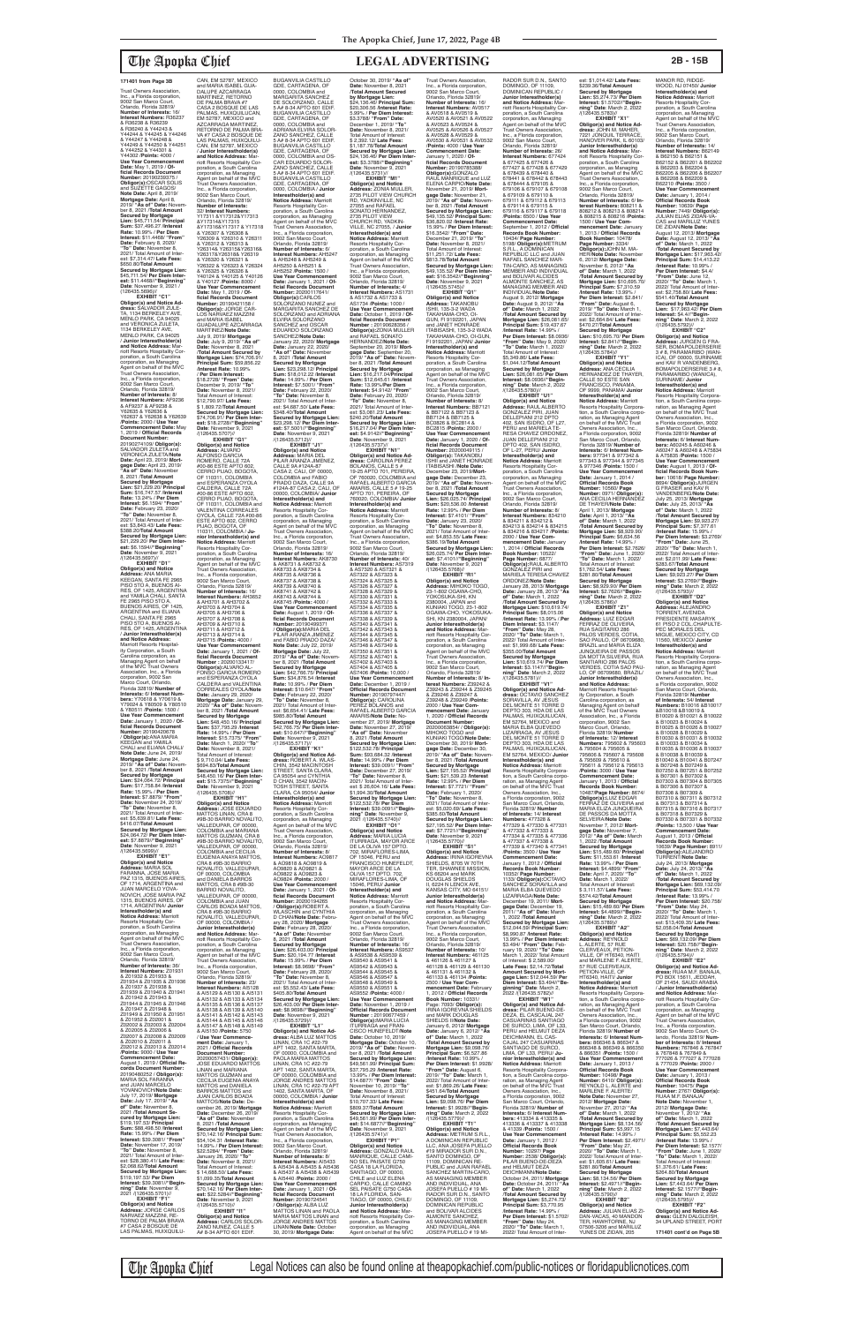(126435.5696)// **EXHIBIT "C1" Obligor(s) and Notice Ad-dress:** SALVADOR ZULE-TA, 1134 BERKELEY AVE, MENLO PARK, CA 94025 and VERONICA ZULETA,<br>1134 BERKELEY AVE, MENLO PARK, CA 94025 / **Junior Interestholder(s) and Notice Address:** Marriott Resorts Hospitality Corporation, a South Carolina corporation, as Managing Agent on behalf of the MVC Trust Owners Association, Inc., a Florida corporation, 9002 San Marco Court, Orlando, Florida 32819/<br>Number of Interests: 8/ **Number of Interests:** 8/<br>**Interest Numbers:** AF9236<br>& AF9237 & AF9238 &<br>Y62635 & Y62636 & Y62639<br>Y62637 & Y62638 & Y62639 /**Points:** 2000 / **Use Year Commencement Date:** May 1, 2019 / **Official Records Document Number:** 20190274109/ **Obligor(s):** SALVADOR ZULETA and VERONICA ZULETA/**Note Date:** April 23, 2019/ **Mortgage Date:** April 23, 2019/ **"As of" Date:** November 8, 2021 /**Total Amount Secured by Mortgage Lien:** \$21,229.20/ **Principal Sum:** \$16,747.57 /**Interest Rate:** 13.24% / **Per Diem Interest:** \$6.1594/ **"From" Date:** February 23, 2020/ **"To" Date:** November 8, 2021/ Total Amount of Inter-est: \$3,843.43/ **Late Fees:** \$388.20/**Total Amount Secured by Mortgage Lien:**  \$21,229.20/ **Per Diem Inter-est:** \$6.1594//**"Beginning" Date**: November 9, 2021<br>/(126435.5697)// **EXHIBIT "D1" Obligor(s) and Notice Address:** ANA MARIA

KEEGAN, SANTA FE 2965 PISO 5TO A, BUENOS AI-RES, OF 1425, ARGENTINA and YAMILA CHALI, SANTA FE 2965 PISO 5TO A, BUENOS AIRES, OF 1425, ARGENTINA and ELIANA CHALI, SANTA FE 2965 PISO 5TO A, BUENOS AI-RES, OF 1425, ARGENTINA / **Junior Interestholder(s) and Notice Address:** Marriott Resorts Hospitality Corporation, a South Carolina corporation, as Managing Agent on behalf of the MVC Trust Owners Association, Inc., a Florida corporation, 9002 San Marco Court, Orlando, Florida 32819/ **Number of Interests:** 6/ **Interest Num-bers:** Y70618 & Y70619 & Y79024 & Y80509 & Y80510 & Y80511 /**Points:** 1500 / **Use Year Commencement Date:** January 1, 2020 / **Official Records Document Number:** 20190420678<br>/ **Obligor(s):**ANA MARIA<br>KEEGAN and YAMILA CHALI and ELIANA CHALI/ **Note Date:** June 24, 2019/ **Mortgage Date:** June 24, 2019/ **"As of" Date:** Novem-ber 8, 2021 /**Total Amount Secured by Mortgage Lien:** \$24,064.72/ **Principal Sum:** \$17,758.84 /**Interest Rate:** 15.99% / **Per Diem Interest:** \$7.8879/ **"From" Date:** November 24, 2019/ **"To" Date:** November 8, 2021/ Total Amount of Interest: \$5,639.81/ **Late Fees:** \$416.07/**Total Amount Secured by Mortgage Lien:**  \$24,064.72/ **Per Diem Interest:** \$7.8879//**"Beginning" Date**: November 9, 2021<br>/(126435.5699)// **EXHIBIT "E1" Obligor(s) and Notice Address:** MARIA SOL FARANNA, JOSE MARIA PAZ 1315, BUENOS AIRES OF 1714, ARGENTINA and<br>ILLIAN MARCELO YOVA-JUAN MARCELO YOVA-NOVICH, JOSE MARIA PAZ 1315, BUENOS AIRES, OF 1714, ARGENTINA/ **Junior Interestholder(s) and Notice Address:** Marriott Resorts Hospitality Cor-poration, a South Carolina corporation, as Managing Agent on behalf of the MVC Trust Owners Association, Inc., a Florida corporation, 9002 San Marco Court, Orlando, Florida 32819/ **Number of Interests:** 36/ **Interest Numbers:** Z01931 & Z01932 & Z01933 & Z01934 & Z01935 & Z01936 & Z01937 & Z01938 & Z01939 & Z01940 & Z01941 & Z01942 & Z01943 & Z01944 & Z01945 & Z01946 & Z01947 & Z01948 & Z01949 & Z01950 & Z01951 & Z01952 & Z02001 & Z02002 & Z02003 & Z02004 & Z02005 & Z02006 & Z02007 & Z02008 & Z02009 & Z02010 & Z02011 & Z02012 & Z02013 & Z02014 /**Points:** 9000 / **Use Year Commencement Date:** August 1, 2019 / **Official Records Document Number:** 20190480252 / **Obligor(s):** MARIA SOL FARANNA and JUAN MARCELO<br>YOVANOVICH/**Note Date:**<br>July 17, 2019/ **Mortgage**<br>**Date:** July 17, 2019/ "**As of" Date:** November 8, 2021 /**Total Amount Secured by Mortgage Lien:**  \$119,197.53/ **Principal Sum:** \$88,498.50 /**Interest Rate:** 15.99% / **Per Diem Interest:** \$39.3081/ **"From" Date:** November 17, 2019/ **"To" Date:** November 8, 2021/ Total Amount of Inter-est: \$28,380.41/ **Late Fees:** \$2,068.62/**Total Amount Secured by Mortgage Lien:**  \$119,197.53/ **Per Diem Interest:** \$39.3081//**"Begin-ning" Date**: November 9, 2021 /(126435.5701)// **EXHIBIT "F1" Obligor(s) and Notice Address:** JORGE CARLOS NARVAEZ MAZZINI, RE-

TORNO DE PALMA BRAVA<br>#7 CASA 2 BOSQUE DE<br>LAS PALMAS, HUIXQUILU-

**Interest:** \$15.7375/ **"From" Date:** March 1, 2020/ "**To**<br> **Date:** November 8, 2021/ per 8, 2021/ Total Amount of Interest: \$ 9,710.04/ **Late Fees:** \$694.83/**Total Amount Secured by Mortgage Lien:**  \$48,450.16/ **Per Diem Interest:** \$15.7375//"**Beginning"**<br>**Date**: November 9, 2021<br>/(126435.5708)// **EXHIBIT "H1" Obligor(s) and Notice Address:** JOSE EDUARDO MATTOS LINAN, CRA 8 #9B-30 BARRIO NOVALITO, VALLEDUPAR, OF 00000, COLOMBIA and MARIANA MATTOS GUZMAN, CRA 8 #9B-30 BARRIO NOVALITO, VALLEDUPAR, OF 00000,<br>COLOMBIA and CECILIA<br>EUGENIA ANAYA MATTOS,<br>CRA 8 #9B-30 BARRIO NOVALITO, VALLEDUPAR, OF 00000, COLOMBIA and DANIELA BARROS<br>MATTOS, CRA 8 #9B-30<br>BARRIO NOVALITO,<br>VALLEDUPAR, OF 00000, COLOMBIA and JUAN CARLOS BOADA MATTOS, CRA 8 #9B-30 BARRIO<br>NOVALITO, VALLEDUPAR,<br>OF 00000, COLOMBIA / **Junior Interestholder(s) and Notice Address:** Mar-riott Resorts Hospitality Corporation, a South Carolina corporation, as Managing Agent on behalf of the MVC Trust Owners Association, Inc., a Florida corporation, 9002 San Marco Court, Orlando, Florida 32819/ **Number of Interests:** 23/<br>**Interest Numbers:** AI5128<br>& AI5129 & AI5130 & AI5131 & AI5132 & AI5133 & AI5134 & AI5135 & AI5136 & AI5137 & AI5138 & AI5139 & AI5140<br>& AI5141 & AI5142 & AI5143<br>& AI5144 & AI5145 & AI5146<br>& AI5147 & AI5148 & AI5149 & AI5150 /**Points:** 5750 / **Use Year Commencement Date:** January 1,<br>2021 / **Official Records<br>Document Number:<br>20200057431/ <b>Obligor(s):** JOSE EDUARDO MATTOS LINAN and MARIANA MATTOS GUZMAN and CECILIA EUGENIA ANAYA MATTOS and DANIELA BARROS MATTOS and JUAN CARLOS BOADA MATTOS/**Note Date:** December 26, 2019/ **Mortgage Date:** December 26, 2019/ **"As of" Date:** November 8, 2021 /**Total Amount Secured by Mortgage Lien:**  \$70,142.16/ **Principal Sum:** \$54,104.31 /**Interest Rate:** 14.99% / **Per Diem Interest:** \$22.5284/ **"From" Date:** January 26, 2020/ **"To" Date:** November 8, 2021/ Total Amount of Interest: \$ 14,688.50/ **Late Fees:** \$1,099.35/**Total Amount Secured by Mortgage Lien:**  \$70,142.16/ **Per Diem Interest:** \$22.5284//**"Beginning" Date**: November 9, 2021 /(126435.5710)// **EXHIBIT "I1" Obligor(s) and Notice Address:** CARLOS SOLOR-ZANO NUNEZ, CALLE 5 A# 8-34 APTO 601 EDIF. **Date**: November 9, 2021<br>/(126435.5717)//

**Secured by Mortgage Lien:** \$48,450.16/ **Principal Sum:** \$37,795.29 /**Interest Rate:** 14.99% / **Per Diem** 

CAN, EM 52787, MEXICO and MARIA ISABEL GUA-DALUPE AZCARRAGA MARTINEZ, RETORNO<br>DE PALMA BRAVA #7<br>CASA 2 BOSQUE DE LAS<br>PALMAS, HUIXQUILUCAN, EM 52787, MEXICO and AZCARRAGA MARTINEZ, RETORNO DE PALMA BRA-VA #7 CASA 2 BOSQUE DE LAS PALMAS, HUIXQUILU-CAN, EM 52787, MEXICO / **Junior Interestholder(s) and Notice Address:** Marriott Resorts Hospitality Corporation, a South Carolina corporation, as Managing Agent on behalf of the MVC Trust Owners Association, Inc., a Florida corporation, 9002 San Marco Court, Orlando, Florida 32819/ **Number of Interests:** 32/ **Interest Numbers:** Y17311 &Y17312&Y17313 &Y17314&Y17315 &Y17316&Y17317 & Y17318 & Y26307 & Y26308 & Y26309 & Y26310 & Y26311 & Y26312 & Y26313 & Y26314& Y26315&Y26316& Y26317&Y26318& Y26319<br>& Y26320 & Y26321 & & Y26320 & Y26321 & Y26322 & Y26323 & Y26324 & Y26325 & Y26326 & Y40124 & Y40125 & Y40126 & Y40127 /**Points:** 8000 / **Use Year Commencement Date:** May 1, 2019 / **Of-ficial Records Document Number:** 20190421158 / **Obligor(s):** JORGE CAR-LOS NARVAEZ MAZZINI and MARIA ISABEL GUADALUPE AZCARRAGA MARTINEZ/**Note Date:** July 9, 2019/ **Mortgage Date:** July 9, 2019/ **"As of" Date:** November 8, 2021 /**Total Amount Secured by Mortgage Lien:** \$74,706.91/ **Principal Sum:** \$59,856.22 /**Interest Rate:** 10.99% / **Per Diem Interest:** \$18.2728/ **"From" Date:** December 9, 2019/ **"To" Date:** November 8, 2021/ Total Amount of Interest: \$12,790.97/ **Late Fees:** \$ 1,809.72/**Total Amount Secured by Mortgage Lien:**  \$74,706.91/ **Per Diem Interest:** \$18.2728//"**Beginning"**<br>**Date**: November 9, 2021<br>/(126435.5707)// **EXHIBIT "G1" Obligor(s) and Notice Address:** ALVARO ALFONSO GARCIA<br>ROMERO, CALLE 72A<br>#00-86 ESTE APTO 602,<br>CERRO PIJAO, BOGOTA, OF 110311, COLOMBIA<br>and ESPERANZA OYOLA CALDERA, CALLE 72A<br>#00-86 ESTE APTO 602,<br>CERRO PIJAO, BOGOTA,<br>OF 110311, COLOMBIA and VALENTINA CORREALES OYOLA, CALLE 72A #00-86 ESTE APTO 602, CERRO<br>PIJAO, BOGOTA, OF<br>110311, COLOMBIA / **Ju-**<br>**nior Interestholder(s) and Notice Address:** Marriott Resorts Hospitality Cor-poration, a South Carolina corporation, as Managing Agent on behalf of the MVC Trust Owners Association, Inc., a Florida corporation, 9002 San Marco Court, Orlando, Florida 32819/<br>**Number of Interests:** 16/<br>**Interest Numbers:** AH3652<br>& AH3701 & AH3702 & AH3703 & AH3704 & AH3705 & AH3706 & AH3707 & AH3708 & AH3709 & AH3710 & AH3711 & AH3712 & AH3713 & AH3714 & AH3715 /**Points:** 4000 / **Use Year Commencement Date:** January 1, 2021 / **Of-ficial Records Document Number :** 20200133417/ **Obligor(s):**ALVARO AL-FONSO GARCIA ROMERO and ESPERANZA OYOLA CALDERA and VALENTINA CORREALES OYOLA/**Note Date:** January 29, 2020/ **Mortgage Date:** January 29, 2020/ **"As of" Date:** Novem-ber 8, 2021 /**Total Amount**  BUGANVILIA CASTILLO GDE, CARTAGENA, OF 0000, COLOMBIA and MARGARITA SANCHEZ<br>DE SOLORZANO, CALLE<br>5 A# 8-34 APTO 601 EDIF.<br>BUGANVILIA CASTILLO GDE, CARTAGENA, OF 0000, COLOMBIA and ADRIANA ELVIRA SOLOR-ZANO SANCHEZ, CALLE 5 A# 8-34 APTO 601 EDIF. BUGANVILIA CASTILLO GDE, CARTAGENA, OF 0000, COLOMBIA and OS-CAR EDUARDO SOLOR-ZANO SANCHEZ, CALLE 5 A# 8-34 APTO 601 EDIF. BUGANVILIA CASTILLO GDE, CARTAGENA, OF<br>0000, COLOMBIA / Junior 0000, COLOMBIA / **Junior Interestholder(s) and Notice Address:** Marriott Resorts Hospitality Cor-poration, a South Carolina corporation, as Managing<br>Agent on behalf of the MVC Agent on behalf of the MVC Trust Owners Association, Inc., a Florida corporation, 9002 San Marco Court, Orlando, Florida 32819/ **Number of Interests:** 6/ **Interest Numbers:** AH5247 & AH5248 & AH5249 & AH5250 & AH5251 & AH5252 /**Points:** 1500 / **Use Year Commencement Date:** January 1, 2021 / **Of-ficial Records Document Number:** 20200117641/ **Date:** January 22, 2020/ **"As of" Date:** November 8, 2021 /**Total Amount Rate:** 14.99% / **Per Diem Interest:** \$7.5001/ **"From" Date:** February 22, 2020/ **"To" Date:** November 8, 2021/ Total Amount of Inter-est: \$4,687.50/ **Late Fees:** \$348.40/**Total Amount est:** \$7.5001//**"Beginning"**<br>**Date**: November 9, 2021<br>/(126435.5712)// **EXHIBIT "J1"<br><b>Obligor(s) and Notice<br><b>Addres**s: MARIA DEL<br>PILAR ARANZA JIMENEZ,<br>CALLE 9A #124A-87<br>CASA 2, CALI, OF 00000, COLOMBIA and FABIO PRADO DAZA, CALLE 9A Resorts Hospitality Cor-poration, a South Carolina corporation, as Managing Agent on behalf of the MVC Trust Owners Association, Inc., a Florida corporation, 9002 San Marco Court, Orlando, Florida 32819/ **Number of Interests:** 16/ **Interest Numbers:** AK8730<br>& AK8731 & AK8732 &<br>AK8733 & AK8734 & AK8735 & AK8736 & AK8737 & AK8738 & AK8739 & AK8740 & AK8741 & AK8742 & AK8743 & AK8744 & AK8745 /**Points:** 4000 / **Use Year Commencement Date:** August 1, 2019 / **Official Records Document<br><b>Number:** 20190499371<br>/ **Obligor(s):**MARIA DEL<br>PILAR ARANZA JIMENEZ and FABIO PRADO DAZA/<br>Note Date: July 22, 2019/ **Rate:** 10.99% / **Per Diem Interest:** \$10.647/ **"From" Date:** February 22, 2020/ **"To" Date:** November 8,

**Obligor(s):**CARLOS<br>SOLORZANO NUNEZ and<br>MARGARITA SANCHEZ DE SOLORZANO and ADRIANA ELVIRA SOLORZANO SANCHEZ and OSCAR EDUARDO SOLORZANO SANCHEZ/**Note Date:** January 22, 2020/ **Mortgage Secured by Mortgage Lien:** \$23,298.12/ **Principal Sum:** \$18,012.22 /**Interest Secured by Mortgage Lien:**  \$23,298.12/ **Per Diem Inter-**#124A-87 CASA 2, CALI, OF 00000, COLOMBIA/ **Junior Interestholder(s) and Notice Address:** Marriott Note Date: July 22, 2019/<br>Mortgage Date: July 22,<br>2019/ "As of" Date: November 8, 2021 /Total Amount<br>Secured by Mortgage<br>Lien: \$42,766.75/ Principal<br>Lien: \$42,766.75/ Principal 2021/ Total Amount of Inter-est: \$6,654.41/ **Late Fees: Secured by Mortgage Lien:**  \$42,766.75/ **Per Diem Interest:** \$10.647//**"Beginning"**  October 30, 2019/ **"As of" Date:** November 8, 2021 /**Total Amount Secured by Mortgage Lien:**  \$24,136.46/ **Principal Sum:** \$20,306.56 /**Interest Rate:** 5.99% / **Per Diem Interest:** \$3.3788/ **"From" Date:** December 1, 2019/ **"To" Date:** November 8, 2021/ Total Amount of Interest: \$ 2,392.12/ **Late Fees:** \$1,187.78/**Total Amount Secured by Mortgage Lien:**  \$24,136.46/ **Per Diem Interest:** \$3.3788//"**Beginning"**<br>**Date**: November 9, 2021<br>/(126435.5731)// **EXHIBIT "M1" Obligor(s) and Notice Address:** ZONIA MULLER, 2735 PILOT VIEW CHURCH RD, YADKINVILLE, NC 27055 and RAFAEL SONATO HERNANDEZ, 2735 PILOT VIEW CHURCH RD, YADKIN-VILLE, NC 27055, / **Junior Interestholder(s) and Notice Address:** Marriott Resorts Hospitality Corporation, a South Carolina .<br>corporation, as Managing Agent on behalf of the MVC Trust Owners Association, Inc., a Florida corporation, 9002 San Marco Court, Orlando, Florida 32819/ **Number of Interests:** 4/ **Interest Numbers:** AS1731 & AS1732 & AS1733 & AS1734 /**Points:** 1000 / **Use Year Commencer Date:** October 1, 2019 / **Of-ficial Records Document Number :** 20190628356 / **Obligor(s):**ZONIA MULLER and RAFAEL SONATO HERNANDEZ/**Note Date:** September 20, 2019/ **Mort-<br>gage Date:** September 20,<br>2019/ "**As of" Date:** Novem-<br>ber 8, 2021 /**Total Amount**<br>**Secured by Mortgage**<br>**Lien:** \$16,217.04/**Principal Sum:** \$12,645.61 /**Interest Rate:** 13.99%/**Per Diem Interest:** \$4.9142/ **"From" Date:** February 20, 2020/ **"To" Date:** November 8, 2021/ Total Amount of Interest: \$3,081.23/ **Late Fees:** \$240.20/**Total Amount Secured by Mortgage Lien:**  \$16,217.04/ **Per Diem Inter-est:** \$4.9142//**"Beginning" Date**: November 9, 2021 /(126435.5737)// **EXHIBIT "N1"**<br> **Obligor(s) and Notice Ad-<br>
BOLANOS, CALLE 5 #<br>
BOLANOS, CALLE 5 #<br>
19-25 APTO 701, PEREIRA,<br>
OF 760020, COLOMBIA and<br>
RAFAEL ALBERTO GARCIA** AMARIS, CALLE 5 # 19-25 APTO 701, PEREIRA, OF 760020, COLOMBIA/ **Junior Interestholder(s) and Notice Address:** Marriott Resorts Hospitality Corporation, a South Carolina corporation, as Managing Agent on behalf of the MVC Trust Owners Association, Inc., a Florida corporation, 9002 San Marco Court, Orlando, Florida 32819/ **Number of Interests:** 40/ **Interest Numbers:** AS7319 & AS7320 & AS7321 & AS7322 & AS7323 & AS7324 & AS7325 & AS7326 & AS7327 & AS7328 & AS7329 & AS7330 & AS7331 & AS7332 & AS7333 & AS7334 & AS7335 & AS7336 & AS7337 & AS7338 & AS7339 & AS7340 & AS7341 & AS7342 & AS7343 & AS7344 & AS7345 & AS7346 & AS7347 & AS7348 & AS7349 & AS7350 & AS7351 & AS7352 & AS7401 & AS7402 & AS7403 & AS7404 & AS7405 & AS7406 /**Points:** 10,000 / **Use Year Commencemer<br>Date:** December 1, 2019 / Date: December 1, 2019 /<br>**Official Records Document<br><b>Number:** 20190797447/<br>**Obligor(s):** CAROLINA<br>PEREZ BOLANOS and<br>RAFAEL ALBERTO GARCIA AMARIS/**Note Date:** November 27, 2019/ **Mortgage Date:** November 27, 2019/ **"As of" Date:** November 8, 2021 /**Total Amount Secured by Mortgage Lien:**  \$122,532.78/ **Principal Sum:** \$93,684.32 /**Interest Rate:** 14.99% / **Per Diem** 

\$985.80/**Total Amount** 

**EXHIBIT "K1" Obligor(s) and Notice Ad-dress:** ROBERT A. WLAS-CHIN, 3542 MACINTOSH STREET, SANTA CLARA, CA 95054 and CYNTHIA D CHAN, 3542 MACIN TOSH STREET, SANTA CLARA, CA 95054/ **Junior Interestholder(s) and Notice Address:** Marriott Resorts Hospitality Corporation, a South Carolina corporation, as Managing Agent on behalf of the MVC Trust Owners Association, Inc., a Florida corporation, 9002 San Marco Court, Orlando, Florida 32819/<br>**Number of Interests:** 8/<br>**Interest Numbers:** AO9817<br>& AO9818 & AO9819 & AO9820 & AO9821 & AO9822 & AO9823 & AO9824 /**Points:** 2000 / **Use Year Commencement Date:** January 1, 2021 / **Official Records Document Number:** 20200194265 / **Obligor(s):**ROBERT A. WLASCHIN and CYNTHIA D CHAN/**Note Date:** Febru-ary 28, 2020/ **Mortgage Date:** February 28, 2020/ **"As of" Date:** November 8, 2021 /**Total Amount Secured by Mortgage Lien:** \$26,403.00/ **Principal Sum:** \$20,194.77 /**Interest Rate:** 15.99% / **Per Diem Interest:** \$8.9698/ **"From" Date:** February 28, 2020/ **"To" Date:** November 8, 2021/ Total Amount of Inter-est: \$5,552.43/ **Late Fees:** \$405.80/**Total Amount Secured by Mortgage Lien:**  \$26,403.00/ **Per Diem Interest:** \$8.9698//"**Beginning"**<br>**Date**: November 9, 2021<br>/(126435.5729)// **EXHIBIT "L1" Obligor(s) and Notice Ad-dress:** ALBA LUZ MATTOS LINAN, CRA 1C #22-79 APT 1402, SANTA MARTA, OF 00000, COLOMBIA and PAOLA MARIA MATTOS LINAN, CRA 1C #22-79 APT 1402, SANTA MARTA, OF 00000, COLOMBIA and JORGE ANDRES MATTOS LINAN, CRA 1C #22-79 APT 1402, SANTA MARTA, OF 00000, COLOMBIA / **Junior Interestholder(s) and Notice Address:** Marriott<br>Resorts Hospitality Cor-<br>poration, a South Carolina corporation, as Managing Agent on behalf of the MVC Trust Owners Association, Inc., a Florida corporation, 9002 San Marco Court, Orlando, Florida 32819/ **Number of Interests:** 8/ **Interest Numbers:** AI5433 & AI5434 & AI5435 & AI5436 & AI5437 & AI5438 & AI5439 & AI5440 /**Points:** 2000 / **Use Year Commencement Date:** January 1, 2021 / **Official Records Document Number:** 20190724541<br>/ **Obligor(s):** ALBA LUZ<br>MATTOS LINAN and PAOLA<br>MARIA MATTOS LINAN and JORGE ANDRES MATTOS LINAN/**Note Date:** October 30, 2019/ **Mortgage Date:**

The Apopka Chief Legal Notices can also be found online at theapopkachief.com/public-notices or floridapublicnotices.com

**EXHIBIT "V1"<br>
<b>Obligor(s) and Notice Ad-**<br> **dress:** OCTAVIO SANCHEZ<br>
SORAVILLA, AV JESUS<br>
DEL MONTE 51 TORRE D<br>
DEPTO 303, HDA DE LAS PALMAS, HUIXQUILUCAN,<br>EM 52764, MEXICO and<br>MARIA ELBA QUEVEDO LIZARRAGA, AV JESUS DEL MONTE 51 TORRE D DEPTO 303, HDA DE LAS PALMAS, HUIXQUILUCAN, EM 52764, MEXICO/ **Junior Interestholder(s) and Notice Address:** Marriott Resorts Hospitality Corpora-tion, a South Carolina corporation, as Managing Agent on behalf of the MVC Trust Owners Association, Inc., a Florida corporation, 9002 San Marco Court, Orlando, Florida 32819/ **Number of Interests:** 14/ **Interest Numbers:** 477328 & 477329 & 477330 & 477331 & 477332 & 477333 & 477334 & 477335 & 477336 & 477337 & 477338 & 477339 & 477340 & 477341 /**Points:** 3500 / **Use Year Commencement Date:** January 1, 2012 / **Official Records Book Number:** 10352/ **Page Number:** 1133/ **Obligor(s):**OCTAVIO<br>SANCHEZ SORAVILLA and<br>MARIA ELBA QUEVEDO LIZARRAGA/**Note Date:** December 19, 2011/ **Mortgage Date:** December 19, 2011/ **"As of" Date:** March 1, 2022 /**Total Amount Secured by Mortgage Lien:**  \$12,044.59/ **Principal Sum:** \$8,990.87 /**Interest Rate:** 13.99% / **Per Diem Interest:** \$3.494/ **"From" Date:** Feb-ruary 19, 2020/ **"To" Date:** March 1, 2022/ Total Amount of Interest: \$ 2,589.00/ **Late Fees:** \$2,14.72/**Total Amount Secured by Mortgage Lien:** \$12,044.59/ **Per Diem Interest:** \$3.494//**"Be-ginning" Date**: March 2, 2022 /(126435.5782)// **EXHIBIT "W1"<br><b>Obligor(s) and Notice Ad-**<br>**dress:** PILAR BUENO-DE-<br>DEZA, EL CASCAJAL 247<br>CASUARINAS SANTIAGO<br>DE SURCO, LIMA, OF L33, PERU and HELMUT DEZA DEICHMANN, EL CAS-<br>CAJAL 247 CASUARINAS CAJAL 247 CASUARINAS SANTIAGO DE SURCO, LIMA, OF L33, PERU/ **Junior Interestholder(s) and Notice Address:** Marriott Resorts Hospitality Corporation, a South Carolina corp ration, as Managing Agent<br>on behalf of the MVC Trust Owners Association, Inc., a Florida corporation, 9002 San Marco Court, Orlando, Florida 32819/ **Number of Interests:** 6/ **Interest Num-bers:** 413334 & 413335 & 413336 & 413337 & 413338 & 41339 /**Points:** 1500 / **Use Year Commencement Date:** January 1, 2012 / **Official Records Book Number:** 10297/ **Page Number:** 2538/ **Obligor(s):** PILAR BUENO-DE-DEZA and HELMUT DEZA DEICHMANN/**Note Date:** October 24, 2011/ **Mortgage Date:** October 24, 2011/ **"As of" Date:** March 1, 2022 /**Total Amount Secured by Mortgage Lien:** \$5,274.73/ **Principal Sum:** \$3,770.95 /**Interest Rate:** 14.99% / **Per Diem Interest:** \$1.5702/ **"From" Date:** May 24,

est: \$1,014.42/ **Late Fees:** \$239.36/**Total Amount Secured by Mortgage Lien:** \$5,274.73/ **Per Diem Interest:** \$1.5702//**"Begin-ning" Date**: March 2, 2022 /(126435.5783)// **EXHIBIT "X1" Obligor(s) and Notice Ad-dress:** JOHN M. MAHER, 7221 JONQUIL TERRACE, HANOVER PARK, IL 60103/ **Junior Interestholder(s) and Notice Address:** Marriott Resorts Hospitality Corporation, a South Carolina corporation, as Managing Agent on behalf of the MVC Trust Owners Association, Inc., a Florida corporation, 9002 San Marco Court, Orlando, Florida 32819/ **Number of Interests:** 6/ **In-terest Numbers:** 808211 & 808212 & 808213 & 808214 & 808215 & 808216 /**Points:** 1500 / **Use Year Commencement Date:** January 1, 2013 / **Official Records Book Number:** 10478/ **Page Number:** 3334/ **Obligor(s):**JOHN M. MA-HER/**Note Date:** November 6, 2012/ **Mortgage Date:** November 6, 2012/ **"As of" Date:** March 1, 2022 /**Total Amount Secured by Mortgage Lien:** \$10,695.70/ **Principal Sum:** \$7,310.59 /**Interest Rate:** 13.99% / **Per Diem Interest:** \$2.841/ **"From" Date:** August 6, 2019/ **"To" Date:** March 1, 2022/ Total Amount of Inter-est: \$2,664.84/ **Late Fees:** \$470.27/**Total Amount Secured by Mortgage Lien:** \$10,695.70/ **Per Diem Interest:** \$2.841//**"Begin-ning" Date**: March 2, 2022 /(126435.5784)// **EXHIBIT "Y1" Obligor(s) and Notice Address:** ANA CECILIA HERNANDEZ DE THAYER, CALLE 50 ESTE SAN FRANCISCO, PANAMA, OF 9999, PANAMA/ **Junior Interestholder(s) and Notice Address:** Marriott Resorts Hospitality Corporation, a South Carolina corpo-ration, as Managing Agent on behalf of the MVC Trust Owners Association, Inc., a Florida corporation, 9002 San Marco Court, Orlando, Florida 32819/ **Number of Interests:** 6/ **Interest Num-bers:** 977341 & 977342 & 977343 & 977344 & 977345 & 977346 /**Points:** 1500 / **Use Year Commencement Date:** January 1, 2014 / **Official Records Book Number: 10560/ Page<br><b>Number: 0971/ Obligor(s):**<br>ANA CECILIA HERNANDEZ<br>DE THAYER/**Note Date:** April 1, 2013/ **Mortgage Date:** April 1, 2013/ **"As of" Date:** March 1, 2022 /**Total Amount Secured by Mortgage Lien:** \$8,929.90/ **Principal Sum:** \$6,634.56 /**Interest Rate:** 14.99% / **Per Diem Interest:** \$2.7626/ **"From" Date:** June 1, 2020/ **"To" Date:** March 1, 2022/ Total Amount of Interest: \$1,762.54/ **Late Fees:** \$281.80/**Total Amount Secured by Mortgage Lien:** \$8,929.90/ **Per Diem Interest:** \$2.7626//**"Begin-ning" Date**: March 2, 2022 /(126435.5786)// **EXHIBIT "Z1"<br><b>Obligor(s) and Notice**<br>**Addres**s: LUIZ EDGAR<br>FERRAZ DE OLIVEIRA,<br>RUA SAGITARIO 286<br>PALOS VERDES, COTIA,

SAO PAULO, OF 06709680 BRAZIL and MARIA ELIZA JUNQUEIRA DE PASSOS DA MOTTA SILVEIRA, RUA SANTIARIO 286 PALOS VERDES, COTIA SAO PAU-LO, OF 06709680, BRAZIL/ **Junior Interestholder(s) and Notice Address:**<br>Marriott Resorts Hospital-<br>ity Corporation, a South Carolina corporation, as Managing Agent on behalf of the MVC Trust Owners Association, Inc., a Florida corporation, 9002 San Marco Court, Orlando, Florida 32819/ **Number** 

### Trust Owners Association, Inc., a Florida corporation, 9002 San Marco Court, Orlando, Florida 32819/<br>**Number of Interests:** 16/<br>**Interest Numbers:** R36237<br>& R36238 & R36239 & R36240 & Y44243 & Y44244 & Y44245 & Y44246 & Y44247 & Y44248 & Y44249 & Y44250 & Y44251 & Y44252 & Y44301 & Y44302 /**Points:** 4000 / **Use Year Commencement Date:** May 1, 2019 / **Of-ficial Records Document Number:** 20190239375 /<br>**Obligor(s):**OSCAR SOLIS<br>and SUZETTE GAGOS/ **Note Date:** April 8, 2019/ **Mortgage Date:** April 8, 2019/ **"As of" Date:** Novem-ber 8, 2021 /**Total Amount Secured by Mortgage Lien:** \$45,711.54/ **Principal Sum:** \$37,496.27 /**Interest Rate:** 10.99% / **Per Diem Interest:** \$11.4468/ **"From" Date:** February 8, 2020/ **"To" Date:** November 8, 2021/ Total Amount of Interest: \$7,314.47/ **Late Fees:** \$650.80/**Total Amount Secured by Mortgage Lien:**  \$45,711.54/ **Per Diem Inter-est:** \$11.4468//**"Beginning" Date**: November 9, 2021 / **171401 from Page 3B**

**Interest:** \$39.0091/ **"From" Date:** December 27, 2019/ **"To" Date:** November 8, 2021/ Total Amount of Inter-est: \$ 26,604.16/ **Late Fees:** \$1,994.30/**Total Amount Secured by Mortgage Lien:**  \$122,532.78/ **Per Diem Interest:** \$39.0091//**"Beginning" Date**: November 9, 2021 /(126435.5740)// **EXHIBIT "O1" Obligor(s) and Notice Address:** MARIA LUCIA<br>ITURRIAGA, MAYOR ARCE DE LA OLIVA 157 DPTO.<br>702, MIRAFLORES-LIMA,<br>OF 15046, PERU and<br>FRANCISCO HUNEFELDT, MAYOR ARCE DE LA OLIVA 157 DPTO. 702, MIRAFLORES-LIMA, OF 15046, PERU/ **Junior Interestholder(s) and Notice Address:** Marriott Resorts Hospitality Cor-poration, a South Carolina corporation, as Managing<br>Agent on behalf of the MVC<br>Trust Owners Association,<br>Inc., a Florida corporation, 9002 San Marco Court, Orlando, Florida 32819/ **Number of Interests:** 16/ **Interest Numbers:** AS9537 & AS9538 & AS9539 & AS9540 & AS9541 & AS9542 & AS9543 & AS9544 & AS9545 &<br>AS9546 & AS9547 & AS9546 & AS9547 & AS9548 & AS9549 & AS9550 & AS9551 & AS9552 /**Points:** 4000 / **Use Year Commencement Date:** November 1, 2019 / **Official Records Docum Number :** 20190677459 / **Obligor(s):**MARIA LUCIA ITURRIAGA and FRAN-CISCO HUNEFELDT/**Note Date:** October 10, 2019/ **Mortgage Date:** October 10,<br>2019/ "**As of" Date:** Novem-<br>ber 8, 2021 /**Total Amount**<br>**Secured by Mortgage Lien:** \$49,561.99/ **Principal Sum:** \$37,795.29 /**Interest Rate:** 13.99% / **Per Diem Interest:** \$14.6877/ **"From" Date:** November 10, 2019/ **"To" Date:** November 8, 2021/ Total Amount of Interest: \$10,707.33/ **Late Fees:** \$809.37/**Total Amount Secured by Mortgage Lien:**  \$49,561.99/ **Per Diem Inter-est:** \$14.6877//**"Beginning" Date**: November 9, 2021<br>/(126435.5741)// **EXHIBIT "P1" Obligor(s) and Notice Address:** GONZALO RAUL MANRIQUE, CALLE CAMI-NO SEL PAISATE G750 CASA 18 LA FLORIDA, SANTIAGO, OF 00000,<br>CHILE and LUZ ELENA<br>CARPIO, CALLE CAMINO<br>SEL PAISATE G750 CASA 18 LA FLORIDA, SAN-TIAGO, OF 00000, CHILE/ **Junior Interestholder(s) and Notice Address:** Mar-riott Resorts Hospitality Corporation, a South Carolina corporation, as Managing Agent on behalf of the MVC Trust Owners Association, Inc., a Florida corporation, 9002 San Marco Court, Orlando, Florida 32819/ **Number of Interests:** 16/ **Interest Numbers:** AV0517 & AV0518 & AV0519 & AV0520 & AV0521 & AV0522 & AV0523 & AV0524 & AV0525 & AV0526 & AV0527 & AV0528 & AV0529 & AV0530 & AV0531 & AV0532 /**Points:** 4000 / **Use Year Commencement Date:** January 1, 2020 / **Official Records Document Number:** 20190785388/<br>**Obligor(s):**GONZALO<br>RAUL MANRIQUE and LUZ ELENA CARPIO/**Note Date:** November 21, 2019/ **Mort-gage Date:** November 21, 2019/ **"As of" Date:** Novem-ber 8, 2021 /**Total Amount Secured by Mortgage Lien:**  \$49,135.52/ **Principal Sum:** \$36,820.02 /**Interest Rate:** 15.99% / **Per Diem Interest:** \$16.3542/ **"From" Date:** December 21, 2019/ **"To" Date:** November 8, 2021/ Total Amount of Interest: \$11,251.72/ **Late Fees:** \$813.78/**Total Amount Secured by Mortgage Lien:**  \$49,135.52/ **Per Diem Inter-est:** \$16.3542//**"Beginning" Date**: November 9, 2021<br>/(126435.5745)// **EXHIBIT "Q1" Obligor(s) and Notice Address:** TAKANOBU ISHII, 135-3-2 WADA TAKAHAMA-CHO, OI-GUN, FI 9192201, JAPAN and JANET HONRADE<br>ITABISASHI, 135-3-2 WADA<br>TAKAHAMA-CHO, OI-GUN,<br>FI 9192201, JAPAN/ **Junior Interestholder(s) and Notice Address:** Marriott Resorts Hospitality Cor-poration, a South Carolina corporation, as Managing Agent on behalf of the MVC Trust Owners Association, Inc., a Florida corporation, 9002 San Marco Court,<br>Orlando, Florida 32819/<br>**Number of Interests:** 8/ **Interest Numbers:** BB7121 & BB7122 & BB7123 & BB7124 & BB7125 & BC0826 & BC2814 & BC2815 /**Points:** 2000 / **Use Year Commencement Date:** January 1, 2020 / **Official Records Document Number:** 20200049115 /<br>**Obligor(s):** TAKANOBU<br>ISHII and JANET HONRADE<br>ITABISASHI /**Note Date:**<br>December 23, 2019/**Mortgage Date:** December 23, 2019/ **"As of" Date:** November 8, 2021 /**Total Amount Secured by Mortgage Lien:** \$26,025.74/ **Principal Sum:** \$20,536.00 /**Interest Rate:** 12.99% / **Per Diem Interest:** \$7.4101/ **"From" Date:** January 23, 2020/ **"To" Date:** November 8, 2021/ Total Amount of Inter-est: \$4,853.55/ **Late Fees:** \$386.19/**Total Amount Secured by Mortgage Lien:**  \$26,025.74/ **Per Diem Interest:** \$7.4101//**"Beginning"**<br>**Date**: November 9, 2021<br>/(126435.5768)// **EXHIBIT "R1" Obligor(s) and Notice Address:** MIHOKO TOGO,<br>23-1-802 OGAWA-CHO,<br>YOKOSUKA-SHI, KN<br>2380004, JAPAN and KUNIAKI TOGO, 23-1-802 OGAWA-CHO, YOKOSUKA-SHI, KN 2380004, JAPAN/ **Junior Interestholder(s) and Notice Address:** Marriott Resorts Hospitality Corporation, a South Carolina corporation, as Managing<br>Corporation, as Managing<br>Agent on behalf of the MVC Agent on behalf of the MVC Trust Owners Association, Inc., a Florida corporation, 9002 San Marco Court, Orlando, Florida 32819/ **Number of Interests:** 8/ **Interest Numbers:** Z39242 & Z39243 & Z39244 & Z39245 & Z39246 & Z39247 & Z39248 & Z39249 /**Points:** 2000 / **Use Year Com-mencement Date:** January 1, 2020 / **Official Records Document Number:** 20200063854/ / **Obligor(s):** MIHOKO TOGO and KUNIAKI TOGO/**Note Date:** December 30, 2019/ **Mortgage Date:** December 30,<br>2019/ "**As of" Date:** Novem-<br>ber 8, 2021 /**Total Amount Secured by Mortgage Lien:** \$27,195.52/ **Principal Sum:** \$21,539.23 /**Interest Rate:** 12.99% / **Per Diem Interest:** \$7.7721/ **"From" Date:** February 1, 2020/ **"To" Date:** November 8, 2021/ Total Amount of Inter-est: \$5,020.69/ **Late Fees:** \$385.60/**Total Amount Secured by Mortgage Lien:**  \$27,195.52/ **Per Diem Interest:** \$7.7721//**"Beginning" Date**: November 9, 2021<br>/(126435.5770)// **EXHIBIT "S1" Obligor(s) and Notice<br><b>Address:** IRINA IGOREVNA<br>SHIELDS, 8705 W 70TH TER, SHAWNEE MISSION, KS 66204 and MARK<br>DOUGLAS SHIELDS DOUGLAS SHIELDS<br>II, 6224 N LENOX AVE,<br>KANSAS CITY, MO 64151/ **Junior Interestholder(s) and Notice Address:** Marriott Resorts Hospitality Corporation, a South Carolina corporation, as Managing Agent on behalf of the MVC Trust Owners Association, Inc., a Florida corporation, 9002 San Marco Court, Orlando, Florida 32819/ **Number of Interests:** 10/ **Interest Numbers:** 461125 & 461126 & 461127 & 461128 & 461129 & 461130 & 461131 & 461132 & 461133 & 461134 /**Points:** 2500 / **Use Year Com-mencement Date:** February 1, 2012 / **Official Records Book Number:** 10331/<br>Page: 7093/ **Obligor(s):**<br>IRINA IGOREVNA SHIELDS and MARK DOUGLAS SHIELDS II/**Note Date:** January 6, 2012/ **Mortgage Date:** January 6, 2012/ **"As of" Date:** March 1, 2022 /**Total Amount Secured by Mortgage Lien:** \$9,098.76/ **Principal Sum:** \$6,527.86 /**Interest Rate:** 10.99% / **Per Diem Interest:** \$1.9928/ **"From" Date:** August 6, 2019/ **"To" Date:** March 1, 2022/ Total Amount of Inter-est: \$1,869.26/ **Late Fees:** \$451.64/**Total Amount Secured by Mortgage Lien:** \$9,098.76/ **Per Diem Interest:** \$1.9928//**"Begin-ning" Date**: March 2, 2022 /(126435.5779)// **EXHIBIT "T1" Obligor(s) and Notice Address:** METRUM S.R.L., A DOMINICAN REPUBLIC<br>LLC, ANA JOSEFA PUELLO<br>#19 MIRADOR SUR D.N.,<br>SANTO DOMINGO, OF 11109, DOMINICAN RE PUBLIC and JUAN RAFAEL SANCHEZ MARTIN-CARO, AS MANAGING MEMBER AND INDIVIDUAL, ANA JOSEFA PUELLO # 19 MI-RADOR SUR D.N., SANTO DOMINGO, OF 11109, DOMINICAN REPUBLIC and BOLIVAR ALCIDES ALMONTE SANCHEZ, AS MANAGING MEMBER AND INDIVIDUAL,ANA<br>JOSEFA PUELLO # 19 MI-/(126435.5780)// 2020/ **"To" Date:** March 1, 2022/ Total Amount of Inter-

RADOR SUR D.N., SANTO DOMINGO, OF 11109, DOMINICAN REPUBLIC / **Junior Interestholder(s) and Notice Address:** Mar-riott Resorts Hospitality Corporation, a South Carolina corporation, as Managing Agent on behalf of the MVC Trust Owners Association, Inc., a Florida corporation, 9002 San Marco Court, Orlando, Florida 32819/ **Number of Interests:** 26/ **Interest Numbers:** 677424 & 677425 & 677426 & 677425 & 677426<br>7427 & 677428 & 677429<br>678439 & 678440 & & 678439 & 678440 & 678441 & 678442 & 678443 & 678444 & 679105 & 679106 & 679107 & 679108 & 679109 & 679110 & 679111 & 679112 & 679113 & 679114 & 679115 & 679116 & 679117 & 679118 /**Points:** 6500 / **Use Year Commencement Date:**<br>September 1, 2012 / **Official<br>Records Book Number:**<br>10434/ **Page Number:**<br>5198/ **Obligor(s):**METRUM<br>S.R.L., A DOMINICAN<br>SEPUBLIC LLC and JUAN RAFAEL SANCHEZ MAR-TIN-CARO, AS MANAGING MEMBER AND INDIVIDUAL and BOLIVAR ALCIDES ALMONTE SANCHEZ, AS MANAGING MEMBER AND INDIVIDUAL/**Note Date:** August 9, 2012/ **Mortgage Date:** August 9, 2012/ **"As of" Date:** March 1, 2022 /**Total Amount Secured by Mortgage Lien:** \$26,081.65/ **Principal Sum:** \$19,437.67 /**Interest Rate:** 14.99% / **Per Diem Interest:** \$8.0936/ **"From" Date:** May 9, 2020/ **"To" Date:** March 1, 2022/ Total Amount of Interest: \$5,349.86/ **Late Fees:** \$1,044.12/**Total Amount Secured by Mortgage Lien:** \$26,081.65/ **Per Diem Interest:** \$8.0936//**"Begin-ning" Date**: March 2, 2022 **EXHIBIT "U1" Obligor(s) and Notice Address:** RAUL ALBERTO GONZALEZ PIRI, JUAN DELLEPIANI 212 DPTO 402, SAN ISIDRO, OF L27, PERU and MARIELA TE-RESA CHAVEZ ORDONEZ, JUAN DELLEPIANI 212 DPTO 402, SAN ISIDRO, OF L-27, PERU/ **Junior Interestholder(s) and<br><b>Notice Address:** Marriott<br>Resorts Hospitality Cor-<br>poration, a South Carolina corporation, as Managing Agent on behalf of the MVC Trust Owners Association, Inc., a Florida corporation, 9002 San Marco Court, Orlando, Florida 32819/<br>Orlando, Florida 32819/<br>Number of this **Number of Interests:** 8/ **Interest Numbers:** 834210 & 834211 & 834212 & 834213 & 834214 & 834215 & 834216 & 834217 /**Points:** 2000 / **Use Year Commencement Date:** January 1, 2014 / **Official Records Book Number:** 10522/<br>**Page Number:** 6877/<br>**Obligor(s):**RAUL ALBERTO<br>GONZALEZ PIRI and MARIELA TERESA CHAVEZ ORDONEZ/**Note Date:** January 28, 2013/ **Mortgage Date:** January 28, 2013/ **"As of" Date:** March 1, 2022 /**Total Amount Secured by Mortgage Lien:** \$10,619.74/ **Principal Sum:** \$8,015.06 /**Interest Rate:** 13.99% /.**Per Diem Interest:** \$3.1147/ **"From" Date:** May 28, 2020/ **"To" Date:** March 1, 2022/ Total Amount of Inter est: \$1,999.68/ **Late Fees:** \$355.00/**Total Amount Secured by Mortgage Lien:** \$10,619.74/ **Per Diem Interest:** \$3.1147//**"Beginning" Date**: March 2, 2022 /(126435.5781)//

MANOR RD, RIDGE-WOOD, NJ 07450/ **Junior Interestholder(s) and Notice Address:** Marriott Resorts Hospitality Cor-poration, a South Carolina corporation, as Managing Agent on behalf of the MVC Trust Owners Association, Inc., a Florida corporation, 9002 San Marco Court, Orlando, Florida 32819/ **Number of Interests:** 14/ **Interest Numbers:** B62149 & B62150 & B62151 & B62152 & B62201 & B62202 & B62203 & B62204 & B62205 & B62206 & B62207 & B62208 & B62209 & B62210 /**Points:** 3500 / **Use Year Commencement Date:** January 1, 2014 / **Official Records Book Number:** 10639/ **Page Number:** 7449/ **Obligor(s):** JULIAN ELIAS ZIDAN-VA-CAS and MARILUZ YUNES DE ZIDAN/**Note Date:** August 12, 2013/ **Mortgage Date:** August 12, 2013/ **"As of" Date:** March 1, 2022 /**Total Amount Secured by Mortgage Lien:** \$17,963.42/ **Principal Sum:** \$14,413.22 /**Interest Rate:** 10.99% / **Per Diem Interest:** \$4.4/ **"From" Date:** June 12, 2020/ **"To" Date:** March 1, 2022/ Total Amount of Interest: \$2,758.80/ **Late Fees:** \$541.40/**Total Amount Secured by Mortgage Lien:** \$17,963.42/ **Per Diem Interest:** \$4.4//**"Begin-ning" Date**: March 2, 2022 /(126435.5792)//

**of Interests:** 12/ **Interest Numbers:** 795602 & 795603<br>& 795604 & 795605 &<br>795606 & 795607 & 795608<br>& 795609 & 795610 & 795611 & 795612 & 795613 /**Points:** 3000 / **Use Year Commencement Date:**<br>January 1, 2013 / Official January 1, 2013 / **Official Records Book Number:** 10487/**Page Number:** 8674/ **Obligor(s):**LUIZ EDGAR FERRAZ DE OLIVEIRA and MARIA ELIZA JUNQUEIRA DE PASSOS DA MOTTA SELVEIRA/**Note Date:** November 7, 2012/ **Mortgage Date:** November 7, 2012/ **"As of" Date:** March 1, 2022 /**Total Amount Secured by Mortgage Lien:** \$15,489.60/ **Principal Sum:** \$11,553.61 /**Interest Rate:** 13.99% / **Per Diem Interest:** \$4.4899/ **"From" Date:** April 7, 2020/ **"To" Date:** March 1, 2022/ Total Amount of Interest: \$ 3,111.57/ **Late Fees:** \$574.42/**Total Amount Secured by Mortgage Lien:** \$15,489.60/ **Per Diem Interest:** \$4.4899//"**Begin-<br><b>ning" Date**: March 2, 2022<br>/(126435.5789)//<br>**EXHIBIT "A2" Obligor(s) and Notice Address:** REYNOLD L. ALERTE, 57 RUE<br>CLERVEAUX, PETION-<br>VILLE, OF HT6340, HAITI<br>and MARLENE F. ALERTE, 57 RUE CLERVEAUX, PETION-VILLE, OF HT6340, HAITI/ **Junior Interestholder(s) and Notice Address:** Marriott Resorts Hospitality Corporation, a South Carolina corpo-<br>ration, as Managing Agent ration, as Managing Agent<br>on behalf of the MVC Trust<br>Owners Association, Inc.,<br>a Florida corporation, 9002 San Marco Court, Orlando, Florida 32819/ **Number of Interests:** 6/ **Interest Numbers:** 866346 & 866347 & 866348 & 866349 & 866350 & 866351 /**Points:** 1500 / **Use Year Commencement Date:** January 1, 2013 / **Official Records Book Number:** 10498/ **Page Number:** 6410/ **Obligor(s):** REYNOLD L. ALERTE and MARLENE F. ALERTE/ **Note Date:** November 27, 2012/ **Mortgage Date:** November 27, 2012/ **"As of" Date:** March 1, 2022 /**Total Amount Secured by Mortgage Lien:** \$8,134.56/ **Principal Sum:** \$5,997.15 /**Interest Rate:** 14.99% / **Per Diem Interest:** \$2.4971/ **"From" Date:** May 27, 2020/ **"To" Date:** March 1, 2022/ Total Amount of Interest: \$1,605.61/ **Late Fees:** \$281.80/**Total Amount Secured by Mortgage Lien:** \$8,134.56/ **Per Diem Interest:** \$2.4971//**"Beginning" Date**: March 2, 2022 /(126435.5790)// **EXHIBIT "B2" Obligor(s) and Notice Address:** JULIAN ELIAS ZI-DAN-VACAS, 40 MANDON TER, HAWHTORNE, NJ 07506-3206 and MARILUZ YUNES DE ZIDAN, 205 **171401 cont'd on Page 5B**

**EXHIBIT "C2" Obligor(s) and Notice Address:** JURGEN G FRA-SER, BOMAPOLDERSERIE<br>3 # 8, PARAMARIBO (WAN-ICA), OF 00000, SURINAME<br>and KAV R VANDENBERG,<br>BOMAPOLDERSERIE 3 # 8,<br>PARAMARIBO (WANICA), SURINAME/ **Junior Interestholder(s) and<br><b>Resorts Hospitality Corpora-**<br>**Resorts Hospitality Corpora-**<br>tion, a South Carolina corpo-<br>con behalf of the MVC Trust<br>on behalf of the MVC Trust<br>Owners Association, Inc., a Florida corporation, 9002 San Marco Court, Orlando, Florida 32819/ **Number of Interests:** 6/ **Interest Numbers:** A60245 & A60246 & A60247 & A60248 & A75834 & A75835 /**Points:** 1500 / **Use Year Commencement Date:** August 1, 2013 / **Of-ficial Records Book Number:** 10618/ **Page Number:** 8694/ **Obligor(s):**JURGEN G FRASER and KAV R VANDENBERG/**Note Date:** July 25, 2013/ **Mortgage Date:** July 25, 2013/ **"As of" Date:** March 1, 2022 /**Total Amount Secured by Mortgage Lien:** \$9,923.27/ **Principal Sum:** \$7,377.61 /**Interest Rate:** 15.99% / **Per Diem Interest:** \$3.2769/ **"From" Date:** June 25, 2020/ **"To" Date:** March 1, 2022/ Total Amount of Interest: \$2,011.99/ **Late Fees:** \$283.67/**Total Amount Secured by Mortgage Lien:** \$9,923.27/ **Per Diem Interest:** \$3.2769//**"Beginning" Date**: March 2, 2022 /(126435.5793)// **EXHIBIT "D2"**

**Obligor(s) and Notice Address:** ALEJANDRO<br>TORRENT, AVENIDA PRESIDENTE MASARYK 61 PISO 2 COL.CHAPULTE-PEC MORALES DEL MIGUE, MEXICO CITY, CD 11560, MEXICO/ **Junior Interestholder(s) and Notice Address:** Marriott<br>Resorts Hospitality Corpora-<br>tion, a South Carolina corpo-<br>ration, as Managing Agent on behalf of the MVC Trust Owners Association, Inc., a Florida corporation, 9002 San Marco Court, Orlando, Florida 32819/ **Number of Interests:** 54/ **Interest Numbers:** B10016 &B10017 &B10018 &B10019 & B10020 & B10021 & B10022 & B10023 & B10024 & B10025 & B10026 & B10027 & B10028 & B10029 & B10030 & B10031 & B10032 & B10033 & B10034 & B10035 & B10036 & B10037 & B10038 & B10039 & B10040 & B10041 & B07247 & B07248 & B07249 & B07250 & B07251 & B07252 & B07301 & B07302 & B07303 & B07304 & B07305 & B07306 & B07307 & B07308 & B07309 & B07310 & B07311 & B07312 & B07313 & B07314 & B07315 & B07316 & B07317 & B07318 & B07329 & B07330 & B07331 & B07332 /**Points:** 13,500 / **Use Year Commencement Date:** August 1, 2013 / **Official Records Book Number:** 10639/ **Page Number:** 8911/ **Obligor(s):**ALEJANDRO TURRENT/**Note Date:** July 24, 2013/ **Mortgage Date:** July 24, 2013/ **"As of" Date:** March 1, 2022 /**Total Amount Secured by Mortgage Lien:** \$69,132.09/ **Principal Sum:** \$53,414.70 /**Interest Rate:** 13.99% / **Per Diem Interest:** \$20.758/ **"From" Date:** May 24, 2020/ **"To" Date:** March 1, 2022/ Total Amount of Inter-est: \$13,409.35/ **Late Fees:** \$2,058.04/**Total Amount Secured by Mortgage Lien:** \$69,132.09/ **Per Diem Interest:** \$20.758//**"Begin-ning" Date**: March 2, 2022 /(126435.5794)// **EXHIBIT "E2" Obligor(s) and Notice Ad-dress:** RUAA M.F. BANAJA, PO BOX 15611, JEDDAH, OF 21454, SAUDI ARABIA / **Junior Interestholder(s) and Notice Address:** Marriott Resorts Hospitality Cor-poration, a South Carolina corporation, as Managing Agent on behalf of the MVC Trust Owners Association, Inc., a Florida corporation, 9002 San Marco Court, Orlando, Florida 32819/ **Number of Interests:** 8/ **Interest Numbers:** 767846 & 767847 & 767848 & 767849 & 777026 & 777027 & 777028 & 777029 /**Points:** 2000 / **Use Year Commencement Date:** January 1, 2013 / **Official Records Book Number:** 10475/ **Page Number:** 2767/ **Obligor(s):** RUAA M.F. BANAJA/ **Note Date:** November 1, 2012/ **Mortgage Date:** November 1, 2012/ **"As of" Date:** March 1, 2022 /**Total Amount Secured by Mortgage Lien:** \$7,443.64/ **Principal Sum:** \$5,552.23 /**Interest Rate:** 13.99% / **Per Diem Interest:** \$2.1577/ **"From" Date:** June 1, 2020/ **"To" Date:** March 1, 2022/ Total Amount of Interest: \$1,376.61/ **Late Fees:** \$264.80/**Total Amount Secured by Mortgage Lien:** \$7,443.64/ **Per Diem Interest:** \$2.1577//**"Beginning" Date**: March 2, 2022 /(126435.5795)// **EXHIBIT "F2" Obligor(s) and Notice Ad-dress:** GLEN DALGLEISH, 34 UPLAND STREET, PORT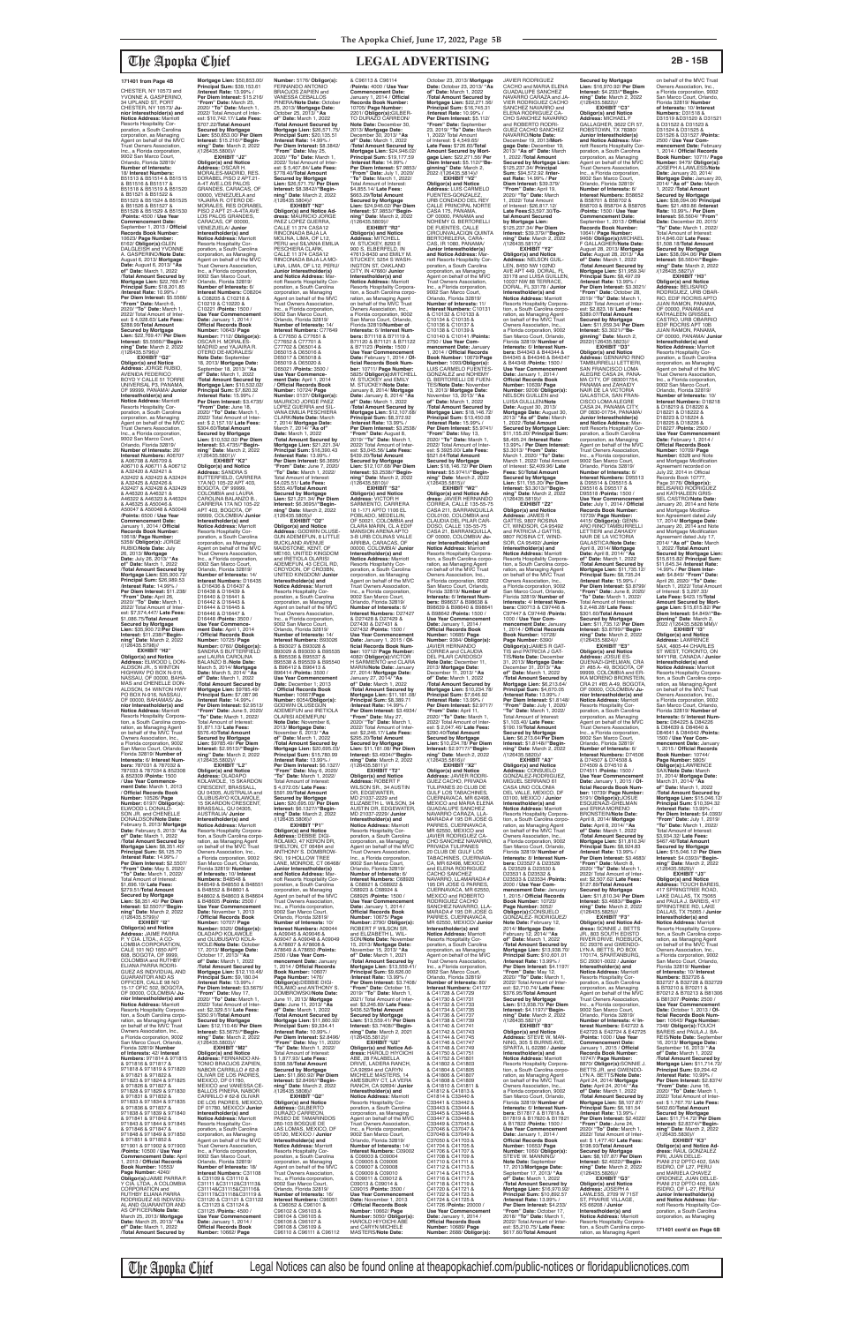CHESTER, NY 10573 and YVONNE A. GASPERINO, 34 UPLAND ST, PORT CHESTER, NY 10573/ **Junior Interestholder(s) and Notice Address:** Marriott Resorts Hospitality Corporation, a South Carolina corporation, as Managing Agent on behalf of the MVC Trust Owners Association, Inc., a Florida corporation, 9002 San Marco Court, Orlando, Florida 32819/ **Number of Interests:** 18/ **Interest Numbers:** B51513 & B51514 & B51515 & B51516 & B51517 & B51518 & B51519 & B51520 & B51521 & B51522 & B51523 & B51524 & B51525 & B51526 & B51527 & B51528 & B51529 & B51530 /**Points:** 4500 / **Use Year Commencement Date:** September 1, 2013 / **Official Records Book Number:** 10623/ **Page Number:** 6162/ **ObIigor(s):**GLEN DALGLEISH and YVONNE A. GASPERINO/**Note Date:** August 6, 2013/ **Mortgage Date:** August 6, 2013/ **"As of" Date:** March 1, 2022 /**Total Amount Secured by Mortgage Lien:** \$22,769.47/ **Principal Sum:** \$18,201.85 /**Interest Rate:** 10.99% / **Per Diem Interest:** \$5.5566/ **"From" Date:** March 6, 2020/ **"To" Date:** March 1, 2022/ Total Amount of Inter-est: \$ 4,028.63/ **Late Fees:** \$288.99/**Total Amount Secured by Mortgage Lien:** \$22,769.47/ **Per Diem Interest:** \$5.5566//**"Beginning" Date**: March 2, 2022 /(126435.5796)// **EXHIBIT "G2" Obligor(s) and Notice Address:** JORGE RUBIO, AVENIDA FEDERICO BOYD Y CALLE 51 TORRE UNIVERSAL P3, PANAMA, OF 99999, PANAMA/ **Junio Interestholder(s) and Notice Address:** Marriott Resorts Hospitality Corporation, a South Carolina corporation, as Managing Agent on behalf of the MVC Trust Owners Association, Inc., a Florida corporation, 9002 San Marco Court, Orlando, Florida 32819/ **Number of Interests:** 26/ **Interest Numbers:** A06707<br>& A06708 & A06709 &<br>A06710 & A06711 & A06712 & A32420 & A32421 & A32422 & A32423 & A32424 & A32425 & A32426 & A32427 & A32428 & A32429 & A46320 & A46321 & A46322 & A46323 & A46324 & A46325 & A50046 & A50047 & A50048 & A50049 /**Points:** 6500 / **Use Year Commencement Date:** January 1, 2014 / **Official Records Book Number:** 10618/ **Page Number:** 5358/ **Obligor(s):** JORGE RUBIO/**Note Date:** July 26, 2013/ **Mortgage Date:** July 26, 2013/ **"As of" Date:** March 1, 2022 /**Total Amount Secured by Mortgage Lien:** \$35,900.72/ **Principal Sum:** \$26,989.53 /**Interest Rate:** 14.99% / **Per Diem Interest:** \$11.238/ **"From" Date:** April 26, 2020/ **"To" Date:** March 1, 2022/ Total Amount of Inter-est: \$7,574,447/ **Late Fees:** \$1,086.75/**Total Amount Secured by Mortgage Lien:** \$35,900.72/**Per Diem Interest:** \$11.238//**"Beginning" Date**: March 2, 2022 /(126435.5798)// **EXHIBIT "H2"**

**Obligor(s) and Notice Address:** ELWOOD L DON-ALDSON JR., 5 WINTON HIGHWAV PO BOX N-916, NASSAU, OF 00000, BAHA-MAS and CHENELLE DON-ALDSON, 54 WINTON HWY PO BOX N-916, NASSAU, OF 00000, BAHAMAS/ **Junior Interestholder(s) and Notice Address:** Marriott Resorts Hospitality Corpora-tion, a South Carolina corpo-ration, as Managing Agent on behalf of the MVC Trust Owners Association, Inc., a Florida corporation, 9002 San Marco Court, Orlando, Florida 32819/ **Number of Interests:** 6/ **Interest Num-bers:** 787031 & 787032 & 787033 & 787034 & 852308 & 852309 /**Points:** 1500 / **Use Year Commencement Date:** March 1, 2013 / **Official Records Book Number:** 10526/ **Page Number:** 6197/ **Obligor(s):** ELWOOD L DONALD-SON JR. and CHENELLE DONALDSON/**Note Date:** February 5, 2013/ **Mortgage Date:** February 5, 2013/ **"As of" Date:** March 1, 2022 /**Total Amount Secured by Mortgage Lien:** \$8,351.40/ **Principal Sum:** \$6,125.70 /**Interest Rate:** 14.99% / **Per Diem Interest:** \$2.5507/ **"From" Date:** May 5, 2020/ **"To" Date:** March 1, 2022/ Total Amount of Interest: \$1,696.19/ **Late Fees:** \$279.51/**Total Amount Secured by Mortgage Lien:** \$8,351.40/ **Per Diem Interest:** \$2.5507//**"Begin-ning" Date**: March 2, 2022 /(126435.5799)// **EXHIBIT "I2" Obligor(s) and Notice Address:** JAIME PARRA P. Y CIA. LTDA., A CO-LOMBIA CORPORATION, CALE 101 NO 1650 APT 608, BOGOTA, OF 9999, COLOMBIA and RUTHBY ELIANA PARRA RODRI-GUEZ AS INDIVIDUAL AND GUARANTOR AND AS OFFICER, CALLE 98 NO<br>15-17 OFIC 502, BOGOTA,<br>OF 00000, COLOMBIA/ **Junior Interestholder(s) and Notice Address:** Marriott Resorts Hospitality Corpora-tion, a South Carolina corpo-ration, as Managing Agent on behalf of the MVC Trust Owners Association, Inc. a Florida corporation, 9002 San Marco Court, Orlando, Florida 32819/ **Number of Interests:** 42/ **Interest Numbers:** 971814 & 971815 & 971816 & 971817 & 971818 & 971819 & 971820 & 971821 & 971822 & 971823 & 971824 & 971825 & 971826 & 971827 & 971828 & 971829 & 971830 & 971831 & 971832 & 971833 & 971834 & 971835 & 971836 & 971837 & 971838 & 971839 & 971840 & 971841 & 971842 & 971843 & 971844 & 971845 & 971846 & 971847 & 971848 & 971849 & 971850 & 971851 & 971852 & 971901 & 971902 & 971903 /**Points:** 10500 / **Use Year Commencement Date:** April 1, 2013 / **Official Records Book Number:** 10553/ **Page Number:** 4240/<br>**Obligor(s):**JAIME PARRA P.<br>Y CIA. LTDA., A COLOMBIA<br>CORPORATION and RUTHBY ELIANA PARRA RODRIGUEZ AS INDIVIDU-AL AND GUARANTOR AND AS OFFICER/**Note Date:** March 25, 2013/ **Mortgage Date:** March 25, 2013/ **"As of" Date:** March 1, 2022 /**Total Amount Secured by Secured by Mortgage** 

**Mortgage Lien:** \$50,853.00/ **Principal Sum:** \$39,153.61 /**Interest Rate:** 13.99% / **Per Diem Interest:** \$15.216/ **"From" Date:** March 25, 2020/ **"To" Date:** March 1, 2022/ Total Amount of Interest: \$10,742.17/ **Late Fees:** \$707.22/**Total Amount Secured by Mortgage Lien:** \$50,853.00/ **Per Diem Interest:** \$15.216//**"Begin-ning" Date**: March 2, 2022 /(126435.5800)// **EXHIBIT "J2" Obligor(s) and Notice Address:** OSCAR H. MORALES-MADRID, RES. DORABEL PISO 2 APT.21- A-4T AVE.LOS PALOS<br>GRANDES, CARACAS, OF GRANDES, CARACAS, OF 00000, VENEZUELA and YAJAIRA R. OTERO DE-MORALES, RES DORABEL PISO 2 APT 21-A-4TA AVE LOS PALOS GRANDES, CARACAS, OF 00000, VENEZUELA/ **Junior Interestholder(s) and Notice Address:** Marriott Resorts Hospitality Corporation, a South Carolina corporation, as Managing Agent on behalf of the MVC Trust Owners Association, Inc., a Florida corporation, 9002 San Marco Court, Orlando, Florida 32819/ **Number of Interests:** 6/ **Interest Numbers:** C08204<br>& C08205 & C10218 &<br>C10219 & C10220 & C10221 /**Points:** 1500 / **Use Year Commencement Date:** January 1, 2014 / **Official Records Book Number:** 10643/ **Page Number:** 7112/ **Obligor(s):** OSCAR H. MORALES-MADRID and YAJAIRA R. OTERO DE-MORALES/ **Note Date:** September 18, 2013/ **Mortgage Date:** September 18, 2013/ **"As of" Date:** March 1, 2022 /**Total Amount Secured by Mortgage Lien:** \$10,532.02/ **Principal Sum:** \$7,820.32 /**Interest Rate:** 15.99% / **Per Diem Interest:** \$3.4735/ **"From" Date:** June 18, 2020/ **"To" Date:** March 1, 2022/ Total Amount of Interest: \$ 2,157.10/ **Late Fees:** \$304.60/**Total Amount Secured by Mortgage Lien:** \$10,532.02/ **Per Diem Interest:** \$3.4735//**"Begin-ning" Date**: March 2, 2022 /(126435.5801)// **EXHIBIT "K2" Obligor(s) and Notice Address:** SANDRA S BUTTERFIELD, CARRERA 17A NO 105-22 APT 403, BOGOTA, OF 99999, COLOMBIA and LAURA CAROLINA BALANZO B., CARRERA 17A NO 105-22 APT 403, BOGOTA, OF 99999, COLOMBIA/ **Junior Interestholder(s) and Notice Address:** Marriott Resorts Hospitality Corporation, a South Carolina corporation, as Managing Agent on behalf of the MVC Trust Owners Association, Inc., a Florida corporation, 9002 San Marco Court, Orlando, Florida 32819/ **Number of Interests:** 14/ **Interest Numbers:** D16435 & D16436 & D16437 & D16438 & D16439 & D16440 & D16441 & D16442 & D16443 & D16444 & D16445 & D16446 & D16447 & D16448 /**Points:** 3500 / **Use Year Commence-ment Date:** April 1, 2014 / **Official Records Book Number:** 10725/ **Page Number:** 0760/ **Obligor(s):** SANDRA S BUTTERFIELD and LAURA CAROLINA BALANZO B./**Note Date:** March 5, 2014/ **Mortgage Date:** March 5, 2014/ **"As of" Date:** March 1, 2022 /**Total Amount Secured by Mortgage Lien:** \$9785.49/ **Principal Sum:** \$7,087.96 /**Interest Rate:** 14.99% / **Per Diem Interest:** \$2.9513/ **"From" Date:** June 5, 2020/ **"To" Date:** March 1, 2022/ Total Amount of Interest: \$1,871.13/ **Late Fees:** \$576.40/**Total Amount Number:** 5176/ **Obligor(s):** FERNANDO ANTONIO<br>BRAOJOS ZAPIEN and **"From" Date:** May 25, 2020/ **"To" Date:** March 1, 2022/ Total Amount of Interest: \$ 5,407.84/ **Late Fees:** \$778.40/**Total Amount Interest:** \$8.3842//**"Begin-**/(126435.5804)// **EXHIBIT "N2" Obligor(s) and Notice Ad-**PESCHIERA CLARK,<br>CALLE 11 374 CASA12 Inc., a Florida corporation, 9002 San Marco Court, Orlando, Florida 32819/ **Number of Interests:** 14/ C77702 & D65014 & D65015 & D65016 & D65017 & D65018 & D65019 & D65020 & D65021 /**Points:** 3500 / **Use Year Commencement Date:** April 1, 2014 / **Official Records Book**  7, 2014/ **Mortgage Date:** March 7, 2014/ **"As of" Date:** March 1, 2022 /**Total Amount Secured by**  Total Amount of Interest: \$4,025.51/ **Late Fees:** \$555.40/**Total Amount Interest:** \$6.3695//**"Begin-**BUCKLAND AVENUE<br>MAIDSTONE, KENT, OF UNITED KINGDOM/ **Junior Interestholder(s) and Notice Address:** Marriott Resorts Hospitality Cor-poration, a South Carolina corporation, as Managing Inc., a Florida corporation, 9002 San Marco Court, Orlando, Florida 32819/ **Number of Interests:** 14/ B96414 /**Points:** 3500 / **Number:** 6054/**Obligor(s):** OLARISI ADEMEFUN/ **Note Date:** November 6, 2013/ **Mortgage Date:** November 6, 2013/ **"As** 

**Lien:** \$9785.49/ **Per Diem Interest:** \$2.9513//**"Begin-ning" Date**: March 2, 2022 /(126435.5802)// **EXHIBIT "L2" Obligor(s) and Notice Address:** OLADAPO KOLAWOLE, 15 SKARDON CRESCENT, BRASSALL, QU 04305, AUSTRALIA and OLUBUSAYO KOLAWOLE, 15 SKARDON CRESCENT, BRASSALL, QU 04305, AUSTRALIA/ **Junior Interestholder(s) and Notice Address:** Marriott Resorts Hospitality Corporation, a South Carolina corpo ration, as Managing Agent on behalf of the MVC Trust Owners Association, Inc., a Florida corporation, 9002 San Marco Court, Orlando, Florida 32819/ **Number of Interests:** 10/ **Interest Numbers:** B48548 &<br>B48549 & B48550 & B48551<br>& B48552 & B48601 & B48602 & B48603 & B48604 & B48605 /**Points:** 2500 / **Use Year Commencement Date:** November 1, 2013 / **Official Records Book Number:** 10707/ **Page Number:** 9320/ **Obligor(s):** OLADAPO KOLAWOLE and OLUBUSAYO KOLA-WOLE/**Note Date:** October 17, 2013/ **Mortgage Date:** October 17, 2013/ **"As of" Date:** March 1, 2022 /**Total Amount Secured by Mortgage Lien:** \$12,110.46/ **Principal Sum:** \$9,180.04 /**Interest Rate:** 13.99% / **Per Diem Interest:** \$3.5675/ **"From" Date:** May 17, 2020/ **"To" Date:** March 1, 2022/ Total Amount of Interest: \$2,329.51/ **Late Fees:** \$350.91/**Total Amount Secured by Mortgage Lien:** \$12,110.46/ **Per Diem Interest:** \$3.5675//**"Begin-ning" Date**: March 2, 2022 /(126435.5803)// **EXHIBIT "M2" Obligor(s) and Notice Address:** FERNANDO AN-TONIO BRAOJOS ZAPIEN,<br>NABOR CARRILLO # 62-8 OLIVAR DE LOS PADRES,<br>MEXICO, DF 01780,<br>MEXICO and VANESSA CE-<br>BALLOS PINERA, NABOR CARRILLO # 62-8 OLIVAR<br>DE LOS PADRES, MEXICO, DF 01780, MEXICO/ **Junior Interestholder(s) and Notice Address:** Marriott Resorts Hospitality Corporation, a South Carolina<br>corporation, as Managing corporation, as Managing<br>Agent on behalf of the MVC<br>Trust Owners Association,<br>Inc., a Florida corporation, 9002 San Marco Court, Orlando, Florida 32819/ **Number of Interests:** 18/ **Interest Numbers:** C31108<br>& C31109 & C31110 &<br>C31111 &C31112&C31113&<br>C31114&C31115&C31116& C31117&C31118&C31119 & C31120 & C31121 & C31122 & C31123 & C31124 & C31125 /**Points:** 4500 / **Use Year Commencement Date:** January 1, 2014 / **Official Records Book Number:** 10662/ **Page** 

**EXHIBIT "O2"**

CACHO and MARIA ELENA GUADALUPE SANCHEZ VIER RODRIGUEZ CACHO SANCHEZ NAVARRO and **Secured by Mortgage Lien:**  \$125,237.34/ **Principal Sum:** \$94,572.92 /**Inter-est Rate:** 14.99% / **Per EXHIBIT "Y2"<br><b>Obligor(s) and Notice**<br>**Addres**s: NELSON GUIL-<br>LEN, 8450 NW 102ND<br>AVE APT 449, DORAL, FL<br>33178 and LUISA GUILLEN, **Interestholder(s) and Notice Address:** Marriott Resorts Hospitality Corpora-tion, a South Carolina corpo-B44345 & B44346 & B44347 & B44348 /**Points:** 1500 / **Use Year Commencement Mortgage Date:** August 30, 2013/ **"As of" Date:** March **Secured by Mortgage Lien:**  \$11,155.20/ **Principal Sum:** 13.99% / **Per Diem Interest:** \$3.3013/ **"From" Date:** March 1, 2020/ **"To" Date:** March 1, 2022/ Total Amount of Interest: \$2,409.96/ **Late Fees:** \$0/**Total Amount Secured by Mortgage Lien:** \$11,155.20/ **Per Diem Notice Address:** Marriott<br>Resorts Hospitality Corpora-<br>tion, a South Carolina corpo-**Secured by Mortgage Lien:** \$16,970.92/ **Per Diem Interest:** \$4.233//**"Begin-ning" Date**: March 2, 2022 /(126435.5822)// **EXHIBIT "C3"**<br>**EXHIBIT "C3" Obligor(s) and Notice Address:** MICHAEL F GALLAGHER, 3622 CR 57, ROBSTOWN, TX 78380/ **Junior Interestholder(s) and Notice Address:** Marriott Resorts Hospitality Cor-<br>poration, a South Carohna poration, a South Carohna corporation, as Managing Agent on behalf of the MVC Trust Owners Association, Inc., a Florida corporation, 9002 San Marco Court, Orlando, Florida 32819/<br>Number of Interests: 6/ **Number of Interests:** 6/<br>**Interest Numbers:** B58652<br>& B58701 & B58702 &<br>B58703 & B58704 & B58705 /**Points:** 1500 / **Use Year Commencement Date:** September 1, 2013 / **Official Records Book Number:** 10641/ **Page Number:** 9468/ **Obligor(s):**MICHAEL F GALLAGHER/**Note Date:** August 28, 2013/ **Mortgage Date:** August 28, 2013/ **"As of" Date:** March 1, 2022 /**Total Amount Secured by Mortgage Lien:** \$11,959.34/ **Principal Sum:** \$8,497.09 /**Interest Rate:** 13.99% / **Per Diem Interest:** \$3.3021/ **"From" Date:** October 28, 2019/ **"To" Date:** March 1, 2022/ Total Amount of Inter-est: \$2,823.18/ **Late Fees:** \$389.07/**Total Amount Secured by Mortgage**<br>Lien: \$11,959,34/ Per Dien **Lien:** \$11,959.34/ **Per Diem Interest:** \$3.3021//**"Be-ginning" Date**: March 2, 2022/(126435.5823)// **EXHIBIT "D3" Obligor(s) and Notice Address:** GENNARO RINO TAMBURRELLI LETTIERI, SAN FRANCISCO LOMA ALEGRE CASA 24, PANA-MA CITY, OF 083001754, PANAMA and ZAHAIDY NAIR DE LA VICTORIA<br>GALASTICA, SAN FRAN-<br>CISCO LOMA ALEGRE<br>CASA 24, PANAMA CITY, OF 0830-01754, PANAMA/ **Junior Interestholder(s) and Notice Address:** Mar-riott Resorts Hospitality Cor-poration, a South Carolina corporation, as Managing Agent on behalf of the MVC Trust Owners Association, Inc., a Florida corporation, 9002 San Marco Court, Orlando, Florida 32819/ **Number of Interests:** 6/ **Interest Numbers:** D95513 & D95514 & D95515 & D95516 & D95517 & D95518 /**Points:** 1500 / **Use Year Commencement Date:** July 1, 2014 / **Official Records Book Number:**<br>10739/ **Page Number:**<br>4415/ **Obligor(s)**: GENN-<br>ARO RINO TAMBURRELLI<br>LETTIERI and ZAHAIDY<br>NAIR DE LA VICTORIA GALASTICA/**Note Date:** April 8, 2014/ **Mortgage Date:** April 8, 2014/ **"As of" Date:** March 1, 2022 /**Total Amount Secured by Mortgage Lien:** \$11,735.12/ **Principal Sum:** \$8,735.24 /**Interest Rate:** 15.99% / **Per Diem Interest:** \$3.8799/ **"From" Date:** June 8, 2020/ **"To" Date:** March 1, 2022/ Total Amount of Interest: \$ 2,448.28/ **Late Fees:** \$301.60/**Total Amount Secured by Mortgage Lien:** \$11,735.12/ **Per Diem Interest:** \$3.8799//**"Begin-ning" Date**: March 2, 2022 /(126435.5824)// **EXHIBIT "E3" Obligor(s) and Notice<br><b>Address:** JOSUE ES-<br>QUENAZI-GHELMAN, CRA<br>21 #85 A- 49, BOGOTA, OF

VANESSA CEBALLOS PINERA/**Note Date:** October 25, 2013/ **Mortgage Date:** October 25, 2013/ **"As of" Date:** March 1, 2022 /**Total Amount Secured by Mortgage Lien:** \$26,571.75/ **Principal Sum:** \$20,135.51 /**Interest Rate:** 14.99% / **Per Diem Interest:** \$8.3842/ **Secured by Mortgage Lien:** \$26,571.75/ **Per Diem ning" Date**: March 2, 2022 **dress:** MAURICIO JORGE PAEZ LOPEZ GUERRA, CALLE 11 374 CASA12 RINCONADA BAJA LA MOLINA, LIMA, OF L12, PERU and SILVANA EMILIA RINCONADA BAJA LA MO-LINA, LIMA, OF L12, PERU/ **Junior Interestholder(s) and Notice Address:** Marriott Resorts Hospitality Cor-poration, a South Carolina corporation, as Managing Agent on behalf of the MVC Trust Owners Association, **Interest Numbers:** C77649<br>& C77650 & C77651 &<br>C77652 & C77701 & **Number:** 10724/ **Page<br>Number:** 0137/ **Obligor(s):**<br>MAURICIO JORGE PAEZ<br>LOPEZ GUERRA and SIL-VANA EMILIA PESCHIERA CLARK/**Note Date:** March **Mortgage Lien:** \$21,221.34/ **Principal Sum:** \$16,390.43 /**Interest Rate:** 13.99% / **Per Diem Interest:** \$6.3695/ **"From" Date:** June 7, 2020/ **"To" Date:** March 1, 2022/ **Secured by Mortgage Lien:** \$21,221.34/ **Per Diem ning" Date**: March 2, 2022 /(126435.5805)// **Obligor(s) and Notice Address:** GODWIN OLUSE-GUN ADEMEFUN, 8 LITTLE ME160, UNITED KINGDOM and IRETIOLA OLARISI ADEMEFUN, 43 CECIL RD, CROYDON, OF CRO3BN, Agent on behalf of the MVC Trust Owners Association, **Interest Numbers:** B93026 & B93027 & B93028 & B93029 & B93030 & B95535 & B95536 & B95537 & B95538 & B95539 & B95540 & B96412 & B96413 & **Use Year Commencement Date:** December 1; 2013 / **Official Records Book Number:** 10667/**Page**  GODWIN OLUSEGUN ADEMEFUN and IRETIOLA & C96113 & C96114 /**Points:** 4000 / **Use Year Commencement Date:** January 1, 2014 / **Official Records Book Number:** 10705/ **Page Number:** 2201/ **Obligor(s):**GILBER-TO DURAZO CARREON/ **Note Date:** December 30, 2013/ **Mortgage Date:** December 30, 2013/ **"As of" Date:** March 1, 2022 /**Total Amount Secured by Mortgage Lien:** \$24,946.02/ **Principal Sum:** \$19,177.59 /**Interest Rate:** 14.99% / **Per Diem Interest:** \$7.9853/ **"From" Date:** July 1, 2020/ **"To" Date:** March 1, 2022/ Total Amount of Interest: \$4,855.14/ **Late Fees:** \$663.29/**Total Amount Secured by Mortgage Lien:** \$24,946.02/ **Per Diem Interest:** \$7.9853//**"Beginning" Date**: March 2, 2022 /(126435.5809)// **EXHIBIT "R2" Obligor(s) and Notice Address:** MITCHELL Address: MITCHELL<br>W. STUCKEY, 8293 E 900 S, ELBERFELD, IN 47613-8430 and EMILY M. STUCKEY, 5254 S WASH INGTON ST, OAKLAND CITY, IN 47660/ **Junior Interestholder(s) and Notice Address:** Marriott Resorts Hospitality Corporation, a South Carolina corpo ration, as Managing Agent on behalf of the MVC Trust Owners Association, Inc., a Florida corporation, 9002 San Marco Court, Orlando, Florida 32819/**Number of Interests:** 6/ **Interest Num-bers:** B71118 & B71119 & B71120 & B71121 & B71122 & B71123 /**Points:** 1500 / Use Year Commencement<br>Date: February 1, 2014 / 01-<br>ficial Records Book Num-<br>ber: 10711/ Page Number:<br>5825/ Obligor(s):MITCHELL<br>W. STUCKEY/Note Date:<br>M. STUCKEY/Note Date: January 8, 2014/ **Mortgage Date:** January 8, 2014/ **"As of" Date:** March 1, 2022 /**Total Amount Secured by Mortgage Lien:** \$12,107.68/ **Principal Sum:** \$8,372.92 /**Interest Rate:** 13.99% / **Per Diem Interest:** \$3.2538/ **"From" Date:** August 8, 2019/ **"To" Date:** March 1, 2022/ Total Amount of Inter-est: \$3,045.56/ **Late Fees:** \$439.20/**Total Amount Secured by Mortgage Lien:** \$12,107.68/ **Per Diem Interest:** \$3.2538//**"Beginning" Date**: March 2, 2022 /(126435.5810)// **EXHIBIT "S2" Obligor(s) and Notice Address:** VICTOR H SARMIENTO, CARRERA 18 1-171 APTO 1106 EL POBLADO, MEDELLIN, OF 50021, COLOMBIA and CLARA MARIN, CL A EDIF MANSION ARENA APTO 3-B URB COLINAS VALLE ARRIBA, CARACAS, OF 00000, COLOMBIA/ **Junior Interestholder(s) and Notice Address:** Marriott Resorts Hospitahty Cor-poration, a South Carolina corporation, as Managing Agent on behalf of the MVC Trust Owners Association, Inc., a Florida corporation, 9002 San Marco Court, Orlando, Florida 32819/ **Number of Interests:** 6/ **Interest Numbers:** D27427 & D27428 & D27429 & D27430 & D27431 & D27432 /**Points:** 1500 / **Use Year Commencem Date:** January 1, 2015 / **Of-ficial Records Book Number:** 10712/ **Page Number:** 4082/ **ObIigor(s):**VICTOR H SARMIENTO and CLARA MARIN/**Note Date:** January 27, 2014/ **Mortgage Date:** January 27, 2014/ **"As of" Date:** March 1, 2022 /**Total Amount Secured by Mortgage Lien:** \$11,181.08/ **Principal Sum:** \$8,389.71 /**Interest Rate:** 14.99% / **Per Diem Interest:** \$3.4934/ **"From" Date:** May 27, 2020/ **"To" Date:** March 1, 2022/ Total Amount of Inter-est: \$2,246.17/ **Late Fees:**

**of" Date:** March 1, 2022 /**Total Amount Secured by Mortgage Lien:** \$20,695.03/ **Principal Sum:** \$15,780.99 Principal Sum: \$15,<br>/Interest Rate: 13.99<br>*Interest: \$* **Per Diem Interest:** \$6.1327/ **"From" Date:** May 6, 2020/ **"To" Date:** March 1, 2022/ Total Amount of Interest: \$ 4,072.05/ **Late Fees:** \$591.99/**Total Amount Secured by Mortgage Lien:** \$20,695.03/ **Per Diem Interest:** \$6.1327//**"Beginning" Date**: March 2, 2022 /(126435.5806)// **EXHIBIT "P1" Obligor(s) and Notice Address:** DEBBIE DIGI-ROLAMO, 47 KERON DR, SHELTON, CT 06484 and<br>ANTHONY S. DOMBROW-<br>SKI, 19 HOLLOW TREE<br>LANE, MONROE, CT 06468/ **Junior Interestholder(s) and Notice Address:** Marriott Resorts Hospitality Cor-poration, a South Carolina corporation, as Managing Agent on behalf of the MVC Trust Owners Association, Inc., a Florida corporation,<br>9002 San Marco Court. 9002 San Marco Court, Orlando, Florida 32819/ **Number of Interests:** 10/ **Interest Numbers:** A09044 & A09045 & A09046 & A09047 & A09048 & A09049 & A78607 & A78608 & A78649 & A78650 /**Points:** 2500 / **Use Year Commencement Date:** January 1, 2014 / **Official Records Book Number:** 10607/ **Page Number:** 1476/ **ObIigor(s):**DEBBIE DIGI-ROLAMO and ANTHONY S. DOMBROWSKI/**Note Date:** June 11, 2013/ **Mortgage Date:** June 11, 2013/ **"As of" Date:** March 1, 2022 /**Total Amount Secured by Mortgage Lien:** \$11,860.92/ **Principal Sum:** \$9,334.41 /**Interest Rate:** 10.99% / **Per Diem Interest:** \$2.8496/ **"From" Date:** May 11, 2020/ **"To" Date:** March 1, 2022/ Total Amount of Interest: \$ 1,877.93/ **Late Fees:** \$398.58/**Total Amount Secured by Mortgage Lien:** \$11,860.92/ **Per Diem Interest:** \$2.8496//**"Begin-ning" Date**: March 2, 2022 /(126435.5808)// **EXHIBIT "Q2" Obligor(s) and Notice<br><b>Address:** GILBERTO<br>DURAZO CARREON,<br>PASEO DE TAMARINDOS 260-103 BOSQUE DE LAS LOMAS, MEXICO, DF 05120, MEXICO / **Junior Interestholder(s) and Notice Address:** Marriott Resorts Hospitality Corporation, a South Carolina corporation, as Managing Agent on behalf of the MVC Trust Owners Association, Inc., a Florida corporation, 9002 San Marco Court, Orlando, Florida 32819/ **Number of Interests:** 16/ **Interest Numbers:** C96051 & C96052 & C96101 & C96102 & C96103 & C96104 & C96105 & C96106 & C96107 & C96108 & C96109 & C96110 & C96111 & C96112 \$295.20/**Total Amount Secured by Mortgage Lien:** \$11,181.08/ **Per Diem Interest:** \$3.4934//**"Begin-ning" Date**: March 2, 2022 /(126435.5811)// **EXHIBIT "T2" Obligor(s) and Notice<br><b>Address:** ROBERT F<br>WILSON SR., 34 AUSTIN<br>DR, EDGEWATER, MD 21037-2229 and ELIZABETH L. WILSON, 34 AUSTIN DR, EDGEWATER, MD 21037-2229/ **Junior Interestholder(s) and Notice Address:** Marriott Resorts Hospitality Corporation, a South Carolina<br>corporation, as Managing corporation, as Managing Agent on behalf of the MVC Trust Owners Association, Inc., a Florida corporation, 9002 San Marco Court, Orlando, Florida 32819/ **Number of Interests:** 6/ **Interest Numbers:** C68920<br>& C68921 & C68922 &<br>C68923 & C68924 & C68925 /**Points:** 1500 / **Use Year Commencement Date:** January 1, 2014 / **Official Records Book Number:** 10675/ **Page Number:** 2790/ **Obligor(s):** ROBERT F WILSON SR. and ELIZABETH L. WIL-SON/**Note Date:** November 15, 2013/ **Mortgage Date:** November 15, 2013/ **"As of" Date:** March 1, 2021 /**Total Amount Secured by Mortgage Lien:** \$13,559.41/ **Principal Sum:** \$9,626.00 /**Interest Rate:** 13.99% / **Per Diem Interest:** \$3.7408/ **"From" Date:** October 15, 2019/ **"To" Date:** March 1, 2021/ Total Amount of Inter-est: \$3,246.89/ **Late Fees:** \$436.52/**Total Amount Secured by Mortgage Lien:** \$13,559.41/ **Per Diem Interest:** \$3.7408//**"Beginning" Date**: March 2, 2021 /(126435.5812)// **EXHIBIT "U2" Obligor(s) and Notice Ad-dress:** HAROLD HIYOICHI ABE, 28 FALABELLA DRIVE, LADERA RANCH, CA 92694 and CARYN<br>MICHELE MASTERS, 14 MICHELE MASTERS, 14 AMESBURY CT, LA VERA RANCH, CA 92694/ **Junior Interestholder(s) and Notice Address:** Marriott Resorts Hospitality Corporation, a South Carolina corporation, as Managing Agent on behalf of the MVC Trust Owners Association, Inc., a Florida corporation, 9002 San Marco Court, Orlando, Florida 32819/ **Number of Interests:** 14/ **Interest Numbers:** C09002 & C09003 & C09004 & C09005 & C09006 & C09007 & C09008 & C09009 & C09010 & C09011 & C09012 & C09013 & C09014 & C09015 /**Points:** 3500 / **Use Year Commencement Date:** November 1, 2013 / **Official Records Book Number:** 10662/ **Page Number:** 5050/ **Obligor(s):** HAROLD HIYOICHI ABE and CARYN MICHELE MASTERS/**Note Date:**

October 23, 2013/ **Mortgage Date:** October 23, 2013/ **"As of" Date:** March 1, 2022 /**Total Amount Secured by Mortgage Lien:** \$22,271.56/ **Principal Sum:** \$16,745.31 /**Interest Rate:** 10.99% / **Per Diem Interest:** \$5.112/ **'From" Date: Septe** 23, 2019/ **"To" Date:** March 1, 2022/ Total Amount of Interest: \$ 4,549.65/ **Late Fees:** \$726.60/**Total Amount Secured by Mort-gage Lien:** \$22,271.56/ **Per Diem Interest:** \$5.112//**"Be-ginning" Date**: March 2, 2022 /(126435.5814)// **EXHIBIT "V2" Obligor(s) and Notice Address:** LUIS CARMELO FUENTES-GONZALEZ,<br>URB CONDADO DEL REY<br>CALLE PRINCIPAL NORTE<br>CASA 175, PANAMA, OF 00000, PANAMA and NOHEMY G. BERTORELLI DE FUENTES, CALLE CIRCUNVALACIQN QUINTA BERTORELERA, CARA-CAS, IR 1080, PANAMA/ **Junior Interestholder(s) and Notice Address:** Marriott Resorts Hospitality Corporation, a South Carolina corporation, as Managing Agent on behalf of the MVC Trust Owners Association, Inc., a Florida corporation, 9002 San Marco Court Orlando, Florida 32819/ **Number of Interests:** 11/ **Interest Numbers:** C10131 & C10132 & C10133 & C10134 & C10135 & C10136 & C10137 & C10138 & C10139 & C10140 & C10141 /**Points:** 2750 / **Use Year Commencement Date:** January 1, 2014 / **Official Records Book Number:** 10679/**Page Number:** 1093/**Obligor(s):** LUIS CARMELO FUENTES-GONZALEZ and NOHEMY G. BERTORELLI DE FUEN-<br>TES/Note Date: November TES/**Note Date:** November 13, 2013/ **Mortgage Date:** November 13, 2013/ **"As of" Date:** March 1, 2022 /**Total Amount Secured by Mortgage Lien:** \$18,146.72/ **Principal Sum:** \$13,450.08 /**Interest Rate:** 15.99% / **Per Diem Interest:** \$5.9741/ **"From" Date:** May 13, 2020/ **"To" Date:** March 1, 2022/ Total Amount of Inter-est: \$ 3925.00/ **Late Fees:** \$521.64/**Total Amount Secured by Mortgage Lien:** \$18,146.72/ **Per Diem Interest:** \$5.9741//**"Begin-ning" Date**: March 2, 2022 /(126435.5815)// **EXHIBIT "W2" Obligor(s) and Notice Ad-dress:** JAVIER HERNANDO CORREA, CALLE 135-55-75 CASA 211, BARRANQUILLA COL0100, COLOMBIA and CLAUDIA DEL PILAR CAR-DOSO, CALLE 135-55-75 CASA 21, BARRANQUILLA, OF 00000, COLOMBIA/ **Junior Interestholder(s) and Notice Address:** Marriott Resorts Hospitality Corpora-tion, a South Carolina corpo-ration, as Managing Agent on behalf of the MVC Trust Owners Association, Inc., a Florida corporation, 9002<br>San Marco Court, Orlando San Marco Court, Orlando, Florida 32819/ **Number of Interests:** 6/ **Interest Num-bers:** B98637 & B98638 & B98639 & B98640 & B98641 & B98642 /**Points:** 1500 / **Use Year Commencement Date:** January 1, 2014 / **Official Records Book Number:** 10685/ **Page Number:** 9384/ **ObIigor(s):** JAVIER HERNANDO CORREA and CLAUDIA DEL PILAR CARDOSO/ **Note Date:** December 11, 2013/ **Mortgage Date:** December 11, 2013/ **"As of" Date:** March 1, 2022 /**Total Amount Secured by Mortgage Lien:** \$10,234.78/ **Principal Sum:** \$7,646.92 /**Interest Rate:** 13.99% / **Per Diem Interest:** \$2.9717/ **"From" Date:** April 11, 2020/ **"To" Date:** March 1, 2022/ Total Amount of Inter-est: \$ 2,047.46/ **Late Fees:** \$290.40/**Total Amount Secured by Mortgage Lien:** \$10,234.78/ **Per Diem Interest:** \$2.9717//**"Begin-ning" Date**: March 2, 2022 /(126435.5816)// **EXHIBIT "X2" Obligor(s) and Notice Address:** JAVIER RODRI-GUEZ CACHO, PRIVADA TULIPANES 20 CLUB DE GULF LOS TABACHINES, CUERNAVACA, MR 62498, MEXICO and MARIA ELENA GUADALUPE SANCHEZ NAVARRO CARAZA, LLA-MARADA # 195 DR JOSE G PARRES, CUERNAVACA, MR 62550, MEXICO and JAVIER RODRIGUEZ CA-CHO SANCHEZ NAVARRO, PRIVADA TULIPANES 20 CLUB DE GULF LOS TABACHINES, CUERNAVA-CA, MR 62498, MEXICO and ELENA RODRIGUEZ CACHO SANCHEZ NAVARRO, LLAMARADA # 195 DR JOSE G PARRES, CUERNAVACA, MR 62550, MEXICO and ROBERTO RODRIGUEZ CACHO<br>SANCHEZ NAVARRO, LLA-SANCHEZ NAVARRO, LLA-MARADA # 195 DR JOSE G PARRES, CUERNAVACA, MR 62550, MEXICO/ **Junior Interestholder(s) and Notice Address:** Marriott Resorts Hospitality Corporation, a South Carolina corporation, as Managing Agent on behalf of the MVC Trust Owners Association, Inc., a Florida corporation, 9002 San Marco Court, Orlando, Florida 32819/ **Number of Interests:** 80/ **Interest Numbers:** C41727 & C41728 & C41729 & C41730 & C41731 & C41732 & C41733 & C41734 & C41735 & C41736 & C41737 & C41738 & C41739 & C41740 & C41741 & C41742 & C41743 & C41744 & C41745 & C41746 & C41747 & C41748 & C41749 & C41750 & C41751 & C41752 & C41801 & C41802 & C41803 & C41804 & C41805 & C41806 & C41807 & C41808 & C41809 & C41810 & C41811 & C41812 & C41813 & C41814 & C33440 & C33441 & C33442 & C33443 & C33444 & C33445 & C33446 & C33447 & C33448 & C33449 & C37045 & C37046 & C37047 & C37048 & C37049 & C37050 & C41703 & C41704 & C41705 & C41706 & C41707 & C41708 & C41709 & C41710 & C41711 & C41712 & C41713 & C41714 & C41715 & C41716 & C41717 & C41718 & C41719 & C41720 & C41721 & C41722 & C41723 & C41724 & C41725 & C41726 /**Points:** 20000 / **Use Year Commencement Date:** January 1, 2014 / **Official Records Book Number:** 10689/ **Page Number:** 2688/ **Obligor(s):** JAVIER RODRIGUEZ NAVARRO CARAZA and JA-ELENA RODRIGUEZ CA-CHO SANCHEZ NAVARRO and ROBERTO RODRI-GUEZ CACHO SANCHEZ NAVARRO/**Note Date:** December 19, 2013/**Mort-gage Date:** December 19, 2013/ **"As of" Date:** March 1, 2022 /**Total Amount Diem Interest:** \$39.379/ **"From" Date:** April 19, 2020/ **"To" Date:** March 1, 2022/ Total Amount of Interest: \$26,817.12/ **Late Fees:**\$3,597.30/**Total Amount Secured by Mortgage Lien:**  \$125,237.34/ **Per Diem Interest:** \$39.379//**"Begin-ning" Date**: March 2, 2022 /(126435.5817)//<br>"EXHIBIT "Y2 10037 NW 88 TERRACE, DORAL, FL 33178 / **Junior**  ration, as Managing Agent on behalf of the MVC Trust Owners Association, Inc., a Florida corporation, 9002 San Marco Court, Orlando, Florida 32819/ **Number of Interests:** 6/ **Interest Num-bers:** B44343 & B44344 & **Date:** January 1, 2014 / **Official Records Book Number:** 10639/ **Page Number:** 9208/ **Obligor(s):** NELSON GUILLEN and LUISA GULLLEN/**Note Date:** August 30, 2013/ 1, 2022 /**Total Amount**  \$8,495.24 /**Interest Rate: Interest:** \$3.3013//**"Begin-ning" Date**: March 2, 2022 /(126435.5819)// **Obligor(s) and Notice Address:** JAMES R GATTIS, 9807 ROSINA CT, WINDSOR, CA 95492 and PATRICIA J GATTIS, 9807 ROSINA CT, WIND-SOR, CA 95492/ **Junior Interestholder(s) and**  ration, as Managing Agent on behalf of the MVC Trust Owners Association, Inc., a Florida corporation, 9002 San Marco Court, Orlando, Florida 32819/ **Number of Interests:** 4/ **Interest Num-bers:** C90713 & C97446 & C97447 & C97448 /**Points:** 1000 / **Use Year Com-mencement Date:** January 1, 2014 / **Official Records Book Number:** 10728/ **Page Number:** 6390/ **Obligor(s):**JAMES R GAT-TIS and PATRICIA J GAT-TIS/**Note Date:** December 31, 2013/ **Mortgage Date:** December 31, 2013/ **"As of" Date:** March 1, 2022 /**Total Amount Secured by Mortgage Lien:** \$6,213.64/ **Principal Sum:** \$4,670.05 /**Interest Rate:** 13.99% / **Per Diem Interest:** \$1.8148/ **"From" Date:** July 1, 2020/ **"To" Date:** March 1, 2022/ Total Amount of Interest: \$1,103.40/ **Late Fees:** \$190.19/**Total Amount Secured by Mortgage Lien:** \$6,213.64/**Per Diem** 

**EXHIBIT "Z2"**

**Interest:** \$1.8148//**"Begin-ning" Date**: March 2, 2022 /(126435.5820)// **EXHIBIT "A3" Obligor(s) and Notice Address:** CONSUELO GONZALEZ-RODRIGUEZ, MIGUEL SERRANO 61 CASA UNO COLONIA DEL VALLE, MEXICO, DF 03100, MEXICO / **Junior Interestholder(s) and Notice Address:** Marriott Resorts Hospitality Corpora-tion, a South Carolina corpo-ration, as Managing Agent on behalf of the MVC Trust Owners Association, Inc., a Florida corporation, 9002 San Marco Court, Orlando,<br>Florida 32819/ **Number of**<br>**Interests:** 8/ **Interest Numbers:** D23527 & D23528 & D23529 & D23530 & D23531 & D23532 &<br>D23533 & D23534 / Points D23533 & D23534 /**Points:** 2000 / **Use Year Com-mencement Date:** January 1, 2015 / **Official Records Book Number:** 10723/ **Page Number:** 3052/ **Obligor(s):**CONSUELO<br>GONZALEZ- RODRIGUEZ/<br>**Note Date:** February 12, 2014/ **Mortgage Date:** February 12, 2014/ **"As of" Date:** March 1, 2022 /**Total Amount Secured by Mortgage Lien:** \$13,938.70/ **Principal Sum:** \$10,601.01 /**Interest Rate:** 13.99% / **Per Diem Interest:** \$4.1197/ **"From" Date:** May 12, 2020/ **"To" Date:** March 1, 2022/ Total Amount of Inter-est: \$2,710.74/ **Late Fees:** \$376.95/**Total Amount Secured by Mortgage Lien:** \$13,938.70/ **Per Diem Interest:** \$4.1197//**"Begin-ning" Date**: March 2, 2022 /(126435.5821)// **EXHIBIT "B3" Obligor(s) and Notice Address:** STEVE W. MAN-NING, 305 S BURNS AVE, SPARTA, IL 62286 / **Junior Interestholder(s) and Notice Address:** Marriott Resorts Hospitality Corpora-tion, a South Carolina corporation, as Managing Agent on behalf of the MVC Trust Owners Association, Inc., a Florida corporation, 9002 San Marco Court, Orlando, Florida 32819/ **Number of Interests:** 6/ **Interest Num-bers:** B17817 & B17818 & B17819 & B17820 & B17821 & B17822 /**Points:** 1500 / **Use Year Commencement Date:** January 1, 2014 / **Official Records Book Number:** 10653/ **Page Number:** 1060/ **Obligor(s):** STEVE W. MANNING **Note Date:** September 17, 2013/**Mortgage Date:** September 17, 2013/ **"As of" Date:** March 1, 2022 /**Total Amount Secured by Mortgage Lien:** \$16,970.92/ **Principal Sum:** \$10,892.57 /**Interest Rate:** 13.99% / **Per Diem Interest:** \$4.233/ **"From" Date:** October 17, 2018/ **"To" Date:** March 1, 2022/ Total Amount of Inter est: \$5,210.75/ **Late Fees:** \$617.60/**Total Amount** 

The Apopka Chief Legal Notices can also be found online at theapopkachief.com/public-notices or floridapublicnotices.com

on behalf of the MVC Trust Owners Association, Inc., a Florida corporation, 9002 San Marco Court, Orlando, Florida 32819/ **Number of Interests:** 10/ **Interest Numbers:** D31518 & D31519 &D31520 & D31521 & D31522 & D31523 & D31524 & D31525 & D31526 & D31527 /**Points:** 2500 / **Use Year Com-mencement Date:** February 1, 2014 / **Official Records Book Number:** 10711/ **Page Number:** 9479/ **Obligor(s):** JOSEPH A LAWLESS/**Note Date:** January 20, 2014/ **Mortgage Date:** January 20, 2014/ **"As of" Date:** March 1, 2022 /**Total Amount Secured by Mortgage Lien:** \$38,094.06/ **Principal Sum:** \$21,489.86 /**Interest Rate:** 10.99% / **Per Diem Interest:** \$6.5604/ **"From" Date:** December 20, 2015/ **"To" Date:** March 1, 2022/ Total Amount of Interest: \$14,846.02/ **Late Fees:** \$1,508.18/**Total Amount Secured by Mortgage Lien:** \$38,094.06/ **Per Diem Interest:** \$6.5604//**"Begin-ning" Date**: March 2, 2022 /(126435.5827)// **EXHIBIT "H3" Obligor(s) and Notice Address:** BELISARIO

99999, COLOMBIA and ER-IKA MORENO BRONSTEIN, CRA 21 #85 A-49, BOGOTA, OF 00000, COLOMBIA/ **Ju-nior Interestholder(s) and Notice Address:** Marriott Resorts Hospitality Cor-poration, a South Carolina corporation, as Managing Agent on behalf of the MVC Trust Owners Association, Inc., a Florida corporation, 9002 San Marco Court, Orlando, Florida 32819/ **Number of Interests:** 6/ **Interest Numbers:** D74506 & D74507 & D74508 & D74509 & D74510 & D74511 /**Points:** 1500 / Use Year Commencement<br>
Date: January 1, 2015 / Of-<br> **ficial Records Book Num-<br>
ber: 10739/ Page Number:**<br>5191/ Obligor(s):JOSUE<br>
ESQUENAZI-GHELMAN<br>
and ERIKA MORENO BRONSTEIN/**Note Date:** April 8, 2014/ **Mortgage Date:** April 8, 2014/ **"As of" Date:** March 1, 2022 /**Total Amount Secured by Mortgage Lien:** \$11,810.34/ **Principal Sum:** \$8,924.83 /**Interest Rate:** 13.99% / **Per Diem Interest:** \$3.4683/ **"From" Date:** March 8, 2020/ **"To" Date:** March 1, 2022/ Total Amount of Interest: \$2,507.62/ **Late Fees:** \$127.89/**Total Amount Secured by Mortgage Lien:** \$11,810.34/ **Per Diem Interest:** \$3.4683//**"Begin-ning" Date**: March 2, 2022 /(126435.5825)// **EXHIBIT "F3" Obligor(s) and Notice Ad-dress:** SONNIE J. BETTS JR., 803 SOUTH EDISTO RIVER DRIVE, ROEBUCK, SC 29376 and GWENDO-LYN A. BETTS, PO BOX 170174, SPARTANBURG, SC 29301-0022 / **Junior Interestholder(s) and Notice Address:** Marriott Resorts Hospitality Cor-poration, a South Carolina corporation, as Managing Agent on behalf of the MVC Trust Owners Association, Inc., a Florida corporation, 9002 San Marco Court,<br>Orlando, Florida 32819/<br>**Number of Interests:** 4/ **Interest Numbers:** E42722 & E42723 & E42724 & E42725 /**Points:** 1000 / **Use Year Commencement Date:** January 1, 2015 / **Official Records Book Number:** 10747/ **Page Number:** 8870/ **Obligor(s):**SONNIE J. BETTS JR. and GWENDO-LYN A. BETTS/**Note Date:** April 24, 2014/ **Mortgage Date:** April 24, 2014/ **"As of" Date:** March 1, 2022 /**Total Amount Secured by Mortgage Lien:** \$8,107.87/ **Principal Sum:** \$6,181.54 /**Interest Rate:** 13.99% / **Per Diem Interest:** \$2.4022/ **"From" Date:** June 24, 2020/ **"To" Date:** March 1, 2022/ Total Amount of Interest: \$ 1,477.40/ **Late Fees:** \$198.93/**Total Amount Secured by Mortgage Lien:** \$8,107.87/ **Per Diem Interest:** \$2.4022//**"Begin-ning" Date**: March 2, 2022 /(126435.5826)// **EXHIBIT "G3" Obligor(s) and Notice Address:** JOSEPH A LAWLESS, 2709 W 71ST ST, PRAIRIE VILLAGE, KS 66208 / **Junior Interestholder(s) and Notice Address:** Marriott Resorts Hospitality Corporation, a South Carolina corporation, as Managing Agent ration, as Managing Agent on behalf of the MVC Trust Owners Association, Inc., a Florida corporation, 9002 San Marco Court, Orlando, Florida 32819/ **Number of Interests:** 6/ **Interest Num-bers:** D84225 & D84226 & D84639 & D84640 & D84641 & D84642 /**Points:** 1500 / **Use Year Commencement Date:** January 1, 2015 / **Official Records Book Number:** 10744/ **Page Number:** 5805/ **Obligor(s):**LAWRENCE SAX/**Note Date:** March 31, 2014/ **Mortgage Date: Mortgage Lien:** \$15,046.12/ **Principal Sum:** \$10,394.32 /**Interest Rate:** 13.99% / **"From" Date:** July 1, 2019/ **"To" Date:** March 1, 2022/ Total Amount of Interest: \$3,934.32/ **Late Fees:** \$467.48/**Total Amount ning" Date**: March 2, 2022 /(126435.5829)// **EXHIBIT "J3"** DALLAS, TX 75065 / **Junior Interestholder(s) and Notice Address:** Marriott Resorts Hospitality Corporation, a South Carolina corporation as Managing Agent ration, as Managing Agent<br>on behalf of the MVC Trust<br>Owners Association, Inc.,<br>a Florida corporation, 9002 San Marco Court, Orlando, Florida 32819/ **Number of Interests:** 10/ **Interest Date:** October 1, 2013 / **Official Records Book Num-ber:** 10643/ **Page Number:** 7348/ **Obligor(s):**TOUCH BAREIS and PAULA J. BA<br>REIS/**Note Date:** Septemb /**Total Amount Secured by**  /**Interest Rate:** 10.99% / 2020/ **"To" Date:** March 1, 2022/ Total Amount of Inter-est: \$ 1,767.70/ **Late Fees:** \$402.60/**Total Amount ning" Date**: March 2, 2022 /(126435.5830)// **EXHIBIT "K3" Obligor(s) and Notice Ad-dress:** RAUL GONZALEZ PIRI, JUAN DELLE-PIANI 212 DPTO 402, SAN ISIDRO, OF L27, PERU and MARIELA CHAVEZ ORDONEZ, JUAN DELLE-PIANI 212 DPTO 402, SAN ISIDRO, OF L-27, PERU/ **Junior Interestholder(s) and Notice Address:** Marariu Notice Auditors: ......<br>riott Resorts Hospitality Corporation, a South Carolina corporation, as Managing **171401 cont'd on Page 6B**

RODRIGUEZ, URB OBAR-RIO, EDIF ROCRIS APTO JUAN RAMON, PANAMA, OF 00000, PANAMA and KATHALEEN GRISSEL CASTRO, URB OBARRIO EDIF ROCRIS APT 10B JUAN RAMON, PANAMA, OF 00000, PANAMA/ **Junior Interestholder(s) and Notice Address:** Marriott Resorts Hospitality Cor-poration, a South Carolina corporation, as Managing Agent on behalf of the MVC Trust Owners Association, Inc., a Florida corporation, 9002 San Marco Court, Orlando, Florida 32819/ **Number of Interests:** 10/ **Interest Numbers:** D18218 & D18219 & D18220 & D18221 & D18222 & D18223 & D18224 & D18225 & D18226 & D18227 /**Points:** 2500 / **Use Year Commencement Date:** February 1, 2014 / **Official Records Book Number:** 10709/ **Page Number:** 6328 and Note<br>and Mortgage Modification<br>Agreement recorded on<br>July 22, 2014 in Official Records Book 10777,<br>Page 3176/ **Obligor(s):**<br>BELISARIO RODRIGUEZ and KATHALEEN GRIS-SEL CASTRO/**Note Date:** January 20, 2014 and Note and Mortgage Modifica-tion Agreement dated July 17, 2014/ **Mortgage Date:** January 20, 2014 and Note and Mortgage Modification Agreement dated July 17, 2014/ **"As of" Date:** March 1, 2022 /**Total Amount Secured by Mortgage Lien:**  \$15,615.82/ **Principal Sum:** \$11,645.34 /**Interest Rate:** 14.99% / **Per Diem Interest:** \$4.849/ **"From" Date:** April 20, 2020/ **"To" Date:** March 1, 2022/ Total Amount of Interest: \$ 3,297.33/ **Late Fees:** \$423.15/**Total Amount Secured by Mortgage Lien:** \$15,615.82/ **Per Diem Interest:** \$4.849//**"Beginning" Date**: March 2, 2022 /(126435.5828 MM)// **EXHIBIT "I3" Obligor(s) and Notice** 

**Address:** LAWRENCE SAX, 4805-44 CHARLES ST WEST, TORONTO, ON M4Y1R8, CANADA / **Junior Interestholder(s) and Notice Address:** Marriott Resorts Hospitality Corpora-tion, a South Carolina corpo-March 31, 2014/ **"As of" Date:** March 1, 2022 /**Total Amount Secured by Per Diem Interest:** \$4.0393/ **Secured by Mortgage Lien:** \$15,046.12/ **Per Diem Interest:** \$4.0393//**"Begin-Obligor(s) and Notice<br><b>Address:** TOUCH BAREIS,<br>417 SPRINGTREE ROAD,<br>LAKE DALLAS, TX 75065 and PAULA J. BAREIS, 417 SPRINGTREE RD, LAKE **Numbers:** B32726 &<br>B32727 & B32728 & B32729<br>& B70210 & B70211 & B70212 & B70213 & B81306 & B81307 /**Points:** 2500 / **Use Year Commencement**  REIS/**Note Date:** September 16, 2013/ **Mortgage Date:** September 16, 2013/ **"As of" Date:** March 1, 2022 **Mortgage Lien:** \$11,714.72/ **Principal Sum:** \$9,294.42 **Per Diem Interest:** \$2.8374/ **"From" Date:** June 16, **Secured by Mortgage Lien:** \$11,714.72/ **Per Diem Interest:** \$2.8374//**"Begin-**

### **171401 from Page 4B**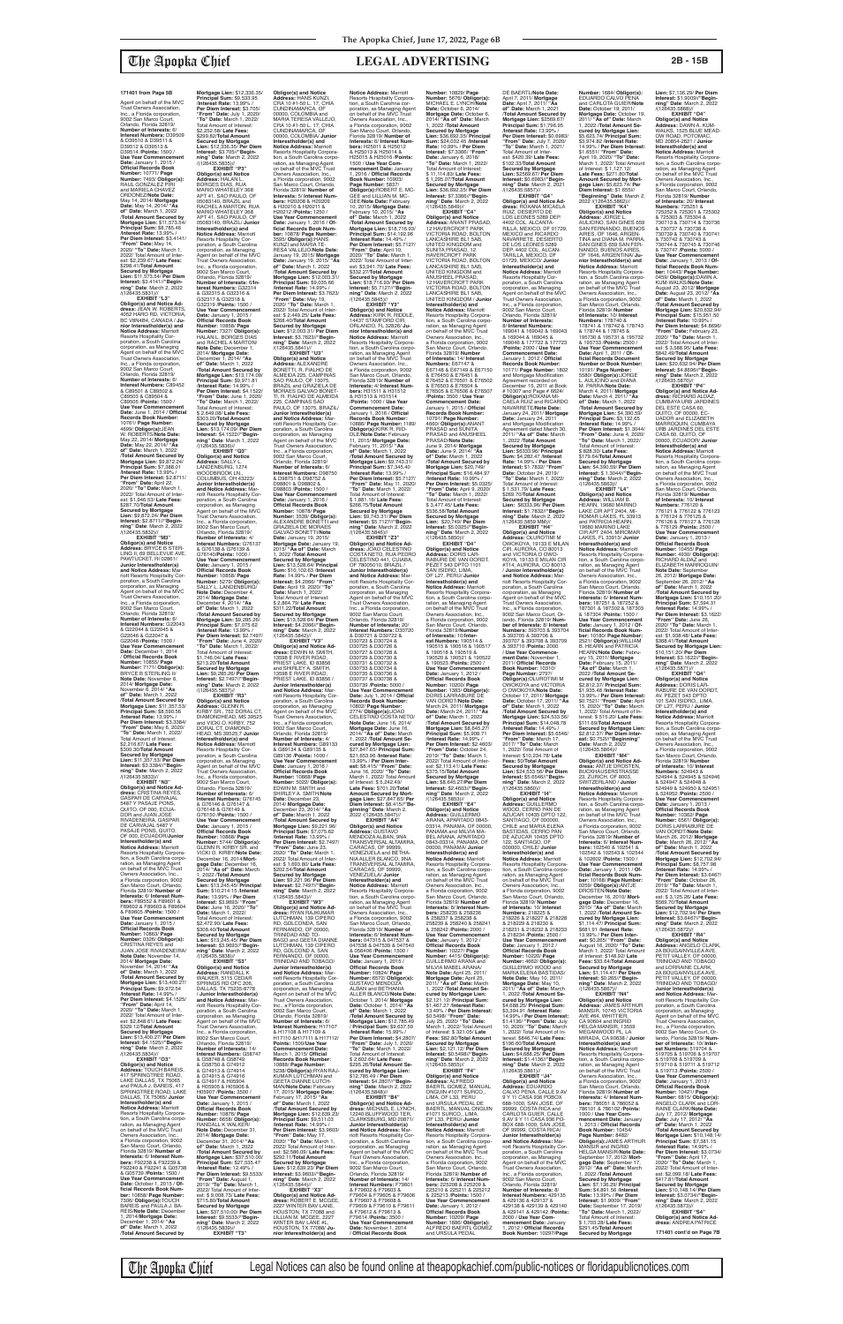Agent on behalf of the MVC Trust Owners Association, Inc., a Florida corporation, 9002 San Marco Court, Orlando, Florida 32819/<br>**Number of Interests:** 6/<br>**Interest Numbers:** D39509<br>& D39510 & D39511 & D39512 & D39513 & D39514 /**Points:** 1500 / **Use Year Commencement Date:** January 1, 2015 / **Official Records Book Number:** 10771/ **Page Number:** 7493/ **Obligor(s):** RAUL GONZALEZ PIRI and MARIELA CHAVEZ ORDONEZ/**Note Date:** May 14, 2014/ **Mortgage Date:** May 14, 2014/ **"As of" Date:** March 1, 2022 /**Total Amount Secured by Mortgage Lien:** \$11,573.54/ **Principal Sum:** \$8,785.46 /**Interest Rate:** 13.99% / Per Diem Interest: \$3.4141 **"From" Date:** May 14, 2020/ **"To" Date:** March 1, 2022/ Total Amount of Inter-est: \$2,239.67/ **Late Fees:** \$298.41/**Total Amount Secured by Mortgage Lien:** \$11,573.54/ **Per Diem Interest:** \$3.4141//**"Begin-ning" Date**: March 2, 2022 /(126435.5831)// **EXHIBIT "L3"**

**Obligor(s) and Notice Ad-dress:** JEAN W. ROBERTS, 4052 HARO RD, VICTORIA, BC V8N4B4, CANADA / **Junior Interestholder(s) and Notice Address:** Marriott Resorts Hospitality Corporation, a South Carolina corporation, as Managing Agent on behalf of the MVC Trust Owners Association, Inc., a Florida corporation, 9002 San Marco Court, Orlando, Florida 32819/ **Number of Interests:** 6/ **Interest Numbers:** C89452 & C89501 & C89502 & C89503 & C89504 & C89505 /**Points:** 1500 / **Use Year Commencement Date:** June 1, 2014 / **Official Records Book Number:** 10761/ **Page Number:** 4699/ **Obligor(s):**JEAN W. ROBERTS/**Note Date:** May 22, 2014/ **Mortgage Date:** May 22, 2014/ **"As of" Date:** March 1, 2022 /**Total Amount Secured by Mortgage Lien:** \$9,872.24/ **Principal Sum:** \$7,388.01 /**Interest Rate:** 13.99% / **Per Diem Interest:** \$2.8711/ **"From" Date:** April 22, 2020/ **"To" Date:** March 1, 2022/ Total Amount of Inter-est: \$1,946.53/ **Late Fees:** \$287.70/**Total Amount Secured by Mortgage Lien:** \$9,872.24/ **Per Diem Interest:** \$2.8711//**"Begin-ning" Date**: March 2, 2022 /(126435.5832)//

**EXHIBIT "M3" Obligor(s) and Notice Address:** BRYCE B STER-LING II, 69 BELLEVUE AVE, PAWTUCKET, RI 02861/ **Junior Interestholder(s)**  and Notice Address: Ma riott Resorts Hospitality Corporation, a South Carolina corporation, as Managing Agent on behalf of the MVC Trust Owners Association, Inc., a Florida corporation, 9002 San Marco Court, Orlando, Florida 32819/ **Number of Interests:** 6/<br>**Interest Numbers:** G22043<br>& G22044 & G22045 & G22046 & G22047 & G22048 /**Points:** 1500 / **Use Year Commence Date:** December 1, 2014 / **Official Records Book Number:** 10855/ **Page Number:** 7171/ **Obligor(s):** BRYCE B STERLING II/ **Note Date:** November 6, 2014/ **Mortgage Date:** November 6, 2014/ **"As of" Date:** March 1, 2022 /**Total Amount Secured by Mortgage Lien:** \$11,357.53/ **Principal Sum:** \$8,590.56 /**Interest Rate:** 13.99% / **Per Diem Interest:** \$3.3384/ **"From" Date:** May 6, 2020/ **"To" Date:** March 1, 2022/ Total Amount of Interest:<br>\$2.216.67/ Late Fees: \$2,216.67/ **Late Fees:** \$300.30/**Total Amount Secured by Mortgage Lien:** \$11,357.53/ **Per Diem Interest:** \$3.3384//**"Begin-ning" Date**: March 2, 2022 /(126435.5833)// **EXHIBIT "N3" Obligor(s) and Notice Ad-dress:** CRISTINA REYES, GASPAR DE CARVAJAL 5487 Y PASAJE PONS, QUITO, OF 000, ECUA-DOR and JUAN JOSE RIVADENEIRA, GASPAR DE CARVAJAL 5487 Y PASAJE PONS, QUITO, OF 000, ECUADOR/**Junior Interestholder(s) and Notice Address:** Marriott Resorts Hospitality Corporation, a South Carolina corporation, as Managing Agent<br>on behalf of the MVC Trust Owners Association, Inc., a Florida corporation, 9002 San Marco Court, Orlando, Florida 32819/ **Number of Interests:** 6/ **Interest Num-bers:** F89552 & F89601 & F89602 & F89603 & F89604 & F89605 /**Points:** 1500 / **Use Year Commencement Date:** January 1, 2015 / **Official Records Book Number:** 10863/ **Page Number:** 0326/ **Obligor(s):** CRISTINA REYES and JUAN JOSE RIVADENEIRA/ **Note Date:** November 14, 2014/ **Mortgage Date:** November 14, 2014/ **"As of" Date:** March 1, 2022 /**Total Amount Secured by Mortgage Lien:** \$13,400.27/ **Principal Sum:** \$9,972.54 /**Interest Rate:** 14.99% / **Per Diem Interest:** \$4.1525/ **"From" Date:** April 14, 2020/ **"To" Date:** March 1, 2022/ Total Amount of Interest: \$2,848.61/ **Late Fees:** \$329.12/**Total Amount Secured by Mortgag Lien:** \$13,400.27/ **Per Diem Interest:** \$4.1525//**"Begin-ning" Date**: March 2, 2022 /(126435.5834)// **EXHIBIT "O3" Obligor(s) and Notice Address:** TOUCH BAREIS, 417 SPRINGTREE ROAD, LAKE DALLAS, TX 75065 and PAULA J. BAREIS, 417 SPRINGTREE ROAD, LAKE DALLAS, TX 75065/ **Junior Interestholder(s) and Notice Address:** Marriott<br>Resorts Hospitality Corporation, a South Carolina corporation, as Managing Agent<br>on behalf of the MVC Trust Owners Association, Inc., a Florida corporation, 9002 San Marco Court, Orlando, Florida 32819/ **Number of Interests:** 6/ **Interest Num-bers:** F92238 & F92239 & F92240 & F92241 & G05738 & G05739 /**Points:** 1500 / **Use Year Commencement Date:** October 1, 2015 / **Official Records Book Num-ber:** 10858/ **Page Number:**

7306/ **ObIigor(s):**TOUCH BAREIS and PAULA J. BA-REIS/**Note Date:** December 1, 2014/**Mortgage Date:** December 1, 2014/ **"As of" Date:** March 1, 2022 /**Total Amount Secured by** 

**Mortgage Lien:** \$12,336.35/ **Principal Sum:** \$9,533.95 /**Interest Rate:** 13.99% / **Per Diem Interest:** \$3.705/ **"From" Date:** July 1, 2020/ **"To" Date:** March 1, 2022/ Total Amount of Interest: \$2,252.58/ **Late Fees:** \$299.82/**Total Amount Secured by Mortgage Lien:** \$12,336.35/ **Per Diem Interest:** \$3.705//**"Beginning" Date**: March 2, 2022 /(126435.5835)// **EXHIBIT "P3" Obligor(s) and Notice Address:** HALAN L. BORGES DIAS, RUA MARIO WHATELEY 368 APT 41, SAO PAULO, OF 05083140, BRAZIL and RACHEL A MARTON, RUA MARIO WHATELEY 368 APT 41, SAO PAULO, OF 05083140, BRAZIL/ **Junior Interestholder(s) and Notice Address:** Marriott Resorts Hospitality Cor-poration, a South Carolina corporation, as Managing Agent on behalf of the MVC Trust Owners Association, Inc., a Florida corporation, 9002 San Marco Court, Orlando, Florida 32819/ **Number of Interests:** 6/**Interest Numbers:** G32314 & G32315 & G32316 & G32317 & G32318 & G32319 /**Points:** 1500 / **Use Year Commencement Date:** January 1, 2015 / **Official Records Book Number:** 10858/ **Page Number:** 7327/ **Obligor(s):** HALAN L. BORGES DIAS and RACHEL A MARTON/<br>Note Date: December 1 **Note Date:** December 1, 2014/ **Mortgage Date:** December 1, 2014/ **"As of" Date:** March 1, 2022 /**Total Amount Secured by Mortgage Lien:** \$13,174.09/ **Principal Sum:** \$9,971.81 /**Interest Rate:** 14.99% / **Per Diem Interest:** \$4.1522/ **"From" Date:** June 1, 2020/ **"To" Date:** March 1, 2022/ Total Amount of Interest: \$ 2,649.08/ **Late Fees:** \$303.20/**Total Amount Secured by Mortgage Lien:** \$13,174.09/ **Per Diem Interest:** \$4.1522//**"Beginning" Date**: March 1, 2022 /(126435.5836)// **EXHIBIT "Q3" Obligor(s) and Notice Address:** SALLY L. LANDENBURG, 1274 WOODBROOK LN., COLUMBUS, OH 43223/ **Junior Interestholder(s) and Notice Address:** Mar-riott Resorts Hospitality Corporation, a South Carolina corporation, as Managing Agent on behalf of the MVC Trust Owners Association, Inc., a Florida corporation, 9002 San Marco Court, Orlando, Florida 32819/ **Number of Interests:** 4/ **Interest Numbers:** G76137 & G76138 & G76139 & G76140/**Points:** 1000 / **Use Year Commencen<br>Date: January 1, 2015/ Date:** January 1, 2015 / **Official Records Book Number:** 10858/ **Page Number:** 5279/ **Obligor(s):** SALLY L. LANDENBURG/ **Note Date:** December 4, 2014/ **Mortgage Date:** December 4, 2014/ **"As of" Date:** March 1, 2022 /**Total Amount Secured by Mortgage Lien:** \$9,285.26/ **Principal Sum:** \$7,075.62 /**Interest Rate:** 13.99% / **Per Diem Interest:** \$2.7497/ **"From" Date:** June 4, 2020/ **"To" Date:** March 1, 2022/ Total Amount of Interest: \$1,746.04/ **Late Fees:** \$213.20/**Total Amount Secured by Mortgage Lien:** \$9,285.26/ **Per Diem Interest:** \$2.7497//**"Begin-ning" Date**: March 2, 2022 /(126435.5837)// **EXHIBIT "R3"<br><b>Obligor(s) and Notice<br><b>Addres**s: GLENN R.<br>KIRBY SR., 752 DORAL CT,<br>DIAMONDHEAD, MS 39525<br>and VICKI O. KIRBY, 752 DORAL CT, DIAMOND-HEAD, MS 39525,7 **Junior Interestholder(s) and Notice Address:** Marriott Resorts Hospitality Cor-poration, a South Carolina corporation, as Managing<br>Agent on behalf of the MVC<br>Trust Owners Association Agent on behalf of the MVC Trust Owners Association, Inc., a Florida corporation, 9002 San Marco Court, Orlando, Florida 32819/ **Number of Interests:** 6/ **Interest Numbers:** G76145 & G76146 & G76147 & G76148 & G76149 & G76150 /**Points:** 1500 / **Use Year Commencem Date:** January 1, 2015 / **Official Records Book Number:** 10868/ **Page Number:** 5744/ **Obligor(s):** GLENN R. KIRBY SR. and VICKI O. KIRBY/**Note Date:** December 16, 2014/**Mortgage Date:** December 16, 2014/ **"As of" Date:** March 1, 2022 /**Total Amount Secured by Mortgage Lien:** \$13,245.45/ **Principal Sum:** \$10,214.15 /**Interest Rate:** 13.99% / **Per Diem Interest:** \$3.9693/ **"From" Date:** June 16, 2020/ **Date:** March 1, 2022/ Total Amount of Interest: \$2,472.90/ **Late Fees:** \$308.40/**Total Amount Secured by Mortgage Lien:** \$13,245.45/ **Per Diem Interest:** \$3.9693//**"Begin-ning" Date**: March 2, 2022 /(126435.5838)// **EXHIBIT "S3" Obligor(s) and Notice Address:** RANDALL K WALKER, 5115 CEDAR SPRINGS RD OFC 206, DALLAS, TX 75235-8778 / **Junior Interestholder(s) and Notice Address:** Mar-riott Resorts Hospitality Corporation, a South Carolina corporation, as Managing Agent on behalf of the MVC Trust Owners Association, Inc., a Florida corporation, 9002 San Marco Court, Orlando, Florida 32819/ **Number of Interests:** 14/ **Interest Numbers:** G58747 & G58748 & G58749 & G58750 & G74912 & G74913 & G7491 & G74915 & G74916 & G74917 & H05904 & H05905 & H05906 & H05907 /**Points:** 3500 / **Use Year Commencement Date:** January 1, 2015 / **Official Records Book Number:** 10876/ **Page Number:** 6658/ **ObIigor(s):** RANDALL K WALKER/ **Note Date:** December 31, 2014/ **Mortgage Date:** December 31, 2014/ **"As of" Date:** March 1, 2022 /**Total Amount Secured by Mortgage Lien:** \$37,510.00/ **Principal Sum:** \$27,535.47 /**Interest Rate:** 12.49% / **Per Diem Interest:** \$9.5533/ **"From" Date:** August 1, 2019/ **"To" Date:** March 1, 2022/ Total Amount of Inter-est: \$ 9,008.73/ **Late Fees:** \$715.80/**Total Amount Secured by Mortgage Lien:** \$37,510.00/ **Per Diem Interest:** \$9.5533//**"Beginning" Date**: March 2, 2022 /(126435.5839)// **EXHIBIT "T3"**

**Obligor(s) and Notice Address:** HANS KUNZI, CRA 10 #1-50 L. 17, CHIA CUNDINAMARCA, OF 00000, COLOMBIA and MARIA TERESA VALLEJO, CRA 10 #1-50 L. 17, CHIA CUNDINAMARCA, OF 00000, COLOMBIA/ **Junior Interestholder(s) and Notice Address:** Marriott<br>Resorts Hospitality Corpora-<br>tion, a South Carolina corporation, as Managing Agent on behalf of the MVC Trust Owners Association, Inc., a Florida corporation, 9002 San Marco Court, Orlando, Florida 32819/ **Number of Interests:** 5/ **Interest Num-bers:** H20208 & H20209 & H20210 & H20211 & H20212 /**Points:** 1250 / **Use Year Commencement Date:** January 1, 2016 / **Official Records Book Num-ber:** 10878/ **Page Number:** 3595/ **Obligor(s):**HANS KUNZI and MARIA TE-RESA VALLEJO/**Note Date:** January 19, 2015/ **Mortgage Date:** January 19, 2015/ **"As of" Date:** March 1, 2022 /**Total Amount Secured by Mortgage Lien:** \$12,003.31/ **Principal Sum:** \$9,035.66 /**Interest Rate:** 14.99% / **Per Diem Interest:** \$3.7623/ **"From" Date:** May 19, 2020/ **"To" Date:** March 1, 2022/ Total Amount of Inter-est: \$ 2,449.25/ **Late Fees:** \$268.40/**Total Amount Secured by Mortgage Lien:** \$12,003.31/ **Per Diem Interest:** \$3.7623//**"Begin-ning" Date**: March 2, 2022 /(126435.5841)// **EXHIBIT "U3" Obligor(s) and Notice Address:** ALEXANDRE BONETTI, R. FIALHO DE<br>ALMEIDA 225, CAMPINAS<br>SAO PAULO, OF 13075,<br>BRAZIL and GRAZIELA DE<br>MORAES GALVAO BONET-<br>TI, R. FIALHO DE ALMEIDA 225, CAMPINAS SAO PAULO, OF 13075, BRAZIL/ **Junior Interestholder(s) and Notice Address:** Marriott Resorts Hospitality Cor-poration, a South Carolina corporation, as Managing Agent on behalf of the MVC Trust Owners Association, Inc., a Florida corporation, 9002 San Marco Court, Orlando, Florida 32819/ **Number of Interests:** 6/ **Interest Numbers:** D98750<br>& D98751 & D98752 &<br>D98801 & D98802 & D98803 /**Points:** 1500 / **Use Year Commencement Date:** January 1, 2016 / **Official Records Book Number:** 10878/ **Page Number:** 3539/ **Obligor(s):** ALEXANDRE BONETTI and GRAZIELA DE MORAES GALVAO BONETTI/**Note Date:** January 19, 2015/ **Mortgage Date:** January 19, 2015/ **"As of" Date:** March 1, 2022 /**Total Amount Secured by Mortgage Lien:** \$13,528.64/ **Principal Sum:** \$10,102.63 /**Interest Rate:** 14.99% / **Per Diem Interest:** \$4.2066/ **"From" Date:** April 19, 2020/ **"To" Date:** March 1, 2022/ Total Amount of Interest: \$ 2,864.79/ **Late Fees:** \$311.22/**Total Amount Secured by Mortgage Lien:** \$13,528.64/ **Per Diem Interest:** \$4.2066//**"Beginning" Date**: March 2, 2022 /(126435.5842)// **EXHIBIT "V3" Obligor(s) and Notice Ad-dress:** EDWIN M. SMITH, 13598 E RIVER ROAD, PRIEST LAKE, ID 83856 and SHIRLEY A. SMITH, 13598 E RIVER ROAD, PRIEST LAKE, ID 83856 / **Junior Interestholder(s) and Notice Address:** Marriott Resorts Hospitality Cor-poration, a South Carolina corporation, as Managing Agent on behalf of the MVC Trust Owners Association, Inc., a Florida corporation, 9002 San Marco Court, Orlando, Florida 32819/ **Number of Interests:** 4/ **Interest Numbers:** G89133 & G89134 & G89135 & G89136 /**Points:** 1000 / **Use Year Commencement Date:** January 1, 2016 / **Official Records Book Number:** 10868/ **Page Number:** 5022/ **Obligor(s):** EDWIN M. SMITH and SHIRLEY A. SMITH/**Note Date:** December 23, 2014/ **Mortgage Date:** December 23, 2014/ **"As of" Date:** March 1, 2022 /**Total Amount Secured by Mortgage Lien:** \$9,221.96/ **Principal Sum:** \$7,075.62 /**Interest Rate:** 13.99% / **Per Diem Interest:** \$2.7497/ **"From" Date:** June 23, 2020/ **"To" Date:** March 1, 2022/ Total Amount of Interest: \$ 1,693.80/ **Late Fees:** \$202.54/**Total Amount Secured by Mortgage Lien:** \$9,221.96/ **Per Diem Interest:** \$2.7497//**"Beginning" Date**: March 2, 2022 /(126435.5843)// **EXHIBIT "W3" Obligor(s) and Notice Ad-dress:** RYAN RAJKUMAR LUTCHMAN, 139 CIPERO RD, GOLCONDA, SAN FERNANDO, OF 00000,<br>TRINIDAD AND TO-TRINIDAD AND TO-BAGO and GEETA DIANNE LUTCHMAN, 139 CIPERO RD, GOLCOND A, SAN FERNANDO, OF 00000, TRINIDAD AND TOBAGO/ **Junior Interestholder(s) and Notice Address:** Marriott Resorts Hospitality Cor-poration, a South Carolina corporation, as Managing Agent on behalf of the MVC Trust Owners Association, Inc., a Florida corporation, 9002 San Marco Court, Orlando, Florida 32819/ **Number of Interests:** 6/ **Interest Numbers:** H17107 & H17108 & H17109 & H17110 &H17111 & H17112/ **Points:** 1500/**Use Year Commencement Date:** March 1, 2015/ **Official Records Book Number:** 10888/ **Page Number:** 5238/ **Obligor(s):**RYAN RAJ-KUMAR LUTCHMAN and GEETA DIANNE LUTCH-MAN/**Note Date:** February 17, 2015/ **Mortgage Date:** February 17, 2015/ **"As of" Date:** March 1, 2022 /**Total Amount Secured by Mortgage Lien:** \$12,639.23/ **Principal Sum:** \$9,511.03 /**Interest Rate:** 14.99% / **Per Diem Interest:** \$3.9603/ **"From" Date:** May 17, 2020/ **"To" Date:** March 1, 2022/ Total Amount of Interest: \$2,586.09/ **Late Fees:** \$292.11/**Total Amount Secured by Mortgage Lien:** \$12,639.23/ **Per Diem Interest:** \$3.9603//**"Begin-ning" Date**: March 2, 2022 /(126435.5844)// **EXHIBIT "X3" Obligor(s) and Notice Ad-dress:** ROBERT E. MCGEE, 2227 WINTER BAV LANE, HOUSTON, TX 77088 and LILLIAN M. MCGEE, 2227 WINTER BAV LANE #L, HOUSTON, TX 77088/ **Junior Interestholder(s) and Notice Address:** Marriott **Interests:** 6/ **Interest Numbers:** H25011 & H25012 & H25013 & H25014 & H25015 & H25016 /**Points:** 10, 2015/ **Mortgage Date:** February 10, 2015/ **"As of" Date:** March 1, 2022 /**Interest Rate:** 14.49% / \$332.27/**Total Amount Secured by Mortgage Notice Address:** Marriott Owners Association, Inc.,<br>a Florida cornoration, 9002 /**Points:** 1000 / **Use Year Commencement Date:** January 1, 2016 / **Official Records Book Number:** 11, 2015/ **Mortgage Date:** February 11, 2015/ **"As of" Date:** March 1, 2022 \$ 1,881.16/ **Late Fees:** \$266.75/**Total Amount**  Trust Owners Association, Inc., a Florida corporation, 9002 San Marco Court, Orlando, Florida 32819/ **Number of Interests:** 20/ **Interest Numbers:** D30720 & D30721 & D30722 & D30723 & D30724 & D30725 & D30726 & D30727 & D30728 & D30729 & D30730 & D30731 & D30732 & D30733 & D30734 & D30735 & D30736 & D30737 & D30738 & **cured by Mortgage Lien:**  \$27,847.65/ **Principal Sum:** \$21,653.96 /**Interest Rate:** 13.99% / **Per Diem Inter**of Interest: \$ 5,242.49/ **Late Fees:** \$701.20/**Total Amount Secured by Mortgage Lien:** \$27,847.65/ **Per**  2022 /(126435.5847)// **EXHIBIT "A4" Obligor(s) and Notice Address:** GUSTAVO MENDOZA ALBAN, 9NA CARACAS, OF 99999, VENEZUELA and BETHA-NIA ALLER BLANCO, 9NA VENEZUELA/ **Junior Interestholder(s) and Notice Address:** Marriott Resorts Hospitality Corpora-San Marco Court, Orlando, **bers:** 047315 & 047537 & **Use Year Commenceme Date:** January 1, 2015 / ALBAN and BETHANIA Total Amount of Interest: \$ 2,602.64/ **Late Fees:** \$295.26/**Total Amount Secured by Mortgage Lien:**  \$12,785.49 / **Per Diem Interest:** \$4.2807//**"Beginning" Date**: March 2, 2022 /(126435.5848)// CLARKSBURG, MD 20871/ poration, a South Carolina corporation, as Managing Agent on behalf of the MVC Trust Owners Association, Inc., a Florida corporation, 9002 San Marco Court, Orlando, Florida 32819/ **Number of Interests:** 14/ **Interest Numbers:** F79601 F79614 /**Points:** 3500 / / **Official Records Book** 

ficial Records Book Num-<br>ber: 10180/ Page Number:<br>2521/ Obligor(s):WILLIAM<br>B. HEARN and PATRICIA<br>HEARN and PATRICIA<br>ary 15, 2011/ Mortgage<br>Date: February 15, 2011/<br>"As of" Date: March 1,<br>2022 /Total Amount Se-**Interestholder(s) and Notice Address:** Marriott Resorts Hospitality Corpora-tion, a South Carolina corporation, as Managing Agent<br>on behalf of the MVC Trust<br>Owners Association, Inc.,<br>a Florida corporation, 9002 San Marco Court, Orlando, Florida 32819/ **Number of Interests:** 10/ **Interest**<br>**Numbers:** 776120 &<br>776121 & 776122 & 776123<br>& 776126 & 776127 & 776128<br>& 776129 /**Points:** 2500 / **Use Year Commencement Date:** January 1, 2013 / **Official Records Book Number:** 10455/ **Page Number:** 4930/ **Obligor(s):** RICHARD ALDAZ and ELIZABETH MARROQUIN/ **Note Date:** September 26, 2012/ **Mortgage Date:** September 26, 2012/ **"As of" Date:** March 1, 2022 /**Total Amount Secured by Mortgage Lien:** \$10,151.20/ **Principal Sum:** \$7,594.31 /**Interest Rate:** 14.99% / **Per Diem Interest:** \$3.1622/ **"From" Date:** June 26, 2020/ **"To" Date:** March 1, 2022/ Total Amount of Inter est: \$1,938.48/ **Late Fees:** \$368.41/**Total Amount Secured by Mortgage Lien:**  \$10,151.20/ **Per Diem Interest:** \$3.1622//**"Beginning" Date**: March 2, 2022 /(126435.5871)// **EXHIBIT "Q4"**

Resorts Hospitality Corpora-tion, a South Carohna corporation, as Managing Agent<br>on behalf of the MVC Trust<br>Owners Association, Inc.,<br>a Florida corporation, 9002 San Marco Court, Orlando, Florida 32819/ **Number of**  1500 / **Use Year Com-mencement Date:** January 1, 2016 / **Official Records Book Number:** 10903/ **Page Number:** 5837/ **Obligor(s):**ROBERT E. MC-GEE and LILLIAN M. MC-GEE/**Note Date:** February /**Total Amount Secured by Mortgage Lien:** \$18,716.93/ **Principal Sum:** \$14,192.96 **Per Diem Interest:** \$5.7127/ **"From" Date:** April 10, 2020/ **"To" Date:** March 1, 2022/ Total Amount of Inter-est: \$3,941.70/ **Late Fees: Lien:** \$18,716.93/ **Per Diem Interest:** \$5.7127//**"Begin-ning" Date**: March 2, 2022 /(126435.5845)// **EXHIBIT "Y3" Obligor(s) and Notice Address:** KIRK R. RIDDLE, 14437 STAMFORD CIR, ORLANDO, FL 32826/ **Ju-nior Interestholder(s) and**  Resorts Hospitality Corpora-tion, a South Carolina corpo-ration, as Managing Agent on behalf of the MVC Trust a Florida corporation, 9002<br>Florida 32819/ **Number of<br>Interests: 4/ Interest Num-<br><b>Interests:** 4/ Interest Num-<br>**bers**: H31511 & H31512<br>& H31513 & H31514 10886/ **Page Number:** 1189/ **Obligor(s):**KIRK R. RID-DLE/**Note Date:** February /**Total Amount Secured by Mortgage Lien:** \$9,743.31/ **Principal Sum:** \$7,345.40 /**Interest Rate:** 13.99% / **Per Diem Interest:** \$5.7127/ **"From" Date:** May 11, 2020/ **"To" Date:** March 1, 2022/ Total Amount of Interest: **Secured by Mortgage Lien:** \$9,743.31/ **Per Diem Interest:** \$5.7127//**"Begin-ning" Date**: March 2, 2022 /(126435.5846)// **EXHIBIT "Z3" Obligor(s) and Notice Ad-dress:** JOAO CELESTINO COSTA NETO, RUA PEDRO CELESTINO 441, CUIABA, OF 78005010, BRAZIL /<br>**Junior Interestholder(s)**<br>**and Notice Address:** Mar-<br>riott Resorts Hospitality Cor-<br>poration, a South Carolina<br>corporation, as Managing<br>Agent on behalf of the MVC D30739 /**Points:** 5000 / **Use Year Commencement Date:** July 1, 2014 / **Official Records Book Number:** 10802/ **Page Number:** 2774/ **Obligor(s):**JOAO CELESTINO COSTA NETO/ **Note Date:** June 16, 2014/ **Mortgage Date:** June 16, 2014/ **"As of" Date:** March 1, 2022 /**Total Amount Seest:** \$8.415/ **"From" Date:** June 16, 2020/ **"To" Date:** March 1, 2022/ Total Amount **Diem Interest:** \$8.415//**"Be-ginning" Date**: March 2, TRANSVERSAL ALTAMIRA, TRANSVERSAL ALTAMIRA, CARACAS, OF 99999, tion, a South Carolina corpo-ration, as Managing Agent on behalf of the MVC Trust Owners Association, Inc., a Florida corporation, 9002 Florida 32819/ **Number of Interests:** 6/ **Interest Num-**047538 & 047539 & 047540 & 056406 /**Points:** 1500 / **Official Records Book Number:** 10824/ **Page Number:** 6572/ **Obligor(s):** GUSTAVO MENDOZA ALLER BLANCO/**Note Date:** October 1, 2014/ **Mortgage Date:** October 1, 2014/ **"As of" Date:** March 1, 2022 /**Total Amount Secured by Mortgage Lien:** \$12,785.49 / **Principal Sum:** \$9,637.59 /**Interest Rate:** 15.99% / **Per Diem Interest:** \$4.2807/ **"From" Date:** July 1, 2020/ **"To" Date:** March 1, 2022/ **EXHIBIT "B4" Obligor(s) and Notice Ad-dress:** MICHAEL E. LYNCH, 12240 BLUFFWOOD TER, **Junior Interestholder(s)**<br>**and Notice Address:** Mar-<br>riott Resorts Hospitality Cor-& F79602 & F79603 & F79604 & F79605 & F79606 & F79607 & F79608 & F79609 & F79610 & F79611 & F79612 & F79613 & **Use Year Commencement Date:** November 1, 2014 **Number:** 10829/ **Page Number:** 5676/ **Obligor(s):** MICHAEL E. LYNCH/**Note Date:** October 6, 2014/ **Mortgage Date:** October 6, 2014/ **"As of" Date:** March 1, 2022 /**Total Amount Secured by Mortgage Lien:** \$36,692.35/ **Principal Sum:** \$24,032.45 /**Interest Rate:** 10.99% / **Per Diem Interest:** \$7.3366/ **"From" Date:** January 6, 2018/ **"To" Date:** March 1, 2022/ Total Amount of Interest:<br>\$11.114.83/Late Fees: \$ 11,114.83/ Late Fees:<br>\$ 1,295.07/Total Amount<br>Secured by Mortgage<br>Lien: \$36,692.35/ Per Diem<br>Interest: \$7.3366//"Begin-<br>ning" Date: March 2, 2022<br>(126435.5849)// **EXHIBIT "C4" Obligor(s) and Notice Address:** ANANT PRASAD, 12 HAVERCROFT PARK VICTORIA ROAD, BOLTON LANCASHIRE BL1 5AB, UNITED KINGDOM and<br>SUNITA PRASAD, 12 SUNITA PRASAD, 12 HAVERCROFT PARK VICTORIA ROAD, BOLTON LANCASHIRE BL1 5AB, UNITED KINGDOM and ANUSHEEL PRASAD, 12 HAVERCROFT PARK VICTORIA ROAD, BOLTON LANCASHIRE BL1 5AB, UNITED KINGDOM / **Junior Interestholder(s) and Notice Address:** Marriott<br>Resorts Hospitality Corpora-<br>tion, a South Carolina corporation, as Managing Agent<br>on behalf of the MVC Trust Owners Association, Inc., a Florida corporation, 9002 San Marco Court, Orlando, Florida 32819/ **Number of Interests:** 14/ **Interest Numbers:** E67147 & E67148 & E67149 & E67150 & E76450 & E76451 & E76452 & E76501 & E76502 & E76503 & E76504 & E76505 & E76506 & E76507 /**Points:** 3500 / **Use Year Commencement Date:** January 1, 2015 / **Official Records Book Number:** 10791/ **Page Number:** 4660/ **Obligor(s):**ANANT PRASAD and SUNITA **PRASAD and ANUSHEEL<br>PRASAD/Note Date:** PRASAD/**Note Date:** June 9, 2014/ **Mortgage Date:** June 9, 2014/ **"As of" Date:** March 1, 2022 /**Total Amount Secured by Mortgage Lien:** \$20,749/ **Principal Sum:** \$16,484.97 /**Interest Rate:** 10.99% / **Per Diem Interest:** \$5.0325/ **"From" Date:** April 9, 2020/ **"To" Date:** March 1, 2022/ Total Amount of Interest: \$ 3,477.45/ **Late Fees:** \$536.58/**Total Amount Secured by Mortgage Lien:** \$20,749/ **Per Diem Interest:** \$5.0325//**"Beginning" Date**: March 2, 2022 /(126435.5850)// **EXHIBIT "D4" Obligor(s) and Notice Address:** DORIS LAR-RABURE DE VAN OORDT, PEZET 543 DPTO 1101 SAN ISIDRO, LIMA,<br>OF L27. PERU/ **Junior** OF L27, PERU/ **Junior Interestholder(s) and Notice Address:** Marriott Resorts Hospitality Corpora-tion, a South Carolina corporation, as Managing Agent on behalf of the MVC Trust Owners Association, Inc., a Florida corporation, 9002 San Marco Court, Orlando, Florida 32819/**Number of Interests:** 10/**Inter-est Numbers:** 190514 & 190515 & 190516 & 190517 & 190518 & 190519 & 190520 & 190521 & 190522 & 190523 /**Points:** 2500 / **Use Year Commencement Date:** January 1, 2012 / **Official Records Book Number:** 10200/ **Page Number:** 1383/ **ObIigor(s):** DORIS LARRABURE DE<br>VAN OORDT/**Note Date:**<br>March 24, 2011/ Mortgage<br>Date: March 24, 2011/ **"As<br>of" Date:** March 1, 2022<br>**//Total Amount Secured by Mortgage Lien:** \$8,645.27/ **Principal Sum:** \$5,908.71 /**Interest Rate:** 14.99% / **Per Diem Interest:** \$2.4603/ **"From" Date:** October 24, 2019/ **"To" Date:** March 1, 2022/ Total Amount of Interest: \$2,113.41/ **Late Fees:** \$373.15/**Total Amount Secured by Mortgage Lien:** \$8,645.27/**Per Diem Interest:** \$2.4603//**"Beginning" Date**: March 2, 2022 /(126435.5853)// **EXHIBIT "E4" Obligor(s) and Notice Address:** GUILLERMO ARANA, APARTADO 0843- 03314, PANAMA, OF 00000, PANAMA and MILVIA MA-BEL ARANA, APARTADO<br>0843-03314, PANAMA, OF<br>00000, PANAMA/ **Junior Interestholder(s) and Notice Address:** Marriott Resorts Hospitality Corpora-tion, a South Carolina corporation, as Managing Agent<br>on behalf of the MVC Trust Owners Association, Inc., a Florida coiporation, 9002 San Marco Court, Orlando, Florida 32819/ **Number of Interests:** 8/ **Interest Numbers:** 258235 & 258236 & 258237 & 258238 & 258239 & 258240 & 258241 & 258242 /**Points:** 2000 / **Use Year Commencement Date:** January 1, 2012 / **Official Records Book Number:** 10227/ **Page Number:** 4415/ **Obligor(s):** GUILLERMO ARANA and MILVIA MABEL ARANA/ **Note Date:** April 25, 2011/ **Mortgage Date:** April 25, 2011/ **"As of" Date:** March 1, 2022 /**Total Amount Secured by Mortgage Lien:**  \$2,121.12/ **Principal Sum:** \$1,467.27 /**Interest Rate:** 13.49% / **Per Diem Interest:** \$0.5498/ **"From" Date:** July 25, 2020/ **"To" Date:** March 1, 2022/ Total Amount of Interest: \$ 321.05/ **Late Fees:** \$82.80/**Total Amount Secured by Mortgage Lien:** \$2,121.12/ **Per Diem Interest:** \$0.5498//**"Beginning" Date**: March 2, 2022 /(126435.5855)// **EXHIBIT "F4" Obligor(s) and Notice Address:** ALFREDO BAERTL GOMEZ, MANUAL ONGUIN #1071 SURCO,, LIMA, OF L33, PERU<br>and URSULA PEDAL DE<br>BAERTL, MANUAL ONGUIN<br>#1071 SURCO,, LIMA, OF L33, PERU/ **Junior Interestholder(s) and Notice Address:** Marriott Resorts Hospitality Corporation, a South Carolina corporation, as Managing Agent<br>on behalf of the MVC Trust Owners Association, Inc., a Florida coiporation, 9002 San Marco Court, Orlando, Florida 32819/ **Number of Interests:** 6/ **Interest Numbers:** 225208 & 225209 & 225210 & 225211 & 225212 & 225213 /**Points:** 1500 / Use Year Commencement **Date:** January 1, 2012 / **Official Records Book Number:** 10209/ **Page Number:** 1886/ **Obligor(s):** ALFREDO BAERTL GOMEZ and URSULA PEDAL October 17, 2011/ **Mortgag Date:** October 17, 2011/ **"As of" Date:** March 1, 2022 /**Total Amount Secured by Mortgage Lien:** \$24,533.56/ **Principal Sum:** \$14,048.78 /**Interest Rate:** 14.49% / **Per Diem Interest:** \$5.6546/ **"From" Date:** March 17, 2017/ **"To" Date:** March 1, 2022/ Total Amount of Interest: \$10,234.78/ **Late Fees:** \$0/**Total Amount Secured by Mortgage Lien:** \$24,533.56/ **Per Diem Interest:** \$5.6546//**"Beginning" Date**: March 2, 2022 /(126435.5860)// **EXHIBIT "I4" Obligor(s) and Notice Address:** GUILLERMO WOOD, CERRO PAN DE AZUCAR 10435 DPTO 122, SANTIAGO, OF 000000, CHILE and MARIA ELENA BASTIDAS, CERRO PAN<br>DE AZUCAR 10435 DPTO<br>122, SANTIAGO, OF 000000, CHILE/ **Junior Interestholder(s) and Notice Address:** Marriott<br>Resorts Hospitality Corpora-<br>tion, a South Carolina corporation, as Managing Agent<br>on behalf of the MVC Trust Owners Association, Inc. a Florida corporation, 9002 San Marco Court, Orlando, Florida 32819/ **Number of Interests:** 10/ **Interest Numbers:** 218225 & 218226 & 218227 & 218228 & 218229 & 218230 & 218231 & 218232 & 218233 & 218234 /**Points:** 2500 / **Use Year Commencement Date:** January 1, 2012 / **Official Records Book Number:** 10220/ **Page Number:** 4662/ **Obligor(s):** GUILLERMO WOOD and MARIA ELENA BASTIDAS/ **Note Date:** May 10, 2011/ **Mortgage Date:** May 10, 2011/ **"As of" Date:** March 1, 2022 /**Total Amount Secured by Mortgage Lien:**  \$4,688.25/ **Principal Sum:** \$3,394.91 /**Interest Rate:** 14.99% / **Per Diem Interest:** \$1.4136/ **"From" Date:** July 10, 2020/ **"To" Date:** March 1, 2022/ Total Amount of Interest: \$846.74/ **Late Fees:** \$196.60/**Total Amount Secured by Mortgage Lien:** \$4,688.25/ **Per Diem Interest:** \$1.4136//**"Begin-ning" Date**: March 2, 2022 /(126435.5861)// **EXHIBIT "J4" Obligor(s) and Notice Address:** EDUARDO CALVO PENA, CALLE 9.AV 9 Y 11 CASA 936 POBOX 688-1000, SAN JOSE, OF 99999, COSTA RICA and CARLOTA GUIER, CALLE 9.AV 9 Y 11 CASA 936 PO-BOX 688-1000, SAN JOSE, OF 99999, COSTA RICA/ **Junior Interestho and Notice Address: Mar**riott Resorts Hospitality Corporation, a South Carolina corporation, as Managing Agent on behalf of the MVC Trust Owners Association, Inc., a Florida corporation, 9002 San Marco Court, Orlando, Florida 32819/ **Number of Interests:** 8/ **Interest Numbers:** 429135 & 429136 & 429137 & 429138 & 429139 & 429140 & 429141 & 429142 /**Points:** 2000 / **Use Year Commencement Date:** January 1, 2012 / **Official Records Book Number:** 10297/**Page** 

DE BAERTL/**Note Date:** April 7, 2011/ **Mortgage Date:** April 7, 2011/ **"As of" Date:** March 1, 2021 /**Total Amount Secured by Mortgage Lien:** \$2569.67/ **Principal Sum:** \$1,796.95 /**Interest Rate:** 13.99% / Per Diem Interest: \$0.6983 **"From" Date:** July 7, 2020/ **"To" Date:** March 1, 2021/ Total Amount of Inter-est: \$420.39/ **Late Fees:** \$102.33/**Total Amount Secured by Mortgage Lien:** \$2569.67/ **Per Diem Interest:** \$0.6983//**"Begin-ning" Date**: March 2, 2021 /(126435.5857)// **EXHIBIT "G4" Obligor(s) and Notice Ad-dress:** ROXANA MICAELA RUIZ, DESIERTO DE<br>LOS LEONES 5289 DEP. LOS LEONES 5289 DEP.<br>4402 COL. ALCANTA-<br>RILLA, MEXICO, DF 01729,<br>MEXICO and RICARDO<br>NAVARRETE, DESIERTO DE LOS LEONES 5289 DEP. 4402 COL. ALCAN-TARILLA, MEXICO, DF 01729, MEXICO/ **Junior Interestholder(s) and Notice Address:** Marriott<br>Resorts Hospitality Cor-<br>poration, a South Carolina<br>corporation, as Managing<br>Agent on behalf of the MVC<br>Trust Owners Association, Inc., a Florida corporation, 9002 San Marco Court, Orlando, Florida 32819/ **Number of Interests:** 8/ **Interest Numbers:** 169041 & 169042 & 169043 & 169044 & 169045 & 169046 & 177722 & 177723 /**Points:** 2000 / **Use Year Commencement Date:** January 1, 2012 / **Official Records Book Number:** 10171/ **Page Number:** 1802 and Mortgage Modification Agreement recorded on December 15, 2011 at Book # 10307 and Page # 6624/ **Obligor(s):**ROXANA MI-CAELA RUIZ and RICARDO NAVARRETE/**Note Date:** January 24, 2011/ **Mortgage Date:** January 24, 2011 and Mortgage Modification Agreement dated March 30, 2011/ **"As of" Date:** March 1, 2022 /**Total Amount Secured by Mortgage Lien:** \$6333.96/ **Principal Sum:** \$4,282.47 /**Interest Rate:** 14.99% / **Per Diem Interest:** \$1.7832/ **"From" Date:** October 24, 2019/ **"To" Date:** March 1, 2022/ Total Amount of Interest: \$ 1,531.79/ **Late Fees:** \$269.70/**Total Amount Secured by Mortgage Lien:** \$6333.96/ **Per Diem Interest:** \$1.7832//**"Begin-ning" Date**: March 2, 2022 /(126435.5859 MM)// **EXHIBIT "H4" Obligor(s) and Notice Address:** OLUROTIMI M OWOKOYA, 19133 E MILAN CIR, AURORA, CO 80013 and VICTORIA O OWO-KOYA, 19133 E MILAN CIR #T14, AURORA, CO 80013 / **Junior Interestholder(s) and Notice Address:** Mar-riott Resorts Hospitality Corporation, a South Carolina corporation, as Managing Agent on behalf of the MVC Trust Owners Association,<br>Inc., a Florida corporation,<br>9002 San Marco Court, Orlando, Florida 32819/ **Num-ber of Interests:** 8/ **Interest Numbers:** 393703 & 393704 & 393705 & 393706 & 393707 & 393708 & 393709 & 393710 /**Points:** 2000 / **Use Year Commence-ment Date:** November 1, 2011/ **Official Records Book Number:** 10310/ **Page Number:** 2797/ **Obligor(s):**OLUROTIMI M OWOKOYA and VICTORIA O OWOKOYA/**Note Date:**

**Number:** 1684/ **ObIigor(s):** EDUARDO CALVO PENA and CARLOTA GUIER/**Note Date:** October 19, 2011/ **Mortgage Date:** October 19, 2011/ **"As of" Date:** March 1, 2022 /**Total Amount Se-cured by Mortgage Lien:**  \$5,623.74/ **Principal Sum:** \$3,974.82 /**Interest Rate:**<br>14.99% / **Per Diem Interest:**<br>\$1.6551/ "**From" Date:**<br>April 19, 2020/ "**To" Date:**<br>March 1, 2022/ Total Amount<br>of Interest: \$ 1,127.12/ **Late Fees:** \$271.80/**Total Amount Secured by Mort-gage Lien:** \$5,623.74/ **Per Diem Interest:** \$1.655l// **"Beginning" Date**: March 2, 2022 /(126435.5862)// **EXHIBIT "K4" Obligor(s) and Notice Address:** JORGE L.<br>AULICINO, SAN GINES 659<br>SAN FERNANDO, BUENOS<br>AIRES, OF 1646, ARGEN-TINA and DIANA M. PARRA, SAN GINES 659 SAN FER-NANDO, BUENOS AIRES, OF 1646, ARGENTINA/ **Junior Interestholder(s) and Notice Address:** Marriott Resorts Hospitality Corporation, a South Carolina corporation, as Managing Agent<br>on behalf of the MVC Trust Owners Association, Inc., a Florida corporation, 9002 San Marco Court, Orlando,<br>Florida 32819/ **Number<br>of Interests**: 10/ Interest<br>**Numbers:** 178742 & 178743<br>178741 & 178742 & 178743<br>& 178744 & 178745 & 195730 & 195731 & 195732 & 195733 /**Points:** 2500 / **Use Year Commencement Date:** April 1, 2011 / **Official Records Document Number or Book Number:** 10191/ **Page Number:** 5580/ **Obligor(s):**JORGE L. AULICINO and DIANA M. PARRA/**Note Date:** March 4, 2011/ **Mortgage Date:** March 4, 2011/ **"As of" Date:** March 1, 2022 /**Total Amount Secured by Mortgage Lien:** \$4,390.59/ **Principal Sum:** \$3,132.65 /**Interest Rate:** 14.99% / **Per Diem Interest:** \$1.3044/ **"From" Date:** June 4, 2020/ **"To" Date:** March 1, 2022/ Total Amount of Interest: \$ 828.30/ **Late Fees:** \$179.64/**Total Amount Secured by Mortgage Lien:** \$4,390.59/ **Per Diem Interest:** \$ 1.3044//**"Begin-ning" Date**: March 2, 2022 /(126435.5863)// **EXHIBIT "L4" Obligor(s) and Notice Address:** WILLIAM B. HEARN, 19680 MARINO<br>LAKE CIR APT 2404. MI LAKE CIR APT 2404, MI-ROMAR LAKES, FL 33913 and PATRICIA HEARN, 19680 MARINO LAKE CIR APT 2404, MIROMAR LAKES, FL 33913/ **Junior Interestholder(s) and Notice Address:** Marriott Resorts Hospitality Corpora-tion, a South Carolina corporation, as Managing Agent<br>Owners Association, Inc.,<br>Owners Association, Inc.,<br>a Florida corporation, 9002<br>San Marco Court, Orlando,<br>Florida 32819/ **Number of Interests:** 6/ **Interest Numbers:** 187251 & 187252 & 187301 & 187302 & 187303 & 187304 /**Points:** 1500 / **Use Year Commencement Date:** January 1, 2012 / **Of-**

**Date**: March 2, 2022

The Apopka Chief Legal Notices can also be found online at theapopkachief.com/public-notices or floridapublicnotices.com

/(126435.5864)// **EXHIBIT "M4"**<br>Obligor(s) and Notice Ad-**Obligor(s) and Notice Ad-dress:** ANTJE DROSTEN, BUCKHAUSERSTRASSE 23, ZURICH, OF 8003, SWITZERLAND / **Junior Interestholder(s) and Notice Address:** Marriott Resorts Hospitality Corpora-tion, a South Carolina corporation, as Managing Agent<br>on behalf of the MVC Trust Owners Association, Inc., a Florida corporation, 9002 San Marco Court, Orlando, Florida 32819/ **Number of Interests:** 6/ **Interest Numbers:** 102540 & 102541 & 102542 & 102543 & 102544 & 102602 /**Points:** 1500 / **Use Year Commencement Date:** January 1, 2011 / **Of-ficial Records Book Number:** 10168/ **Page Number:** 0259/ **Obligor(s):**ANTJE DROSTEN/**Note Date:** December 16, 2010/ **Mort-gage Date:** December 16, 2010/ **"As of" Date:** March 1, 2022 /**Total Amount Secured by Mortgage Lien:**  \$1,114.47/ **Principal Sum:** \$681.91 /**Interest Rate:** 13.99% / **Per Diem Interest:** \$0.265/ **"From" Date:** August 16, 2020/ **"To" Date:** March 1, 2022/ Total Amount of Interest: \$148.92/ **Late Fees:** \$33.64/**Total Amount Secured by Mortgage Lien:** \$1,114.47/ **Per Diem Interest:** \$0.265//**"Begin-ning" Date**: March 2, 2022 /(126435.5867)// **EXHIBIT "N4" Obligor(s) and Notice Address:** JAMES ARTHUR MANSIR, 10745 VICTORIA AVE #64, WHITTIER, CA 90604 and INGRID HELGA MANSIR, 13559 MEGANWOOD PL, LA MIRADA, CA 90638 / **Junior Interestholder(s) and Notice Address:** Marriott Resorts Hospitality Corporation, a South Carolina corpo-ration, as Managing Agent on behalf of the MVC Trust Owners Association, Inc., a Florida corporation, 9002 San Marco Court, Orlando, Florida 32819/ **Number of Interests:** 4/ **Interest Num-bers:** 786051 & 786052 & 786101 & 786102 /**Points:** 1000 / **Use Year Commencement Date:** January 1, 2013 / **Official Records Book Number:** 10454/ **Page Number:** 8482/ **Obligor(s):**JAMES ARTHUR MANSIR and INGRID HELGA MANSIR/**Note Date:** September 17, 2012/ **Mort-gage Date:** September 17, 2012/ **"As of" Date:** March 1, 2022 /**Total Amount Secured by Mortgage Lien:** \$7,136.29/ **Principal Sum:** \$4,891.56 /**Interest Rate:** 13.99% / **Per Diem Interest:** \$1.9009/ **"From" Date:** September 17, 2019/ **"To" Date:** March 1, 2022/ Total Amount of Interest: \$ 1,703.28/ **Late Fees:** \$291.45/**Total Amount Secured by Mortgage** 

**Lien:** \$7,136.29/ **Per Diem Interest:** \$1.9009//**"Begin-ning" Date**: March 2, 2022 /(126435.5868)//

**EXHIBIT "O4" Obligor(s) and Notice<br><b>Address:** DAWN A. KUM-<br>WALKS, 1525 BLUE MEAD-<br>OW ROAD, POTOMAC, MD 20854-2621 / **Junior Interestholder(s) and<br><b>Notice Address:** Marriott<br>Resorts Hospitality Corporation, a South Carolina corporation, as Managing Agent on behalf of the MVC Trust Owners Association, Inc., a Florida corporation, 9002 San Marco Court, Orlando, Florida 32819/ **Number of Interests:** 20/ **Interest Numbers:** 725251 & 725252 & 725301 & 725302 & 725303 & 725304 & 730713 & 730714 & 730736 & 730737 & 730738 & 730739 & 730740 & 730741 & 730742 & 730743 & 730744 & 730745 & 730746 & 730747 /**Points:** 5000 / **Use Year Commencement Date:** January 1, 2013 / **Of-ficial Records Book Number:** 10443/ **Page Number:** 0459/ **Obligor(s):**DAWN A. KUM-WALKS/**Note Date:** August 23, 2012/ **Mortgage Date:** August 23, 2012/ **"As of" Date:** March 1, 2022 /**Total Amount Secured by Mortgage Lien:** \$20,632.94/ **Principal Sum:** \$15,951.50 /**Interest Rate:** 10.99% / **Per Diem Interest:** \$4.8696/ **"From" Date:** February 23, 2020/ **"To" Date:** March 1, 2022/ Total Amount of Inter-est: \$ 3,588.95/ **Late Fees:** \$842.49/**Total Amount Secured by Mortgage Lien:** \$20,632.94/ **Per Diem Interest:** \$4.8696//**"Begin-ning" Date**: March 2, 2022 /(126435.5870)// **EXHIBIT "P4" Obligor(s) and Notice Ad-dress:** RICHARD ALDAZ, CUMBAYA URB JARDINES DEL ESTE CASA 60, QUITO, OF 00000, EC-UADOR and ELIZABETH MARROQUIN, CUMBAYA URB JARDINES DEL ESTE CASA 60, QUITO, OF 00000, ECUADOR/ **Junior** 

**cured by Mortgage Lien:**  \$2,812.37/ **Principal Sum:** \$1,935.48 /**Interest Rate:** 13.99% / **Per Diem Interest:** \$0.7521/ **"From" Date:** April 15, 2020/ **"To" Date:** March 1, 2022/ Total Amount of In-terest: \$ 515.20/ **Late Fees:** \$111.69/**Total Amount Secured by Mortgage Lien:**  \$2,812.37/ **Per Diem Inter-est:** \$0.752l//**"Beginning" Obligor(s) and Notice Address:** DORIS LAR-RABURE DE VAN OORDT, AV. PEZET 543 DPTO 101 SAN ISIDRO,, LIMA, OF L27, PERU / **Junior Interestholder(s) and Notice Address:** Marriott Resorts Hospitality Corporation, a South Carolina corpo ration, as Managing Agent on behalf of the MVC Trust Owners Association, Inc. a Florida corporation, 900 San Marco Court, Orlando, Florida 32819/ **Number of Interests:** 10/ **Interest Numbers:** 524943 & 524944 & 524945 & 524946 & 524947 & 524948 &  $\frac{1}{52494988}$  524950 & 524951 & 524952 /**Points:** 2500 / **Use Year Commencement Date:** January 1, 2013 / **Official Records Book Number:** 10362/ **Page Number:** 6561/ **Obligor(s):** DORIS LARRABURE DE VAN OORDT/**Note Date:** March 26, 2012/ **Mortgage Date:** March 26, 2012/ **"As of" Date:** March 1, 2022 /**Total Amount Secured by Mortgage Lien:** \$12,702.94/ **Principal Sum:** \$8,757.98 /**Interest Rate:** 14.99% / **Per Diem Interest:** \$3.6467/ **"From" Date:** October 26, 2019/ **"To" Date:** March 1, 2022/ Total Amount of Inter est: \$ 3,125.26/ **Late Fees:** \$569.70/**Total Amount Secured by Mortgage Lien:** \$12,702.94/ **Per Diem Interest:** \$3.6467//**"Beginning" Date**: March 2, 2022 /(126435.5872)// **EXHIBIT "R4" Obligor(s) and Notice Address:** ANGELO CLARK,<br>2A BOUGAINVILLEA AVE, PETIT VALLEY, OF 00000 TRINIDAD AND TOBAGO and LORRAINE CLARK, 2A BOUGAINVILLEA AVE PETIT VALLEY, OF 00000,<br>TRINIDAD AND TOBAGO/ **Junior Interestholder(s) and Notice Address:** Mar-riott Resorts Hospitality Cor-poration, a South Carolina corporation, as Managing Agent on behalf of the MVC Trust Owners Association, Inc., a Florida corporation, 9002 San Marco Court, Orlando, Florida 32819/ **Number of Interests:** 10/ **Inter-est Numbers:** 519704 & 519705 & 519706 & 519707 & 519708 & 519709 & 519710 & 519711 & 519712 & 519713 /**Points:** 2500 / **Use Year Commencement Date:** January 1, 2013 / Official Records Book<br>Number: 10421/ Page<br>Number: 6815/ Obligor(s):<br>ANGELO CLARK and LOR-<br>RAINE CLARK/Note Date:<br>July 17, 2012/ Mortgage<br>Date: July 17, 2012/ "As **of" Date:** March 1, 2022 /**Total Amount Secured by Mortgage Lien: \$10,148.14<br><b>Principal Sum: \$7,381.15 Principal Sum:** \$7,381.15 /**Interest Rate:** 14.99% / **Per Diem Interest:** \$3.0734/ **"From" Date:** April 17, 2020/ **"To" Date:** March 1, 2022/ Total Amount of Interest: \$2,099.18/ **Late Fees:** \$417.81/**Total Amount Secured by Mortgage Lien:** \$10,148.14/ **Per Diem Interest:** \$3.0734//**"Beginning" Date**: March 2, 2022 /(126435.5873)// **EXHIBIT "S4" Obligor(s) and Notice Address:** ANDREA PATRICE **171401 cont'd on Page 7B**

**<sup>171401</sup> from Page 5B**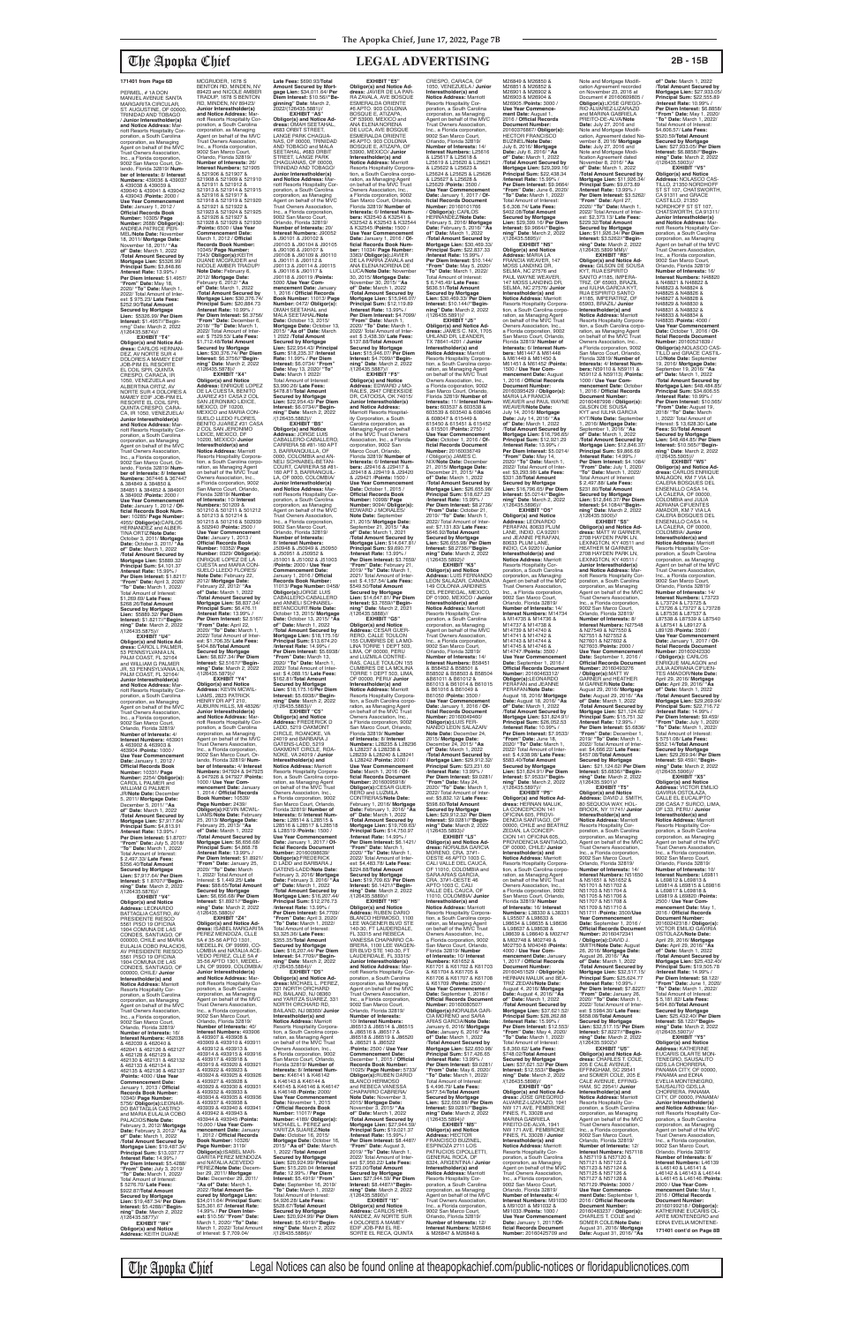PERMEL, # 1A DON<br>MANUEL AVENUE SANTA MARGARITA CIRCULAR, ST. AUGUSTINE, OF 00000, TRINIDAD AND TOBAGO / **Junior Interestholder(s) and Notice Address:** Marriott Resorts Hospitality Corporation, a South Carolina corporation, as Managing Agent on behalf of the MVC Trust Owners Association, Inc., a Florida corporation, 9002 San Marco Court, Orlando, Florida 32819/ **Number of Interests:** 8/ **Interest Numbers:** 439036 & 439037 & 439038 & 439039 & 439040 & 439041 & 439042 & 439043 /**Points:** 2000 / **Use Year Commencement Date:** January 1, 2012 / **Official Records Book Number:** 10305/ **Page Number:** 2688/ **Obligor(s):** ANDREA PATRICE PER-MEL/**Note Date:** November 18, 2011/ **Mortgage Date:** November 18, 2011/ **"As of" Date:** March 1, 2022 /**Total Amount Secured by Mortgage Lien:** \$5326.99/ **Principal Sum:** \$3,848.86 /**Interest Rate:** 13.99% / **Per Diem Interest:** \$1.4957/ **"From" Date:** May 18, 2020/ **"To" Date:** March 1, 2022/ Total Amount of Inter est: \$ 975.23/ **Late Fees:** \$252.90/**Total Amount Secured by Mortgage Lien:** \$5326.99/ **Per Diem Interest:** \$1.4957//"Begin-nmg" Date: March 2, 2022 /(126435.5874)// **EXHIBIT "T4" Obligor(s) and Notice Ad-dress:** CARLOS HERNAN-DEZ, AV NORTE SUR 4 DOLORES A MAMEY EDIF JOB-PIM EL RESORTE EL COIL SPR, QUINTA<br>CRESPO, CARACA, IR 1050, VENEZUELA and ALBERTINA ORTIZ, AV NORTE SUR 4 DOLORES A MAMEY EDIF JOB-PIM EL RESORTE EL COIL SPR,<br>OUINTA CRESPO, CARA QUINTA CRESPO, CARA-CA, IR 1050, VENEZUELA/ **Junior Interestholder(s) and Notice Address:** Mar-

riott Resorts Hospitality Corporation, a South Carolina corporation, as Managing Agent on behalf of the MVC Trust Owners Association, Inc., a Florida corporation, 9002 San Marco Court, Or-lando, Florida 32819/ **Num-ber of Interests:** 8/ **Interest Numbers:** 367446 & 367447 & 384849 & 384850 & 384851 & 384852 & 384901 & 384902 /**Points:** 2000 / **Use Year Commencement Date:** January 1, 2012 / **Of-ficial Records Book Number:** 10285/ **Page Number:** 4955/ **Obligor(s):**CARLOS HERNANDEZ and ALBER-TINA ORTIZ/**Note Date:** October 3, 2011/ **Mortgage Date:** October 3, 2011/ **"As of" Date:** March 1, 2022 /**Total Amount Secured by Mortgage Lien:** \$5889.32/ **Principal Sum:** \$4,101.37 /**Interest Rate:** 15.99% / **Per Diem Interest:** \$1.8217/ **"From" Date:** April 3, 2020/ **"To" Date:** March 1, 2022/ Total Amount of Interest: \$1,269.69/ **Late Fees:** \$268.26/**Total Amount Secured by Mortgage Lien:** \$5889.32/ **Per Diem Interest:** \$1.8217//**"Beginning" Date**: March 2, 2022

/(126435.5875)// **EXHIBIT "U4" Obligor(s) and Notice Ad-dress:** CAROL L PALMER, 53 PENNSYLVANIA LN, PALM COAST, FL 32164 and WILLIAM G PALMER<br>JR, 53 PENNSYLVANIA LN, PALM COAST, FL 32164 **Junior Interestholder(s) and Notice Address:** Marriott Resorts Hospitality Corporation, a South Carolina corporation, as Managing Agent on behalf of the MVC Trust Owners Association, Inc., a Florida corporation, 9002 San Marco Court, Orlando, Florida 32819/ **Number of Interests:** 4/ **Interest Numbers:** 463901 & 463902 & 463903 & 463904 /**Points:** 1000 / **Use Year Commencement Date:** January 1, 2012 / **Official Records Book Number:** 10331/ **Page Number:** 2254/ **Obligor(s):** CAROL L PALMER and WILLIAM G PALMER JR/**Note Date:** December 5, 2011/ **Mortgage Date:** December 5, 2011/ **"As of" Date:** March 1, 2022 /**Total Amount Secured by Mortgage Lien:** \$7,917.64/ **Principal Sum:** \$4,813.91 /**Interest Rate:** 13.99% / **Per Diem Interest:** \$1.8707/ **"From" Date:** July 5, 2018/ **"To" Date:** March 1, 2022/ Total Amount of Interest: \$ 2,497.33/ **Late Fees:** \$356.40/**Total Amount Secured by Mortgage Lien:** \$7,917.64/ **Per Diem Interest:** \$ 1.8707//**"Beginning" Date**: March 2, 2022 /(126435.5876)// **EXHIBIT "V4" Obligor(s) and Notice Address:** LEONARDO BATTAGLIA CASTRO, AV PRESIDENTE RIESCO 5561 PISO 19 OFICINA<br>1904 COMUNA DE LAS 1904 COMUNA DE LAS CONDES, SANTIAGO, OF 000000, CHILE and MARIA<br>EULALIA COBO PALACIOS, AV PRESIDENTE RIESCO 5561 PISO 19 OFICINA<br>1904 COMUNA DE LAS 1904 COMUNA DE LAS CONDES, SANTIAGO, OF 000000, CHILE/ **Junior Interestholder(s) and Notice Address:** Marriott Resorts Hospitality Cor-poration, a South Carolina corporation, as Managing Agent on behalf of the MVC Trust Owners Association, Inc., a Florida corporation, 9002 San Marco Court, Orlando, Florida 32819/ **Number of Interests:** 16/ **Interest Numbers:** 462038 & 462039 & 462040 & 462041 & 462126 & 462127 & 462128 & 462129 & 462130 & 462131 & 462132 & 462133 & 462134 & 462135 & 462136 & 462137 /**Points:** 4000 / **Use Year Commencement Date:** January 1, 2013 / **Official Records Book Number:** 10340/ **Page Number:** 5756/ **Obligor(s):**LEONAR-DO BATTAGLIA CASTRO and MARIA EULALIA COBO PALACIOS/**Note Date:** February 3, 2012/ **Mortgage Date:** February 3, 2012/ **"As of" Date:** March 1, 2022 /**Total Amount Secured by Mortgage Lien:** \$19,487.34/ **Principal Sum:** \$13,037.77 /**Interest Rate:** 14.99% / **Per Diem Interest:** \$5.4288/ **"From" Date:** July 3, 2019/ **"To" Date:** March 1, 2022/ Total Amount of Interest: \$ 5276.70/ **Late Fees:** \$922.87/**Total Amount Secured by Mortgage Lien:** \$19,487.34/ **Per Diem Interest:** \$5.4288//**"Beginning" Date**: March 2, 2022 /(126435.5877)// **EXHIBIT "W4" Obligor(s) and Notice Address:** KEITH DUANE

MCGRUDER, 1678 S BENTON RD, MINDEN, NV 89423 and NICOLE AMBER TRADUP, 1678 S BENTON RD, MINDEN, NV 89423/ **Junior Interestholder(s) and Notice Address:** Mar-<br>poration, a South Carolina<br>poration, as Managing<br>Agent on behalf of the MVC<br>Trust Owners Association, Inc., a Florida corporation, 9002 San Marco Court,<br>Orlando, Florida 32819 Orlando, Florida 32819/ **Number of Interests:** 26/ **Interest Numbers:** 521905 & 521906 & 521907 & 521908 & 521909 & 521910 & 521911 & 521912 & 521913 & 521914 & 521915 & 521916 & 521917 & 521918 & 521919 & 521920 & 521921 & 521922 & 521923 & 521924 & 521925 & 521926 & 521927 & 521928 & 521929 & 521930 /**Points:** 6500 / **Use Year Commencement Date:** March 1, 2012 / **Official Records Book Number:** 10345/ **Page Number:**<br>7343/ **Obligor(s):**KEITH<br>DUANE MCGRUDER and<br>NICOLE AMBER TRADUP/ **Note Date:** February 6, 2012/ **Mortgage Date:** February 6, 2012/ **"As of" Date:** March 1, 2022 /**Total Amount Secured by Mortgage Lien:** \$30,376.74/ **Principal Sum:** \$20,884.73 /**Interest Rate:** 10.99% / **Per Diem Interest:** \$6.3756/ **"From" Date:** December 6, 2018/ **"To" Date:** March 1, 2022/ Total Amount of Inter-est: \$ 7529.53/ **Late Fees:** \$1,712.48/**Total Amount Secured by Mortgage Lien:** \$30,376.74/ **Per Diem Interest:** \$6.3756//**"Begin-ning" Date**: March 2, 2022 /(126435.5878)// **EXHIBIT "X4"<br><b>Obligor(s) and Notice**<br>**Address:** ENRIQUE LOPEZ<br>DE LA CUESTA, BENITO<br>JUAREZ #31 CASA 2 COL<br>SAN JERONIMO LIDICE, MEXICO, DF 10200, MEXICO and MARIA CON-SUELO LLEDO FLORES, BENITO JUAREZ #31 CASA 2 COL SAN JERONIMO<br>LIDICE, MEXICO, DF 10200, MEXICO/ **Junior**<br>**Interestholder(s) and<br><b>Notice Address:** Marriott<br>Resorts Hospitality Corpora-<br>tration, a South Carolina corpo-<br>cration, as Managing Agent<br>on behalf of the MVC Trust Owners Association, Inc., a Florida corporation, 9002 San Marco Court, Orlando, Florida 32819/ **Number of Interests:** 10/ **Interest Numbers:** 501209 & 501210 & 501211 & 501212 & 501213 & 501214 & 501215 & 501216 & 502939 & 502940 /**Points:** 2500 / **Use Year Commencement Date:** January 1, 2013 / **Official Records Book Number:** 10352/ **Page Number:** 0329/ **Obligor(s):** ENRIQUE LOPEZ DE LA CUESTA and MARIA CON-SUELO LLEDO FLORES/ **Note Date:** February 22, 2012/ **Mortgage Date:** February 22, 2012/ **"As of" Date:** March 1, 2022 /**Total Amount Secured by Mortgage Lien:** \$8,837.34/ **Principal Sum:** \$6,476.11 /**Interest Rate:** 13.99% / **Per Diem Interest:** \$2.5167/ **"From" Date:** April 22, 2020/ **"To" Date:** March 1, 2022/ Total Amount of Inter est: \$1,706.35/ **Late Fees:** \$404.88/**Total Amount Secured by Mortgage Lien:** \$8,837.34/ **Per Diem Interest:** \$2.5167//**"Beginning" Date**: March 2, 2022 /(126435.5879)// **EXHIBIT "Y4" Obligor(s) and Notice Address:** KEVIN MCWIL-LIAMS, 2823 PATRICK HENRY DR APT 210, AUBURN HILLS, MI 48326/ **Junior Interestholder(s) and Notice Address:** Marriott Resorts Hospitality Corporation, a South Carolina corporation, as Managing Agent on behalf of the MVC Trust Owners Association, Inc., a Florida corporation 9002 San Marco Court, Orlando, Florida 32819/ **Number of Interests:** 4/ **Interest Numbers:** 947924 & 947925 & 947926 & 947927 /**Points:** 1000 / **Use Year Commencement Date:** January 1, 2014 / **Official Records Book Number:** 10539/ **Page Number:** 2439/ **Obligor(s):**KEVIN MCWIL-LIAMS/**Note Date:** February 25, 2013/ **Mortgage Date:** February 25, 2013/ **"As of" Date:** March 1, 2022 /**Total Amount Secured by Mortgage Lien:** \$6,656.68/ **Principal Sum:** \$4,868.78 /**Interest Rate:** 13.99% / **Per Diem Interest:** \$1.8921/ **"From" Date:** January 25, 2020/ **"To" Date:** March 1, 2022/ Total Amount of Interest: \$ 1,449.25/ **Late Fees:** \$88.65/**Total Amount Secured by Mortgage Lien:** \$6,656.68/ **Per Diem Interest:** \$1.8921//**"Begin-ning" Date**: March 2, 2022 /(126435.5880)// **EXHIBIT "Z4" Obligor(s) and Notice Address:** ISABEL MARGARITA PEREZ MENDOZA, CLLE 5A # 35-56 APTO 1301, MEDELLIN, OF 99999, CO LOMBIA and NATALIA ACE-VEDO PEREZ, CLLE 5A # 35-56 APTO 1301, MEDEL-LIN, OF 99999, COLOMBIA/ **Junior Interestholder(s) and Notice Address:** M riott Resorts Hospitality Corporation, a South Carolina corporation, as Managing Agent on behalf of the MVC Trust Owners Association, Inc., a Florida corporation, 9002 San Marco Court, Orlando, Florida 32819/ **Number of Interests:** 40/ **Interest Numbers:** 493906 & 493907 & 493908 & 493909 & 493910 & 493911 & 493912 & 493913 & 493914 & 493915 & 493916 & 493917 & 493918 & 493919 & 493920 & 493921 & 493922 & 493923 & 493924 & 493925 & 493926 & 493927 & 493928 & 493929 & 493930 & 493931 & 493932 & 493933 & 493934 & 493935 & 493936 & 493937 & 493938 & 493939 & 493940 & 493941 & 493942 & 493943 & 493944 & 493945 /**Points:** 10,000 / **Use Year Commencement Date:** January 1, 2012 / **Official Records Book Number:** 10326/ **Page Number:** 3119/ **Obligor(s):**ISABEL MAR-GARITA PEREZ MENDOZA and NATALIA ACEVEDO PEREZ/**Note Date:** Decem-ber 29, 2011/ **Mortgage Date:** December 29, 2011/ **"As of" Date:** March 1, 2022 /**Total Amount Secured by Mortgage Lien:**  \$34,011.64/ **Principal Sum:** \$25,361.67 /**Interest Rate:** 14.99% / **Per Diem Inter-est:** \$10.56/ **"From" Date:** March 1, 2020/ **"To" Date:** March 1, 2022/ Total Amount of Interest: \$ 7,709.04/ /(126435.5883)// **EXHIBIT "C5" Obligor(s) and Notice Address:** FREDERICK D LADD, 5219 OAKMONT CIRCLE, ROANOKE, VA

24019 and BARBARA J GATENS-LADD, 5219 OAKMONT CIRCLE, ROA-NOKE, VA 24019 / **Junior Interestholder(s) and Notice Address:** Marriott Resorts Hospitality Corpora-tion, a South Carolina corporation, as Managing Agent on behalf of the MVC Trust Owners Association, Inc., a Florida corporation, 9002 San Marco Court, Orlando, Florida 32819/ **Number of Interests:** 6/ **Interest Numbers:** L28514 & L28515 & L28516 & L28517 & L28518 & L28519 /**Points:** 1500 / **Use Year Commencement Date:** January 1, 2017 / **Of-ficial Records Document Number:** 20160098639/ **Obligor(s):**FREDERICK D LADD and BARBARA J GATENS-LADD/**Note Date:** February 3, 2016/ **Mortgage Date:** February 3, 2016/ **"As of" Date:** March 1, 2022 /**Total Amount Secured by Mortgage Lien:** \$16,207.44/ **Principal Sum:** \$12,276.73 /**Interest Rate:** 13.99% / **Per Diem Interest:** \$4.7709/ **"From" Date:** April 3, 2020/ **"To" Date:** March 1, 2022/ Total Amount of Interest: \$3,325.36/ **Late Fees:** \$355.35/**Total Amount Secured by Mortgage Lien:** \$16,207.44/ **Per Diem Interest:** \$4.7709//**"Beginning" Date**: March 2, 2022  $/(126435.5884)/\frac{1}{2}$ FXHIRIT "D5" **EXHIBIT "D5" Obligor(s) and Notice Ad-dress:** MICHAEL L. PEREZ, 331 NORTH ORCHARD RD, BAILAND, NJ 08360 and YARITZA SUAREZ, 331 NORTH ORCHARD RD, BAILAND, NJ 08360/ **Junior Interestholder(s) and Notice Address:** Marriott Resorts Hospitality Corpora-tion, a South Carolina corpo-ration, as Managing Agent on behalf of the MVC Trust Owners Association, Inc., a Florida corporation, 9002 San Marco Court, Orlando, Florida 32819/ **Number of Interests:** 8/ **Interest Num-bers:** K46141 & K46142 & K46143 & K46144 & K46145 & K46146 & K46147 & K46148 /**Points:** 2000/ **Use Year Commencement Date:** November 1, 2015 / **Official Records Book Number:** 11017/ **Page Number:** 4189/ **ObIigor(s):** MICHAEL L. PEREZ and YARITZA SUAREZ/**Note Date:** October 16, 2015/ **Mortgage Date:** October 16, 2015/ **"As of" Date:** March 1, 2022 /**Total Amount Secured by Mortgage Lien:** \$20,924.99/ **Principal Sum:** \$15,220.04 /**Interest Rate:** 12.99% / **Per Diem Interest:** \$5.4919/ **"From" Date:** September 16, 2019/ **"To" Date:** March 1, 2022/ Total Amount of Interest: \$4,926.28/ **Late Fees:** \$528.67/**Total Amount Secured by Mortgage Lien:** \$20,924.99/ **Per Diem Interest:** \$5.4919//**"Beginning" Date**: March 2, 2022 /(126435.5886)//

**Late Fees:** \$690.93/**Total Amount Secured by Mort-gage Lien:** \$34,011.64/ **Per Diem Interest:** \$10.56//**"Beginning" Date**: March 2,<br>2022/(126435.5881)// **EXHIBIT "A5" Obligor(s) and Notice Ad-dress:** OMAH SEETAHAL, #683 ORBIT STREET, LANGE PARK CHAGUA-NAS, OF 00000, TRINIDAD AND TOBAGO and MALA SEETAHAL, #683 ORBIT<br>STREET, LANGE PARK STREET, LANGE PARK CHAGUANAS, OF 00000, TRINIDAD AND TOBAGO/ **Junior Interestholder(s) and Notice Address:** Mar-<br>poration, a South Carolina<br>poration, as Managing<br>Agent on behalf of the MVC<br>Trust Owners Association, Inc., a Florida corporation, 9002 San Marco Court, Orlando, Florida 32819/ **Number of Interests:** 20/ **Interest Numbers:** J90052 & J90101 & J90102 & J90103 & J90104 & J90105 & J90106 & J90107 & J90108 & J90109 & J90110 & J90111 & J90112 & J90113 & J90114 & J90115 & J90116 & J90117 & J90118 & J90119 /**Points:** 5000 /**Use Year Com-mencement Date:** January 1, 2016 / **Official Records Book Number:** 11013/ **Page Number:** 0472/ **Obligor(s):** OMAH SEETAHAL and MALA SEETAHAL/**Note Date:** October 13, 2015/ **Mortgage Date:** October 13, 2015/ **"As of" Date:** March 1 2022 /**Total Amount Secured by Mortgage Lien:** \$22,954.43/ **Principal Sum:** \$18,235.37 /**Interest Rate:** 11.99% / **Per Diem Interest:** \$6.0734/ **"From" Date:** May 13, 2020/ **"To" Date:** March 1 2022/ Total Amount of Interest: \$3,990.26/ **Late Fees:** \$478.81/**Total Amount Secured by Mortgage Lien:** \$22,954.43/ **Per Diem Interest:** \$6.0734//**"Beginning" Date**: March 2, 2022 /(126435.5882)// **EXHIBIT "B5" Obligor(s) and Notice Address:** JORGE LUIS CABALLERO-CABALLERO, CARRERA 58 #81-160 APT 3, BARRANQUILLA, OF<br>0000, COLOMBIA and AN-<br>NELI SCHNABEL-BETAN-<br>COURT, CARRERA 58 #81-160 APT 3, BARRANQUIL-LA, OF 0000, COLOMBIA/ **Junior Interestholder(s) and Notice Address:** Marriott Resorts Hospitality Cor-poration, a South Carolina corporation, as Managing Agent on behalf of the MVC Trust Owners Association, Inc., a Florida corporation, 9002 San Marco Court, Orlando, Florida 32819/ **Number of Interests:** 8/ **Interest Numbers:** J50948 & J50949 & J50950 & J50951 & J50952 & J51001 & J51002 & J51003 /**Points:** 2000 / **Use Year Commencement Date:** January 1, 2016 / **Official Records Book Number:** 11013/ **Page Number:** 0458/ **Obligor(s):**JORGE LUIS CABALLERO-CABALLERO and ANNELI SCHNABEL-<br>BETANCOURT/Note Date:<br>October 13, 2015/ Mortgage<br>Date: October 13, 2015/ "As<br>of" Date: March 1, 2022<br>Total Amount Secured by<br>Mortgage Lien: \$18,674.20<br>Pirncipal Sum: \$13,674.20<br>"From" Date: March 13,<br>2 est: \$ 4,088.15/ **Late Fees:** \$162.81/**Total Amount Secured by Mortgage Lien:** \$18,175.16/**Per Diem Interest:** \$5.6938//**"Beginning" Date**: March 2, 2022 **EXHIBIT "E5" Obligor(s) and Notice Address:** JAVIER DE LA PAR-<br>RA ZAVALA, AVE BOSQUE<br>ESMERALDA ORIENTE<br>#6 APTO. 903 COLONIA BOSQUE E, ATIZAPA, OF 53900, MEXICO and<br>ANA ELENA NORENA ANA ELENA NORENA<br>DE LUCA, AVE BOSQUE<br>ESMERALDA ORIENTE<br>#6 APTO. 903 COLONIA<br>BOSQUE E, ATIZAPA, OF 53900, MEXICO/ **Junior Interestholder(s) and Notice Address:** Marriott Resorts Hospitality Corpora-tion, a South Carolina corporation, as Managing Agent<br>on behalf of the MVC Trust<br>Owners Association, Inc.,<br>a Florida corporation, 9002 San Marco Court, Orlando, Florida 32819/ **Number of Interests:** 6/ **Interest Numbers:** K32540 & K32541 & K32542 & K32543 & K32544 & K32545 /**Points:** 1500 / **Use Year Commencement Date:** January 1, 2016 / **Of-ficial Records Book Number:** 11034/ **Page Number:** 3363/ **Obligor(s):**JAVIER DE LA PARRA ZAVALA and ANA ELENA NORENA DE LUCA/**Note Date:** November 30, 2015/ **Mortgage Date:** November 30, 2015/ **"As of" Date:** March 1, 2022 /**Total Amount Secured by Mortgage Lien:** \$15,946.07/ **Principal Sum:** \$12,119.89 /**Interest Rate:** 13.99% / **Per Diem Interest:** \$4.7099/ **"From" Date:** March 1, 2020/ **"To" Date:** March 1, 2022/ Total Amount of Inter-est: \$ 3,438.30/ **Late Fees:** \$137.88/**Total Amount Secured by Mortgage Lien:** \$15,946.07/ **Per Diem Interest:** \$4.7099//**"Begin-ning" Date**: March 2, 2022 /(126435.5887)// **EXHIBIT "F5" Obligor(s) and Notice Address:** EDWARD J MO-RALES, 2947 CREEKSIDE DR, CATOOSA, OK 74015/ **Junior Interestholder(s) and Notice Address:** Marriott Resorts Hospital-ity Corporation, a South Carolina corporation, as Managing Agent on behalf of the MVC Trust Owners Association, Inc., a Florida corporation, 9002 San Marco Court, Orlando, Florida 32819/ **Number of Interests:** 6/ **Interest Num-bers:** J29416 & J29417 & J29418 & J29419 & J29420 & J29421 /**Points:** 1500 / **Use Year Commencement Date:** October 1, 2015 / **Official Records Book Number:** 10998/ **Page Number:** 9094/ **Obligor(s):** EDWARD J MORALES/<br>Note Date: Sentember **Note Date:** September 21, 2015/ **Mortgage Date:** September 21, 2015/ **"As of" Date:** March 1, 2021 /**Total Amount Secured by Mortgage Lien:** \$14,647.81/ **Principal Sum:** \$9,690.77 /**Interest Rate:** 13.99% / **Per Diem Interest:** \$3.7659/ **"From" Date:** February 21, 2019/ **"To" Date:** March 1, 2021/ Total Amount of Inter-est: \$ 4,157.54/ **Late Fees:** \$549.50/**Total Amount Secured by Mortgage Lien:** \$14,647.81/ **Per Diem Interest:** \$3.7659//**"Begin-ning" Date**: March 2, 2021 /(126435.5888)// **EXHIBIT "G5" Obligor(s) and Notice Address:** CESAR GUER-RERO, CALLE TOULON 155 CUMBRES DE LA MO-LINA TORRE 1 DEPT 503, LIMA, OF 00000, PERU and LUZMILA CONTRE-RAS, CALLE TOULON 155 CUMBRES DE LA MOLINA TORRE 1 DEPT 503, LIMA, OF 00000, PERU/ **Junior Interestholder(s) and Notice Address:** Marriott Resorts Hospitality Corporation, a South Carolina corpo ration, as Managing Agent on behalf of the MVC Trust Owners Association, Inc., a Florida corporation, 9002 San Marco Court, Orlando,

Florida 32819/ **Number** 

& L28237 & L28238 & L28239 & L28240 & L28241 & L28242 /**Points:** 2000 / **Use Year Commencement Date:** March 1, 2016 / **Of-ficial Records Document Number:** 20160095918/ **Obligor(s):**CESAR GUER-RERO and LUZMILA CONTRERAS/**Note Date:** February 1, 2016/ **Mortgage Date:** February 1, 2016/ **"As of" Date:** March 1, 2022 /**Total Amount Secured by Mortgage Lien:** \$19,709.63/ **Principal Sum:** \$14,750.97 /**Interest Rate:** 14.99% / **Per Diem Interest:** \$6.1421/ **"From" Date:** March 1, 2020/ **"To" Date:** March 1, 2022/ Total Amount of Interest: \$4,483.78/ **Late Fees:** \$224.88/**Total Amount Secured by Mortgage Lien:** \$19,709.63/ **Per Diem Interest:** \$6.1421//**"Begin-ning" Date**: March 2, 2022 /(126435.5889)//<br>"EXHIBIT "H5 **EXHIBIT "H5" Obligor(s) and Notice Address:** RUBEN DARIO BLANCO HERMOSO, 1100 LEE WAGENER BLVD STE 140-30, FT LAUDERDALE, FL 33315 and REBECA VANESSA CHAPARRO CA-BRERA, 1100 LEE WAGEN ER BLVD STE 140-30, FT LAUDERDALE, FL 33315/ **Junior Interestholder(s) and Notice Address:** Mar-riott Resorts Hospitality Cor-poration, a South Carolina corporation, as Managing Agent on behalf of the MVC Trust Owners Association, Inc., a Florida corporation, 9002 San Marco Court, Orlando, Florida 32819/ **Number of Interests:** 10/ **Interest Numbers:** J86513 & J86514 & J86515 & J86516 & J86517 & J86518 & J86519 & J86520 & J86521 & J86522 /**Points:** 2500 / **Use Year Commencement Date:** December 1, 2015 / **Official Records Book Number:** 11025/ **Page Number:** 5733**/ Obligor(s):**RUBEN DARIO BLANCO HERMOSO and REBECA VANESSA CHAPARRO CABRERA/ **Note Date:** November 3, 2015/ **Mortgage Date:** November 3, 2015/ **"As of" Date:** March 1, 2022 /**Total Amount Secured by Mortgage Lien:** \$27,944.59/ **Principal Sum:** \$19,021.37 /**Interest Rate:** 15.99% / Per Diem Interest: \$8.4487 **"From" Date:** August 3, 2019/ **"To" Date:** March 1, 2022/ Total Amount of Inter est: \$7,950.22/ **Late Fees:** \$723.00/**Total Amount Secured by Mortgage Lien:** \$27,944.59/ **Per Diem Interest:** \$8.4487//**"Begin-ning" Date**: March 2, 2022 /(126435.5890)// **EXHIBIT "I5" Obligor(s) and Notice Address:** CARLOS HER-NANDEZ, AV NORTE SUR 4 DOLORES A MAMEY EDIF JOB-PIM EL RE-SORTE EL RECA, QUINTA

**of Interests:** 8/ **Interest Numbers:** L28235 & L28236 CRESPO, CARACA, OF 1050, VENEZUELA / **Junior Interestholder(s) and Notice Address:** Marriott Resorts Hospitality Cor-poration, a South Carolina corporation, as Managing Agent on behalf of the MVC Trust Owners Association, Inc., a Florida corporation, 9002 San Marco Court, Orlando, Florida 32819/ **Number of Interests:** 14/ **Interest Numbers:** L25616 & L25617 & L25618 & L25619 & L25620 & L25621 & L25622 & L25623 & L25624 & L25625 & L25626 & L25627 & L25628 & L25629 /**Points:** 3500 / **Use Year Commencement Date:** January 1, 2017 / **Official Records Document Number:** 20160101766 / **Obligor(s):** CARLOS HERNANDEZ/**Note Date:** February 5, 2016/ **Mortgage Date:** February 5, 2016/ **"As of" Date:** March 1, 2022 /**Total Amount Secured by Mortgage Lien:** \$30,469.33/ **Principal Sum:** \$22,837.33 /**Interest Rate:** 15.99% / **Per Diem Interest:** \$10.144/ **"From" Date:** May 5, 2020/ **"To" Date:** March 1, 2022/ Total Amount of Interest: \$ 6,745.49/ **Late Fees:** \$636.51/**Total Amount Secured by Mortgage Lien:** \$30,469.33/ **Per Diem Interest:** \$10.144//**"Beginning" Date**: March 2, 2022  $(35.5891)/$ <br>**EXHIBIT** ".15" **EXHIBIT "J5" Obligor(s) and Notice Ad-dress:** JAMES C. NIX, 1705 UHLAND DR, LEANDER, TX 78641-4201 / **Junior Interestholder(s) and Notice Address:** Marriott Resorts Hospitality Corporation, a South Carolina corporation, as Managing Agent<br>on behalf of the MVC Trust Owners Association, Inc.,<br>a Florida coiporation, 9002<br>San Marco Court, Orlando,<br>Florida 32819/ **Number of Interests:** 11/ **Interest Num-bers:** 603537 & 603538 & 603539 & 603540 & 608046 & 608047 & 615449 & 615450 & 615451 & 615452 & 615501 /**Points:** 2750 / **Use Year Commencement Date:** October 1, 2016 / **Official Records Document Number:** 20160036749 / Obligor(s) JAMES C. NIX/**Note Date:** December 21, 2015/ **Mortgage Date:** December 21, 2015/ **"As of" Date:** March 1, 2022 /**Total Amount Secured by Mortgage Lien:** \$26,655.98/ **Principal Sum:** \$18,627.23 /**Interest Rate:** 15.99% / **Per Diem Interest:** \$8.2736/ **"From" Date:** October 21, 2019/ **"To" Date:** March 1, 2022/ Total Amount of Inter-est: \$7,131.83/ **Late Fees:** \$646.92/**Total Amount Secured by Mortgage Lien:** \$26,655.98/ **Per Diem Interest:** \$8.2736//**"Beginning" Date**: March 2, 2022 /(126435.5892)// **EXHIBIT "K5" Obligor(s) and Notice Address:** LUIS FERNANDO LEON SALAZAR, CANADA 149 COLONIA JARDINES DEL PEDREGAL, MEXICO, DF 01900, MEXICO / **Junior Interestholder(s) and Notice Address:** Marriott<br>Resorts Hospitality Cor-<br>poration, a South Carolina corporation, as Managing Agent on behalf of the MVC Trust Owners Association, Inc., a Florida corporation, 9002 San Marco Court, Orlando, Florida 32819/ **Number of Interests:** 14/ **Interest Numbers:** B58451 & B58452 & B58501 & B58502 & B58503 & B58504 &B61011 & B61012 & B61013 & B61014 & B61015 & B61016 & B61049 & B61050 /**Points:** 3500 / Use Year Commencement **Date:** January 1, 2016 / **Official Records Document<br><b>Number:** 20160049460/<br>**Obligor(s):**LUIS FER-<br>NANDO LEON SALAZAR/ **Note Date:** December 24, 2015/ **Mortgage Date:** December 24, 2015/ **"As Date:** March 1, 2022 /**Total Amount Secured by Mortgage Lien:** \$29,912.32/ **Principal Sum:** \$23,231.60 /**Interest Rate:** 13.99% / **Per Diem Interest:** \$9.0281/ **"From" Date:** May 24, 2020/ **"To" Date:** March 1, 2022/ Total Amount of Interest: \$5,832.12/ **Late Fees:** \$598.60/**Total Amount Secured by Mortgage Lien:** \$29,912.32/ **Per Diem Interest:** \$9.0281//**"Begin-ning" Date**: March 2, 2022 /(126435.5893)//<br>"EXHIBIT "L5 **EXHIBIT "L5" Obligor(s) and Notice Ad-dress:** NORALBA GARCIA MORENO, CRA. 37#1- OESTE 46 APTO 1003 C, CALI VALLE DEL CAUCA OF 11010, COLOMBIA and SARA ARIAS GARCIA, CRA. 37#1-OESTE 46 APTO 1003 C, CALI VALLE DEL CAUCA, OF 11010, COLOMBIA/ **Junior Interestholder(s) and Notice Address:** Marriott Resorts Hospitality Corporation, a South Carolina corporation, as Managing Agent on behalf of the MVC Trust Owners Association, Inc., a Florida corporation, 9002 San Marco Court, Orlando, Florida 32819/ **Number of Interests:** 10/ **Interest Numbers:** K61652 & K61701 & K61702 & K61703 & K61704 & K61705 & K61706 & K61707 & K61708 & K61709 /**Points:** 2500 / **Use Year Commencement Date:** September 1, 2016 / **Official Records Docum**<br>**Number: 20160080507/ Number:** 20160080507/ **Obligor(s):**NORALBA GAR-CIA MORENO and SARA ARIAS GARCIA/**Note Date:** January 6, 2016/ **Mortgage Date:** January 6, 2016/ **"As of" Date:** March 1, 2022 /**Total Amount Secured by Mortgage Lien:** \$22,650.98/ **Principal Sum:** \$17,426.65 /**Interest Rate:** 13.99% / **Per Diem Interest:** \$9.0281/ **"From" Date:** May 6, 2020/ **"To" Date:** March 1, 2022/ Total Amount of Interest: \$ 4,496.79/ **Late Fees:** \$477.54/**Total Amount Secured by Mortgage Lien:** \$22,650.98/ **Per Diem Interest:** \$9.0281//**"Begin-ning" Date**: March 2, 2022 /(126435.5894)// **EXHIBIT "M5" Obligor(s) and Notice Address:** HECTOR FRANCISCO BUZINEL ESPINOZA 2711 LOS PATRJCIOS CIPOLLETTI, GENERAL ROCA, OF 8324, ARGENTINA / **Junior Interestholder(s) and Notice Address:** Marriott Resorts Hospitality Cor-poration, a South Carolina corporation, as Managing Agent on behalf of the MVC Trust Owners Association, Inc., a Florida corporation, 9002 San Marco Court, Orlando, Florida 32819/ **Number of Interests:** 12/ **Interest Numbers:** M26846 & M26847 & M26848 & **"From" Date:** June 18, 2020/ **"To" Date:** March 1,

M26849 & M26850 & M26851 & M26852 & M26901 & M26902 & M26903 & M26904 M26905 /**Points:** 3000 / **Use Year Commencement Date:** August 1, 2016 / **Official Records Document Number:** 20160376867/ **Obligor(s):** HECTOR FRANCISCO BUZINEL/**Note Date:** July 6, 2016/ **Mortgage Date:** July 6, 2016/ **"As of" Date:** March 1, 2022 /**Total Amount Secured by Mortgage Lien:** \$29,399.16/ **Principal Sum:** \$22,438.34 /**Interest Rate:** 15.99% / **Per Diem Interest:** \$9.9664/ **"From" Date:** June 6, 2020/ **"To" Date:** March 1, 2022/ Total Amount of Interest: \$ 6,308.74/ **Late Fees:** \$402.08/**Total Amount Secured by Mortgage Lien:** \$29,399.16/ **Per Diem Interest:** \$9.9664//**"Begin-ning" Date**: March 2, 2022 /(126435.5895)// **EXHIBIT "N5" Obligor(s) and Notice Address:** MARIA LA<br>FRANCIA WEAVER, 147<br>MOSS LANDING DR,<br>SELMA, NC 27576 and PAUL WAYNE WEAVER 147 MOSS LANDING DR, SELMA, NC 27576/ **Junior Interestholder(s) and Notice Address:** Marriott Resorts Hospitality Corporation, a South Carolina corporation, as Managing Agent<br>on behalf of the MVC Trust Owners Association, Inc., a Florida corporation, 9002 San Marco Court, Orlando, Florida 32819/ **Number of Interests:** 6/ **Interest Num-bers:** M61447 & M61448 & M61449 & M61450 & M61451 & M61452 /**Points:** 1500 / **Use Year Co mencement Date:** August 1, 2016 / **Official Records Document Number:<br>20160395429 / <b>Obligor(s):**<br>MARIA LA FRANCIA<br>WEAVER and PAUL WAYNE WEAVER/**Note Date:** July 14, 2016/ **Mortgage Date:** July 14, 2016/ **"As of" Date:** March 1, 2022 /**Total Amount Secured by Mortgage Lien:** \$16,796.65/ **Principal Sum:** \$12,921.29 /**Interest Rate:** 13.99% / **Per Diem Interest:** \$5.0214/ **"From" Date:** May 14, 2020/ **"To" Date:** March 1, 2022/ Total Amount of Inter-est: \$3,293.98/ **Late Fees:** \$331.38/**Total Amount Secured by Mortgage Lien:** \$16,796.65/ **Per Diem Interest:** \$5.0214//**"Begin-ning" Date**: March 2, 2022 /(126435.5896)//<br>"EXHIBIT "O5 **EXHIBIT "O5" Obligor(s) and Notice Address:** LEONARDO PERAFAN, 80633 PLUM LANE, INDIO, CA 92201 and JEANNE PERAFAN 80633 PLUM LANE,<br>INDIO, CA 92201/ **Junior**<br>**Interestholder(s) and Notice Address:** Marriott Resorts Hospitality Cor-poration, a South Carolina corporation, as Managing Agent on behalf of the MVC Trust Owners Association, Inc., a Florida corporation, 9002 San Marco Court, Orlando, Florida 32819/ **Number of Interests:** 14/ **Interest Numbers:** M14734 & M14735 & M14736 & M14737 & M14738 & M14739 & M14740 & M14741 & M14742 & M14743 & M14744 & M14745 & M14746 & M14747 /**Points:** 3500 / **Use Year Commencement Date:** September 1, 2016 / Official Records Document<br>Number: 20160463312/<br>Obligor(s):LEONARDO<br>PERAFAN and JEANNE<br>PERAFAN and JEANNE<br>August 18, 2016/ Mortgage<br>Date: August 18, 2016/ "As<br>Trotal Amount Secured by<br>Mortgage Lien: \$31,824.91/<br>Principal Su Note and Mortgage Modification Agreement recorded on November 23, 2016 at Document # 20160609805 / **Obligor(s):**JOSE GREGO-RIO ALVAREZ-LIZARAZO and MARINA GABRIELA PREITO-DE-ALVA/**Note Date:** July 27, 2016 and Note and Mortgage Modification, Agreement dated No-vember 8, 2016/ **Mortgage Date:** July 27, 2016 and Note and Mortgage Modi-fication Agreement dated November 8, 2016/ **"As of" Date:** March 1, 2022 /**Total Amount Secured by Mortgage Lien:** \$11,926.34/ **Principal Sum:** \$9,073.89 /**Interest Rate:** 13.99% / **Per Diem Interest:** \$3.5262/ **"From" Date:** April 27, 2020/ **"To" Date:** March 1, 2022/ Total Amount of Inter est: \$2,373.13/ **Late Fees:** \$229.32/**Total Amount Secured by Mortgage Lien:** \$11,926.34/ **Per Diem Interest:** \$3.5262//**"Beginning" Date**: March 2, 2022 /(126435.5899 MM)/<br>EXHIBIT "R5" **EXHIBIT "R5" Obligor(s) and Notice Ad-dress:** GILSON DE SOUSA KYT, RUA ESPIRITO SANTO #1185, IMPERA-TRIZ, OF 65903, BRAZIL<br>and IULHA GARCIA KYT and IULHA GARCIA KYT,<br>RUA ESPIRITO SANTO<br>#1185, IMPERATRIZ, OF<br>65903, BRAZIL/ **Junior Interestholder(s) and Notice Address:** Marriott<br>Resorts Hospitality Corpora-<br>tion, a South Carolina corporation, as Managing Agent<br>on behalf of the MVC Trust Owners Association, Inc. a Florida corporation, 9002 San Marco Court, Orlando, Florida 32819/ **Number of Interests:** 4/ **Interest Num-bers:** N59110 & N59111 & N59112 & N59113) /**Points:** 1000 / **Use Year Com-mencement Date:** October 1, 2016 / **Official Records Document Number:** 20160487998 / **Obligor(s):** GILSON DE SOUSA KYT and IULHA GARCIA<br>KYT/Note Date: Septemb KYT/**Note Date:** September 1, 2016/ **Mortgage Date:** September 1, 2016/ **"As of" Date:** March 1, 2022 /**Total Amount Secured by Mortgage Lien:** \$12,846.37/ **Principal Sum:** \$9,866.69 /**Interest Rate:** 14.99% / **Per Diem Interest:** \$4.1084/ **"From" Date:** July 1, 2020/ **"To" Date:** March 1, 2022/ Total Amount of Interest: \$ 2,497.88/ **Late Fees:** \$231.80/**Total Amount Secured by Mortgage Lien:** \$12,846.37/ **Per Diem** 

2022/ Total Amount of Inter-est: \$ 4,938.98/ **Late Fees:** \$583.40/**Total Amount Secured by Mortgage Lien:** \$31,824.91/ **Per Diem Interest:** \$7.9533//**"Begin-ning" Date**: March 2, 2022 /(126435.5897)// **EXHIBIT "P5" Obligor(s) and Notice Address:** HERNAN MALUK,<br>LA CONCEPCION 141 OFICINA 605, PROVI-DENCIA SANTIAGO, O 00000, CHILE and BEATRIZ ZEDAN, LA CONCEP-CION 141 OFICINA 605, PROVIDENCIA SANTIAGO, OF 00000, CHILE/ **Junior Interestholder(s) and Notice Address:** Marriott Resorts Hospitality Corporation, a South Carolina corporation, as Managing Agent ration, as Managing Agent<br>on behalf of the MVC Trust Owners Association, Inc., a Florida corporation, 9002 San Marco Court, Orlando, Florida 32819/ **Number of Interests:** 16/ **Interest Numbers:** L38330 & L38331 & L95507 & L98633 & L98634 & L98635 & L98636 & L98637 & L98638 & L98639 & L98640 & M02747 & M02748 & M02749 & M02750 & M04048 /**Points:** 4000 / **Use Year Com-mencement Date:** January 1, 2017 / **Official Records Document Number:** 20160451529 / **Obligor(s):** HERNAN MALUK and BEA-TRIZ ZEDAN/**Note Date:** August 4, 2016/ **Mortgage Date:** August 4, 2016/ **"As of" Date:** March 1, 2022 /**Total Amount Secured by Mortgage Lien: \$37,621.52<br><b>Principal Sum: \$28,262.88 Principal Sum:** \$28,262.88 /**Interest Rate:** 15.99% / **Per Diem Interest:** \$12.553/ **"From" Date:** May 4, 2020/ **"To" Date:** March 1, 2022/ Total Amount of Interest: \$ 8,360.62/ **Late Fees:** \$748.02/**Total Amount Secured by Mortgage Lien:** \$37,621.52/ **Per Diem Interest:** \$12.553//**"Begin-ning" Date**: March 2, 2022 /(126435.5898)// **EXHIBIT "Q5" Obligor(s) and Notice Ad-<br><b>dress:** JOSE GREGORIO<br>ALVAREZ-LIZARAZO, 1941 NW 171 AVE, PEMBROKE PINES, FL 33028 and MARINA GABRIELA PREITO-DE-ALVA, 1941 NW 171 AVE, PEMBROKE PINES, FL 33028 / **Junior Interestholder(s) and Notice Address:** Marriott Resorts Hospitality Corporation, a South Carolina corporation, as Managing Agent on behalf of the MVC Trust Owners Association, Inc., a Florida corporation, 9002 San Marco Court, Orlando, Florida 32819/ **Number of Interests:** 4/ **Interest Numbers:** M91030 & M91031 & M91032 & M91033 /**Points:** 1000 / **Use Year Commence Date:** January 1, 2017/**Official Records Document Number:** 20160425709 and

**Interest:** \$4.1084//**"Begin-ning" Date**: March 2, 2022 /(126435.5900)// EXHIBIT "S5" **Obligor(s) and Notice Ad-dress:** MATT W GARNER, 2708 HAYDEN PARK LN, LEXINGTON, KY 40511 and HEATHER M GARNER, 2708 HAYDEN PARK LN,<br>LEXINGTON, KY 40511 / **Junior Interestholder(s) and Notice Address:** Mar-<br>poration, a South Carolina<br>poration, as Managing<br>Agent on behalf of the MVC<br>Trust Owners Association, Inc., a Florida corporation, 9002 San Marco Court, Orlando, Florida 32819/ **Number of Interests:** 8/ **Interest Numbers:** N27548 & N27549 & N27550 & N27551 & N27552 & N27601 & N27602 & N27603 /**Points:** 2000 / **Use Year Commencement Date:** September 1, 2016 / **Official Records Document Number:** 20160493276 / **Obligor(s):**MATT W GARNER and HEATHER M GARNER/**Note Date:** August 29, 2016/ **Mortgage Date:** August 29, 2016/ **"As of" Date:** March 1, 2022 /**Total Amount Secured by Mortgage Lien:** \$21,124.62/ **Principal Sum:** \$15,751.32 /**Interest Rate:** 12.99% / **Per Diem Interest:** \$5.6836/ **"From" Date:** December 1, 2019/ **"To" Date:** March 1, 2022/ Total Amount of Interest: \$4,666.22/ **Late Fees:** \$457.08/**Total Amount Secured by Mortgage Lien:** \$21,124.62/ **Per Diem Interest:** \$5.6836//**"Begin-ning" Date**: March 2, 2022 /(126435.5901)// **EXHIBIT "T5" Obligor(s) and Notice Address:** DAVID J. SMITH, 80 SEQUOIA WAY, HOL-BROOK, NY 11741/ **Junior Interestholder(s) and Notice Address:** Marriott Resorts Hospitality Corporation, a South Carolina corporation, as Managing Agent on behalf of the MVC Trust Owners Association, Inc., a Florida corporation, 9002 San Marco Court, Orlando, Florida 32819/ **Number of Interests:** 14/ **Interest Numbers:** N51650 & N51651 & N51652 & N51701 & N51702 & N51703 & N51704 & N51705 & N51706 & N51707 & N51708 & N51709 & N51710 & N51711 /**Points:** 3500/**Use Year Commencement Date:** September 1, 2016 / **Official Records Document Number:** 20160472341 / **Obligor(s):**DAVID J. SMITH/**Note Date:** August 26, 2016/ **Mortgage Date:** August 26, 2016/ **"As of" Date:** March 1, 2022 /**Total Amount Secured by Mortgage Lien:** \$32,517.15/ **Principal Sum:** \$25,624.77 /**Interest Rate:** 10.99% / **Per Diem Interest:** \$7.8227/ **"From" Date:** January 26, 2020/ **"To" Date:** March 1, 2022/ Total Amount of Interest: \$ 5984.30/ **Late Fees:** \$658.08/**Total Amount Secured by Mortgage Lien:** \$32,517.15/ **Per Diem Interest:** \$7.8227//**"Begin-ning" Date**: March 2, 2022 /(126435.5902)// **EXHIBIT "U5" Obligor(s) and Notice Ad-dress:** CHARLES T. COLE, 205 E CALE AVENUE,<br>EFFINGHAM, SC 29541 EFFINGHAM, SC 29541 and SOMER COLE, 205 E CALE AVENUE, EFFING-HAM, SC 29541/ **Junior Interestholder(s) and Notice Address:** Marriott<br>Resorts Hospitality Cor-<br>poration, a South Carolina corporation, as Managing Agent on behalf of the MVC Trust Owners Association, Inc., a Florida corporation, 9002 San Marco Court, Orlando, Florida 32819/ **Number of Interests:** 12/ **Interest Numbers:** N57118 & N57119 & N57120 & N57121 & N57122 & N57123 & N57124 & N57125 & N57126 & N57127 & N57128 & N57129 /**Points:** 3000 / **Use Year Commencement Date:** September 1, 2016 / **Official Records Document Number:** 20160483237 / **Obligor(s):** CHARLES T. COLE and SOMER COLE/**Note Date:** August 31, 2016/ **Mortgage Date:** August 31, 2016/ **"As**  AMADOR, KM 7 VIA LA CALERA BOSQUES DEL ENSENILLO CASA 14, LA CALERA, OF 00000, COLOMBIA/ **Junior Interestholder(s) and Notice Address:** Marriott<br>Resorts Hospitality Cor-<br>poration, a South Carolina corporation, as Managing Agent on behalf of the MVC Trust Owners Association, Inc., a Florida corporation, 9002 San Marco Court, Orlando, Florida 32819/ **Number of Interests:** 14/ **Interest Numbers:** L73723 & L73724 & L73725 & .<br>L73726 & L73727 & L73728<br>& L87536 & L87537 & & L87536 & L87537 & L87538 & L87539 & L87540 & L87541 & L89127 & L89128 /**Points:** 3500 / **Use Year Commence Date:** January 1, 2017 / **Official Records Document<br><b>Number:** 20160242330<br>/ **Obligor(s):** CARLOS<br>ENRIQUE MALAGON and JULIA ADRIANA CIFUEN-TES AMADOR/**Note Date:** April 29, 2016/ **Mortgage Date:** April 29, 2016/ **"As of" Date:** March 1, 2022 /**Total Amount Secured by Mortgage Lien:** \$29,269.94/ **Principal Sum:** \$22,716.72 /**Interest Rate:** 14.99% / **Per Diem Interest:** \$9.459/ **"From" Date:** July 1, 2020/ **"To" Date:** March 1, 2022/ Total Amount of Interest: \$ 5751.08/ **Late Fees:** \$552.14/**Total Amount Secured by Mortgage Lien:** \$29,269.94/ **Per Diem Interest:** \$9.459//,**"Beginning" Date**: March 2, 2022 /(126435.5906)// **EXHIBIT "X5" Obligor(s) and Notice Address:** VICTOR EMILIO<br>GAVIRIA OSTOLAZA, CALLE EL EUCALIPTO 236 CASA 7 SURCO, LIMA, OF L33, PERU / **Junior Interestholder(s) and Notice Address:** Marriott Resorts Hospitality Corporation, a South Carolina corporation, as Managing Agent on behalf of the MVC Trust Owners Association, Inc., a Florida corporation, 9002 San Marco Court, Orlando, Florida 32819/ **Number of Interests:** 10/ **Interest Numbers:** L69811 & L69812 & L69813 & L69814 & L69815 & L69816 & L69817 & L69818 & L69819 & L69820 /**Points:** 2500 / **Use Year Commencement Date:** May 1, 2016 / **Official Records Document Number:** 20160242318 / **Obligor(s):** VICTOR EMILIO GAVIRIA OSTOLAZA/**Note Date:** April 29, 2016/ **Mortgage Date:** April 29, 2016/ **"As of" Date:** March 1, 2022 /**Total Amount Secured by Mortgage Lien:** \$25,432.40/ **Principal Sum:** \$19,505.78 /**Interest Rate:** 14.99% / **Per Diem Interest:** \$8.122/ **"From" Date:** June 1, 2020/ **"To" Date:** March 1, 2022/ Total Amount of Interest: \$ 5,181.82/ **Late Fees:** \$494.80/**Total Amount Secured by Mortgage Lien:** \$25,432.40/ **Per Diem Interest:** \$8.122//**"Beginning" Date**: March 2, 2022 /(126435.5907)// **EXHIBIT "Y5" Obligor(s) and Notice Address:** KATHERINE<br>EUCARIS OLARTE MON-TENEGRO, SAUSALITO GDS,LA CHORRERA, PANAMA CITY, OF 00000, PANAMA and EDN EVELIA MONTENEGRO, SAUSALITO GDS,LA CHORRERA, PANAMA CITY, OF 00000, PANAMA/ **Junior Interestholder(s) and Notice Address:** Marriott Resorts Hospitality Corporation, a South Carolina corporation, as Managing Agent on behalf of the MVC Trust Owners Association, Inc., a Florida corporation, 9002 San Marco Court, Orlando, Florida 32819/ **Number of Interests:** 8/<br>**Interest Numbers:** L46139<br>& L46140 & L46141 &<br>L46142 & L46143 & L46144 & L46145 & L46146 /**Points:** 2000 / **Use Year Commencement Date:** May 1, 2016 / **Official Records Document Number:** 20160199218 / **Obligor(s):** KATHERINE EUCARIS OL-ARTE MONTENEGRO and EDNA EVELIA MONTENE-

**of" Date:** March 1, 2022 /**Total Amount Secured by Mortgage Lien:** \$27,933.05/ **Principal Sum:** \$22,555.89 /**Interest Rate:** 10.99% / **Per Diem Interest:** \$6.8858/ **"From" Date:** May 1, 2020/ **"To" Date:** March 1, 2022/ Total Amount of Interest: \$4,606.57/ **Late Fees:** \$520.59/**Total Amount Secured by Mortgage Lien:** \$27,933.05/ **Per Diem Interest:** \$6.8858//**"Begin-ning" Date**: March 2, 2022 /(126435.5903)// **EXHIBIT "V5" Obligor(s) and Notice Address:** NOLASCO CAS-TILLO, 21350 NORDHOFF<br>ST ST 107, CHATSWORTH,<br>CA 91311 and GRACE<br>CASTILLO, 21350<br>NORDHOFF ST ST 107, CHATSWORTH, CA 91311/ **Junior Interestholder(s)<br><b>and Notice Address:** Mar-<br>riott Resorts Hospitality Corporation, a South Carolina corporation, as Managing Agent on behalf of the MVC Trust Owners Association, Inc., a Florida corporation, 9002 San Marco Court, Orlando, Florida 32819/ **Number of Interests:** 16/ **Interest Numbers:** N48820 & N48821 & N48822 & N48823 & N48824 & N48825 & N48826 & N48827 & N48828 & N48829 & N48830 & N48831 & N48832 & N48833 & N48834 & N48835 /**Points:** 4000 / Use Year Commencem **Date:** October 1, 2016 / **Of-ficial Records Document Number:** 20160521839 / **Obligor(s):NOLASCO CAS-<br>TILLO and GRACE CASTIL-**TILLO and GRACE CASTIL-LO/**Note Date:** September 19, 2016/ **Mortgage Date:** September 19, 2016/ **"As of" Date:** March 1, 2022 /**Total Amount Secured by Mortgage Lien:** \$48,484.85/ **Principal Sum:** \$34,606.55 /**Interest Rate:** 10.99% / **Per Diem Interest:** \$10.565/ **"From" Date:** August 19, 2018/ **"To" Date:** March 1, 2022/ Total Amount of Interest: \$ 13,628.30/ **Late Fees:** \$0/**Total Amount Secured by Mortgage**  Lien: \$48,484.85/ Per Diem<br>Interest: \$10.565//"Begin-<br>Ining" Date: March 2, 2022<br>/(126435.5905)//<br>Diligor(s) and Notice Address: CARLOS ENRIQUE<br>OALERA BOSQUES DEL<br>MALAGON, KM 7 VIA LA ENSENILLO CASA 14, LA CALERA, OF 00000, COLOMBIA and JULIA ADRIANA CIFUENTES

### **171401 from Page 6B**

**171401 cont'd on Page 8B**

The Apopka Chief Legal Notices can also be found online at theapopkachief.com/public-notices or floridapublicnotices.com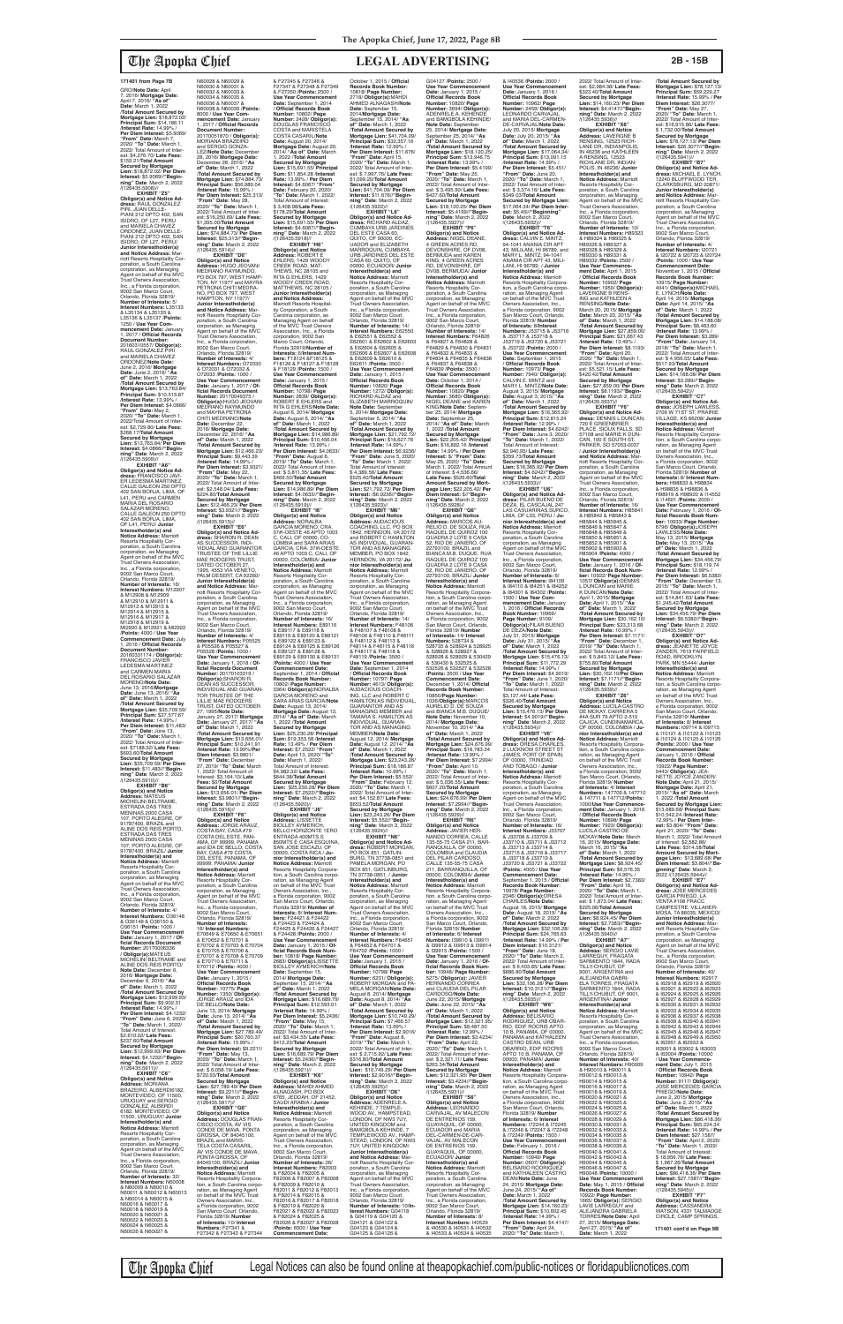**EXHIBIT "Z5" Obligor(s) and Notice Ad-dress:** RAUL GONZALEZ PIRI, JUAN DELLE-<br>PIANI 212 DPTO 402, SAN PIANI 212 DPTO 402, SAN ISIDRO, OF L27, PERU and MARIELA CHAVEZ ORDONEZ, JUAN DELLE-PIANI 212 DPTO 402, SAN ISIDRO, OF L27, PERU/ **Junior Interestholder(s) and Notice Address:** M riott Resorts Hospitality Corporation, a South Carolina corporation, as Managing Agent on behalf of the MVC Trust Owners Association, Inc., a Florida corporation, 9002 San Marco Court, Orlando, Florida 32819/ **Number of Interests:** 5/ **Interest Numbers:** L35133 & L35134 & L35135 & L35136 & L35137 /**Points:** 1250 / **Use Year Commencement Date:** January 1, 2017 / **Official Records Document Number:** 20160310557/ **Obligor(s):** RAUL GONZALEZ PIRI and MARIELA CHAVEZ ORDONEZ/**Note Date:** June 2, 2016/ **Mortgage Date:** June 2, 2016/ **"As of" Date:** March 1, 2022 /**Total Amount Secured by Mortgage Lien:** \$13,763.84/ **Principal Sum:** \$10,515.87 /**Interest Rate:** 13.99% / **Per Diem Interest:** \$4.0866/ **"From" Date:** May 2, 2020/ **"To" Date:** March 1, 2022/Total Amount of Inter-est: \$2,729.80/ **Late Fees:** \$268.17/**Total Amount Secured by Mortgage Lien:** \$13,763.84/ **Per Diem Interest:** \$4.0866//**"Begin-ning" Date**: March 2, 2022 /(126435.5909)//

N60028 & N60029 & N60030 & N60031 & N60032 & N60033 & N60034 & N60035 & N60036 & N60037 & N60038 & N60039 /**Points:** 8000 / **Use Year Commencement Date: January**<br>2017 / Official Records 1, 2017 / **Official Records Document Number:** 20170051870 / **Obligor(s):** MORIANA BRAZEIRO and SERGIO GONZA-<br>LEZ/Note Date: December<br>28, 2016/ Mortgage Date:<br>December 28, 2016/ "As<br>of" Date: March 1, 2022<br>Mortgage Lien: \$74,884.73/<br>Mortgage Lien: \$74,884.73/<br>Principal Sum: \$56,989.04 /**Interest Rate:** 15.99% / **Per Diem Interest:** \$25.313/ **"From" Date:** May 28, 2020/ **"To" Date:** March 1, 2022/ Total Amount of Inter est: \$16,250.69/ **Late Fees:** \$1,395.00/**Total Amount Secured by Mortgage Lien:** \$74,884.73/ **Per Diem Interest:** \$25.313//**"Begin-ning" Date**: March 2, 2022  $/(126435.5914)/\frac{1}{2}$ FXHIRIT "D6" **EXHIBIT "D6" Obligor(s) and Notice Address:** HUGO JEOVANI MEDRANO RAYMUNDO, PO BOX 797, WEST HAMP-TON, NY 11977 and MAYRA PETRONA CHITI MEDRA-NO, PO BOX 797, WEST HAMPTON, NY 11977/ **Junior Interestholder(s) and Notice Address:** Mar-<br>poration, a South Carolina<br>poration, as Managing<br>Agent on behalf of the MVC<br>Trust Owners Association, Inc., a Florida corporation, 9002 San Marco Court, Orlando, Florida 32819/ **Number of Interests:** 4/ **Interest Numbers:** O72030 & O72031 & O72032 & O72033 /**Points:** 1000 / **Use Year Commencement Date:** January 1, 2017 / **Of-ficial Records Document Number:** 20170049375 / **Obligor(s):**HUGO JEOVANI MEDRANO RAYMUNDO and MAYRA PETRONA CHITI MEDRANO/**Note Date:** December 22, 2016/ **Mortgage Date:** December 22, 2016/ **"As of" Date:** March 1, 2022 /**Total Amount Secured by Mortgage Lien:** \$12,466.23/ **Principal Sum:** \$9,443.39 /**Interest Rate:** 14.99% / **Per Diem Interest:** \$3.9321/ **"From" Date:** May 22, 2020/ **"To" Date:** March 1, 2022/ Total Amount of Interest: \$2,548.04/ **Late Fees:** \$224.80/**Total Amount Secured by Mortgage Lien:** \$12,466.23/ **Per Diem Interest: \$3.9321//"Begin-<br><b>ning" Date**: March 2, 2022<br>/(126435.5915)//<br>**EXHIBIT "E6" Obligor(s) and Notice Address:** SHARON R. DEAN AS SUCCESSOR, INDI-VIDUAL AND GUARANTOR TRUSTEE OF THE LILLIE MAE RODGERS TRUST,<br>DATED OCTOBER 27, 1995, 4553 VIA VENETO, PALM DESERT, CA 92260/ **Junior Interestholder(s) and Notice Address:** M

\$693.60/**Total Amount Secured by Mortgage Lien:** \$35,709.59/ **Per Diem Interest:** \$11.483//**"Beginning" Date**: March 2, 2022 /(126435.5910)// **EXHIBIT "B6"**

**Obligor(s) and Notice Address:** MATEUS MICHELINI BELTRAME, ESTRADA DAS TRES MENINAS 2000 CASA 107, PORTO ALEGRE, OF 91787400, BRAZIL and ALINE DOS REIS PORTO,<br>ESTRADA DAS TRES MENINAS 2000 CASA 107, PORTO ALEGRE, OF 91787400, BRAZIL/ **Junior Interestholder(s) and Notice Address:** Marriott<br>Resorts Hospitality Cor-<br>poration, a South Carolina corporation, as Managing Agent on behalf of the MVC Trust Owners Association, Inc., a Florida corporation, 9002 San Marco Court, Orlando, Florida 32819/ **Number of Interests:** 4/ **Interest Numbers:** O36148 & O36149 & O36150 & O36151 /**Points:** 1000 / **Use Year Commencement Date:** January 1, 2017 / **Official Records Document Number:** 20170006336 / **Obligor(s):**MATEUS MICHELINI BELTRAME and ALINE DOS REIS PORTO/ **Note Date:** December 6, 2016/ **Mortgage Date:** December 6, 2016/ **"As of" Date:** March 1, 2022 /**Total Amount Secured by Mortgage Lien:** \$12,999.93/ **Principal Sum:** \$9,902.31 /**Interest Rate:** 14.99% / **Per Diem Interest:** \$4.1232/ **"From" Date:** June 6, 2020/ **"To" Date:** March 1, 2022/ Total Amount of Interest: \$2,610.02/ **Late Fees:** \$237.60/**Total Amount Secured by Mortgage Lien:** \$12,999.93/ **Per Diem Interest:** \$4.1232//**"Begin-ning" Date**: March 2, 2022 /(126435.5911)// **EXHIBIT "C6" Obligor(s) and Notice Address:** MORIANA BRAZEIRO, ALBERDI6182, MONTEVIDEO, OF 11500, URUGUAY and SERGIO GONZALEZ, ALBERDI 6182, MONTEVIDEO, OF 11500, URUGUAY/ **Junior Interestholder(s) and Notice Address:** Marriott Resorts Hospitality Corporation, a South Carolina corporation, as Managing Agent on behalf of the MVC Trust Owners Association, Inc., a Florida corporation, 9002 San Marco Court, Orlando, Florida 32819/ **Number of Interests:** 32/ **Interest Numbers:** N60008 & N60009 & N60010 & N60011 & N60012 & N60013 & N60014 & N60015 & N60016 & N60017 & N60018 & N60019 &

**EXHIBIT "A6" Obligor(s) and Notice Ad-dress:** FRANCISCO JAVI-ER LEDESMA MARTINEZ CALLE GALEON 250 DPTO 402 SAN BORJA, LIMA, OF L41, PERU and CARMEN MARIA DEL ROSARIO<br>SALAZAR MORENO, CALLE GALEON 250 DPTO 402 SAN BORJA, LIMA, OF L41, PERU/ **Junior Interestholder(s) and Notice Address:** Marriott<br>Resorts Hospitality Cor-<br>poration, a South Carolina corporation, as Managing Agent on behalf of the MVC Trust Owners Association, Inc., a Florida corporation, 9002 San Marco Court, Orlando, Florida 32819/ **Number of Interests:** 16/ **Interest Numbers:** M12907 & M12908 & M12909 & M12910 & M12911 & M12912 & M12913 & M12914 & M12915 & M12916 & M12917 & M12918 & M12919 & Ml2920 & M12921 & Ml2922 /**Points:** 4000 / **Use Year Commencement Date:** July 1, 2016 / **Official Records Document Number:** 20160331174 / **Obligor(s):** FRANCISCO JAVIER LEDESMA MARTINEZ<br>and CARMEN MARIA and CARMEN MARIA<br>DEL ROSARIO SALAZAR MORENO/**Note Date:** June 13, 2016/**Mortgage Date:** June 13, 2016/ **"As of" Date:** March 1, 2022 /**Total Amount Secured by Mortgage Lien:** \$35,709.59/ **Principal Sum:** \$27,577.67 /**Interest Rate:** 14.99% / **Per Diem Interest:** \$11,483/ **"From" Date:** June 13, 2020/ **"To" Date:** March 1, 2022/ Total Amount of Interest: \$7188.32/ **Late Fees:** riott Resorts Hospitality Corporation, a South Carolina corporation, as Managing Agent on behalf of the MVC Trust Owners Association, Inc., a Florida corporation, 9002 San Marco Court, Orlando, Florida 32819/ **Number of Interests:** 4/ TOR TRUSTEE OF THE /**Total Amount Secured by** 

N60020 & N60021 & N60022 & N60023 & N60024 & N60025 & N60026 & N60027 &

# WOODY CREEK ROAD,<br>MATTHEWS, NC 28105 / **Junior Interestholder(s) and Notice Address:** Marriott Resorts Hospitality Corporation, a South Carolina corporation, as Managing Agent on behalf of the MVC Trust Owners Association, Inc., a Florida corporation, 9002 San Marco Court, Orlando, Florida 32819/**Number of Interests:** 6/**Interest Numbers:** F18124 &F18125 & F18126 & F18127 & F18128 & F18129 /**Points:** 1500 / Use Year Commencement<br> **Date:** January 1, 2015 /<br> **Official Records Book**<br> **Number:** 10798/ **Page<br>
RUBERT E EHLERS and<br>
RITA G EHLERS/<b>Note Date:**<br>
RITA G EHLERS/**Note Date:** August 6, 2014/ **Mortgage Date:** August 6, 2014/ **"As of" Date:** March 1, 2022 /**Total Amount Secured by Mortgage Lien:** \$14,986.89/ Principal Sum: \$10,456.04<br>/Interest Rate: 13.99%/<br>Per Diem Interest: \$4.0633/<br>"From" Date: August 6,<br>2022/ Total Amout of Inter-<br>2022/ Total Amout of Inter-<br>est: \$ 3,811.35/ Late Fees: \$469.50/**Total Amount Secured by Mortgage Lien:** \$14,986.89/ **Per Diem Interest:** \$4.0633//**"Begin-ning" Date**: March 2, 2022 /(126435.5919)/<br>"EXHIBIT "I6" **EXHIBIT "I6"<br><b>Obligor(s) and Notice**<br>**Address:** NORALBA<br>GARCIA MORENO, CRA.<br>37#l-OESTE 46 APTO 1003<br>C, CALI, OF 00000, CO-LOMBIA and SARA ARIAS GARCIA, CRA. 37#l-OESTE 46 APTO 1003 C, CALI, OF 00000, COLOMBIA/ **Junior Interestholder(s) and Notice Address:** Marriott Resorts Hospitality Cor-<br>poration, a South Carolina poration, a South Carolina corporation, as Managing Agent on behalf of the MVC Trust Owners Association, Inc., a Florida corporation, 9002 San Marco Court,<br>Orlando, Florida 32819/<br>**Number of Interests:** 16/ **Interest Numbers:** E89116 & E89117 & E89118 & E89119 & E89120 & E89121

P05528 /**Points:** 1000 /

**Interest Numbers:** P05525 & P05526 & P05527 & **Use Year Commencement Date:** January 1, 2018 / **Of-ficial Records Document Number:** 20170103319 /<br>**Obligor(s):**SHARON R.<br>DEAN AS SUCCESSOR,<br>INDIVIDUAL AND GUARAN-LILLIE MAE RODGERS TRUST, DATED OCTOBER 27, 1995/**Note Date:** January 27, 2017/ **Mortgage Date:** January 27, 2017/ **"As of" Date:** March 1, 2022 & E89122 & E89123 & E89124 & E89125 & E89126 & E89127 & E89128 & E89129 & E89130 & E89131 /**Points:** 4000 / **Use Year Commencement Date:** September 1, 2014 / **Official Records Book Number:<br>10802/ <b>Page Number:**<br>3364/ **Obligor(s):**NORALBA<br>GARCIA MORENO and SARA ARIAS GARCIA/**Note Date:** August 13, 2014/ **Mortgage Date:** August 13, 2014/ **"As of" Date:** March 1, 2022 /**Total Amount Secured by Mortgage Lien:** \$25,230.28/ **Principal** 

**Mortgage Lien:** \$13,656.01/ **Principal Sum:** \$10,241.91 /**Interest Rate:** 13.99%/**Per Diem Interest:** \$3.9801/ "From" Date: Decembe 27, 2019/ **"To" Date:** March  $2022$ / Total Amount of Interest: \$3,164.10/ **Late Fees:** \$0/**Total Amount Secured by Mortgage Lien:** \$13,656.01/ **Per Diem Interest:** \$3.9801//**"Begin-ning" Date**: March 2, 2022 /(126435.5916)// **EXHIBIT "F6" Obligor(s) and Notice Address:** JORGE ARAUZ, COSTA BAY, CASA #79 COSTA DEL ESTE, PAN-AMA, OF 99999, PANAMA and IDA DE BELLO, COSTA BAY, CASA #79 COSTA DEL ESTE, PANAMA, OF 99999, PANAMA/ **Junior Interestholder(s) and<br><b>Notice Address:** Marriott<br>Resorts Hospitality Corporation, a South Carolina corporation, as Managing Agent on behalf of the MVC Trust Owners Association, Inc., a Florida corporation, 9002 San Marco Court, Orlando, Florida 32819/ **Number of Interests:** 16/ **Interest Numbers:** E70649 & E70650 & E70651 & E70652 & E70701 & E70702 & E70703 & E70704 & E70705 & E70706 & E70707 & E70708 & E70709 & E70710 & E70711 & E70712 /**Points:** 4000 / **Use Year Commencement**  Date: January 1, 2015 **Official Records Book Number:** 10775/ **Page Number:** 1350/ **Obligor(s):** JORGE ARAUZ and IDA DE BELLO/**Note Date:** June 13, 2014/ **Mortgage Date:** June 13, 2014/ **"As of" Date:** March 1, 2022 /**Total Amount Secured by Mortgage Lien:** \$27,789.49/ **Principal Sum:** \$20,760.37 /**Interest Rate:** 15.99% / **Per Diem Interest:** \$9.2211/ **"From" Date:** May 13, 2020/ **"To" Date:** March 1, 2022/ Total Amount of Inter-est: \$ 6,058.19/ **Late Fees:** \$720.93/**Total Amount Secured by Mortgage Lien:** \$27,789.49/ **Per Diem Interest:** \$9,2211//**"Begin-ning" Date**: March 2, 2022 /(126435.5917)// **EXHIBIT "G6" Obligor(s) and Notice Address:** DOUGLAS FRAN-CISCO COSTA, AV VIS CONDE DE MAVA, PONTA GROSSA, OF 84045100, BRAZIL and MARIS TELA COSTA CASARIL, AV VIS CONDE DE MAVA, PONTA GROSSA, OF 84045100, BRAZIL/ **Junior Interestholder(s) and Notice Address:** Marriott Resorts Hospitality Corpora-tion, a South Carolina corporation, as Managing Agent<br>on behalf of the MVC Trust<br>Owners Association, Inc.,<br>a Florida corporation, 9002 San Marco Court, Orlando, Florida 32819/ **Number of Interests:** 10/ **Interest Numbers:** F27341 & F27342 & F27343 & F27344 **Sum:** \$19,353.58 /**Interest Rate:** 13.49% / **Per Diem** 

& F27345 & F27346 & F27347 & F27348 & F27349 & F27350 /**Points:** 2500 / Use Year Commencer **Date:** September 1, 2014 / **Official Records Book Number:** 10802/ **Page Number:** 2428/ **Obligor(s):** DOUGLAS FRANCISCO COSTA and MARISTELA COSTA CASARIL/**Note Date:** August 20, 2014/ **Mortgage Date:** August 20, 2014/ **"As of" Date:** March 1, 2022 /**Total Amount Secured by Mortgage Lien:** \$15,691.55/ **Principal Sum:** \$11,854.28 /**Interest Rate:** 13.99% / **Per Diem Interest:** \$4.6067/ **"From" Date:** February 20, 2020/ **"To" Date:** March 1, 2022/ Total Amount of Interest: \$ 3,408.98/**Late Fees:** \$178.29/**Total Amount Secured by Mortgage Lien:** \$15,691.55/ **Per Diem Interest:** \$4.6067//"**Begin-<br><b>ning" Date**: March 2, 2022<br>/(126435.5918)// **EXHIBIT "H6" Obligor(s) and Notice Address:** ROBERT E<br>EHLERS, 1429 WOODY<br>CREEK ROAD, MAT-THEWS, NC  $28105$  and RITA G EHLERS, 1429

> **EXHIBIT "V6" Obligor(s) and Notice Ad-<br>dress: ORESA CHARLES.**

October 1, 2015 / **Official** 

**Date:** September 15, 2014/**Mortgage Date:**

**Interest:** \$7.2522/ **"From" Date:** April 13, 2020/ **"To" Date:** March 1, 2022/ Total Amount of Interest: \$4,982.32/ **Late Fees:** \$644.38/**Total Amount Secured by Mortgage Lien:** \$25,230.28/ **Per Diem Interest:** \$7.2522//**"Begin-ning" Date**: March 2, 2022 /(126435.5920)// **EXHIBIT "J6" Obligor(s) and Notice Address:** LISSETTE BIOLLEY AYMERICH, BELLO HORIZONTE 1ERO ENTRADA 400MTS S 850MTS E CASA ESQUINA, SAN JOSE ESCAZU, OF 00000, COSTA RICA / **Junior Interestholder(s) and Notice Address:** Marriott Resorts Hospitality Corpora-tion, a South Carolina corporation, as Managing Agent<br>on behalf of the MVC Trust Owners Association, Inc., a Florida corporation, 9002 San Marco Court, Orlando<br>Elorido 32810/Number of Florida 32819/ **Number of Interests:** 8/ **Interest Numbers:** F24421 & F24422 & F24423 & F24424 & F24425 & F24426 & F24427 & F24428 /**Points:** 2000 / **Use Year Commencement Date:** January 1, 2015 / **Of-ficial Records Book Num-ber:** 10818/ **Page Number:** 2683/ **Obligor(s):**LISSETTE BIOLLEY AYMERICH/**Note**<br> **Date:** Sentember 15 **Date:** September 15, 2014/ **Mortgage Date:** September 15, 2014/ **"As of" Date:** March 1, 2022 /**Total Amount Secured by Mortgage Lien:** \$16,689.79/ **Principal Sum:** \$12,593.01 /**Interest Rate:** 14.99% / **Per Diem Interest:** \$5.2436/ **"From" Date:** May 15, 2020/ **"To" Date:** March 1, 2022/ Total Amount of Inter-est: \$3,434.55/ **Late Fees:** \$412.23/**Total Amount Secured by Mortgage Lien:** \$16,689.79/ **Per Diem Interest:** \$5.2436//**"Beginning" Date**: March 2, 2022 /(126435.5921)// **EXHIBIT "K6" Obligor(s) and Notice Address:** MAHDI AHMED ALNAGASH, PO BOX 6765, JEDDAH, OF 21452, SAUDI ARABIA / **Junior Interestholder(s) and Notice Address:** Marriott Resorts Hospitality Corporation, a South Carolina corporation, as Managing Agent on behalf of the MVC Trust Owners Association, Inc., a Florida corporation, 9002 San Marco Court, Orlando, Florida 32819/<br>Number of Interests: 26 **Number of Interests:** 26/ **Interest Numbers:** F82003 & F82004 & F82005 & F82006 & F82007 & F82008 & F82009 & F82010 & F82011 & F82012 & F82013 & F82014 & F82015 & F82016 & F82017 & F82018 & F82019 & F82020 & F82021 & F82022 & F82023 & F82024 & F82025 & F82026 & F82027 & F82028 /**Points:** 6500 / **Use Year Commencement Date:** \$653.52/**Total Amount Secured by Mortgage Lien:** \$23,243.26/ **Per Diem Interest:** \$5.552//**"Begin-ning" Date**: March 2, 2022 /(126435.5924)// **EXHIBIT "N6" Obligor(s) and Notice Ad-dress:** ROBERT MORGAN, PO BOX 851, GATLIN-BURG, TN 37738-0851 and PAMELA MORGAN, PO BOX 851, GATLINBURG, TN 37738-0851, / **Junior Interestholder(s) and Notice Address:** Marriott Resorts Hospitality Cor-<br>poration, a South Carolina poration, a South Carolina corporation, as Managing Agent on behalf of the MVC Trust Owners Association, Inc., a Florida corporation, 9002 San Marco Court, Orlando, Florida 32819/ **Number of Interests:** 4/ **Interest Numbers:** F64651 & F64652 & F64701 & F64702 /**Points:** 1000 / **Use Year Commencement Date:** January 1, 2015 / **Official Records Book Number:** 10798/ **Page Number:** 6231/ **Obligor(s):** ROBERT MORGAN and PA-MELA MORGAN/**Note Date:** August 8, 2014/ **Mortgage Date:** August 8, 2014/ **"As of" Date:** March 1, 2022 /**Total Amount Secured by Mortgage Lien:** \$10,749.29/ **Principal Sum:** \$7,466.57 /**Interest Rate:** 13.99% / **Per Diem Interest:** \$2.9016/ **"From" Date:** August 8, 2019/ **"To" Date:** March 1, 2022/ Total Amount of Inter-est: \$ 2,715.92/ **Late Fees:** \$316.80/**Total Amount Secured by Mortgage Lien:** \$10,749.29/ **Per Diem Interest:** \$2.9016//**"Beginning" Date**: March 2, 2022 /(126435.5925)// **EXHIBIT "O6"<br><b>Obligor(s) and Notice**<br>**Addres**s: ADENRELE A.<br>KEHINDE, 7 TEMPLE-<br>WOOD AV., HAMPSTEAD,<br>LONDON, OF NW3 7UY, UNITED KINGDOM and BAMGBOLA KEHINDE, 7 TEMPLEWOOD AV., HAMP-STEAD, LONDON, OF NW3 7UY, UNITED KINGDOM/ **Junior Interestholder(s) and Notice Address: Mar**riott Resorts Hospitality Cor-poration, a South Carolina corporation, as Managing Agent on behalf of the MVC Trust Owners Association, Inc., a Florida corporation, 9002 San Marco Court, Orlando, Florida 32819/ **Number of Interests:** 10/**Interest Numbers:** G04118 & G04119 & G04120 & G04121 & G04122 & G04123 & G04124 & G04125 & G04126 &

**Mortgage Lien:** \$41,704.09/ **Principal Sum:** \$32,357.16 /**Interest Rate:** 12.99% / **Per Diem Interest:** \$11.676/ **"From" Date:** April 15, 2020/ **"To" Date:** March 1, 2022/ Total Amount of Inter-est: \$ 7,997.76/ **Late Fees:** \$1,099.20/**Total Amount Secured by Mortgage Lien:** \$41,704.09/ **Per Diem Interest:** \$11.676//**"Begin-ning" Date**: March 2, 2022 /(126435.5922)// **EXHIBIT "L6" Obligor(s) and Notice Ad-<br><b>dress:** RICHARD ALDAZ,<br>CUMBAYA URB JARDINES<br>DEL ESTE CASA 60,<br>QUITO, OF 00000, EC-UADOR and ELIZABETH MARROQUIN, CUMBAYA URB JARDINES DEL ESTE CASA 60, QUITO, OF 00000, ECUADOR/ **Junior Interestholder(s) and Notice Address:** Marriott<br>Resorts Hospitality Cor-<br>poration, a South Carolina<br>corporation, as Managing<br>Agent on behalf of the MVC<br>Trust Owners Association, Inc., a Florida corporation, 9002 San Marco Court, Orlando, Florida 32819/ **Number of Interests:** 14/ **Interest Numbers:** E62550 & E62551 & E62552 & E62601 & E62602 & E62603 & E62604 & E62605 & E62606 & E62607 & E62608 & E62609 & E62610 & E62611 /**Points:** 3500 / Use Year Commencement<br>Date: January 1, 2015 /<br>Official Records Book<br>Number: 10820/ Page<br>Number: 1272/ Obligor(s):<br>RICHARD ALDAZ and<br>ELIZABETH MARROQUIN/<br>ELIZABETH MARROQUIN/ **Note Date:** September 5, 2014/ **Mortgage Date:** September 5, 2014/ **"As of" Date:** March 1, 2022 /**Total Amount Secured by Mortgage Lien:** \$21,792.72/ **Principal Sum:** \$16,627.76 /**Interest Rate:** 14.99% / **Per Diem Interest:** \$6.9236/ **"From" Date:** June 5, 2020/ **"To" Date:** March 1, 2022/ Total Amount of Interest: \$ 4,389.56/ **Late Fees:** \$525.40/**Total Amount Secured by Mortgage Lien:** \$21,792.72/ **Per Diem Interest:** /\$6.9236//**"Begin-ning" Date**: March 2, 2022 /(126435.5923)//<br>"**ЕХНІВІТ "М6 EXHIBIT "M6" Obligor(s) and Notice Address:** AUDACIOUS COACHING, LLC, PO BOX 1842, HERNDON, VA 20172 and ROBERT C HAMILTON AS INDIVIDUAL, GUARAN-TOR AND AS MANAGING MEMBER, PO BOX 1842, HERNDON, VA 20172/ **Ju-nior Interestholder(s) and Notice Address:** Marriott<br>Resorts Hospitality Cor-<br>poration, a South Carolina<br>corporation, as Managing<br>Agent on behalf of the MVC<br>Trust Owners Association, Inc., a Florida corporation, 9002 San Marco Court, Orlando, Florida 32819/ **Number of Interests:** 14/ **Interest Numbers:** F48106<br>& F48107 & F48108 &<br>F48109 & F48110 & F48111 & F48112 & F48113 & F48114 & F48115 & F48116 & F48117 & F48118 & F48119 /**Points:** 3500 / **Use Year Commencement Date:** September 1, 2014 / **Official Records Book Number:** 10797/ **Page Number:** 4613/ **Obligor(s):** AUDACIOUS COACH-ING, LLC and ROBERT C HAMILTON AS INDIVIDUAL,<br>GUARANTOR AND AS<br>MANAGING MEMBER and<br>TAMARA S. HAMILTON AS<br>INDIVIDUAL, GUARAN-<br>TOR AND AS MANAGING MEMBER/**Note Date:** August 12, 2014/ **Mortgage Date:** August 12, 2014/ **"As of" Date:** March 1, 2022 /**Total Amount Secured by Mortgage Lien:** \$23,243.26/ **Principal Sum:** \$18,186.87 /**Interest Rate:** 10.99% / **Per Diem Interest:** \$5.552/ **"From" Date:** February 12, 2020/ **"To" Date:** March 1, 2022/ Total Amount of Interest: \$4,152.87/ **Late Fees:**

2022/ Total Amount of Inter est: \$2,984.38/ **Late Fees:** \$323.40/**Total Amount Secured by Mortgage Lien:** \$14,160.23/ **Per Diem Interest:** \$4.4147//**"Beginning" Date**: March 2, 2022 /(126435.5936)// **EXHIBIT "X6" Obligor(s) and Notice Address:** LAVERGNE B RENSING, 12523 RICH-LANE DR. INDIANPOLIS IN 46236 and KATHLEEN<br>A RENSING, 12523 A RENSING, 12523 RICHLANE DR, INDIAN-POLIS, IN 46236/ **Junior Interestholder(s) and Notice Address:** Marriott<br>Resorts Hospitality Cor-<br>poration, a South Carolina<br>corporation, as Managing<br>Agent on behalf of the MVC<br>Trust Owners Association, Inc., a Florida corporation, 9002 San Marco Court,<br>Orlando, Florida 32819/<br>**Number of Interests:** 10/ **Interest Numbers:** H89323 & H89324 & H89325 & H89326 & H89327 & H89328 & H89329 & H89330 & H89331 & H89332 /**Points:** 2500 / **Use Year Commence-ment Date:** April 1, 2015 / **Official Records Book Number:** 10902/ **Page Number:** 1950/ **Obligor(s):** LAVERGNE B RENS-ING and KATHLEEN A RENSING/**Note Date:** March 20, 2015/ **Mortgage Date:** March 20, 2015/ **"As of" Date:** March 1, 2022 /**Total Amount Secured by Mortgage Lien:** \$27,859.00/ **Principal Sum:** \$21,667.43 /**Interest Rate:** 13.49% / **Per Diem Interest:** \$8.1193/ **"From" Date:** April 20, 2020/ **"To" Date:** March 1, 2022/ Total Amount of Inter-est: \$5,521.15/ **Late Fees:** \$420.42/**Total Amount Secured by Mortgage Lien:** \$27,859.00/ **Per Diem Interest:** \$8.1193//**"Begin-ning" Date**: March 2, 2022 /(126435.5937)// **EXHIBIT "Y6" Obligor(s) and Notice Ad-dress:** DENNIS L DUNCAN, 720 E GREENBRIER /**Total Amount Secured by** 

**Records Book Number:** 10818/ **Page Number:** 2718/ **Obligor(s):**MAHDI AHMED ALNAGASH/**Note**  September 15, 2014/ **"As of" Date:** March 1, 2022 /**Total Amount Secured by**  G04127 /**Points:** 2500 / **Use Year Commencement Date:** January 1, 2015 / **Official Records Book Number:** 10820/ **Page Number:** 3694/ **Obligor(s):** ADENRELE A. KEHENDE and BAMGBOLA KEHINDE **Note Date:** September 25, 2014/ **Mortgage Date:** September 25, 2014/ **"As of" Date:** March 1, 2022 /**Total Amount Secured by Mortgage Lien:** \$18,120.25/ **Principal Sum:** \$13,946.75 /**Interest Rate:** 13.99% / **Per Diem Interest:** \$5.4199/ **"From" Date:** May 25, 2020/ **"To" Date:** March 1, 2022/ Total Amount of Inter-est: \$ 3,495.90/ **Late Fees:** \$427.60/**Total Amount Secured by Mortgage Lien:** \$18,120.25/ **Per Diem Interest:** \$5.4199//**"Begin-ning" Date**: March 2, 2022 /(126435.5927)// **EXHIBIT "P6" Obligor(s) and Notice Address:** NIGEL DEANE, 4 GREEN ACRES RD, DEVONSHIRE, OF DV08,<br>BERMUDA and KAREN BERMUDA and KAREN<br>KING, 4 GREEN ACRES<br>RD, DEVONSHIRE, OF<br>DV08, BERMUDA/ **Junior Interestholder(s) and Notice Address:** Marriott<br>Resorts Hospitality Cor-<br>poration, a South Carolina corporation, as Managing Agent on behalf of the MVC Trust Owners Association, Inc., a Florida corporation, 9002 San Marco Court, Orlando, Florida 32819/ **Number of Interests:** 14/ **Interest Numbers:** F64826 & F64827 & F64828 & F64829 & F64830 & F64831 & F64832 & F64833 & F64834 & F64835 & F64836 & F64837 & F64838 & F64839 /**Points:** 3500 / **Use Year Commencement Date:** October 1, 2014 / **Official Records Book Number:** 10820/ **Page Number:** 3680/ **Obligor(s):** NIGEL DEANE and KAREN KING/**Note Date:** September 25, 2014/ **Mortgage Date:** September 25, 2014/ **"As of" Date:** March 1, 2022 /**Total Amount Secured by Mortgage Lien:** \$22,205.42/ **Principal Sum:** \$16,892.16 /**Interest Rate:** 14.99% / **Per Diem Interest:** \$/ **"From" Date:** May 25, 2020/ **"To" Date:** March 1, 2022/ Total Amount of Interest: \$ 4,536.66/ **Late Fees:** \$526.60/**Total Amount Secured by Mort-gage Lien:** \$22,205.42/ **Per Diem Interest:** \$//**"Begin-ning" Date**: March 2, 2022 /(126435.5928)// **EXHIBIT "Q6" Obligor(s) and Notice<br><b>Address:** MARCOS AU-<br>RELIO D. DE SOUZA, RUA<br>RAQUEL DE QUIROZ 100 QUADRA 2 LOTE 9 CASA 52, RIO DE JANIERO, OF 22793100, BRAZIL and BIANCA M.B. DUQUE, RUA RAQUEL DE QUIROZ 100 QUADRA 2 LOTE 9 CASA 52, RIO DE JANIERO, OF 22793100, BRAZIL/ **Junior Interestholder(s) and Notice Address:** Marriott Resorts Hospitality Corpora-tion, a South Carolina corporation, as Managing Agent<br>on behalf of the MVC Trust<br>Owners Association, Inc.,<br>a Florida corporation, 9002 San Marco Court, Orlando, Florida 32819/ **Number of Interests:** 14/ **Interest<br>Numbers:** 528734 &<br>528735 & 528924 & 528925<br>& 528926 & 528929 & 530429<br>528928 & 528929 & 530429<br>& 530430 & 532525 & 532526 & 532527 & 532528 /**Points:** 3500 / **Use Year Commencement Date:** December 1, 2014/ **Official Records Book Number:** 10850/**Page Number:**<br>1026/**Obligor(s):**MARCOS<br>AURELIO D. DE SOUZA<br>and BIANCA M.B. DUQUE/ **Note Date:** November 10, 2014/ **Mortgage Date:** November 10, 2014/ **"As of" Date:** March 1, 2022 /**Total Amount Secured by Mortgage Lien:** \$24,676.99/ **Principal Sum:** \$18,783.24 /**Interest Rate:** 13.99% / **Per Diem Interest:** \$7.2994/ **"From" Date:** April 10, 2020/ **"To" Date:** March 1, 2022/ Total Amount of Interest: \$ 5,036.55/ **Late Fees:** \$607.20/**Total Amount Secured by Mortgage Lien:** \$24,676.99/ **Per Diem Interest:** \$7.2994//**"Begin-ning" Date**: March 2, 2022 /(126435.5929)// **EXHIBIT "R6" Obligor(s) and Notice Address:** JAVIER HER-NANDO CORREA, CALLE 135-55-75 CASA 211, BAR-RANQUILLA, OF 00000 COLOMBIA and CLAUDIA DEL PILAR CARDOSO, CALLE 135-55-75 CASA 211, BARRANQUILLA, OF 00000, COLOMBIA/ **Junior Interestholder(s) and Notice Address:** Marriott Resorts Hospitality Corporation, a South Carolina corporation, as Managing Agent on behalf of the MVC Trust Owners Association, Inc., a Florida corporation, 9002 San Marco Court, Orlando, Florida 32819/ **Number of Interests:** 6/ **Interest Numbers:** I39910 & I39911 & I39912 & I39913 & I39914 & I39915 /**Points:** 1500 / **Use Year Commencement Date:** January 1, 2016 / **Official Records Book Number:** 10948/ **Page Number:**<br>5275/ **Obligor(s):** JAVIER<br>HERNANDO CORREA<br>and CLAUDIA DEL PILAR CARDOSO/**Note Date:** June 22, 2015/ **Mortgage Date:** June 22, 2015/ **"As of" Date:** March 1, 2022 /**Total Amount Secured by Mortgage Lien:** \$12,321.95/ **Principal Sum:** \$9,487.50 /**Interest Rate:** 12.99% / **Per Diem Interest:** \$3.4234/ **"From" Date:** April 22, 2020/ **"To" Date:** March 1, 2022/ Total Amount of Interest: \$ 2,321.11/ **Late Fees:** \$263.34/**Total Amount Secured by Mortgage Lien:** \$12,321.95/ **Per Diem Interest:** \$3.4234//**"Begin-ning" Date**: March 2, 2022 /(126435.5931)// **EXHIBIT "S6" Obligor(s) and Notice<br><b>Address:** LEONARDO<br>CARVAJAL, AV MALECON<br>DE ENTRERIOS 159, GUAYAQUIL, OF 00000, ECUADOR and MARIA DEL-CARMEN-DE-CAR-VAJAL, AV MALECON DE ENTRERIOS 159, GUAYAQUIL, OF 00000, ECUADOR/ **Junior Interestholder(s) and<br><b>Notice Address:** Marriott<br>Resorts Hospitality Corporation, a South Carolina corporation, as Managing Agent on behalf of the MVC Trust Owners Association, Inc., a Florida corporation, 9002 San Marco Court, Orlando, Florida 32819/ **Number of Interests:** 8/ **Interest Numbers:** I40529

**Obligor(s) and Notice<br><b>Address:** LUCILA CASTRO<br>DE MCKAY, CARRERA 5 #4A SUR 79 APTO 2-510 CAJICA, CUNDINAMARCA, OF 00000, COLOMBIA / **Junior Interestholder(s) and Notice Address:** Marriott<br>Resorts Hospitality Corporation, a South Carolina corporation, as Managing Agent<br>on behalf of the MVC Trust Owners Association, Inc., a Florida corporation, 9002 San Marco Court, Orlando, Florida 32819/ **Number of Interests:** 4/ **Interest Numbers:** 147709 & 147710 & 147711 & 147712/**Points:** 1000/**Use Year Commence-ment Date:** January 1, 2016 / **Official Records Book Number:** 10898/ **Page Number:** 7923/ **Obligor(s):** LUCILA CASTRO DE<br>MCKAY/**Note Date:** March MCKAY/**Note Date:** March 16, 2015/ **Mortgage Date:** March 16, 2015/ **"As of" Date:** March 1, 2022 /**Total Amount Secured by Mortgage Lien: \$8,924.45/<br><b>Principal Sum: \$**6,576.35<br>/Interest Rate: 14.99% / **Per Diem Interest:** \$2.7383/ **"From" Date:** April 16, 2020/ **"To" Date:** March 1, 2022/ Total Amount of Inter est: \$ 1,873.04/ **Late Fees:** \$225.06/**Total Amount Secured by Mortgage Lien:** \$8,924.45/ **Per Diem Interest:** \$2.7383//**"Beginning" Date**: March 2, 2022 /(126435.5940)// **EXHIBIT "A7" Obligor(s) and Notice Address:** SERGIO LAVIE LARREGUY, FRAGATA SARMIENTO 1844, RADA TILLY-CHUBUT, OF 9001, ARGENTINA and ALEJANDRA GABRI ELA TORRES, FRAGATA SARMIENTO 1844, RADA TILLY-CHUBUT, OF 9001, ARGENTINA/ **Junior Interestholder(s) and Notice Address:** Marriott Resorts Hospitality Cor-poration, a South Carolina corporation, as Managing Agent on behalf of the MVC Trust Owners Association, Inc., a Florida corporation, 9002 San Marco Court, Orlando, Florida 32819/ **Number of Interests:** 40/ **Interest Numbers:** H90009 & H90010 & H90011 & H90012 & H90013 & H90014 & H90015 & H90016 & H90017 & H90018 & H90019 & H90020 & H90021 & H90022 & H90023 & H90024 & H90025 & H90026 & H90027 & H90028 & H90029 & H90030 & H90031 & H90032 & H90033 & H90034 & H90035 & H90036 & H90037 & H90038 & H90039 & H90040 & H90041 & H90042 & H90043 & H90044 & H90045 & H90046 & H90047 & H90048 /**Points:** 10000 / **Use Year Commencement Date:** May 1, 2015 / **Official Records Book Number:** 10922/ **Page Number:** 1665/ **Obligor(s):** SERGIO LAVIE LARREGUY and ALEJANDRA GABRIELA TORRES/**Note Date:** April 27, 2015/ **Mortgage Date:** April 27, 2015/ **"As of" Date:** March 1, 2022 & I10121 & I10122 & I10123 & I10124 & I10125 & I10126 /**Points:** 2000 / **Use Year Commencement** January 1, 2016 / **Official Records Book Number:** 10922/ **Page Number:** 0443/ **Obligor(s):** JEA-NETTE JOYCE ZANDER/ **Note Date:** April 21, 2015/ **Mortgage Date:** April 21, 2015/ **"As of" Date:** March 1, 2022 /**Total Amount Secured by Mortgage Lien:**  \$13,689.68/ **Principal Sum:** \$10,542.24 /**Interest Rate:** 12.99% / **Per Diem Inter-est:** \$3.804/ **"From" Date:** April 21, 2020/ **"To" Date:** March 1, 2022/ Total Amount of Interest: \$2,582.86/ **Late Fees:** \$314.58/**Total Amount Secured by Mortgage Lien:** \$13,689.68/ **Per Diem Interest:** \$3.804//**"Beginning" Date**: March 2,<br>2022 /(126435.5944)// **EXHIBIT "E7" Obligor(s) and Notice Ad-dress:** JOSE MERCEDES GARCIA PRIEGO, LA  $VENTA #108 FRAC$ **Junior Interestholder(s) and Notice Address:** Marriott Resorts Hospitality Cor-Trust Owners Association, Inc., a Florida corporation, 9002 San Marco Court, Orlando, Florida 32819/ **Number of Interests:** 40/ **Interest Numbers:** I62917 & I62924 & I62925 & I62926 & I62930 & I62931 & I62932  $k$  162939 & 162940 & 16294 & I62951 & I62952 & I63001 & I63002 & I63003 & I63004 /**Points:** 10000 / **Use Year Commencement Date:** July 1, 2015 / **Official Records Book Number:** 10942/ **Page**  PRIEGO/**Note Date:** June 2, 2015/ **Mortgage Date:** June 2, 2015/ **"As of" Date:** March 1, 2022 **"From" Date:** April 2, 2020/ **"To" Date:** March 1, 2022/ Total Amount of Interest: \$ 18,956.76/ **Late Fees:** ً⁄ //(126435.5945)/<br>"EXHIBIT "F7 **EXHIBIT "F7" Obligor(s) and Notice Address:** CASSANDRA WATSON, 4331 TALMADGE CIRCLE, CAMP SPRINGS, **171401 cont'd on Page 9B**

GRO/**Note Date:** April 7, 2016/ **Mortgage Date:** April 7, 2016/ **"As of" Date:** March 1, 2022 /**Total Amount Secured by Mortgage Lien:** \$18,872.02/ **Principal Sum:** \$14,186.11 /**Interest Rate:** 14.99% / **Per Diem Interest:** \$5.9069/ **"From" Date:** March 7, 2020/ **"To" Date:** March 1, 2022/ Total Amount of Interest: \$4,276.70/ **Late Fees:** \$159.21/**Total Amount Secured by Mortgage Lien:** \$18,872.02/ **Per Diem Interest:** \$5.9069//**"Begin-ning" Date**: March 2, 2022 /(126435.5908)// **171401 from Page 7B**

& I40536 /**Points:** 2000 / **Use Year Commencement Date:** January 1, 2016 / **Official Records Book Number:** 10962/ **Page Number:** 2459/ **Obligor(s):** LEONARDO CARVAJAL and MARIA DEL-CARMEN-DE-CARVAJAL/**Note Date:** July 20, 2015/ **Mortgage Date:** July 20, 2015/ **"As of" Date:** March 1, 2022 /**Total Amount Secured by Mortgage Lien:** \$17,064.34/ **Principal Sum:** \$13,091.15 /**Interest Rate:** 14.99% / **Per Diem Interest:** \$5.451/ **"From" Date:** June 20, 2020/ **"To" Date:** March 1, 2022/ Total Amount of Inter-est: \$ 3,374.16/ **Late Fees:** \$349.03/**Total Amount Secured by Mortgage Lien:**  \$17,064.34/ **Per Diem Interest:** \$5.45l//**"Beginning" Date**: March 2, 2022<br>/(126435.5932)// **EXHIBIT "T6" Obligor(s) and Notice Ad-dress:** CALVIN E. MINTZ, 94-1041 ANANIA CIR APT 43, MILILANI, HI 96789, and MARY L. MINTZ, 94-1041 ANANIA CIR APT 43, MILI-LANI, HI 96789, / **Junior Interestholder(s) and Notice Address:** Marriott<br>Resorts Hospitality Corpora-<br>tion, a South Carolina corporation, as Managing Agent on behalf of the MVC Trust Owners Association, Inc., a Florida corporation, 9002 San Marco Court, Orlando, Florida 32819/ **Number of Interests:** 8/**Interest Numbers:** J53715 & J53716 & J53717 & J53718 & J53719 & J53720 & J53721 & J53722 /**Points:** 2000 / **Use Year Commencement Date:** September 1, 2015 / **Official Records Book Number:** 10973/ **Page Number:** 7940/ **Obligor(s):** CALVIN E. MINTZ and MARY L. MINTZ/**Note Date:** August 3, 2015/ **Mortgage Date:** August 3, 2015/ **"As of" Date:** March 1, 2022 /**Total Amount Secured by Mortgage Lien:** \$16,365.92/ **Principal Sum:** \$12,815.24 /**Interest Rate:** 12.99% / Per Diem Interest: \$4.6242 **"From" Date:** June 3, 2020/ **"To" Date:** March 1, 2022/ Total Amount of Inter \$2,940.95/ **Late Fees:** \$359.73/**Total Amount Secured by Mortgage Lien:** \$16,365.92/ **Per Diem** 

**Interest:** \$4.6242//**"Beginning" Date**: March 2, 2022 /(126435.5933)// **EXHIBIT "U6" Obligor(s) and Notice Ad-dress:** PILAR BUENO DE DEZA, EL CASCAJAL 247 LAS CASUARINAS, SURCO LIMA, OF L33, PERU / **Ju-nior Interestholder(s) and Notice Address:** Marriott Resorts Hospitality Cor-<br>poration, a South Carolina poration, a South Carolina corporation, as Managing Agent on behalf of the MVC Trust Owners Association, Inc., a Florida corporation, 9002 San Marco Court, Orlando, Florida 32819/ **Number of Interests:** 6/ **Interest Numbers:** I84109 & I84110 & I84251 & I84252 & I84301 & I84302 /**Points:** 1500 / **Use Year Commencement Date:** January 1, 2016 / **Official Records Book Number:** 10969/ **Page Number:** 9109/ **Obligor(s):**PILAR BUENO DE DEZA/**Note Date:** July 31, 2015/ **Mortgage Date:** July 31, 2015/ **"As of" Date:** March 1, 2022 /**Total Amount Secured by Mortgage Lien:** \$15,476.13/ **Principal Sum:** \$11,772.29 /**Interest Rate:** 14.99% / **Per Diem Interest:** \$4.9019/ **"From" Date:** June 1, 2020/ **"To" Date:** March 1, 2022/ Total Amount of Interest: \$3,127.44/ **Late Fees:** \$326.40/**Total Amount Secured by Mortgage Lien:** \$15,476.13/ **Per Diem Interest:** \$4.9019//**"Begin-ning" Date**: March 2, 2022 /(126435.5934)//

& I40530 & I40531 & I40532 & I40533 & I40534 & I40535 **dress:** ORESA CHARLES,<br>2 LUCKNOW STREET ST<br>JAMES, PORT OF SPAIN,<br>OF 00000, TRINIDAD AND TOBAGO / **Junior Interestholder(s) and<br><b>Notice Address:** Marriott<br>Resorts Hospitality Corporation, a South Carolina corporation, as Managing Agent on behalf of the MVC Trust Owners Association, Inc., a Florida corporation, 9002 San Marco Court, Orlando, Florida 32819/ **Number of Interests:** 16/ **Interest Numbers:** J33707 & J33708 & J33709 & J33710 & J33711 & J33712 & J33713 & J33714 & J33715 & J33716 & J33717 & J33718 & J33719 & J33720 & J33721 & J33722 /**Points:** 4000 / **Use Year Commencement Date:** September 1, 2015 / **Official Records Book Number:** 10978/ **Page Number:** 2346/ **Obligor(s):**ORESA CHARLES/**Note Date:** August 18, 2015/ **Mortgage Date:** August 18, 2015/ **"As of" Date:** March 2, 2022 /**Total Amount Secured by Mortgage Lien:** \$32,106.28/ **Principal Sum:** \$24,765.63 /**Interest Rate:** 14.99% / **Per Diem Interest:** \$10.3121/ **"From" Date:** June 18, 2020/ **"To" Date:** March 2, 2022/ Total Amount of Inter est: \$ 6,403.85/ **Late Fees:** \$686.80/**Total Amount Secured by Mortgage Lien:** \$32,106.28/ **Per Diem Interest:** \$10.3121//**"Begin-<br><b>ning" Date**: March 2, 2022<br>/(126435.5935)// **EXHIBIT "W6" Obligor(s) and Notice Address:** BELISARIO<br>RODRIGUEZ, URB OBAR-RIO, EDIF ROCRIS APTO<br>10 B, PANAMA, OF 00000,<br>PANAMA and KATHALEEN CASTRO DEAN, URB OBARRIO, EDIF ROCRIS<br>APTO 10 B, PANAMA, OF 00000, PANAMA/ **Junior Interestholder(s) and Notice Address:** Marriott Resorts Hospitality Corpora tion, a South Carolina corpo ration, as Managing Agent on behalf of the MVC Trust Owners Association, Inc., a Florida corporation, 9002 San Marco Court, Orlando, Florida 32819/ **Number of Interests:** 6/ **Interest Numbers:** I72244 & I72245 & I72246 & I72247 & I72248 & I72249 /**Points:** 1500 / **Use Year Commencement Date:** February 1, 2016 / **Official Records Book Number:** 10949/ **Page Number:** 0607/ **Obligor(s):** BELISARIO RODRIGUEZ and KATHALEEN CASTRO DEAN/**Note Date:** June 24, 2015/ **Mortgage Date:** June 24, 2015/ **"As of" Date:** March 1, 2022 /**Total Amount Secured by Mortgage Lien: \$14,160.23<br><b>Principal Sum: \$10,602.45 Principal Sum:** \$10,602.45 /**Interest Rate:** 14.99% / **Per Diem Interest:** \$4.4147/ **"From" Date:** April 24, 2020/ **"To" Date:** March 1,

PLACE, SIOUX FALLS, SD 57108 and MARIE K DUN-CAN, 100 E SOUTH ST, PARKER, SD 57053-0037 / **Junior Interestholder(s) and Notice Address:** Marriott Resorts Hospitality Corporation, a South Carolina corporation, as Managing<br>Agent on behalf of the MVC<br>Trust Owners Association,<br>Inc., a Florida corporation, 9002 San Marco Court, Orlando, Florida 32819/ **Number of Interests:** 16/ **Interest Numbers:** H85841 & H85842 & H85843 & H85844 & H85845 & H85846 & H85847 & H85848 & H85849 & H85850 & H85851 & H85852 & H85901 & H85902 & H85903 & H85904 /**Points:** 4000 / **Use Year Commencement Date:** January 1, 2016 / **Of-ficial Records Book Number:** 10922/ **Page Number:**<br>1057**/ Obligor(s):**DENNIS<br>L DUNCAN/**Note Date:**<br>K DUNCAN/**Note Date:**<br>April 1, 2015/ **Mortgage**<br>**Date:** April 1, 2015/ **"As of" Date:** March 1, 2022 /**Total Amount Secured by Mortgage Lien:** \$30,162.10/ **Principal Sum:** \$23,313.68 /**Interest Rate:** 10.99% / **Per Diem Interest:** \$7.1171/ **"From" Date:** December 1, 2019/ **"To" Date:** March 1, 2022/ Total Amount of Inter-est: \$ 5,843.12/ **Late Fees:** \$755.80/**Total Amount Secured by Mortgage Lien:** \$30,162.10/**Per Diem Interest:** \$7.1171//**"Begin-ning" Date**: March 2, 2022 /(126435.5939)// **EXHIBIT "Z6"**

**Mortgage Lien:** \$78,127.13/ **Principal Sum:** \$59,229.27 /**Interest Rate:** 15.99% / **Per Diem Interest:** \$26.3077/ **"From" Date:** May 27, 2020/ **"To" Date:** March 1, 2022/ Total Amount of Inte est: \$16,915.86/ **Late Fees:** \$ 1,732.00/**Total Amount Secured by Mortgage Lien:** \$78,127.13/ **Per Diem Interest:** \$26.3077//**"Begin-<br><b>ning" Date**: March 2, 2022<br>/(126435.5941)// **EXHIBIT "B7" Obligor(s) and Notice Ad-dress:** MICHAEL E. LYNCH, 12240 BLUFFWOOD TER, CLARKSBURG, MD 20871/ **Junior Interestholder(s) and Notice Address:** Marriott Resorts Hospitality Corporation, a South Carolina corporation, as Managing Agent on behalf of the MVC Trust Owners Association, Inc., a Florida corporation, 9002 San Marco Court, Orlando, Florida 32819/ **Number of Interests:** 4/ **Interest Numbers:** I20721 & I20722 & I20723 & I20724 /**Points:** 1000 / **Use Year Commencement Date:** November 1, 2015 / **Official Records Book Number:** 10915/ **Page Number:** 4041/ **Obligor(s):**MICHAEL E. LYNCH/**Note Date:** April 14, 2015/ **Mortgage Date:** April 14, 2015/ **"As of" Date:** March 1, 2022 /**Total Amount Secured by Mortgage Lien:** \$14,188.08/ **Principal Sum:** \$8,463.60 /**Interest Rate:** 13.99% / **Per Diem Interest:** \$3.289/ **"From" Date:** January 14, 2018/ **"To" Date:** March 1, 2022/ Total Amount of Interest: \$ 4,956.55/ **Late Fees:** \$517.93/**Total Amount** 

**Secured by Mortgage Lien:** \$14,188.08/ **Per Diem Interest:** \$3.289//**"Begin-ning" Date**: March 2, 2022 /(126435.5942)// **EXHIBIT "C7" Obligor(s) and Notice Ad-dress:** JOSEPH LAWLESS,

2709 W 71ST ST, PRAIRIE VILLAGE, KS 66208/ **Junior Interestholder(s) and Notice Address:** Marriott Resorts Hospitality Corpora-<br>tion, a South Carolina corpo tion, a South Carolina corpo-ration, as Managing Agent on behalf of the MVC Trust Owners Association, Inc., a Florida corporation, 9002 San Marco Court, Orlando, Florida 32819/ **Number of Interests:** 8/ **Interest Num-bers:** H98833 & H98834 & H98835 & H98836 & H98919 & H98920 & I14552 & I14601 /**Points:** 2000 / **Use Year Commencement Date:** February 1, 2016 / **Of-ficial Records Book Num-ber:** 10933/ **Page Number:** 6796/ **Obligor(s):**JOSEPH LAWLESS/**Note Date:** May 13, 2015/ **Mortgage Date:** May 13, 2015/ **"As of" Date:** March 1, 2022 /**Total Amount Secured by Mortgage Lien:** \$34,456.79/ **Principal Sum:** \$18,119.74 /**Interest Rate:** 12.99% / **Per Diem Interest:** \$6.5382/ **"From" Date:** December 13, 2015/ **"To" Date:** March 1, 2022/ Total Amount of Inter-est: \$14,841.63/ **Late Fees:** \$1,245.42/**Total Amount Secured by Mortgage Lien:** \$34,456.79/ **Per Diem Interest:** \$6.5382//"**Begin-<br><b>ning" Date**: March 2, 2022<br>/(126435.5943)// **EXHIBIT "D7" Obligor(s) and Notice Ad-dress:** JEANETTE JOYCE ZANDER, 7619 FAIRFIELD ROAD, BROOKLYN PARK, MN 55444/ **Junior Interestholder(s) and Notice Address:** Marriott<br>Resorts Hospitality Corpora-<br>tion, a South Carolina corporation, as Managing Agent<br>on behalf of the MVC Trust Owners Association, Inc., a Florida corporation, 9002 San Marco Court, Orlando, Florida 32819/ **Number of Interests:** 8/ **Interest Numbers:** I09714 & I09715

CAMPESTRE, VILLAHER-MOSA, TA 86035, MEXICO/ poration, a South Carolina corporation, as Managing Agent on behalf of the MVC & I62918 & I62919 & I62920 & I62921 & I62922 & I62923 & I62927 & I62928 & I62929 & I62933 & I62934 & I62935 & I62936 & I62937 & I62938 & I62942 & I62943 & I62944 & I62945 & I62946 & I62947 & I62948 & I62949 & I62950 **Number:** 9117/ **Obligor(s):** JOSE MERCEDES GARCIA /**Total Amount Secured by Mortgage Lien:** \$86,418.36/ **Principal Sum:** \$65,224.34 /**Interest Rate:** 14.99% / **Per Diem Interest:** \$27.1587/ \$ 1,987.26/**Total Amount Secured by Mortgage Lien:** \$86,418.36/ **Per Diem Interest:** \$27.1587//**"Begin-ning" Date**: March 2, 2022

The Apopka Chief Legal Notices can also be found online at theapopkachief.com/public-notices or floridapublicnotices.com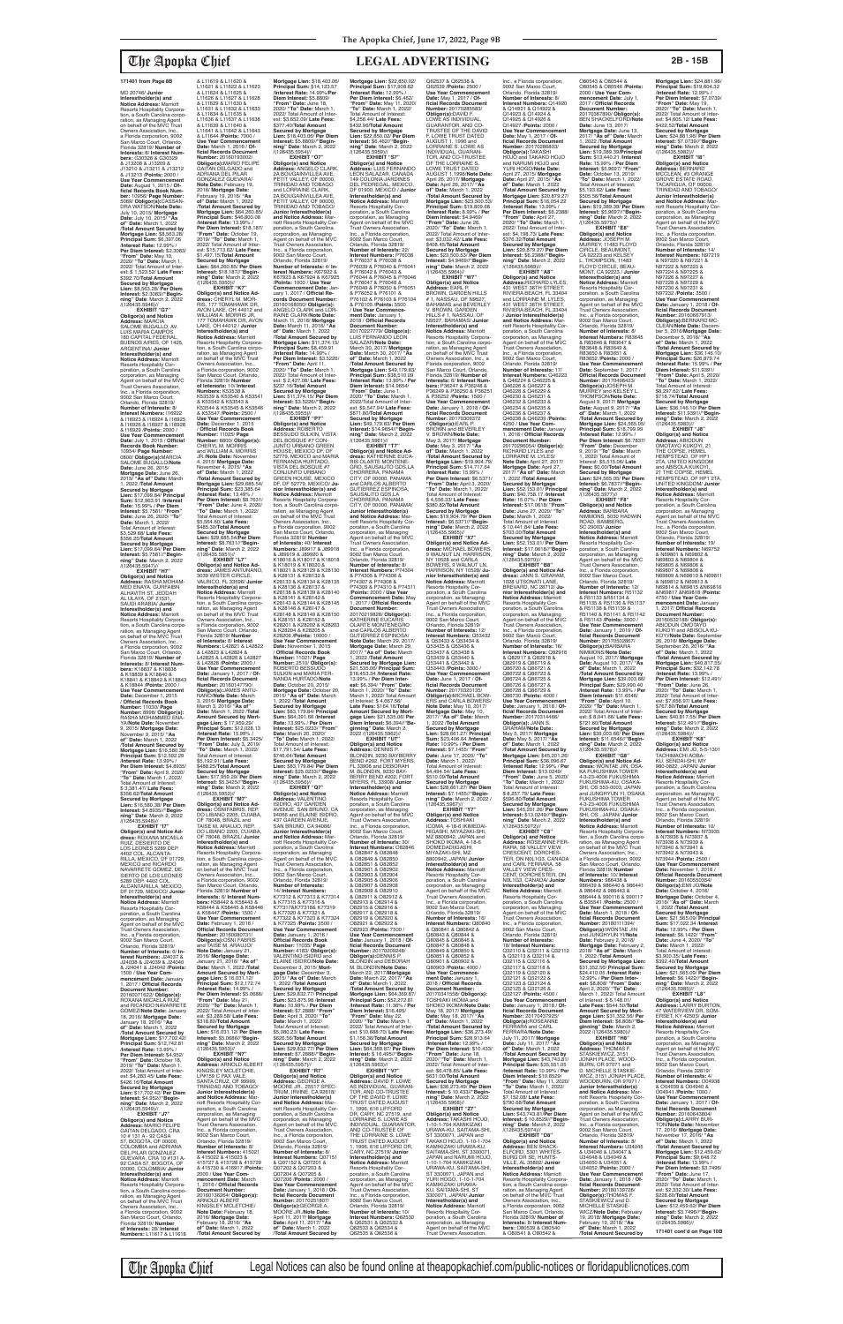MD 20746/ **Junior Interestholder(s) and Notice Address:** Marriott<br>Resorts Hospitality Corpora-<br>tion, a South Carolina corpo-<br>ration, as Managing Agent<br>on behalf of the MVC Trust<br>Owners Association, Inc., a Florida corporation, 9002 San Marco Court, Orlando, Florida 32819/ **Number of Interests:** 8/ **Interest Numbers:** G30328 & G30329 & J13208 & J13209 & J13210 & J13211 & J13212<br>8. J13213 /Points: 2000 /<br>Use Year Commencement<br>Date: August 1, 2015 / Of-<br>ficial Records Book Num-<br>ber: 10956/ Page Number:<br>5069/ Obligor(s):CASSAN-<br>DRA WATSON/Note Date: July 10, 2015/ **Mortgage Date:** July 10, 2015/ **"As of" Date:** March 1, 2022 /**Total Amount Secured by Mortgage Lien: \$8,563.28/<br><b>Principal Sum: \$**6,397.06<br>/**Interest Rate:** 12.99% / **Per Diem Interest:** \$2.3083/ **"From" Date:** May 10, 2020/ **"To" Date:** March 1, 2022/ Total Amount of Interest: \$ 1,523.52/ **Late Fees:** \$392.70/**Total Amount Secured by Mortgage Lien:** \$8,563.28/ **Per Diem Interest:** \$2.3083//**"Beginning" Date**: March 2, 2022 /(126435.5946)// **EXHIBIT "G7" Obligor(s) and Notice Address:** MARCIA SALOME BUGALLO, AV. LUIS MARIA CAMPOS 180 CAPITAL FEDERAL,<br>BUENOS AIRES, OF 1425, ARGENTINA/ **Junior Interestholder(s) and Notice Address:** Marriott Resorts Hospitality Corporation, a South Carolina

corporation, as Managing Agent on behalf of the MVC Trust Owners Association, Inc., a Florida corporation, 9002 San Marco Court, Orlando, Florida 32819/ **Number of Interests:** 8/ **Interest Numbers:** I16922 & I16923 & I16924 & I16925 & I16926 & I16927 & I16928 & I16929 /**Points:** 2000 / **Use Year Commencement Date:** July 1, 2015 / **Official Records Book Number:** 10954/ **Page Number:** 0800/ **Obligor(s):**MARCIA SALOME BUGALLO/**Note Date:** June 26, 2015/ **Mortgage Date:** June 26, 2015/ **"As of" Date:** March 1, 2022 /**Total Amount Secured by Mortgage Lien:** \$17,099.84/ **Principal Sum:** \$12,963.91 /**Interest Rate:** 15.99% / **Per Diem Interest:** \$5.7581/ **"From" Date:** June 26, 2020/ **"To" Date:** March 1, 2022/ Total Amount of Interest: \$3,529.68/ **Late Fees:** \$356.25/**Total Amount Secured by Mortgage Lien:** \$17,099.84/ **Per Diem Interest:** \$5.7581//**"Beginning" Date**: March 2, 2022

/(126435.5947)// **EXHIBIT "H7" Obligor(s) and Notice Address:** RASHA MOHAM-MED ENAYA, GURFAIBN ALHAVITH ST, JEDDAH AL ULAYA, OF 21531, SAUDI ARABIA/ **Junior Interestholder(s) and Notice Address:** Marriott Resorts Hospitality Corpora-<br>tion, a South Carolina corpo tion, a South Carolina corpo-ration, as Managing Agent on behalf of the MVC Trust Owners Association, Inc., a Florida corporation, 9002 San Marco Court, Orlando, Florida 32819/ **Number of Interests:** 8/ **Interest Num-bers:** K18837 & K18838 & K18839 & K18840 & K18841 & K18842 & K18843 & K18844 /**Points:** 2000 / **Use Year Commencement Date:** December 1, 2015 / **Official Records Book Number:** 11030/ **Page Number:** 8998/ **Obligor(s):** RASHA MOHAMMED ENA-YA/**Note Date:** November 9, 2015/ **Mortgage Date:** November 9, 2015/ **"As of" Date:** March 1, 2022 /**Total Amount Secured by Mortgage Lien:** \$16,580.38/ **Principal Sum:** \$12,592.29 /**Interest Rate:** 13.99% / **Per Diem Interest:** \$4.8935/ **"From" Date:** April 9, 2020/ **"To" Date:** March 1, 2022/ Total Amount of Interest: \$ 3,381.47/ **Late Fees:** \$356.62/**Total Amount Secured by Mortgage Lien:** \$16,580.38/ **Per Diem Interest:** \$4.8935//**"Begin-ning" Date**: March 2, 2022 /(126435.5948)// **EXHIBIT "I7" Obligor(s) and Notice Ad-dress:** ROXANA MICAELA RUIZ, DESIERTO DE LOS LEONES 5289 DEP. 4402 COL. ALCANTA-RILLA, MEXICO, DF 01729, MEXICO and RICARDO NAVARRETE GOMEZ, DE-SIERTO DE LOS LEONES 5289 DEP. 4402 COL. ALCANTARILLA, MEXICO, DF 01729, MEXICO/ **Junic Interestholder(s) and Notice Address:** Marriott Resorts Hospitality Cor-poration, a South Carolina corporation, as Managing Agent on behalf of the MVC Trust Owners Association, Inc., a Florida corporation, 9002 San Marco Court, Orlando, Florida 32819/ **Number of Interests:** 6/ **Interest Numbers:** J24037 & J24038 & J24039 & J24040 & J24041 & J24042 /**Points:** 1500 / **Use Year Com-mencement Date:** January 1, 2017 / **Official Records Document Number:** 20160071622/ **Obligor(s):** ROXANA MICAELA RUIZ and RICARDO NAVARRETE GOMEZ/**Note Date:** January 18, 2016/ **Mortgage Date:** January 18, 2016/ **"As of" Date:** March 1, 2022 /**Total Amount Secured by Mortgage Lien:** \$17,702.42/ **Principal Sum:** \$12,742.81 /**Interest Rate:** 13.99% / **Per Diem Interest:** \$4.952/ **"From" Date:** October 18, 2019/ **"To" Date:** March 1, 2022/ Total Amount of Inter-est: \$4,283.45/ **Late Fees:** \$426.16/**Total Amount Secured by Mortgage Lien:** \$17,702.42/ **Per Diem Interest:** \$4.952//**"Begin-ning" Date**: March 2, 2022 /(126435.5949)// **EXHIBIT "J7" Obligor(s) and Notice Address:** MARIO FELIPE GAITAN DELGADO, CRA 10 # 131 A - 92 CASA 57, BOGOTA, OF 00000, COLOMBIA and ADRIANA DEL PILAR GONZALEZ GUEVARA, CRA 10 #131 A-92 CASA 57, BOGOTA, OF 00000, COLOMBIA/ **Junior Interestholder(s) and Notice Address:** Marriott Resorts Hospitality Corpora-tion, a South Carolina corpo-ration, as Managing Agent on behalf of the MVC Trust Owners Association, Inc., a Florida corporation, 9002 San Marco Court, Orlando, Florida 32819/ **Number of Interests:** 28/ **Interest Numbers:** L11617 & L11618

### **Mortgage Lien:** \$18,403.06/ **Principal Sum:** \$14,123.57 /**Interest Rate:** 14.99%/**Per Diem Interest:** \$5.8809/ **"From" Date:** June 18, 2020/ **"To" Date:** March 1, 2022/ Total Amount of Inter est: \$3,652.09/ **Late Fees:** \$377.40/**Total Amount Secured by Mortgage Lien:** \$18,403.06/ **Per Diem Interest:** \$5.8809//**"Begin-ning" Date**: March 2, 2022 /(126435.5954)// **EXHIBIT "O7" Obligor(s) and Notice Address:** ANGELO CLARK, 2A BOUGAINVILLEA AVE, PETIT VALLEY, OF 00000, TRINIDAD AND TOBAGO<br>and LORRAINE CLARK,<br>2A BOUGAINVILLEA AVE,<br>PETIT VALLEY, OF 00000, TRINIDAD AND TOBAGO/ **Junior Interestholder(s) and Notice Address:** Marriott Resorts Hospitality Cor-poration, a South Carolina corporation, as Managing Agent on behalf of the MVC Trust Owners Association, Inc., a Florida corporation,<br>9002 San Marco Court,<br>Orlando, Florida 32819/<br>**Number of Interests:** 4/ **Interest Numbers:** K67922 & K67923 & K67924 & K67925 /**Points:** 1000 / **Use Year Commencement Date:** Jan-uary 1, 2017 / **Official Records Document Number:** 20160168050/ **ObIigor(s):** ANGELO CLARK and LOR-RAINE CLARK/**Note Date:** March 11, 2016/ **Mortgage Date:** March 11, 2016/ **"As of" Date:** March 1, 2022 /**Total Amount Secured by Mortgage Lien:** \$11,374.15/ **Principal Sum:** \$8,459.91 /**Interest Rate:** 14.99% / **Per Diem Interest:** \$3.5226/ **"From" Date:** April 11, 2020/ **"To" Date:** March 1, 2022/ Total Amount of Interest: \$ 2,427.08/ **Late Fees:** \$237.16/**Total Amount Secured by Mortgage Lien:** \$11,374.15/ **Per Diem Interest:** \$3.5226//**"Begin-ning" Date**: March 2, 2022 /(126435.5955)// **EXHIBIT "P7" Obligor(s) and Notice Address:** ROBERTO BESSUDO SULKIN, VISTA DEL BOSQUE #7 CON-JUNTO URBANO GREEN HOUSE, MEXICO DF, DF 52779, MEXICO and MARIA FERNANDA HURTADO, VISTA DEL BOSQUE #7 CONJUNTO URBANO GREEN HOUSE, MEXICO DF, DF 52779, MEXICO/ **Ju-nior Interestholder(s) and Notice Address:** Marriott Resorts Hospitality Corpora-tion, a South Carolina corporation, as Managing Agent<br>on behalf of the MVC Trust<br>Owners Association, Inc.,<br>a Florida corporation, 9002 San Marco Court, Orlando, Florida 32819/ **Number of Interests:** 40/ **Interest Numbers:** J89917 & J89918 & J89919 & J89920 & K18016 & K18017 & K18018 & K18019 & K18020 & K18021 & K28129 & K28130 & K28131 & K28132 & K28133 & K28134 & K28135 & K28136 & K28137 & K28138 & K28139 & K28140 & K28141 & K28142 & K28143 & K28144 & K28145 & K28146 & K28147 & K28148 & K28149 & K28150 & K28151 & K28152 & K28201 & K28202 & K28203 & K28204 & K28205 & K28206 /**Points:** 10000 / **Use Year Commencement Date:** November 1, 2015 / **Official Records Book Number:** 11021/ **Page Number:** 2510/ **Obligor(s):** ROBERTO BESSUDO SULKIN and MARIA FER-NANDA HURTADO/**Note Date:** October 20, 2015/ **Mortgage Date:** October 20, 2015/ **"As of" Date:** March 1, 2022 /**Total Amount Secured by Mortgage Lien:** \$83,179.84/ **Principal Sum:** \$64,391.66 /**Interest Rate:** 13.99% / **Per Diem Interest:** \$25.0233/ **"From" Date:** March 20, 2020/ **"To" Date:** March 1, 2022/ **Mortgage Lien: \$22,850.02/<br><b>Principal Sum: \$**17,908.62<br>/Interest Rate: 12.99% /<br>Per Diem Interest: \$6,462/ **"From" Date:** May 11, 2020/ **"To" Date:** March 1, 2022/ Total Amount of Interest:<br>\$4 258 44/ Late Fees: \$4,258.44/ **Late Fees:** \$432.96/**Total Amount Secured by Mortgage Lien:** \$22,850.02/ **Per Diem Interest:** \$6.462//**"Begin-ning" Date**: March 2, 2022 /(126435.5959)// **EXHIBIT "S7" Obligor(s) and Notice Address:** LUIS FERNANDO LEON SALAZAR, CANADA 149 COLONIA JARDINES<br>DEL PEDBEGAL MEXICO DEL PEDREGAL, MEXICO, DF 01900, MEXICO / **Junior Interestholder(s) and Notice Address:** Marriott Resorts Hospitality Cor-poration, a South Carolina corporation, as Managing<br>Agent on behalf of the MVC<br>Trust Owners Association,<br>Inc., a Florida corporation, 9002 San Marco Court, Orlando, Florida 32819/ **Number of Interests:** 22/<br>**Interest Numbers:** P76036<br>& P76037 & P76038 &<br>P76039 & P76040 & P76041 & P76042 & P76043 & P76044 & P76045 & P76046 & P76047 & P76048 & P76049 & P76050 & P76051 & P76052 & P76101 & P76102 & P76103 & P76104 & P76105 /**Points:** 5500 / **Use Year Commencement Date:** January 1,<br>2018 / **Official Records<br>Document Number:<br>20170227779/ <b>Obligor(s):** LUIS FERNANDO LEON SALAZAR/**Note Date:** March 30, 2017/ **Mortgage Date:** March 30, 2017/ **"As of" Date:** March 1, 2022 /**Total Amount Secured by Mortgage Lien:** \$49,179.83/ **Principal Sum:** \$38,510.09 /**Interest Rate:** 13.99% / **Per Diem Interest:** \$14.9654/ **"From" Date:** June 1, 2020/ **"To" Date:** March 1, 2022/Total Amount of Inter-est: \$9,547.94/ **Late Fees:** \$871.80/**Total Amount Secured by Mortgage Lien:** \$49,179.83/ **Per Diem Interest:** \$14.9654//**"Beginning" Date**: March 2, 2022 /(126435.5961)// **EXHIBIT "T7" Obligor(s) and Notice Ad-dress:** KATHERINE EUCA-RIS OLARTE MONTENE-GRO, SAUSALITO GDS,LA CHORRERA, PANAMA CITY, OF 00000, PANAMA and CARLOS ALBERTO GUTIERREZ ESPINOSA, SAUSALITO GDS,LA CHORRERA, PANAMA CITY, OF 00000, PANAMA/ **Junior Interestholder(s) and Notice Address:** Mar-riott Resorts Hospitality Corporation, a South Carolina corporation, as Managing Agent on behalf of the MVC Trust Owners Association, Inc., a Florida corporation, 9002 San Marco Court, Orlando, Florida 32819/ **Number of Interests:** 8/ **Interest Numbers:** P74304 & P74305 & P74306 & P74307 & P74308 & P74309 & P74310 & P74311 /**Points:** 2000 / **Use Year Commencement Date:** May 1, 2017 / **Official Records Document Number:<br>20170219828/ <b>Obligor(s):**<br>KATHERINE EUCARIS<br>OLARTE MONTENEGRO and CARLOS ALBERTO<br>GUTIERREZ ESPINOSA/ **Note Date:** March 29, 2017/ **Mortgage Date:** March 29, 2017/ **"As of" Date:** March 1, 2022 /**Total Amount Secured by Mortgage Lien:**  \$21,535.06/ **Principal Sum:** \$16,453.34 /**Interest Rate:** 13.99% / **Per Diem Inter-est:** \$6,394/ **"From" Date:** March 1, 2020/ **"To" Date:** March 1, 2022/ Total Amount of Interest: \$ 4,667.56/ **Late Fees:** \$164.16/**Total Amount Secured by Mort-gage Lien:** \$21,535.06/ **Per Diem Interest:** \$6.394//**"Beginning" Date**: March 2,<br>2022 /(126435.5962)//

& L11619 & L11620 & L11621 & L11622 & L11623 & L11624 & L11625 & L11626 & L11627 & L11628 & L11629 & L11630 & L11631 & L11632 & L11633 & L11634 & L11635 & L11636 & L11637 & L11638 & L11639 & L11640 & L11641 & L11642 & L11643 & L11644 /**Points:** 7000 / **Use Year Commencement Date:** March 1, 2016 / **Official Records Document Number:** 20160193002/ **Obligor(s):**MARIO FELIPE GAITAN DELGADO and ADRIANA DEL PILAR GONZALEZ GUEVARA/ **Note Date:** February 19, 2016/ **Mortgage Date:** February 19, 2016/ **"As of" Date:** March 1, 2022 /**Total Amount Secured by Mortgage Lien:** \$64,260.85/ **Principal Sum:** \$46,800.08 /**Interest Rate:** 13.99% / **Per Diem Interest:** \$18.187/ **"From" Date:** October 19, 2019/ **"To" Date:** March 1, 2022/ Total Amount of Interest: \$15,713.62/ **Late Fees:** \$1,497.15/**Total Amount Secured by Mortgage Lien:** \$64,260.85/ **Per Diem Interest:** \$18.187//**"Begin-ning" Date**: March 2, 2022 /(126435.5950)// **EXHIBIT "K7" Obligor(s) and Notice Ad-dress:** CHERYL M. MOR-RIS, 177 TOMAHAWK DR, AVON LAKE, OH 44012 and WILLIAM A. MORRIS JR,<br>177 TOMAHAWK DR, AVON<br>LAKE, OH 44012 / **Junior**<br>**Interestholder(s) and Notice Address:** Marriott Resorts Hospitahty Corporation, a South Carolina corporation, as Managing Agent<br>on behalf of the MVC Trust Owners Association, Inc., a Florida corporation, 9002 San Marco Court, Orlando,<br>Florida 32819/ **Number<br>of Interests: 10/ Interest<br><b>Numbers:** K53538 &<br>K53539 & K53540 & K53541 & K53542 & K53543 & K53544 & K53545 & K53546 & K53547 /**Points:** 2500 / **Use Year Commencement Date:** December 1, 2015 / **Official Records Book Number:** 11025/ **Page Number:** 6800/ **Obligor(s):** CHERYL M. MORRIS and WILLIAM A. MORRIS JR./**Note Date:** November 4, 2015/ **Mortgage Date:** November 4, 2015/ **"As of" Date:** March 1, 2022 /**Total Amount Secured by Mortgage Lien:** \$29,685.54/ **Principal Sum:** \$23,385.64 /**Interest Rate:** 13.49% / Per Diem Interest: \$8.7631 **"From" Date:** June 4, 2020/ **"To" Date:** March 1, 2022/ Total Amount of Interest: \$5,564.60/ **Late Fees:** \$485.30/**Total Amount Secured by Mortgage Lien:** \$29,685.54/**Per Diem Interest:** \$8.7631//**"Begin-ning" Date**: March 2, 2022 /(126435.5951)// **EXHIBIT "L7" Obligor(s) and Notice Ad-dress:** JAMES ANTUNANO, 3039 WISTER CIRCLE,<br>VALRICO, FL 33596/ **Junior<br>Interestholder(s) and<br><b>Notice Address:** Marriott Resorts Hospitality Corpora-tion, a South Carolina corporation, as Managing Agent<br>on behalf of the MVC Trust<br>Owners Association, Inc.,<br>a Florida corporation, 9002 San Marco Court, Orlando, Florida 32819/ **Number of Interests:** 8/ **Interest<br><b>Numbers:** L42821 & L42822<br>& L42823 & L42824 &<br>L42825 & L42826 & L42827 & L42828 /**Points:** 2000 / **Use Year Commencement Date:** January 1, 2017 / **Of-ficial Records Document Number:** 20160147790/ **Obligor(s):**JAMES ANTU-NANO/Note Date: March<br>3, 2016/ Mortgage Date:<br>March 3, 2016/ "As of"<br>Date: March 1, 2022 /Total<br>Amount Secured by Mort-<br>gage Lien: \$ 17,959.29/<br>Principal Sum: \$12,028.13 /**Interest Rate:** 15.99% / **Per Diem Interest:** \$5.3425/ **"From" Date:** July 3, 2019/ **"To" Date:** March 1, 2022/ Total Amount of Interest: \$5,192.91/ **Late Fees:** \$488.25/**Total Amount Secured by Mortgage Lien:** \$17,959.29/ **Per Diem Interest:** \$5.3425//**"Beginning" Date**: March 2, 2022 /(126435.5952)// **EXHIBIT "M7" Obligor(s) and Notice Ad-dress:** OSNIFABRIS, REP. DO LIBANO 2205, CUIABA, OF 78048, BRAZIL and TAISE M. ARAUJO, REP.<br>DO LIBANO 2205, CUIABA, OF 78048, BRAZIL/ **Junior Interestholder(s) and Notice Address:** Marriott Resorts Hospitality Corporation, a South Carolina corporation, as Managing Agent<br>on behalf of the MVC Trust<br>Owners Association, Inc.,<br>a Florida corporation, 9002 San Marco Court, Orlando, Florida 32819/ **Number of Interests:** 6/ **Interest Numbers:** K58442 & K58443 & K58444 & K58445 & K58446 & K58447 /**Points:** 1500 / **Use Year Commencement Date:** February 1, 2016 / **Official Records Document Number:** 20160080731/ **Obligor(s):**OSNI FABRIS<br>and TAISE M. ARAUJO/ **Note Date:** January 21, 2016/ **Mortgage Date:** January 21, 2016/ **"As of" Date:** March 1, 2022 /**Total Amount Secured by Mort-gage Lien:** \$ 16,031.12/ **Principal Sum:** \$12,172.74 /**Interest Rate:** 14.99% / **Per Diem Interest:** \$5.0686/ **"From" Date:** May 21, 2020/ **"To" Date:** March 1, 2022/ Total Amount of Interest: \$3,289.58/ **Late Fees:** \$318.80/**Total Amount Secured by Mortgage Lien:** \$16,031.12/ **Per Diem Interest:** \$5.0686//**"Begin-ning" Date**: March 2, 2022 /(126435.5953)// **EXHIBIT "N7" Obligor(s) and Notice Address:** ARNOLD ALBERT KINGSLEY MCLETCHIE,<br>LP#159 C PAX VALE, SANTA CRUZ, OF 99999 TRINIDAD AND TOBAGO/ **Junior Interestholder(s) and Notice Address:** Ma riott Resorts Hospitality Cor-poration, a South Carolina corporation, as Managing Agent on behalf of the MVC<br>Trust Owners Association, Trust Owners Association, Inc., a Florida corporation, 9002 San Marco Court, Orlando, Florida 32819/ **Number of Interests:** 8/ **Interest Numbers:** 415021 8 415022 & 415023 &<br>415727 & 415728 & 415729 415727 & 415728 & 415729 & 415730 & 416917 /**Points:** 2000 / **Use Year Commencement Date:** March 1, 2016 / **Official Records Document Number** 20160136264/ **Obligor(s):** ARNOLD ALBERT KINGSLEY MCLETCHIE/ **Note Date:** February 18, 2016/ **Mortgage Date:** February 18, 2016/ **"As of" Date:** March 1, 2022 /**Total Amount Secured by** 

Total Amount of Interest: \$17,791.54/ **Late Fees:** \$746.64/**Total Amount Secured by Mortgage Lien:** \$83,179.84/ **Per Diem Interest:** \$25.0233//**"Beginning" Date**: March 2, 2022 /(126435.5956)// **EXHIBIT "Q7" Obligor(s) and Notice Address:** VALENTINO ISIDRO, 437 GARDEN<br>AVENUE, SAN BRUNO, CA<br>94066 and ELAINE ISIDRO, 437 GARDEN AVENUE, SAN BRUNO, CA 94066/ **Junior Interestholder(s) and Notice Address:** Marriott Resorts Hospitality Cor-poration, a South Carolina corporation, as Managing Agent on behalf of the MVC Trust Owners Association, Inc., a Florida corporation, 9002 San Marco Court, Orlando, Florida 32819/ **Number of Interests:** 14/ **Interest Numbers:** K77312 & K77313 & K77314 & K77315 & K77316 & K77317&K77318& K77319 & K77320 & K77321 & K77322 & K77323 & K77324 & K77325 /**Points:** 3500 / **Use Year Commencement Date:** January 1, 2016 / **Official Records Book Number:** 11035/ **Page Number:** 4183/ **Obligor(s):** VALENTINO ISIDRO and ELAINE ISIDRO/**Note Date:** December 3, 2015/ **Mort-gage Date:** December 3, 2015/ **"As of" Date:** March 1, 2022 /**Total Amount Secured by Mortgage Lien:** \$29,832.77/ **Principal Sum:** \$23,875.98 /**Interest Rate:** 10.99% / **Per Diem Interest:** \$7.2888/ **"From" Date:** April 3, 2020/ **"To" Date:** March 1, 2022/ Total Amount of Interest: \$5,080.23/ **Late Fees:** \$626.56/**Total Amount Secured by Mortgage Lien:** \$29,832.77/ **Per Diem Interest:** \$7.2888//**"Begin-ning" Date**: March 2, 2022 /(126435.5957)// **EXHIBIT "R7" Obligor(s) and Notice Address:** GEORGE A. MOORE JR., 25517 SPEC-TRUM, IRVINE, CA 92618/ **Junior Interestholder(s) and Notice Address:** Mar-riott Resorts Hospitality Corporation, a South Carolina corporation, as Managing Agent on behalf of the MVC Trust Owners Association, Inc., a Florida corporation, 9002 San Marco Court, Orlando, Florida 32819/ **Number of Interests:** 8/ **Interest Numbers:** Q07151 & Q07152 & Q07201 & Q07202 & Q07203 & Q07204 & Q07205 & Q07206 /**Points:** 2000 / **Use Year Commencement Date:** January 1, 2018 / **Of-ficial Records Document Number:** 20170251807/ **Obligor(s):**GEORGE A. MOORE JR./**Note Date:** April 11, 2017/ **Mortgage Date:** April 11, 2017/ **"As of" Date:** March 1, 2022 /**Total Amount Secured by**  Q62535 & Q62536 &

**EXHIBIT "U7" Obligor(s) and Notice Address:** DENNIS P. BLONDIN, 9230 BAYBERRY BEND #202, FORT MYERS, FL 33908 and DEBORAH<br>M. BLONDIN, 9230 BAY-M. BLONDIN, 9230 BAY-BERRY BEND #202, FORT MYERS, FL 33908/ **Junior Interestholder(s) and Notice Address:** Marriott Resorts Hospitality Corporation, a South Carolina corporation, as Managing Agent on behalf of the MVC Trust Owners Association, Inc., a Florida corporation, 9002 San Marco Court, Orlando, Florida 32819/<br>**Number of Interests:** 30/<br>**Interest Numbers:** O82846 & O82847 & O82848 & O82849 & O82850 & O82851 & O82852 & O82901 & O82902 & O82903 & O82904 & O82905 & O82906 & O82907 & O82908 & O82909 & O82910 & O82911 & O82912 & O82913 & O82914 & O82915 & O82916 & O82917 & O82918 & O82919 & O82920 & O82921 & O82922 & O82923 /**Points:** 7500 / **Use Year Commencement Date:** January 1, 2018 / **Of-ficial Records Document Number:** 20170209248/ **Obligor(s):**DENNIS P. BLONDIN and DEBORAH M. BLONDIN/**Note Date:** March 22, 2017/**Mortgage Date:** March 22, 2017/ **"As of" Date:** March 1, 2022 /**Total Amount Secured by Mortgage Lien:** \$64,369.87/ **Principal Sum:** \$52,272.81 /**Interest Rate:** 11.36% / **Per Diem Interest:** \$16,495/ **"From" Date:** May 22, 2020/ **"To" Date:** March 1, 2022/ Total Amount of Interest: \$10,688:70/ **Late Fees:** \$1,158.36/**Total Amount Secured by Mortgage Lien:** \$64,369.87/ **Per Diem Interest:** \$ 16.495//**"Begin-ning" Date**: March 2, 2022 /(126435.5963)// **EXHIBIT "V7" Obligor(s) and Notice Address:** DAVID F. LOWE AS INDIVIDUAL, GUARAN-TOR, AND CO-TRUSTEE OF THE DAVID F. LOWE<br>TRUST DATED AUGUST<br>1, 1996, 616 LIFFORD<br>DR, CARY, NC 27519, and LORRAINE S. LOWE AS<br>INDIVIDUAL, GUARANTOR, AND CO-TRUSTEE OF THE LORRAINE S. LOWE TRUST DATED AUGUST 1, 1996, 616 LIFFORD DR, CARY, NC 27519/ **Junior Interestholder(s) and Notice Address:** Marriott<br>Resorts Hospitality Cor-<br>poration, a South Carolina corporation, as Managing Agent on behalf of the MVC Trust Owners Association, Inc., a Florida corporation, 9002 San Marco Court, Orlando, Florida 32819/ **Number of Interests:** 10/ **Interest Numbers:** Q62530 & Q62531 & Q62532 & Q62533 & Q62534 & **Interest:** \$7.1455//**"Begin-ning" Date**: March 2, 2022 / (126435.5967)// **EXHIBIT "Y7" Obligor(s) and Notice Address:** TOSHIAKI ICOMA, 4-18-6 IKIMEDAI-HIGASHI, MIYAZAKI-SHI, MZ 8800942, JAPAN and SHOKO IKOMA, 4-18-6 DOMEDADIIGASHI, MIYAZAKI-SHI, MZ 8800942, JAPAN/ **Junior Interestholder(s) and Notice Address:** Marriott Resorts Hospitality Cor-poration, a South Carolina corporation, as Managing Agent on behalf of the MVC Trust Owners Association, Inc., a Florida corporation, 9002 San Marco Court, Orlando, Florida 32819/ **Number of Interests:** 16/ **Interest Numbers:** Q80840 & Q80841 & Q80842 & Q80843 & Q80844 & Q80845 & Q80846 & Q80847 & Q80848 & Q80849 & Q80850 & Q80851 & Q80852 &<br>Q80901 & Q80902 & Q80901 & Q80902 & Q80903 /**Points:** 4000 / **Use Year Commence-ment Date:** January 1, ment Date: January 1,<br>2018 / Official Records **Document Number:** 20170341558/ **Obligor(s):** TOSHIAKI IKOMA and SHOKO IKOMA/**Note Date:** May 18, 2017/ **Mortgage Date:** May 18, 2017/ **"As of" Date:** March 1, 2022 /**Total Amount Secured by Per Diem Interest:** \$10.433/ **"From" Date:** June 18, 2020/ **"To" Date:** March 1, 2022/ Total Amount of Inter-est: \$6,478.85/ **Late Fees:** \$631.00/**Total Amount Secured by Mortgage Lien:** \$36,273.49/ **Per Diem Interest:** \$ 10.433//**"Beginning" Date**: March 2, 2022 /(126435.5968)// **EXHIBIT "Z7" Obligor(s) and Notice Address:** TAKASHI HOJO, 1-10-1-704 KAMIKIZAKI URAWA-KU, SAITAMA-SHI, ST 3300071, JAPAN and TAKAKO HOJO, 1-10-1-704 KAMIKIZAKI URAWA-KU, SAITAMA-SHI, ST 3300071 JAPAN and NÁRUMI HOJO,<br>1-10-1-704 KAMIKIZAKI 1-10-1-704 KAMIKIZAKI URAWA-KU, SAITAMA-SHI, ST 3300071, JAPAN and YURI HOGO, 1-10-1-704 KAMIKIZAKI URAWA-KU, SAITAMA-SHI, ST 3300071, JAPAN/ **Junior Interestholder(s) and Notice Address:** Marriott Resorts Hospitality Corporation, a South Carolina corporation, as Managing Agent on behalf of the MVC Trust Owners Association,

The Apopka Chief Legal Notices can also be found online at theapopkachief.com/public-notices or floridapublicnotices.com

### **ficial Records Document Number:** 20170285583/ **Obligor(s):**DAVID F. LOWE AS INDIVIDUAL,<br>GUARANTOR, AND CO-<br>TRUSTEE OF THE DAVID<br>F. LOWE TRUST DATED AUGUST 1, 1996 and LORRAINE S. LOWE AS INDIVIDUAL, GUARAN-TOR, AND CO-TRUSTEE OF THE LORRAINE S. LOWE TRUST DATED AUGUST 1,1996/**Note Date:** April 26, 2017/ **Mortgage Date:** April 26, 2017/ **"As of" Date:** March 1, 2022 /**Total Amount Secured by Mortgage Lien:** \$23,500.53/ **Principal Sum:** \$19,809.66 /**Interest Rate:** 8.99% / **Per Diem Interest:** \$4.9469/<br>**"From" Date:** June 26,<br>2020/ **"To" Date:** March 1, 2022/ Total Amount of Inter est: \$3,032.42/ **Late Fees:** \$408.45/**Total Amount Secured by Mortgage Lien:** \$23,500.53/ **Per Diem Interest:** \$4.9469//**"Begin-ning" Date**: March 2, 2022 /(126435.5964)// **EXHIBIT "W7" Obligor(s) and Notice<br><b>Address:** EARL P.<br>BROWN, GARDEN HILLS<br># 1, NASSAU, OF N9527, BAHAMAS and BEVERLEY V. BROWN, GARDEN HILLS # 1, NASSAU, OF N9527, BAHAMAS/ **Junior Interestholder(s) and Notice Address:** Marriott Resorts Hospitality Corpora-tion, a South Carolina corporation, as Managing Agent on behalf of the MVC Trust Owners Association, Inc., a Florida coxporation, 9002 San Marco Court, Orlando, Florida 32819/ **Number of Interests:** 6/ **Interest Num-bers:** P36247 & P36248 & P36249 & P36250 & P36251 & P36252 /**Points:** 1500 / **Use Year Commencement Date:** January 1, 2018 / **Official Records Document Number:** 20170309372 / **Obligor(s):**EARL P. BROWN and BEVERLEY<br>U. BROWN/Note Date: V. BROWN/**Note Date:** May 3, 2017/ **Mortgage Date:** May 3, 2017/ **"As of" Date:** March 1, 2022 /**Total Amount Secured by Mortgage Lien:** \$19,904.79/ **Principal Sum: \$14,717.64**<br>**/Interest Rate: 15,99%/** /**Interest Rate:** 15.99% / **Per Diem Interest:** \$6.5371/ **"From" Date:** April 3, 2020/ **"To" Date:** March 1, 2022/ Total Amount of Interest: \$ 4,556.33/ **Late Fees:** \$380.82/**Total Amount Secured by Mortgage Lien:** \$19,904.79/ **Per Diem Interest:** \$6.5371//**"Begin-ning" Date**: March 2, 2022 /(126435.5965)// **EXHIBIT "X7" Obligor(s) and Notice Ad-dress:** MICHAEL BOWERS, 9 WALNUT LN, HARRISON, NY 10528 and CARLA BOWERS, 9 WALNUT LN, HARRISON, NY 10528/ **Junior Interestholder(s) and<br><b>Notice Address:** Marriott<br>Resorts Hospitality Cor-<br>poration, a South Carolina corporation, as Managing Agent on behalf of the MVC Trust Owners Association, Inc., a Florida corporation, 9002 San Marco Court, Orlando, Florida 32819/ **Number of Interests:** 12/ **Interest Numbers:** Q53432 & Q53433 & Q53434 & Q53435 & Q53436 & Q53437 & Q53438 & Q53439 & Q53440 & Q53441 & Q53442 & Q53443 /**Points:** 3000 / **Use Year Commencement Date:** June 1, 2017 / **Of-ficial Records Document Number:** 20170320135/ **Obligor(s):**MICHAEL BOW-ERS and CARLA BOWERS/ **Note Date:** May 10, 2017/ **Mortgage Date:** May 10, 2017/ **"As of" Date:** March 1, 2022 /**Total Amount Secured by Mortgage Lien:** \$28,661.27/ **Principal Sum:** \$23,406.64 /**Interest Rate:** 10.99% / **Per Diem Interest:** \$7.1455/ **"From" Date:** June 17, 2020/ **"To" Date:** March 1, 2022/ Total Amount of Interest: \$4,494.54/ **Late Fees:** \$510.09/**Total Amount Secured by Mortgage Lien:** \$28,661.27/ **Per Diem**

Q62537 & Q62538 & Q62539 /**Points:** 2500 / **Use Year Commencement Date:** May 1, 2017 / **Of-**Inc., a Florida corporation, 9002 San Marco Court,<br>Orlando, Florida 32819/<br>**Number of Interests:** 8/ **Interest Numbers:** Q14920 & Q14921 & Q14922 & Q14923 & Q14924 & Q14925 & Q14926 & Q14927 /**Points:** 2000 / **Use Year Commencement Date:** May 1, 2017 / **Official Records Document Number:** 20170286803/ **Obligor(s):**TAKASHI<br>HOJO and TAKAKO HOJO<br>and NARUMI HOJO and YURI HOGO/**Note Date:** April 27, 2015/ **Mortgage Date:** April 27, 2015/ **"As of" Date:** March 1, 2022 /**Total Amount Secured by Mortgage Lien:** \$20,879.27/ **Principal Sum:** \$16,054.22 /**Interest Rate:** 13.99% / **Per Diem Interest:** \$6.2388/ **"From" Date:** April 27, 2020/ **"To" Date:** March 1, 2022/ Total Amount of Inter-est: \$4,198.73/ **Late Fees:** \$376.32/**Total Amount Secured by Mortgage Lien:** \$20,879.27/ **Per Diem Interest:** \$6.2388//**"Begin-ning" Date**: March 2, 2022 /(126435.5969)// **EXHIBIT "A8" Obligor(s) and Notice<br><b>Address:**RICHARD LYLES,<br>431 WEST 36TH STREET,<br>RIVIERA BEACH, FL 33404<br>and LORRAINE M. LYLES, 431 WEST 36TH STREET, RIVIERA BEACH, FL 33404 / **Junior Interestholder(s) and Notice Address:** Mar-riott Resorts Hospitality Cor-poration, a South Carolina corporation, as Managing Agent on behalf of the MVC Trust Owners Association, Inc., a Florida corporation, 9002 San Marco Court, Sous San Marco Court,<br>Orlando, Florida 32819/<br>Number of L **Number of Interests:** 17/ **Interest Numbers:** Q46223 & Q46224 & Q46225 & Q46226 & Q46227 & Q46228 & Q46229 & Q46230 & Q46231 & Q46232 & Q46233 & Q46234 & Q46235 & Q46236 & Q46237 & Q46238 & Q46239 /**Points:** 4250 / **Use Year Commencement Date:** January 1, 2018 / **Official Records Document Number:** 20170296054/ **Obligor(s):** RICHARD LYLES and LORRAINE M. LYLES/ **Note Date:** April 27, 2017/ **Mortgage Date:** April 27, 2017/ **"As of" Date:** March 1, 2022 /**Total Amount Secured by Mortgage Lien:** \$52,153.01/ **Principal Sum:** \$40,758.17 /**Interest Rate:** 15.07% / **Per Diem Interest:** \$17.0618/ **"From" Date:** June 27, 2020/ **"To" Date:** March 1, 2022/ Total Amount of Interest: \$ 10,441.84/ **Late Fees:**

**Mortgage Lien:** \$36,273.49/ **Principal Sum:** \$28,913.64 /**Interest Rate:** 12.99% / Inc., a Florida corporation, 9002 San Marco Court, Orlando, Florida 32819/<br>**Number of Interests:** 16/<br>**Interest Numbers:** Q82916<br>& Q82917 & Q82918 & Q82919 & Q86719 & Q86720 & Q86721 & Q86722 & Q86723 & Q86724 & Q86725 & Q86726 & Q86727 & Q86728 & Q86729 & Q86730 /**Points:** 4000 / **Use Year Commencement Date:** January 1, 2018 / **Of-ficial Records Document Number:** 20170314466/ **Obligor(s):** JANN S. GRAHAM/**Note Date:** May 5, 2017/ **Mortgage Date:** May 5, 2017/ **"As of" Date:** March 1, 2022 /**Total Amount Secured by Mortgage Lien:** \$45,201.26/ **Principal Sum:** \$36,096.67 /**Interest Rate:** 12.99% / **Per Diem Interest:** \$13.0249/ **"From" Date:** June 5, 2020/ **"To" Date:** March 1, 2022/ Total Amount of Interest: \$ 8,257.79/ **Late Fees:** \$596.80/**Total Amount Secured by Mortgage Lien:** \$45,201.26/ **Per Diem Interest:** \$13.0249//**"Beginning" Date**: March 2, 2022 /(126435.5972)// **EXHIBIT "C8" Obligor(s) and Notice Address:** ROSEANNE FER-RARA, 58 VALLEY VIEW CRESCENT, DORCHES-TER, ON N0L1G3, CANADA and CARL FERRARA, 58 VALLEY VIEW CRES-CENT, DORCHESTER, ON N0L1G3, CANADA/ **Junior Interestholder(s) and Notice Address:** Marriott Resorts Hospitality Corporation, a South Carolina corporation, as Managing Agent on behalf of the MVC Trust Owners Association, Inc., a Florida coiporation, 9002 San Marco Court, Orlando, Florida 32819/ **Number of Interests:** 18/ **Interest Numbers:** Q32110 & Q32111 & Q32112 & Q32113 & Q32114 & Q32115 & Q32116 & Q32117 & Q32118 & Q32119 & Q32120 & Q32121 & Q32122 & Q32123 & Q32124 & Q32125 & Q32126 & Q32127 /**Points:** 4500 / **Use Year Commencement Date:** January 1, 2018 / **Of-ficial Records Document Number:** 20170437925/ **Obligor(s):**ROSEANNE FERRARA and CARL FERRARA/**Note Date:** July 11, 2017/ **Mortgage Date:** July 11, 2017/ **"As of" Date:** March 1, 2022 /**Total Amount Secured by Mortgage Lien:** \$43,743.81/ **Principal Sum:** \$35,551.05 /**Interest Rate:** 10.99% / **Per Diem Interest:** \$10.8529/ **"From" Date:** May 11, 2020/ **"To" Date:** March 1, 2022/ Total Amount of Interest: \$7,152.08/ **Late Fees:** \$790.68/**Total Amount Secured by Mortgage Lien:** \$43,743.81/**Per Diem Interest:** \$ 10.8529//**"Begin-ning" Date**: March 2, 2022 /(126435.5974)// **EXHIBIT "D8" Obligor(s) and Notice Address:** BEN SHACK-ELFORD, 5301 WHITES-BURG DR SE, HUNTS-<br>VILLE AL 35802/ Junior VILLE, AL 35802/ **Junior Interestholder(s) and Notice Address:** Marriott Resorts Hospitality Corporation, a South Carolina corpo-ration, as Managing Agent on behalf of the MVC Trust Owners Association, Inc., a Florida corporation, 9002 San Marco Court, Orlando, Florida 32819/ **Number of Interests:** 8/ **Interest Numbers:** O80539 & O80540

\$703.00/**Total Amount Secured by Mortgage Lien:** \$52,153.01/ **Per Diem Interest:** \$17.0618//**"Begin-ning" Date**: March 2, 2022 /(126435.5970)//<br>"EXHIBIT "B8 **EXHIBIT "B8" Obligor(s) and Notice Ad-dress:** JANN S. GRAHAM, 1028 UTSONATI LANE, BREVARD, NC 28712/ **Ju-nior Interestholder(s) and Notice Address:** Marriott Resorts Hospitality Corporation, a South Carolina corporation, as Managing Agent on behalf of the MVC Trust Owners Association,

& O80541 & O80542 &

# O80543 & O80544 & O80545 & O80546 /**Points:** 2000 / **Use Year Com-mencement Date:** July 1, 2017 / **Official Records Document Number:** 20170367890/ **Obligor(s):** BEN SHACKELFORD/**Note Date:** June 13, 2017/ **Mortgage Date:** June 13, 2017/ **"As of" Date:** March 1, 2022 /**Total Amount Secured by Mortgage Lien:** \$19,389.39/**Principal Sum:** \$13,440.21 /**Interest Rate:** 15.99% / **Per Diem Interest:** \$5.9697/ **"From" Date:** October 13, 2019/ **"To" Date:** March 1, 2022/ Total Amount of Interest: \$5,193.62/ **Late Fees:** \$505.56/**Total Amount Secured by Mortgage**

**Lien:** \$19,389.39/ **Per Diem Interest:** \$5.9697//**"Beginning" Date**: March 2, 2022 /(126435.5975)// **EXHIBIT "E8" Obligor(s) and Notice Address:** JOSEPH M. MURREY, 11483 FLOYD CIRCLE, BEAUMONT,<br>CA 92223 and KELSEY<br>L. THOMPSON, 11483<br>FLOYD CIRCLE, BEAU-MONT, CA 92223 / **Junior Interestholder(s) and Notice Address:** Marriott<br>Resorts Hospitality Cor-<br>poration, a South Carolina corporation, as Managing Agent on behalf of the MVC Trust Owners Association, Inc., a Florida corporation,<br>9002 San Marco Court,<br>Orlando, Florida 32819/<br>**Number of Interests:** 8/ **Interest Numbers:** R83645 & R83646 & R83647 & R83648 & R83649 & R83650 & R83651 & R83652 /**Points:** 2000 / **Use Year Commencement Date:** September 1, 2017 / **Official Records Document Number:** 20170498423/ **Obligor(s):**JOSEPH M. MURREY and KELSEY L. THOMPSON/**Note Date:** August 9, 2017/ **Mortgage Date:** August 9, 2017/ **"As of" Date:** March 1, 2022 /**Total Amount Secured by Mortgage Lien:** \$24,565.05/ **Principal Sum:** \$18,799.99 /**Interest Rate:** 12.99% / **Per Diem Interest: \$6.7837/**<br>"From" Date: December **"From" Date:** December 9, 2019/ **"To" Date:** March 1, 2022/ Total Amount of Interest: \$5,515.06/ **Late Fees:** \$0.00/**Total Amount Secured by Mortgage Lien:** \$24,565.05/ **Per Diem Interest:** \$6.7837//**"Begin-ning" Date**: March 2, 2022 /(126435.5977)// **EXHIBIT "F8" Obligor(s) and Notice Address:** BARBARA NIMMONS, 5030 HADWIN ROAD, BAMBERG, SC 29003/ **Junior Interestholder(s) and Notice Address:** Marriott Resorts Hospitality Cor-poration, a South Carolina corporation, as Managing Agent on behalf of the MVC Trust Owners Association, Inc., a Florida corporation<br>9002 San Marco Court. 9002 San Marco Court,<br>Orlando, Florida 32819/<br>**Number of Interests:** 12/<br>**Interest Numbers:** R51132 & R51133 &R51134 & R51135 & R51136 & R51137 & R51138 & R51139 & R51140 & R51141 & R51142 & R51143 /**Points:** 3000 / **Use Year Commencement Date:** January 1, 2019 / **Of-ficial Records Document Number:** 20170502867/ **Obligor(s):**BARBARA NIMMONS/**Note Date:** August 10, 2017/ **Mortgage Date:** August 10, 2017/ **"As of" Date:** March 1, 2022 /**Total Amount Secured by Mortgage Lien:** \$39,003.66/ **Principal Sum:** \$29,990.40 /**Interest Rate:** 13.99% / **Per Diem Interest:** \$11.6546/ **"From" Date:** April 10, 2020/ **"To" Date:** March 1, 2022/ Total Amount of Inter-est: \$ 8,041.66/ **Late Fees:** \$721.60/**Total Amount Secured by Mortgage Lien:** \$39,003.66/ **Per Diem Interest:** \$11.6546//**"Begin-ning" Date**: March 2, 2022 /(126435.5978)// **EXHIBIT "G8" Obligor(s) and Notice Ad-dress:** WONTAE JIN, OSA-KA FUKUSHIMA TOWER 4-3-23-4006 FUKUSHIMA FUKUSHIMA-KU, OSAKA-SHI, OS 553-0003, JAPAN and JUNGHYUN YI, OSAKA FUKUSHIMA TOWER 4-3-23-4006 FUKUSHIMA FUKUSHMA-KU, OSAKA-SHI, OS , JAPAN/ **Junior Interestholder(s) and Notice Address:** Marriott Resorts Hospitality Corporation, a South Carolina corpo ration, as Managing Agent<br>on behalf of the MVC Trust Owners Association, Inc., a Florida corporation, 9002 San Marco Court, Orlando, Florida 32819/ **Number of Interests:** 10/ **Interest Numbers:** 986438 & 986439 & 986440 & 986441 & 986442 & 986443 & 986444 & 990116 & 990117 & B35541 /**Points:** 2500 / **Use Year Commencement Date:** March 1, 2018 / **Official Records Document Number:** 20180111394/ **Obligor(s):**WONTAE JIN and JUNGHYUN YI/**Note Date:** February 2, 2018/ **Mortgage Date:** February 2, 2018/ **"As of" Date:** March 1, 2022 /**Total Amount Secured by Mortgage Lien:**  \$31,352.56/ **Principal Sum:** \$24,410.05 /**Interest Rate:** 12.99% / **Per Diem Interest:** \$8,808/ **"From" Date:** April 2, 2020/ **"To" Date:** March 1, 2022/ Total Amount of Interest: \$ 6,148.01/ **Late Fees:** \$544.50/**Total Amount Secured by Mortgage Lien:** \$31,352.56/ **Per Diem Interest:** \$8.808//**"Beginning" Date**: March 2, 2022 /(126435.5980)// **EXHIBIT "H8" Obligor(s) and Notice Address:** THOMAS F. STASKIEWICZ, 3151 JONAH PLACE, WOOD-BURN, OR 97071 and D. MICHELLE STASKIE-WICZ, 3151 JONAH PLACE, WOODBURN, OR 97071 / **Junior Interestholder(s) and Notice Address:** Marriott Resorts Hospitality Cor-poration, a South Carolina corporation, as Managing Agent on behalf of the MVC Trust Owners Association, Inc., a Florida corporation, 9002 San Marco Court,<br>Orlando, Florida 32819/<br>**Number of Interests:** 8/ **Interest Numbers:** U34045 & U34046 & U34047 & U34048 & U34049 & U34050 & U34051 & U34052 /**Points:** 2000 / **Use Year Commencement Date:** January 1, 2018 / **Official Records Document Number:** 20180139728/ **Obligor(s):**THOMAS F.<br>STASKIEWICZ and D.<br>MICHELLE STASKIE-WICZ/**Note Date:** February 19, 2018/ **Mortgage Date:** February 19, 2018/ **"As of" Date:** March 1, 2022 /**Total Amount Secured by** 

**Mortgage Lien:** \$24,881.96/ **Principal Sum:** \$19,604.32 /**Interest Rate:** 12.99% / **Per Diem Interest:** \$7.0739/ **"From" Date:** May 19, 2020/ **"To" Date:** March 1, 2022/ Total Amount of Interest: \$4,605.12/ **Late Fees:** \$422.52/**Total Amount Secured by Mortgage Lien:** \$24,881.96/ **Per Diem Interest:** \$7.0739//**"Begin-ning" Date**: March 2, 2022 /(126435.5982)// **EXHIBIT "I8" Obligor(s) and Notice Address:** BERNARD MCCLEAN, #3 ORANGE GROVE ESTATE ROAD, TACARIGUA, OF 00000,<br>TRINIDAD AND TOBAGO/<br>**Junior Interestholder(s)**<br>**and Notice Address:** Marriott Resorts Hospitality Cor-poration, a South Carolina corporation, as Managing Agent on behalf of the MVC Trust Owners Association, Inc., a Florida corporation, 9002 San Marco Court, Orlando, Florida 32819/ **Number of Interests:** 14/<br>**Interest Numbers:** N97219<br>& N97220 & N97223 &<br>N97222 & N97223 & N97224 & N97225 & N97226 & N97227 & N97228 & N97229 & N97230 & N97231 & N97232 /**Points:** 3500 / **Use Year Commenceme Date:** January 1, 2018 / **Of-ficial Records Document Number:** 20160667913/<br>**Obligor(s):**BERNARD MC-<br>CLEAN/**Note Date:** Decem-<br>ber 5, 2016/**Mortgage Date:** December 5, 2016/ **"As of" Date:** March 1, 2022 /**Total Amount Secured by Mortgage Lien:** \$36,146.10/ **Principal Sum:** \$26,879.74 /**Interest Rate:** 15.99% / **Per Diem Interest:** \$11.9391/ **"From" Date:** April 5, 2020/ **"To" Date:** March 1, 2022/ Total Amount of Interest: \$8,297.62/ **Late Fees:** \$718.74/**Total Amount Secured by Mortgage Lien:** \$36,146.10/ **Per Diem Interest:** \$11.9391//**"Begin-ning" Date**: March 2, 2022 /(126435.5983)// **EXHIBIT "J8" Obligor(s) and Notice Address:** ABIODUN

OMOTAYO KUKOYI, 21 THE COPSE, HEMEL HEMPSTEAD, OF HP1 2TA, UNITED KINGDOM and ABISOLA KUKOYI,<br>21 THE COPSE, HEMEL HEMPSTEAD, OF HP1 2TA, UNITED KINGDOM/ **Junior Interestholder(s) and Notice Address:** Marriott Resorts Hospitality Corporation, a South Carolina corporation, as Managing<br>Agent on behalf of the MVC<br>Trust Owners Association,<br>Inc., a Florida corporation, 9002 San Marco Court, Orlando, Florida 32819/ **Number of Interests:** 19/<br>**Interest Numbers:** N69752<br>& N69801 & N69804 &<br>N69803 & N69804 & N69805 & N69806 & N69807 & N69808 & N69809 & N69810 & N69811 & N69812 & N69813 & N69814 & N69815 &N69816 &N69817 &N69818 /**Points:** 4750 / **Use Year Commencement Date:** January 1, 2017/ **Official Records Document Number:** 20160532188/ **Obligor(s):** ABIODUN OMOTAY KUKOYI and ABISOLA KU-KOYI/**Note Date:** September 26, 2016/ **Mortgage Date:** September 26, 2016/ **"As of" Date:** March 1, 2022 /**Total Amount Secured by Mortgage Lien:** \$40,817.55/ **Principal Sum:** \$32,142.78 /**Interest Rate:** 13.99% / **Per Diem Interest:** \$12,491/ **"From" Date:** June 26, 2020/ **"To" Date:** March 1, 2022/ Total Amount of Inter-est: \$7,656.97/ **Late Fees:** \$767.80/**Total Amount Secured by Mortgage Lien:** \$40,817.55/ **Per Diem Interest:** \$12.491//**"Beginning" Date**: March 2, 2022 /(126435.5984)// **EXHIBIT "K8" Obligor(s) and Notice Address:** EMI JO, 5-5-1301 TACHIMACHI AOBA-KU, SENDAI-SHI, MY 980-0822, JAPAN/ **Junior Interestholder(s) and Notice Address:** Marriott Resorts Hospitality Corporation, a South Carolina corporation, as Managing Agent on behalf of the MVC Trust Owners Association Inc., a Florida corporation, 9002 San Marco Court, Orlando, Florida 32819/ **Number of Interests:** 10/ **Interest Numbers:** N73935 & N73936 & N73937 & N73938 & N73939 & N73940 & N73941 & N73942 & N73943 & N73944 /**Points:** 2500 / **Use Year Commence Date:** November 1, 2016 / **Official Records Docume Number:** 2 **Obligor(s):**EMI JO/**Note Date:** October 4, 2016/ **Mortgage Date:** October 4, 2016/ **"As of" Date:** March 1, 2022 /**Total Amount Secured by Mortgage Lien: \$21,565.09/ Principal Sum:** \$17,022.34 /**Interest Rate:** 12.99% / **Per Diem Interest:** \$6.1422/ "**From**<br>**Date:** June 4, 2020/ "To" **Date:** June 4, 2020/ **"To" Date:** March 1, 2022/ Total Amount of Interest: \$3,900.35/ **Late Fees:** \$392.40/**Total Amount Secured by Mortgage Lien:** \$21,565.09/ **Per Diem Interest:** \$6.1422//**"Beginning" Date**: March 2, 2022 /(126435.5985)// **EXHIBIT "L8" Obligor(s) and Notice<br><b>Address:** LARRY BURTON,<br>47 WATERVIEW DR, SOM-ERSET, KY 42503/ **Junior Interestholder(s) and Notice Address:** Marriott Resorts Hospitality Cor-<br>poration, a South Carolina poration, a South Carolina corporation, as Managing Agent on behalf of the MVC Trust Owners Association, Inc., a Florida corporation, 9002 San Marco Court,<br>Orlando, Florida 32819/<br>**Number of Interests:** 4/ **Interest Numbers:** O04938 & O04939 & O04940 & O04941 /**Points:** 1000 / Use Year Comme **Date:** January 1, 2017 / **Of-ficial Records Document Number:** 20160643804/ **Obligor(s):**LARRY BUR-TON/**Note Date:** November 17, 2016/ **Mortgage Date:** November 17, 2016/ **"As of" Date:** March 1, 2022 /**Total Amount Secured by Mortgage Lien:** \$12,459.62/ **Principal Sum:** \$9,648.72 /**Interest Rate:** 13.99% / **Per Diem Interest:** \$3.7496/ **"From" Date:** June 17, 2020/ **"To" Date:** March 1, 2022/ Total Amount of Inter-est: \$2,332.30/ **Late Fees:** \$228.60/**Total Amount Secured by Mortgage Lien:** \$12,459.62/ **Per Diem Interest:** \$3.7496//**"Beginning" Date**: March 2, 2022 /(126435.5986)// **171401 cont'd on Page 10B**

### **171401 from Page 8B**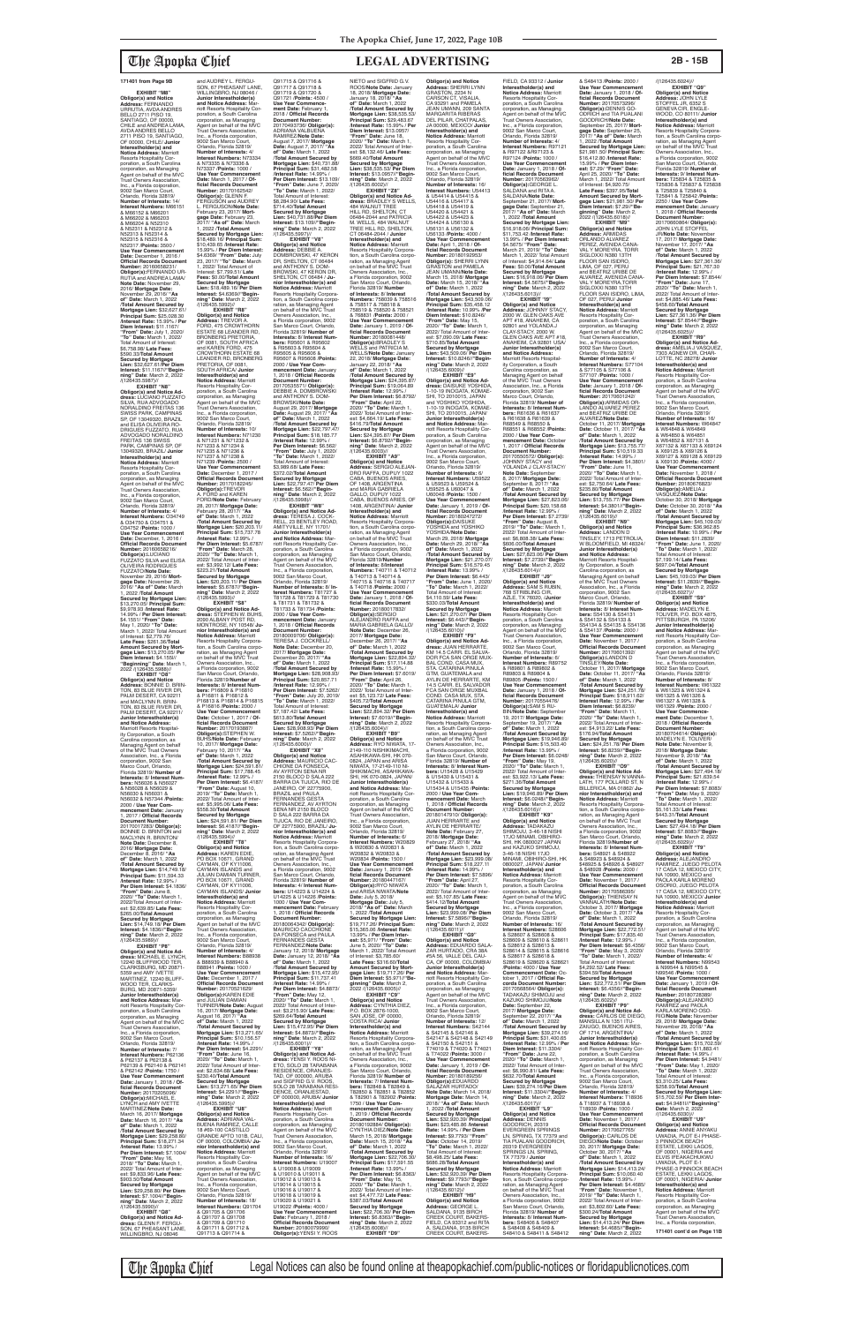**EXHIBIT** "M8 **Obligor(s) and Notice Address:** FERNANDO URRUTIA, AVDA ANDRES BELLO 2711 PISO 19,<br>SANTIAGO, OF 00000,<br>CHILE and ANDREA LAMA,<br>AVDA ANDRES BELLO 2711 PISO 19, SANTIAGO, OF 00000, CHILE/ **Junior Interestholder(s) and Notice Address:** Marriott Resorts Hospitality Cor-poration, a South Carolina corporation, as Managing Agent on behalf of the MVC Trust Owners Association, Inc., a Florida coiporation, 9002 San Marco Court, Orlando, Florida 32819/ **Number of Interests:** 14/ **Interest Numbers:** M66151 & M66152 & M66201 & M66202 & M66203 & M66204 & N52310 & N52311 & N52312 & N52313 & N52314 & N52315 & N52316 & N52317 /**Points:** 3500 / **Use Year Commencement Date:** December 1, 2016 / **Official Records Document Number:** 20160658231/ **Obligor(s):**FERNANDO UR-RUTIA and ANDREA LAMA/ **Note Date:** November 29, 2016/ **Mortgage Date:** November 29, 2016/ **"As of" Date:** March 1, 2022 /**Total Amount Secured by Mortgage Lien:** \$32,627.61/ **Principal Sum:** \$25,028.30 /**Interest Rate:** 15.99% / **Per Diem Interest:** \$11.1167/ **"From" Date:** July 1, 2020/ **"To" Date:** March 1, 2022/ Total Amount of Interest: \$6,758.98/ **Late Fees:** \$590.33/**Total Amount Secured by Mortgage Lien:** \$32,627.61/**Per Diem Interest:** \$11.1167//**"Begin-ning" Date**: March 2, 2022 /(126435.5987)// **EXHIBIT "N8" Obligor(s) and Notice Ad-dress:** LUCIANO FUZZATO SILVA, RUA ADVOGADO<br>NORALDINO FREITAS 136 SWISS PARK, CAMPINAS SP, OF 13049320, BRAZIL and ELISA OLIVEIRA RO-DRIGUES FUZZATO, RUA ADVOGADO NORALDINO<br>EREITAS 136 SWISS FREITAS 136 SWISS PARK, CAMPINAS SP, OF 13049320, BRAZIL/ **Junior Interestholder(s) and Notice Address:** Marriott<br>Resorts Hospitality Cor-<br>poration, a South Carolina corporation, as Managing Agent on behalf of the MVC Trust Owners Association, Inc., a Florida corporation, 9002 San Marco Court, Orlando, Florida 32819/ **Number of Interests:** 4/ **Interest Numbers:** O34749 & O34750 & O34751 & O34752 /**Points:** 1000 / **Use Year Commencement Date:** December, 1, 2016 / **Official Records Document Number:** 20160658216/<br>**Obligor(s):**LUCIANO<br>FUZZATO SILVA and ELISA OLIVEIRA RODRIGUES FUZZATO/**Note Date:** November 29, 2016/ **Mortgage Date:** November 29, 2016/ **"As of" Date:** March 1, 2022 /**Total Amount** 

and AUDREY L. FERGU-SON, 67 PHEASANT LANE, WILLINGBRO, NJ 08046

**Secured by Mortgage Lien:**  \$13,270.05/ **Principal Sum:** \$9,978.93 /**Interest Rate:** 14.99% / **Per Diem Interest:** \$4.1551/ **"From" Date:** May 1, 2020/ **"To" Date:** March 1, 2022/ Total Amount of Interest: \$2,779.76/ **Late Fees:** \$261.36/**Total Amount Secured by Mort-gage Lien:** \$13,270.05/ **Per Diem Interest:** \$4.155l// **"Beginning" Date**: March 1, 2022 /(126435.5988)// **EXHIBIT "O8" Obligor(s) and Notice Address:** BONNIE D. BRIN-TON, 83 BLUE RIVER DR, PALM DESERT, CA 92211<sup>1</sup><br>and MACLYNN R. BRINand MACLYNN R. BRIN-TON, 83 BLUE RIVER DR, PALM DESERT, CA 92211/ **Junior Interestholder(s) and Notice Address:** Marriott Resorts Hospital-ity Corporation, a South Carolina corporation, as

Managing Agent on behalf of the MVC Trust Owners Association, Inc., a Florida corporation, 9002 San Marco Court, Orlando, Florida 32819/ **Number of Interests:** 8/ **Interest Numbers:** N56026 & N56027 & N56028 & N56029 & N56030 & N56031 & N56032 & N57344 /**Points:** 2000 / **Use Year Commencement Date:** January 1, 2017 / **Official Records Document Number:** 20170017283/ **Obligor(s):** BONNIE D. BRINTON and MACLYNN R. BRINTON/ **Note Date:** December 8, 2016/ **Mortgage Date:** December 8, 2016/ **"As of" Date:** March 1, 2022 /**Total Amount Secured by Mortgage Lien:** \$14,749.18/ **Principal Sum:** \$11,594.33 /**Interest Rate:** 12.99% / **Per Diem Interest:** \$4.1836/ **"From" Date:** June 8, 2020/ **"To" Date:** March 1, 2022/Total Amount of Inter-est: \$2,639.85/ **Late Fees:** \$265.00/**Total Amount Secured by Mortgage Lien:** \$14,749.18/ **Per Diem Interest:** \$4.1836//**"Beginning" Date**: March 2, 2022 /(126435.5989)// **EXHIBIT "P8" Obligor(s) and Notice Ad-dress:** MICHAEL E. LYNCH, 12240 BLUFFWOOD TER, CLARKSBURG, MD 20871- 5359 and AMY IVETTE MARTINEZ, 12240 BLUFF-WOOD TER, CLARKS-BURG, MD 20871-5359/ **Junior Interestholder(s)**  and Notice Address: riott Resorts Hospitality Corporation, a South Carolina corporation, as Managing Agent on behalf of the MVC Trust Owners Association, Inc., a Florida corporation, 9002 San Marco Court, Orlando, Florida 32819/ **Number of Interests:** 7/ **Interest Numbers:** P62136 & P62137 & P62138 & P62139 & P62140 & P62141 & P62142 /**Points:** 1750 / **Use Year Commence Date:** January 1, 2018 / **Official Records Document Number:** 20170205096/ **Obligor(s):**MICHAEL E. LYNCH and AMY IVETTE MARTINEZ/**Note Date:** March 16, 2017/ **Mortgage Date:** March 16, 2017/ **"As of" Date:** March 1, 2022 /**Total Amount Secured by Mortgage Lien:** \$29,258.80/ **Principal Sum:** \$18,271.34 /**Interest Rate:** 13.99% / **Per Diem Interest:** \$7.1004/ **"From" Date:** May 16, 2018/ **"To" Date:** March 1, 2022/ Total Amount of Inter-est: \$9,833.96/ **Late Fees:** \$903.50/**Total Amount Secured by Mortgage Lien:** \$29,258.80/ **Per Diem Interest:** \$7.1004//"**Begin-<br><b>ning" Date**: March 2, 2022<br>/(126435.5990)// **EXHIBIT "Q8" Obligor(s) and Notice Ad-dress:** GLENN F. FERGU-SON, 67 PHEASANT LANE, WILLINGBRO, NJ 08046

**Junior Interestholder(s) and Notice Address:** Marriott Resorts Hospitality Corporation, a South Carolina corporation, as Managing Agent on behalf of the MVC Trust Owners Association, Inc., a Florida corporation, 9002 San Marco Court,<br>Orlando, Florida 32819/<br>**Number of Interests**: 4/<br>**Interest Numbers**: N73334<br>& N73335 & N73336 &<br>N73337 /**Points:** 1000 / **Use Year Commencement Date:** March 1, 2017 / **Official Records Document<br><b>Number:** 20170162542/<br>**Obligor(s):** GLENN F.<br>FERGUSON and AUDREY L. FERGUSON/**Note Date:** February 23, 2017/ **Mort-gage Date:** February 23, 2017/ **"As of" Date:** March 1, 2022 /**Total Amount Secured by Mortgage Lien:**  \$18,489.16/ **Principal Sum:** \$10,439.65 /**Interest Rate:** 15.99% / **Per Diem Interest:** \$4.6369/ **"From" Date:** July 23, 2017/ **"To" Date:** March 1, 2022/ Total Amount of Interest: \$7,799.51/ **Late Fees:** \$0.00/**Total Amount Secured by Mortgage Lien:** \$18,489.16/ **Per Diem Interest:** \$4.6369//**"Begin-ning" Date**: March 2, 2022 /(126435.5992)// **EXHIBIT "R8" Obligor(s) and Notice Address:** TREVOR A. FORD, 475 CROWTHORN ESTATE 68 LEANDER RD, BRONBERG PRETORIA, OF 0081, SOUTH AFRICA<br>and KAREN FORD. 475 and KAREN FORD, 475 CROWTHORN ESTATE 68 LEANDER RD, BRONBERG PRETORIA, OF 0081, SOUTH AFRICA/ **Junior Interestholder(s) and<br><b>Notice Address:** Marriott<br>Resorts Hospitality Corporation, a South Carolina corporation, as Managing Agent on behalf of the MVC Trust Owners Association, Inc., a Florida corporation, 9002 San Marco Court, Orlando, Florida 32819/ **Number of Interests:** 10/ **Interest Numbers:** N71230 & N71231 & N71232 & N71233 & N71234 & N71235 & N71236 & N71237 & N71238 & N71239 /**Points:** 2500 / **Use Year Commencement Date:** December 1, 2017 / **Official Records Document Number:** 20170182245/ **Obligor(s):**TREVOR A. FORD and KAREN FORD/**Note Date:** February 28, 2017/ **Mortgage Date:** February 28, 2017/ **"As of" Date:** March 1, 2022 /**Total Amount Secured by Mortgage Lien:** \$20,203.11/ **Principal Sum:** \$15,737.78 /**Interest Rate:** 12.99% / **Per Diem Interest:** \$5.6787/ **"From" Date:** March 28, 2020/ **"To" Date:** March 1, 2022/ Total Amount of Inter-est: \$3,992.12/ **Late Fees:** \$223.21/**Total Amount Secured by Mortgage Lien:** \$20,203.11/ **Per Diem Interest:** \$5.6787//**"Begin-ning" Date**: March 2, 2022 /(126435.5993)// **EXHIBIT "S8" Obligor(s) and Notice Ad-<br><b>dress:** STEPHEN W. BUHS,<br>2090 ALBANY POST RD,<br>MONTROSE, NY 10548/ **Junior Interestholder(s) and Notice Address:** Marriott<br>Resorts Hospitality Corpora-<br>tion, a South Carolina corporation, as Managing Agent<br>on behalf of the MVC Trust Owners Association, Inc., a Florida corporation, 9002 San Marco Court, Orlando, Florida 32819/**Number of Interests:** 8/ **Interest Num-bers:** P16809 & P16810 & P16811 & P16812 & P16813 & P16814 & P16815 & P16816 /**Points:** 2000 / **Use Year Commencement Date:** October 1, 2017 / **Of-ficial Records Document Number:** 20170193887/ **Obligor(s):**STEPHEN W. BUHS/**Note Date:** February 10, 2017/ **Mortgage Date:** February 10, 2017/ **"As of" Date:** March 1, 2022 /**Total Amount Secured by Mortgage Lien:** \$24,591.81/ **Principal Sum:** \$17,788.45 /**Interest Rate:** 12.99% / **Per Diem Interest:** \$6.4187/ **"From" Date:** August 10, 2019/ **"To" Date:** March 1, 2022/ Total Amount of Inter-est: \$5,995.06/ **Late Fees:** \$558.30/**Total Amount Secured by Mortgage Lien:** \$24,591.81/ **Per Diem Interest:** \$6.4187//"**Begin-<br><b>ning" Date**: March 2, 2022<br>/(126435.5994)// **EXHIBIT "T8" Obligor(s) and Notice Address:** KAREN EDIE, PO BOX 10671, GRAND CAYMAN, OF KY11006, CAYMAN ISLANDS and JULIAN DAMIAN TURNER, PO BOX 10671, GRAND CAYMAN, OF KY11006, CAYMAN ISLANDS/ **Junior Interestholder(s) and<br><b>Notice Address:** Marriott<br>Resorts Hospitality Corporation, a South Carolina corporation, as Managing Agent on behalf of the MVC Trust Owners Association, Inc., a Florida corporation, 9002 San Marco Court, Orlando, Florida 32819/ **Number of Interests:** 4/ **Interest Numbers:** B88938 & B88939 & B88940 & B88941 /**Points:** 1000 / Use Year Commencement **Date:** December 1, 2017 / **Official Records Document Number:** 20170521629/ **Obligor(s):**KAREN EDIE<br>and JULIAN DAMIAN TURNER/**Note Date:** August 16, 2017/ **Mortgage Date:** August 16, 2017/ **"As of" Date:** March 1, 2022 /**Total Amount Secured by Mortgage Lien:** \$13,271.65/ **Principal Sum:** \$10,156.57 /**Interest Rate:** 14.99% / **Per Diem Interest:** \$4.2291/ **"From" Date:** June 16, 2020/ **"To" Date:** March 1, 2022/ Total Amount of Interest: \$2,634.68/ **Late Fees:** \$230.40/**Total Amount Secured by Mortgage Lien:** \$13,271.65/ **Per Diem Interest:** \$4.2291//**"Begin-ning" Date**: March 2, 2022 /(126435.5995)// **EXHIBIT "U8" Obligor(s) and Notice Address:** ADRIANA VAL-BUENA RAMIREZ, CALLE<br>18 #69-100 CASTILLO 18 #69-100 CASTILLO GRANDE APTO 101B, CALI, OF 00000, COLOMBIA/ **Junior Interestholder(s) and Notice Address:** Marriott Resorts Hospitality Cor-poration, a South Carolina corporation, as Managing Agent on behalf of the MVC Trust Owners Association, Inc., a Florida corporation, 9002 San Marco Court, Orlando, Florida 32819/ **Number of Interests:** 18/ **Interest Numbers:** Q91704 & Q91705 & Q91706 & Q91707 & Q91708 & Q91709 & Q91710 & Q91711 & Q91712 & Q91713 & Q91714 &

**Obligor(s) and Notice Address:** SHERRI LYNN GRASTON, 2234 N CARSON CT, VISALIA, CA 93291 and PAMELA JEAN UMANN, 209 SANTA MARGARITA RIBERAS DEL PILAR, CHATPALAS, JA 00000, MEXICO/ **Junior Interestholder(s) and Notice Address:** Marriott Resorts Hospitality Corporation, a South Carolina corporation, as Managing Agent on behalf of the MVC Trust Owners Association, Inc., a Florida corporation, 9002 San Marco Court, Orlando, Florida 32819/ **Number of Interests:** 16/ **Interest Numbers:** U54413<br>& U54414 & U54415 &<br>U54416 & U54417 & U54418 & U54419 & U54420 & U54421 & U54422 & U54423 & U54424 & U56130 & U56131 & U56132 & U56133 /**Points:** 4000 / **Use Year Commencement Date:** April 1, 2018 / **Of-ficial Records Document Number:** 20180192953/ **Obligor(s):** SHERRI LYNN<br>GRASTON and PAMELA JEAN UMANN/**Note Date:** March 15, 2018/ **Mortgage Date:** March 15, 2018/ **"As of" Date:** March 1, 2022 /**Total Amount Secured by Mortgage Lien:** \$43,509.06/ **Principal Sum:** \$35,458.12 /**Interest Rate:** 10.99% /**Per Diem Interest:** \$10.8246/ **"From" Date:** May 15, 2020/ **"To" Date:** March 1, 2022/ Total Amount of Inter-est: \$7,090.09/ **Late Fees:** \$710.85/**Total Amount Secured by Mortgage Lien:** \$43,509.06/ **Per Diem Interest:** \$10.8246//**"Begin-ning" Date**: March 2, 2022 /(126435.6009)// **EXHIBIT "E9" Obligor(s) and Notice Ad-dress:** DAISUKE YOSHIDA, 1-10-19 INOGATA, KOMAE-SHI, TO 2010015, JAPAN and YOSHIKO YOSHIDA, 1-10-19 INOGATA, KOMAE-SHI, TO 2010015, JAPAN/ **Junior Interestholder(s) and Notice Address:** Marriott Resorts Hospitality Corporation, a South Carolina corporation, as Managing Agent on behalf of the MVC Trust Owners Association, Inc., a Florida corporation, 9002 San Marco Court, Orlando, Florida 32819/ **Number of Interests:** 6/<br>**Interest Numbers:** U59522<br>& U59523 & U59524 & U59525 & U60047 & U60048 /**Points:** 1500 / **Use Year Commencement Date:** January 1, 2019 / **Official Records Document<br><b>Number:** 20180247272/<br>**Obligor(s**):DAISUKE<br>YOSHIDA/**Note Date:**<br>YOSHIDA/**Note Date:** March 29, 2018/ **Mortgage Date:** March 29, 2018/ **"As of" Date:** March 1, 2022 /**Total Amount Secured by Mortgage Lien:** \$21,270.07/ **Principal Sum:** \$16,579.45 /**Interest Rate:** 13.99% / **Per Diem Interest:** \$6.443/ **"From" Date:** June 1, 2020/ **"To" Date:** March 1, 2022/ Total Amount of Interest: \$4,110.59/ **Late Fees:** \$330.03/**Total Amount Secured by Mortgage Lien:** \$21,270.07/ **Per Diem Interest:** \$6.443//**"Begin-ning" Date**: March 2, 2022 /(126435.6010)// **EXHIBIT "F9" Obligor(s) and Notice Ad-dress:** JUAN HERRARTE, KM 14.5 CARR. EL SALVA-DOR FCA SAN ORGE MUX-BAL COND. CASA MUX, STA. CATARINA PINULA GTM, GUATEMALA and AYLIN DE HERRARTE, KM 14.5 CARR. EL SALVADOR FCA SAN ORGE MUXBAL COND. CASA MUX, STA. CATARINA PINULA GTM,<br>GUATEMALA/ **Junior** GUATEMALA/ **Junior Interestholder(s) and Notice Address:** Marriott Resorts Hospitality Corporation, a South Carolina corporation, as Managing Agent<br>on behalf of the MVC Trust Owners Association, Inc. a Florida corporation, 9002 San Marco Court, Orlando, Florida 32819/ **Number of Interests: 8/ Interest Numbers: 1115428 & 1115429 bers:** U15428 & U15429 & U15430 & U15431 & U15432 & U15433 & U15434 & U15435 /**Points:** 2000 / **Use Year Commencement Date:** March 1, 2018 / **Official Records Document Nun** 20180147910/ **Obligor(s):** JUAN HERRARTE and AYLIN DE HERRARTE/<br>Note Date: February 27 **Note Date:** February 27, 2018/ **Mortgage Date:** February 27, 2018/ **"As of" Date:** March 1, 2022 /**Total Amount Secured by Mortgage Lien:** \$23,999.08/ **Principal Sum:** \$18,227.11 /**Interest Rate:** 14.99% / **Per Diem Interest:** \$7.5896/ **"From" Date:** April 27, 2020/ **"To" Date:** March 1, 2022/ Total Amount of Inter est: \$5,107.85/ **Late Fees:** \$414.12/**Total Amount Secured by Mortgage Lien:** \$23,999.08/ **Per Diem Interest:** \$7.5896//**"Begin-ning" Date**: March 2, 2022 /(126435.6011)// **EXHIBIT "G9" Obligor(s) and Notice Address:** EDUARDO SALA-ZAR HURTADO, CRA 38A #5A 56, VALLE DEL CAU-CA, OF 00000, COLOMBIA/ **Junior Interestholder(s) and Notice Address:** Marriott Resorts Hospitality Cor-poration, a South Carolina corporation, as Managing Agent on behalf of the MVC Trust Owners Association, Inc., a Florida corporation, 9002 San Marco Court, Orlando, Florida 32819/ **Number of Interests:** 12/ **Interest Numbers:** S42144 & S42145 & S42146 & S42147 & S42148 & S42149 & S42150 & S42151 & T74019 & T74020 & T74021 & T74022 /**Points:** 3000 / **Use Year Commencement Date:** January 1, 2019 / **Official Records Document Number:** 20180189256/ **Obligor(s):**EDUARDO<br>SALAZAR HURTADO/ **Note Date:** March 14, 2018/ **Mortgage Date:** March 14, 2018/ **"As of" Date:** March 1, 2022 /**Total Amount Secured by Mortgage Lien:** \$32,920.39/ **Principal Sum:** \$23,485.86 /**Interest Rate:** 14.99% / **Per Diem Interest:** \$9.7793/ **"From" Date:** October 14, 2019/ **"To" Date:** March 1, 2022/ Total Amount of Interest: \$8,498.25/ **Late Fees:** \$686.28/**Total Amount Secured by Mortgage Lien:** \$32,920.39/ **Per Diem Interest:** \$9.7793//**"Beginning" Date**: March 2, 2022 /(126435.6012)// **EXHIBIT "H9" Obligor(s) and Notice Address:** GEORGE L. SALDANA, 9135 BIRCH CREEK COURT, BAKERS-FIELD, CA 93312 and RITA<br>A SALDANA 9135 BIRCH A. SALDANA, 9135 BIRCH<br>CREEK COURT, BAKERS-

Q91715 & Q91716 & Q91717 & Q91718 & Q91719 & Q91720 & Q91721 /**Points:** 4500 / **Use Year Commencement Date:** February 1, 2018 / **Official Records Document Number:** 20170493736/ **Obligor(s):** ADRIANA VALBUENA RAMIREZ/**Note Date:** August 7, 2017/ **Mortgage Date:** August 7, 2017/ **"As of" Date:** March 1, 2022 /**Total Amount Secured by Mortgage Lien:** \$40,731.88/ **Principal Sum:** \$31,482.58 /**Interest Rate:** 14.99% / **Per Diem Interest:** \$13.109/ **"From" Date:** June 7, 2020/ **"To" Date:** March 1, 2022/ Total Amount of Interest: \$8,284.90/ **Late Fees:** \$714.40/**Total Amount Secured by Mortgage Lien:** \$40,731.88/**Per Diem Interest:** \$13.109//**"Begin-ning" Date**: March 2, 2022 /(126435.5997)// **EXHIBIT "V8"<br><b>Address:** DeBBIE A.<br>**Address:** DEBBIE A.<br>DOMBROWSKI, 47 KERON<br>DR, SHELTON, CT 06484<br>and ANTHONY S. DOM-BROWSKI, 47 KERON DR, SHELTON, CT 06484 / **Ju-nior Interestholder(s) and Notice Address:** Marriott Resorts Hospitality Corpora-tion, a South Carolina corporation, as Managing Agent<br>Owners Association, Inc.,<br>Owners Association, Inc.,<br>a Florida corporation, 9002<br>San Marco Court, Orlando,<br>Florida 32819/ **Number of Interests:** 8/ **Interest Numbers:** R95601 & R95602<br>& R95603 & R95604 & & R95603 & R95604 & R95605 & R95606 & R95607 & R95608 /**Points:** 2000 / **Use Year Commencement Date:** January 1, 2018 / **Official Records Document Number:<br>20170535571/ Obligor(s):**<br>DEBBIE A. DOMBROWSKI<br>and ANTHONY S. DOM-<br>BROWSKI/**Note Date:** August 29, 2017/ **Mortgage Date:** August 29, 2017/ **"As of" Date:** March 1, 2022 /**Total Amount Secured by Mortgage Lien:** \$22,797.47/ **Principal Sum:** \$18,185.77 /**Interest Rate:** 12.99% / **Per Diem Interest:** \$6.562/ **"From" Date:** July 1, 2020/ **"To" Date:** March 1, 2022/ Total Amount of Interest:<br>\$3.989.68/ Late Fees: \$3,989.68/ **Late Fees:** \$372.02/**Total Amount Secured by Mortgage Lien:** \$22,797.47/ **Per Diem Interest:** \$6.562//**"Begin-ning" Date**: March 2, 2022 /(126435.5998)// **EXHIBIT "W8" Obligor(s) and Notice Ad-<br><b>dress:** TERESA J. COCK-<br>RELL, 23 BENTLEY ROAD,<br>AMITYVILLE, NY 11701/ **Junior Interestholder(s) and Notice Address:** Mar-riott Resorts Hospitality Corporation, a South Carolina corporation, as Managing Agent on behalf of the MVC Trust Owners Association, Inc., a Florida corporation,<br>9002 San Marco Court,<br>Orlando, Florida 32819/<br>**Number of Interests:** 8/ **Interest Numbers:** T81727 & T81728 & T81729 & T81730 & T81731 & T81732 & T81733 & T81734 /**Points:** 2000 / **Use Year Commencement Date:** January 1, 2018 / **Official Records Document Number:** 20180009706/ **Obligor(s):** TERESA J. COCKRELL/ **Note Date:** December 20, 2017/ **Mortgage Date:** December 20, 2017/ **"As of" Date:** March 1, 2022 /**Total Amount Secured by Mortgage Lien:** \$28,908.93/ **Principal Sum:** \$20,857.71 /**Interest Rate:** 12.99% / **Per Diem Interest:** \$7.5262/ **"From" Date:** July 20, 2019/ **"To" Date:** March 1, 2022/ Total Amount of Interest: \$7,187.42/ **Late Fees:** \$613.80/**Total Amount Secured by Mortgage Lien:** \$28,908.93/ **Per Diem Interest:** \$7.5262//**"Begin-ning" Date**: March 2, 2022 /(126435.6000)// **EXHIBIT** "X8 **Obligor(s) and Notice Address:** MAURICIO CAC-CHIONE DA FONSECA AV AYRTON SENA NR 2150 BLOCO D SALA 222 BARRA DA TIJUCA, RIO DE JANEIRO, OF 22775900, BRAZIL and PAULA FERNANDES GESTA FERNANDEZ, AV AYRTON SENA NR 2150 BLOCO D SALA 222 BARRA DA TIJUCA, RIO DE JANEIRO, OF 22775900, BRAZIL/ **Junior Interestholder(s) and Notice Address:** Marriott Resorts Hospitality Corporation, a South Carolina corporation, as Managing Agent<br>on behalf of the MVC Trust Owners Association, Inc., a Florida corporation, 9002 San Marco Court, Orlando, Florida 32819/ **Number of Interests:** 4/ **Interest Numbers:** U14223 & U14224 & U14225 & U14226 /**Points:** 1000 / **Use Year Commencement Date:** February 1, 2018 / **Official Records Document Number:** 20180064342/ **Obligor(s):** MAURICIO CACCHIONE DA FONSECA and PAULA FERNANDES GESTA FERNANDEZ/**Note Date:** January 12, 2018/ **Mortgage Date:** January 12, 2018/ **"As of" Date:** March 1, 2022 /**Total Amount Secured by Mortgage Lien:** \$15,472.95/ **Principal Sum:** \$11,737.41 /**Interest Rate:** 14.99% / **Per Diem Interest:** \$4.8873/ **"From" Date:** May 12, 2020/ **"To" Date:** March 1, 2022/ Total Amount of Inter-est: \$3,215.90/ **Late Fees:** \$269.64/**Total Amount Secured by Mortgage Lien:** \$15,472.95/ **Per Diem Interest:** \$4.8873//**"Beginning" Date**: March 2, 2022 /(126435.6001)// **EXHIBIT "Y8" Obligor(s) and Notice Address:** YENSI Y. ROOS NI-ETO, SOLO 28 TARABANA RESIDENCE, ORANJES-TAD, OF 000000, ARUBA<br>and SIGFRID G.V. ROOS, SOLO 28 TARABANA RESI-DENCE, ORANJESTAD, OF 000000, ARUBA/ **Junior Interestholder(s) and Notice Address:** Marriott Resorts Hospitality Corporation, a South Carolina corporation, as Managing Agent on behalf of the MVC Trust Owners Association, Inc., a Florida corporation, 9002 San Marco Court, Orlando, Florida 32819/<br>Number of Interests: 16 **Number of Interests:** 16/ **Interest Numbers:** U19007 & U19008 & U19009 & U19010 & U19011 & U19012 & U19013 & U19014 & U19015 & U19016 & U19017 & U19018 & U19019 & U19020 & U19021 & U19022 /**Points:** 4000 / **Use Year Commencement Date:** February 1, 2018 / **Official Records Document Number:** 20180079990/ **Obligor(s):**YENSI Y. ROOS NIETO and SIGFRID G.V. ROOS/**Note Date:** January 18, 2018/ **Mortgage Date:** January 18, 2018/ **"As of" Date:** March 1, 2022 /**Total Amount Secured by Mortgage Lien:** \$38,535.53/ **Principal Sum:** \$29,483.67 /**Interest Rate:** 15.99% / **Per Diem Interest:** \$13.0957/ **"From" Date:** June 18, 2020/ **"To" Date:** March 1, 2022/ Total Amount of Inter-est: \$8,132.46/ **Late Fees:** \$669.40/**Total Amount Secured by Mortgage Lien:** \$38,535.53/ **Per Diem Interest:** \$13.0957//**"Begin-<br><b>ning" Date**: March 2, 2022<br>/(126435.6002)// **EXHIBIT "Z8" Obligor(s) and Notice Ad-dress:** BRADLEY S WELLS, 484 WALNUT TREE HILL RD, SHELTON, CT 06484-2044 and PATRICIA M. WELLS, 484 WALNUT TREE HILL RD, SHELTON, CT 06484-2044 / **Junior Interestholder(s) and Notice Address:** Marriott<br>Resorts Hospitality Corpora-<br>tion, a South Carolina corporation, as Managing Agent<br>on behalf of the MVC Trust Owners Association, Inc., a Florida corporation, 9002 San Marco Court, Orlando, Florida 32819/ **Number of Interests:** 8/ **Interest Numbers:** 758039 & 758516 & 758517 & 758518 & 758519 & 758520 & 758521 & 768831 /**Points:** 2000 / **Use Year Commencement Date:** January 1, 2019 / **Of-ficial Records Document Number:** 20180081448/ **Obligor(s):**BRADLEY S WELLS and PATRICIA M. WELLS/**Note Date:** January 22, 2018/ **Mortgage Date:** January 22, 2018/ **"As of" Date:** March 1, 2022 /**Total Amount Secured by Mortgage Lien:** \$24,395.87/ **Principal Sum:** \$19,064.89 /**Interest Rate:** 12.99% / **Per Diem Interest:** \$6.8792/ **"From" Date:** April 22, 2020/ **"To" Date:** March 1, 2022/ Total Amount of Interest: \$4,664.19/ **Late Fees:** \$416.79/**Total Amount Secured by Mortgage Lien:** \$24,395.87/ **Per Diem Interest:** \$6.8792//**"Begin-ning" Date**: March 2, 2022 /(126435.6003)// **EXHIBIT "A9" Obligor(s) and Notice Address:** SERGIO ALEJAN-DRO RAFFA, DUPUY 1022 CABA, BUENOS ARIES, OF 1408, ARGENTINA and MARIA GABRIELA GALLO, DUPUY 1022 CABA, BUENOS ARIES, OF 1408, ARGENTINA/ **Junior Interestholder(s) and Notice Address:** Marriott Resorts Hospitality Corpora-tion, a South Carolina corporation, as Managing Agent<br>on behalf of the MVC Trust<br>Owners Association, Inc.,<br>a Florida corporation, 9002 San Marco Court, Orlando, Florida 32819/**Number of Interests:** 8/**Interest Numbers:** T40711 & T40712 & T40713 & T40714 & T40715 & T40716 & T40717 & T40718 /**Points:** 2000 / **Use Year Commencement Date:** January 1, 2018 / **Of-ficial Records Document Number:** 20180017832/ **Obligor(s):**SERGIO ALEJANDRO RAFFA and MARIA GABRIELA GALLO/ **Note Date:** December 26, 2017/ **Mortgage Date:** December 26, 2017/ **"As of" Date:** March 1, 2022 /**Total Amount Secured by Mortgage Lien:** \$22,894.32/ **Principal Sum:** \$17,114.88 /**Interest Rate:** 15.99% / **Per Diem Interest:** \$7.6019/ **"From" Date:** April 26, 2020/ **"To" Date:** March 1, 2022/ Total Amount of Inter-est: \$5,123.72/ **Late Fees:** \$405.72/**Total Amount Secured by Mortgage Lien:** \$22,894.32/ **Per Diem Interest:** \$7.6019//**"Begin-ning" Date**: March 2, 2022 /(126435.6004)// **EXHIBIT "B9" Obligor(s) and Notice Address:** RYO NIWATA, 17- 2149-110 NISHIKIMACHI, ASAHIKAWA-SHI, HK 070- 0824, JAPAN and ARISA NIWATA, 17-2149-110 NI-SHIKIMACHI, ASAHIKAWA-SHI, HK 070-0824, JAPAN/ **Junior Interestholder(s) and Notice Address:** Marriott Resorts Hospitality Corporation, a South Carolina corporation, as Managing Agent on behalf of the MVC Trust Owners Association, Inc., a Florida corporation, 9002 San Marco Court, Orlando, Florida 32819/ **Number of Interests:** 6/ **Interest Numbers:** W20829 & W20830 & W20831 & W20832 & W20833 & W20834 /**Points:** 1500 / **Use Year Commencement Date:** January 1, 2019 / **Of-ficial Records Document Number:** 20180447167/ **Obligor(s):**RYO NIWATA and ARISA NIWATA/**Note Date:** July 5, 2018/ **Mortgage Date:** July 5, 2018/ **"As of" Date:** March 1, 2022 /**Total Amount Secured by Mortgage Lien:**  \$19,717.26/ **Principal Sum:** \$15,365.06 /**Interest Rate:** 13.99% / **Per Diem Interest:** \$5,971/ **"From" Date:** June 5, 2020/ **"To" Date:** March 1, 2022/ Total Amount of Interest: \$3,785.60/ **Late Fees:** \$316.60/**Total Amount Secured by Mort-gage Lien:** \$19,717.26/ **Per Diem Interest:** \$5.971//**"Be-ginning" Date**: March 2, 2022 /(126435.6005)//<br>"EXHIBIT "C9" **EXHIBIT "C9" Obligor(s) and Notice Address:** CYNTHIA DIEZ, P.O. BOX 2876-1000, SAN JOSE, OF 00000, COSTA RICA/ **Junior Interestholder(s) and<br><b>Notice Address:** Marriott<br>Resorts Hospitality Corporation, a South Carolina corpo-ration, as Managing Agent on behalf of the MVC Trust Owners Association, Inc., a Florida corporation, 9002 San Marco Court, Orlando, Florida 32819/ **Number of Interests:** 7/ **Interest Numbers:** T82848 & T82849 & T82850 & T82851 & T82852 & T82901 & T82902 /**Points:** 1750 / **Use Year Commencement Date:** January 1, 2019 / **Official Records Document Number:** 20180192884/ **Obligor(s):** CYNTHIA DIEZ/**Note Date:** March 15, 2018/ **Mortgage Date:** March 15, 2018/ **"As of" Date:** March 1, 2022 /**Total Amount Secured by Mortgage Lien:** \$22,706.30/ **Principal Sum:** \$17,591.55 /**Interest Rate:** 13.99% / **Per Diem Interest:** \$6.8363/ **"From" Date:** May 15, 2020/ **"To" Date:** March 1, 2022/ Total Amount of Inter-est: \$4,477.72/ **Late Fees:** \$387.03/**Total Amount Secured by Mortgage Lien:** \$22,706.30/ **Per Diem Interest:** \$6.8363//**"Beginning" Date**: March 2, 2022 /(126435.6008)// **EXHIBIT "D9"**

**Official Records Document Number:** 20170601392/ **Obligor(s):**LANDON D October 11, 2017/ **Mortgage Date:** October 11, 2017/ **"As of" Date:** March 1, 2022 /**Total Amount Secured by Mortgage Lien:** \$24,251.78/ **Principal Sum:** \$18,911.62/ **Interest Rate: 12.99% / Per Diem Interest \$6.8239/ Diem Interest:** \$6.8239/ **"From" Date:** March 11, 2020/ **"To" Date:** March 1, 2022/ Total Amount of Inter-est: \$4,913.22/ **Late Fees:** \$176.94/**Total Amount Secured by Mortgage Lien:** \$24,251.78/ **Per Diem**  JR/Note Date: Novembe 17, 2017/ **Mortgage Date:** November 17, 2017/ **"As of" Date:** March 1, 2022 /**Total Amount Secured by Mortgage Lien:** \$27,361.36/ **Principal Sum:** \$21,767.30 /**Interest Rate:** 12.99% / **Per Diem Interest:** \$7.8544/ **"From" Date:** June 17, 2020/ **"To" Date:** March 1, 2022/ Total Amount of Inter-est: \$4,885.46/ **Late Fees:** \$458.60/**Total Amount Secured by Mortgage Lien:** \$27,361.36/ **Per Diem Interest:** \$7.8544//**"Begin-ning" Date**: March 2, 2022 /(126435.6025)// **EXHIBIT "R9" Obligor(s) and Notice Ad-dress:** AMELIA J VASQUEZ, 7303 AGNEW DR, CHAR-LOTTE, NC 28278/ **Junior Interestholder(s) and Notice Address:** Marriott<br>Resorts Hospitality Cor-<br>poration, a South Carolina<br>corporation, as Managing<br>Agent on behalf of the MVC<br>Trust Owners Association, Inc., a Florida corporation, 9002 San Marco Court, Orlando, Florida 32819/ **Number of Interests: Interest Numbers:** W64847 & W64848 & W64849 & W64850 & W64851<br>& W64852 & X67131 & & W64852 & X67131 & X67132 & X67133 & X69124 & X69125 & X69126 & X69127 & X69128 & X69129 & X69130 /**Points:** 4000 / **Use Year Commencement Date:** November 1, 2018 / **Official Records Document Number:** 20180676823/ **Obligor(s):**AMELIA J VASQUEZ/**Note Date:** October 30, 2018/Mortgac **Date:** October 30, 2018/ **"As of" Date:** March 1, 2022 /**Total Amount Secured by Mortgage Lien:** \$45,109.03/ **Principal Sum:** \$36,962.85 /**Interest Rate:** 10.99% / **Per Diem Interest:** \$11.2839/ **"From" Date:** June 1, 2020/ **"To" Date:** March 1, 2022/ Total Amount of Interest: \$7,199.14/ **Late Fees:** \$697.04/**Total Amount Secured by Mortgage Lien:** \$45,109.03/ **Per Diem Interest:** \$11.2839//**"Beginning" Date**: March 2, 2022 /(126435.6027)// **EXHIBIT "S9" Obligor(s) and Notice Address:** MADELYN E. TOLIVER, P.O. BOX 4875, PITTSBURGH, PA 15206/ **Junior Interestholder(s) and Notice Address:** Mar-<br>poration, a South Carolina<br>poration, as Managing<br>Agent on behalf of the MVC<br>Trust Owners Association, Inc., a Florida corporation, 9002 San Marco Court, Orlando, Florida 32819/ **Number of Interests: Interest Numbers:** W61322 & W61323 & W61324 & W61325 & W61326 & W61327 & W61328 & W61329 /**Points:** 2000 / **Use Year Commencement Date:** December 1, 2018 / **Official Records Document Number:** 20180704614/ **Obligor(s):** MADELYN E. TOLIVER/ **Note Date:** Nove 2018/ **Mortgage Date:** November 9, 2018/ **"As of" Date:** March 1, 2022<br>Total Amount Secured b /**Total Amount Secured by Mortgage Lien:** \$27,494.18/ **Principal Sum:** \$21,639.54 /**Interest Rate:** 12.99% / **Per Diem Interest:** \$7.8083/ **"From" Date:** May 9, 2020/ **"To" Date:** March 1, 2022/ Total Amount of Interest: \$5,161.33/ **Late Fees:** \$443.31/**Total Amount Secured by Mortgage Lien:** \$27,494.18/ **Per Diem Interest:** \$7.8083//**"Begin-ning" Date**: March 2, 2022 /(126435.6029)// **EXHIBIT "T9" Obligor(s) and Notice Address:** ALEJANDRO RAMIREZ, JUEGO PELOTA 17 CASA 12, MEXICO CITY, NA 10900, MEXICO and PAOLA KARLA MORENO OSORIO, JUEGO PELOTA 17 CASA 12, MEXICO CITY, NA 10900, MEXICO/ **Junior Interestholder(s) and Notice Address:** Marriott Resorts Hospitality Corporation, a South Carolina corporation, as Managing Scriptriation, as managing<br>Agent on behalf of the MVC<br>Trust Owners Association Trust Owners Association, Inc., a Florida corporation, 9002 San Marco Court, Orlando, Florida 32819/ **Number of Interests:** 4/ **Interest Numbers:** N99543 & N99544 & N99545 & N99546 /**Points:** 1000 / **Use Year Commencen Date:** January 1, 2019 / **Official Records Document Number:** 20180728389/<br>**Obligor(s):**ALEJANDRO<br>RAMIREZ and PAOLA KARLA MORENO OSO RIO/**Note Date:** November 29, 2018/ **Mortgage Date:** November 29, 2018/ **"As of" Date:** March 1, 2022 /**Total Amount Secured by Mortgage Lien:** \$15,702.59/ **Principal Sum:** \$11,883.41 /**Interest Rate:** 14.99% / **Per Diem Interest:** \$4.9481/ **"From" Date:** May 1, 2020/ **"To" Date:** March 1, 2022/ Total Amount of Interest: \$3,310.25/ **Late Fees:** \$258.93/**Total Amoun Secured by Mortgage Lien:**  \$15,702.59/ **Per Diem Interest:** \$4.9481l//**"Beginning" Date**: March 2, 2022 /(126435.6030)// **EXHIBIT "U9" Obligor(s) and Notice Address:** ANNIE ANYAKU UWADIA, PLOT E-l PHASE-3 PINNOCK BEACH ESTATE, LEKKI LAGOS, OF 00001, NIGERIA and ELVIS IFEAKACHUKWU UWADIA, PLOT E-1 PHASE-3 PINNOCK BEACH ESTATE, LEKKI LAGOS, OF 00001, NIGERIA/ **Junior Interestholder(s) and Notice Address:** Marriott Resorts Hospitality Cor-poration, a South Carolina corporation, as Managing Agent on behalf of the MVC Trust Owners Association, Inc., a Florida corporation,

FIELD, CA 93312 / **Junior Interestholder(s) and Notice Address:** Marriott Resorts Hospitality Cor-poration, a South Carolina corporation, as Managing Agent on behalf of the MVC Trust Owners Association, Inc., a Florida corporation, 9002 San Marco Court, Orlando, Florida 32819/ **Number of Interests:** 4/ **Interest Numbers:** R97121<br>& R97122 &R97123 &<br>R97124 /**Points:** 1000 / **Use Year Commencement Date:** January 1, 2018 / **Of**ficial Records Document<br>Number: 20170563962/<br>Obligor(s): GEORGE L.<br>SALDANA and RITA A.<br>SALDANA/Note Date:<br>September 21, 2017/ Mort-<br>Geptember 21, 2017/ Mort-<br>2017/ "As of" Date: March<br>1, 2022 /Total Amount **Secured by Mortgage Lien:**  \$16,918.06/ **Principal Sum:** \$11,753.42 /**Interest Rate:** 13.99% / **Per Diem Interest:** \$4.5675/ **"From" Date:** March 21, 2019/ **"To" Date:** March 1, 2022/ Total Amount of Interest: \$4,914.64/ **Late Fees:** \$0.00/**Total Amount Secured by Mortgage Lien:** \$16,918.06/ **Per Diem Interest:** \$4.5675//**"Begin-ning" Date**: March 2, 2022 /(126435.6013)// **EXHIBIT "I9" Obligor(s) and Notice<br><b>Address:** JOHNNY STACY,<br>2000 W. GLEN OAKS AVE APT #18, ANAHEIM, CA 92801 and YOLANDA J CLAY-STACY, 2000 W. GLEN OAKS AVE APT #18, ANAHEIM, CA 92801 USA/ **Junior Interestholder(s) and Notice Address:** Marriott Resorts Hospitality Corporation, a South Carolina corporation, as Managing Agent on behalf of the MVC Trust Owners Association, Inc., a Florida corporation, 9002 San Marco Court, Orlando, Florida 32819/ **Number of Interests:** 8/ **Interest Num-bers:** R61636 & R61637 & R61638 & R61639 & R68549 & R68550 & R68551 & R68552 /**Points:** 2000 / **Use Year Commencement Date: Octobe**<br>I, 2017 / Official Records 1, 2017 / **Official Records Document Number:** 20170550572/ **Obligor(s):** JOHNNY STACY and YOLANDA J CLAY-STACY/ **Note Date:** September 8, 2017/ **Mortgage Date:** September 8, 2017/ **"As of" Date:** March 1, 2022 /**Total Amount Secured by Mortgage Lien:** \$27,823.06/ **Principal Sum:** \$20,158.68 /**Interest Rate:** 12.99% / **Per Diem Interest:** \$7.2739/ **"From" Date:** August 8, 2019/ **"To" Date:**: March 1, 2022/ Total Amount of Inter est: \$6,808.38/ **Late Fees:** \$606.00/**Total Amount Secured by Mortgage Lien:** \$27,823.06/ **Per Diem Interest:** \$7.2739//**"Beginning" Date**: March 2, 2022  $/(126435.6014)/\frac{1}{2}$ FXHIRIT ".IQ" **EXHIBIT "J9" Obligor(s) and Notice Address:** SAM S RUBIN, 768 STRIBLING CIR,

AZLE, TX 76020, /**Junior Interestholder(s) and<br><b>Notice Address:** Marriott<br>Resorts Hospitality Cor-<br>poration, a South Carolina corporation, as Managing Agent on behalf of the MVC Trust Owners Association, Inc., a Florida corporation, 9002 San Marco Court, Orlando, Florida 32819/ **Number of Interests:** 6/ **Interest Numbers:** R89752 & R89801 & R89802 & R89803 & R89804 & R89805 /**Points:** 1500 / **Use Year Commencement Date:** January 1, 2018 / **Official Records Document Number:** 20170554476/ **Obligor(s):**SAM S RU-BIN/**Note Date:** September 19, 2017/ **Mortgage Date:** September 19, 2017/ **"As of" Date:** March 1, 2022 /**Total Amount Secured by Mortgage Lien:** \$19,946.89/ **Principal Sum:** \$15,503.40 /**Interest Rate:** 13.99% / **Per Diem Interest:** \$6.0248/ **"From" Date:** May 19, 2020/ **"To" Date:** March 1, 2022/ Total Amount of Interest: \$3,922.13/ **Late Fees:** \$271.36/**Total Amount Secured by Mortgage Lien:** \$19,946.89/ **Per Diem Interest:** \$6.0248//**"Begin-ning" Date**: March 2, 2022 /(126435.6016)// **EXHIBIT "K9" Obligor(s) and Notice Address:** TADAKAZU SHIMOJU, 3-46-18 NISHI 17JO MINAMI, OBIHIRO-SHI, HK 0800027 JAPAN and KAZUKO SHIMOJU, 3-46-18 NISHI 17JO MINAMI, OBIHIRO-SHI, HK 0800027, JAPAN/ **Junior Interestholder(s) and Notice Address:** Marriott Resorts Hospitality Cor-poration, a South Carolina corporation, as Managing Agent on behalf of the MVC Trust Owners Association, Inc., a Florida corporation, 9002 San Marco Court, Orlando, Florida 32819/ **Number of Interests:** 16/ **Interest Numbers:** S28606 & S28607 & S28608 & S28609 & S28610 & S28611 & S28612 & S28613 & S28614 & S28615 & S28616 & S28617 & S28618 & S28619 & S28620 & S28621 /**Points:** 4000 / **Use Year Commencement Date:** Oc-tober 1, 2017 / **Official Records Document Number:** 20170568564/ **Obligor(s):** TADAKAZU SHIMOJU and KAZUKO SHIMOJU/**Note Date:** September 22, 2017/ **Mortgage Date:** September 22, 2017/ **"As of" Date:** March 1, 2022 /**Total Amount Secured by Mortgage Lien:** \$39,274.16/ **Principal Sum:** \$31,400.65 /**Interest Rate:** 12.99% / **Per Diem Interest:** \$11.3304/ **"From" Date:** June 22, 2020/ **"To" Date:** March 1, 2022/ Total Amount of Interest: \$6,990.81/ **Late Fees:** \$632.70/**Total Amount Secured by Mortgage Lien:** \$39,274.16/**Per Diem Interest:** \$11.3304//**"Begin-ning" Date**: March 2, 2022 /(126435.6017)// **EXHIBIT "L9" Obligor(s) and Notice Address:** DENNIS GOODRICH, 20319 EVERGREEN SPRINGS LN, SPRING, TX 77379 and TIA PUALANI GOODRICH, 20319 EVERGREEN SPRINGS LN, SPRING, TX 77379 / **Junior Interestholder(s) and Notice Address:** Marriott Resorts Hospitality Corpora-tion, a South Carolina corporation, as Managing Agent<br>on behalf of the MVC Trust<br>Owners Association, Inc.,<br>a Florida corporation, 9002 San Marco Court, Orlando, Florida 32819/ **Number of Interests:** 8/ **Interest Numbers:** S48406 & S48407 & S48408 & S48409 & S48410 & S48411 & S48412

TINSLEY/**Note Date:**

& S48413 /**Points:** 2000 / **Use Year Commencement Date:** January 1, 2018 / **Official Records Document Number:** 20170573296/ **Obligor(s):**DENNIS GO-ODRICH and TIA PUALANI GOODRICH/**Note Date:** September 25, 2017/ **Mortgage Date:** September 25, 2017/ **"As of" Date:** March 1, 2022 /**Total Amount Secured by Mortgage Lien:**  \$21,981.50/ **Principal Sum:** \$16,412.80 /**Interest Rate:** 15.99% / **Per Diem Inter-est:** \$7.29/ **"From" Date:** April 25, 2020/ **"To" Date:** March 1, 2022/ Total Amount of Interest: \$4,920.75/ **Late Fees:** \$397.95/**Total Amount Secured by Mort-gage Lien:** \$21,981.50/ **Per Diem Interest:** \$7.29//**"Beginning" Date**: March 2,<br>2022 /(126435.6018)// **EXHIBIT "M9" Obligor(s) and Notice Address:** ARMIDAS ORLANDO ALVAREZ PEREZ, AVENIDA CANA-VAL Y MOREYRA, TORR SIGLOXXI N380 13TH FLOOR SAN ISIDRO,<br>LIMA, OF 027, PERU<br>and BEATRIZ URIBE DE ALVAREZ, AVENIDA CANA-VAL Y MOREYRA,TORR SIGLOXXI N380 13TH FLOOR SAN ISIDRO, LIMA, OF 027, PERU/ **Junior Interestholder(s) and Notice Address:** Marriott<br>Resorts Hospitality Cor-<br>poration, a South Carolina corporation, as Managing Agent on behalf of the MVC Trust Owners Association, Inc., a Florida corporation, 9002 San Marco Court, Orlando, Florida 32819/ **Number of Interests:** 4/ **Interest Numbers:** S77104 & S77105 & S77106 &<br>S77107 /Points: 1000 /<br>Use Year Commencement<br>Date: January 1, 2018 / Of-<br>ficial Records Document<br>Number: 20170601242/<br>Obligor(s):ARMIDAS OR-<br>LANDO ALVAREZ PEREZ<br>and BEATRIZ URIBE DE ALVAREZ/**Note Date:** October 11, 2017/ **Mortgage Date:** October 11, 2017/ **"As of" Date:** March 1, 2022 /**Total Amount Secured by Mortgage Lien:** \$13,755.77/ **Principal Sum:** \$10,519.33 /**Interest Rate:** 14.99% / **Per Diem Interest:** \$4.3801/ **"From" Date:** June 11, 2020/ **"To" Date:** March 1, 2022/ Total Amount of Interest: \$2,750.64/ **Late Fees:** \$235.80/**Total Amount Secured by Mortgage Lien:** \$13,755.77/ **Per Diem Interest:** \$4.3801//**"Begin-ning" Date**: March 2, 2022 /(126435.6019)// **EXHIBIT "N9" Obligor(s) and Notice Address:** LANDON D TINSLEY, 1713 PETROLIA, W BLOOMFIELD, MI 48324/ **Junior Interestholder(s) and Notice Address:** Marriott Resorts Hospital-<br>ity Corporation, a South ity Corporation, a South Carolina corporation, as Managing Agent on behalf of the MVC Trust Owners Association, Inc., a Florida corporation, 9002 San Marco Court, Orlando, Florida 32819/ **Number of Interests:** 8/ **Interest Num-bers:** S54130 & S54131 & S54132 & S54133 & S54134 & S54135 & S54136 & S54137 /**Points:** 2000 / **Use Year Commencement Date:** November 1, 2017 / /(126435.6024)// **EXHIBIT "Q9" Obligor(s) and Notice Address:** JOHN LYLE STOFFEL JR, 6352 S GENEVA CIR, ENGLE-WOOD, CO 80111/ **Junior Interestholder(s) and Notice Address:** Marriott Resorts Hospitality Corporation, a South Carolina corporation, as Managing Agent<br>on behalf of the MVC Trust<br>Owners Association, Inc.,<br>a Florida corporation, 9002 San Marco Court, Orlando, Florida 32819/ **Number of Interests:** 9/ **Interest Numbers:** T25834 & T25835 & T25836 & T25837 & T25838 & T25839 & T25840 & T25841 & T25842 /**Points:** 2250 / **Use Year Commencement Date:** January 1, 2018 / **Official Records Document Number:** 20170660864/ **Obligor(s):** JOHN LYLE STOFFEL

**Interest:** \$6.8239//**"Beginning" Date**: March 2, 2022 /(126435.6020)// **EXHIBIT "O9" Obligor(s) and Notice Ad-dress:** THIENSAY N VANNA-LATH, 177 POLLARD ST, N BILLERICA, MA 01862/ **Junior Interestholder(s) and Notice Address:** Marriott<br>Resorts Hospitality Corpora-<br>tion, a South Carolina corporation, as Managing Agent<br>on behalf of the MVC Trust Owners Association, Inc., a Florida corporation, 9002<br>San Marco Court, Orlando San Marco Court, Orlando, Florida 32819/**Number of Interests:** 8/ **Interest Numbers:** S48921 & S48922 & S48923 & \$48924 & \$48925 & \$48926 & \$48927 & \$48928 /**Points:** 2000 / **Use Year Commencement Date:** November 1, 2017 / **Official Records Document Number:** 20170586395/ **Obligor(s):** THIENSAY N VANNALATH/**Note Date:** October 3, 2017/ **Mortgage Date:** October 3, 2017/ **"As of" Date:** March 1, 2022 /**Total Amount Secured by Mortgage Lien:** \$22,772.51/ **Principal Sum:** \$17,835.40 /**Interest Rate:** 12.99% / **Per Diem Interest:** \$6.4356/ **"From" Date:** May 3, 2020/ **"To" Date:** March 1, 2022/ Total Amount of Interest: \$4,292.52/ **Late Fees:** \$394.59/**Total Amount Secured by Mortgage Lien:** \$22,772,51/ **Per Diem Interest:** \$6.4356//**"Beginning" Date**: March 2, 2022 /(126435.6022)// **EXHIBIT "P9" Obligor(s) and Notice Ad-dress:** CARLOS DE DIEGO, MANSILLA N 1351 ITU-ZAIUGO, BUENOS AIRES,<br>OF 1714, ARGENTINA/ **Junior Interestholder(s) and Notice Address:** Marriott Resorts Hospitality Corporation, a South Carolina corporation, as Managing Agent on behalf of the MVC Trust Owners Association Inc., a Florida corporation, 9002 San Marco Court, Orlando, Florida 32819/<br>**Number of Interests:** 4/<br>**Interest Numbers:** T18936 & T18937 & T18938 & T18939 /**Points:** 1000 / **Use Year Commencement Date:** November 1, 2017 / **Official Records Document Number:** 20170627765/ **Obligor(s):** CARLOS DE DIEGO/**Note Date:** October 30, 2017/ **Mortgage Date:** October 30, 2017/ **"As of" Date:** March 1, 2022 /**Total Amount Secured by Mortgage Lien:** \$14,413.24/ **Principal Sum:** \$10,060.40 /**Interest Rate:** 15.99% / **Per Diem Interest:** \$4.4685/ **"From" Date: November**<br>2019/ "To" Date: March 1, 2019/ **"To" Date:** March 1, 2022/ Total Amount of Inter-est: \$3,802.60/ **Late Fees:** \$300.24/**Total Amount Secured by Mortgage Lien:** \$14,413.24/ **Per Diem Interest:** \$4.4685//**"Begin-ning" Date**: March 2, 2022

### **171401 from Page 9B**

**171401 cont'd on Page 11B**

The Apopka Chief Legal Notices can also be found online at theapopkachief.com/public-notices or floridapublicnotices.com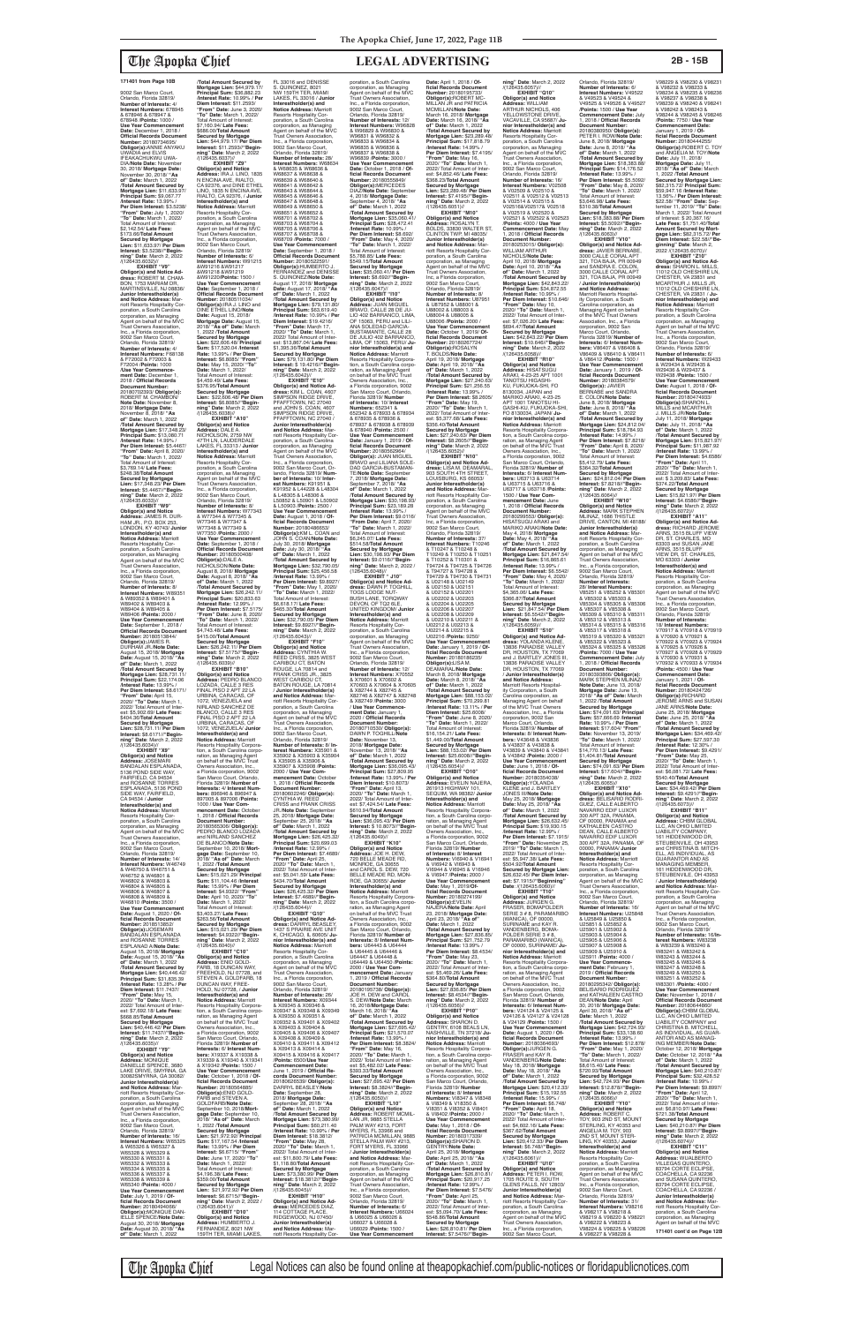9002 San Marco Court, Orlando, Florida 32819/ **Number of Interests:** 4/ **Interest Numbers:** 678945 & 678946 & 678947 & 678948 /**Points:** 1000 / **Use Year Commencement Date:** December 1, 2018 / **Official Records Document Number:** 20180734695/<br>**Obligor(s):**ANNIE ANYAKU<br>UWADIA and ELVIS<br>IFEAKACHUKWU UWA-DIA/Note Date: Novembe 30, 2018/ **Mortgage Date:** November 30, 2018/ **"As of" Date:** March 1, 2022 /**Total Amount Secured by Mortgage Lien:** \$11,633.97/ **Principal Sum:** \$9,067.77 /**Interest Rate:** 13.99% / **Per Diem Interest:** \$3.5238/ **"From" Date:** July 1, 2020/ **"To" Date:** March 1, 2022/ Total Amount of Interest: \$2,142.54/ **Late Fees:** \$173.66/**Total Amount Secured by Mortgage Lien:** \$11,633.97/ **Per Diem Interest:** \$3.5238//**"Begin-ning" Date**: March 2, 2022 /(126435.6032)// **EXHIBIT "V9"**

**Obligor(s) and Notice Ad-dress:** ROBERT M. CHAM-BON, 1753 MARIAM DR, MARTINSVILLE, NJ 08836/ **Junior Interestholder(s) and Notice Address:** Mar-<br>poration, a South Carolina<br>poration, as Managing<br>Agent on behalf of the MVC<br>Trust Owners Association, Inc., a Florida corporation, noi, a'r ionad corporainc<br>9002 San Marco Court,<br>Orlando, Florida 32819/ Orlando, Florida 32819/ **Number of Interests:** 4/ **Interest Numbers:** F68138 & F72002 & F72003 & F72004 /**Points:** 1000 /**Use Year Commence-ment Date:** December 1, 2018 / **Official Records Document Number:** 20180702393/ **Obligor(s):** ROBERT M. CHAMBON/ **Note Date:** November 8, 2018/ **Mortgage Date:** November 8, 2018/ **"As of" Date:** March 1, 2022 /**Total Amount Secured by Mortgage Lien:** \$17,348.23/ **Principal Sum:** \$13,080.71 /**Interest Rate:** 14.99% / **Per Diem Interest:** \$5.4467/ **"From" Date:** April 8, 2020/ **"To" Date:** March 1, 2022/ Total Amount of Interest: \$3,769.14/ **Late Fees:** \$248.38/**Total Amount Secured by Mortgage Lien:** \$17,348.23/ **Per Diem Interest:** \$5.4467//**"Beginning" Date**: March 2, 2022 /(126435.6033)// **EXHIBIT "W9" Obligor(s) and Notice Address:** JAMES R. DUR-HAM JR., P.O. BOX 253, **LONDON, KY 40743/ Junior Interestholder(s) and<br><b>Notice Address:** Marriott<br>Resorts Hospitality Corporation, a South Carolina corporation, as Managing Agent on behalf of the MVC

/**Total Amount Secured by Mortgage Lien:** \$44,979.17/ **Principal Sum:** \$36,882.23 /**Interest Rate:** 10.99% / **Per Diem Interest:** \$11.2593/ **"From" Date:** June 3, 2020/ **"To" Date:** March 1, 2022/ Total Amount of Interest: \$7,160.94/ **Late Fees:** \$686.00/**Total Amount Secured by Mortgage Lien:** \$44,979.17/ **Per Diem Interest:** \$11.2593//**"Begin-ning" Date**: March 2, 2022 /(126435.6037)// **EXHIBIT "Z9" Obligor(s) and Notice Address:** IRA J. LINO, 1835 N ENCINA AVE, RIALTO,<br>CA 92376, and DINE ETHEL<br>LINO, 1835 N ENCINA AVE, RIALTO, CA 92376, / **Junior Interestholder(s) and Notice Address:** Marriott Resorts Hospitality Cor-poration, a South Carolina corporation, as Managing Agent on behalf of the MVC Trust Owhers Association, Inc., a Florida corporation, 9002 San Marco Court,<br>Orlando, Florida 32819/<br>**Number of Interests:** 6/ **Interest Numbers:** W91215 &W91216 &W91217 &W91218 &W91219<br>&W91218 &W91219 &W91220/**Points:** 1500 / **Use Year Commencement Date:** September 1, 2018 / **Official Records Document Number:** 20180511034/ **Obligor(s):**IRA J. LINO and DINE ETHEL LINO/**Note Date:** August 15, 2018/ **Mortgage Date:** August 15, 2018/ **"As of" Date:** March 1, 2022 /**Total Amount Secured by Mortgage Lien:** \$22,606.48/ **Principal Sum:** \$17,520.04 /**Interest Rate:** 13.99% / **Per Diem Interest:** \$6.8085/ **"From" Date:** May 15, 2020/ **"To" Date:** March 1, 2022/ Total Amount of Interest: \$4,459.49/ **Late Fees:** \$376.95/**Total Amount Secured by Mortgage Lien:** \$22,606.48/ **Per Diem Interest:** \$6.8085//**"Beginning" Date**: March 2, 2022 /(126435.6038)// **EXHIBIT "A10" Obligor(s) and Notice Address:** DALE A. NICHOLSON, 2759 NW 47TH LN, LAUDERDALE<br>LAKES, FL 33313 / **Junior<br>Interestholder(s) and<br><b>Notice Address:** Marriott Resorts Hospitality Cor-poration, a South Carolina corporation, as Managing Agent on behalf of the MVC Trust Owners Association, Inc., a Florida corporation, 9002 San Marco Court, Orlando, Florida 32819/ **Number of Interests:** 8/ **Interest Numbers:** W77343 & W77344 & W77345 & W77346 & W77347 & W77348 & W77349 & W77350 /**Points:** 2000 / Use Year Commenc **Date:** September 1, 2018 / **Official Records Document Number:** 20180500408/ **Obligor(s):**DALE A. NICHOLSON/**Note Date:** August 8, 2018/ **Mortgage Date:** August 8, 2018/ **"As of" Date:** March 1, 2022 /**Total Amount Secured by Mortgage Lien:** \$26,242.11/ **Principal Sum:** \$20,833.63 /**Interest Rate:** 12.99% / **Per Diem Interest:** \$7.5175/ **"From" Date:** June 8, 2020/ **"To" Date:** March 1, 2022/ Total Amount of Interest: \$4,743.48/ **Late Fees:** \$415.00/**Total Amount Secured by Mortgage Lien:** \$26,242.11/ **Per Diem Interest:** \$7.5175//**"Begin-ning" Date**: March 2, 2022 /(126435.6039)// **EXHIBIT "B10" Obligor(s) and Notice Address:** PEDRO BLANCO LOZADA, CALLE 3 RES FINAL PISO 2 APT 22 LA URBINA, CARACAS, OF 1072, VENEZUELA and NIRLAND SANCHEZ DE BLANCO, CALLE 3 RES FINAL PISO 2 APT 22 LA URBINA, CARACAS, OF 1072, VENEZUELA/ **Junior Interestholder(s) and<br><b>Notice Address:** Marriott<br>Resorts Hospitality Corporation, a South Carolina c ration, as Managing Agent<br>on behalf of the MVC Trust Owners Association, Inc., a Florida corporation, 9002 San Marco Court, Orlando, Florida 32819/ **Number of Interests:** 4/ **Interest Num-bers:** 896946 & 896947 & 897005 & 897006 /**Points:** 1000 / **Use Year Com-mencement Date:** October 1, 2018 / **Official Records Document Number:** 20180565306/ **Obligor(s):** PEDRO BLANCO LOZADA and NIRLAND SANCHEZ DE BLANCO/**Note Date:** September 10, 2018/ **Mortgage Date:** September 10, 2018/ **"As of" Date:** March 1, 2022 /**Total Amount Secured by Mortgage Lien:** \$15,021.29/ **Principal Sum:** \$11,104.46 /**Interest Rate:** 15.99% / **Per Diem Interest:** \$4.9322/ **"From" Date:** April 10, 2020/ **"To" Date:** March 1, 2022/ Total Amount of Interest: \$3,403.27/ **Late Fees:** \$263.56/**Total Amount Secured by Mortgage Lien:** \$15,021.29/ **Per Diem Interest:** \$4.9322//**"Begin-ning" Date**: March 2, 2022 /(126435.6040)// **EXHIBIT** "C10"<br>Obligor(s) and Notice **Obligor(s) and Notice<br><b>Address:** ENID GOLD-<br>FARB, 18 DUNCAN WAY,<br>FREEHOLD, NJ 07728, and<br>STEVEN A. GOLDFARB, 18 DUNCAN WAY, FREE-HOLD, NJ 07728, / **Junior Interestholder(s) and Notice Address:** Marriott Resorts Hospitality Corporation, a South Carolina corporation, as Managing Agent<br>on behalf of the MVC Trust Owners Association, Inc.,<br>a Florida corporation, 9002<br>San Marco Court, Orlando,<br>Florida 32819/ **Number of Interests:** 6/ **Interest Num-bers:** X19337 & X19338 & X19339 & X19340 & X19341 & X19342 /**Points:** 1500 / **Use Year Commencement Date:** October 1, 2018 / **Official Records Document Number:** 20180564885/ **Obligor(s):**ENID GOLD-FARB and STEVEN A. GOLDFARB/**Note Date:** September 10, 2018/**Mortgage Date:** September 10, 2018/ **"As of" Date:** March 1, 2022 /**Total Amount Secured by Mortgage Lien:** \$21,972.92/ **Principal Sum:** \$17,167.54 /**Interest Rate:** 13.99% / **Per Diem Interest:** \$6.6715/ **"From" Date:** June 17, 2020/ **"To" Date:** March 1, 2022/ Total Amount of Interest: \$4,196.38/ **Late Fees:** \$359.00/**Total Amount Secured by Mortgage Lien:** \$21,972.92/ **Per Diem Interest:** \$6.6715//**"Begin-ning" Date**: March 2, 2022 / (126435.6041)// **EXHIBIT "D10" Obligor(s) and Notice Address:** HUMBERTO J.<br>FERNANDEZ, 8021 NW<br>159TH TER, MIAMI LAKES,

Trust Owners Association, Inc., a Florida corporation, 9002 San Marco Court, Orlando, Florida 32819/ **Number of Interests:** 8/ **Interest Numbers:** W89351 & W89352 & W89401 & W89402 & W89403 & W89404 & W89405 & W89406 /**Points:** 2000 / **Use Year Commencemen Date:** September 1, 2018 / **Official Records Document Number:** 20180513844/ **Obligor(s):**JAMES R. DURHAM JR./**Note Date:** August 15, 2018/ **Mortgage Date:** August 15, 2018/ **"As of" Date:** March 1, 2022 /**Total Amount Secured by Mortgage Lien:** \$28,731.11/ **Principal Sum:** \$22,174.06 /**Interest Rate:** 13.99% / **Per Diem Interest:** \$8.6171/ **"From" Date:** April 15, 2020/ **"To" Date:** March 1, 2022/ Total Amount of Inter-est: \$5,902.69/ **Late Fees:** \$404.36/**Total Amount Secured by Mortgage Lien:** \$28,731.11/ **Per Diem Interest:** \$8.6171//**"Begin-ning" Date**: March 2, 2022

/(126435.6034)//

**EXHIBIT "X9" Obligor(s) and Notice Address:** JOSEMARI BANDALAN ESPLANADA, 5136 POND SIDE WAY, FAIRFIELD, CA 94534 and ROSANNE TORRES ESPLANADA, 5136 POND SIDE WAY, FAIRFIELD, CA 94534 / **Junior Interestholder(s) and Notice Address:** Marriott Resorts Hospitality Corporation, a South Carolina corporation, as Managing<br>Agent on behalf of the MVC Agent on behalf of the MVC Trust Owners Association, Inc., a Florida corporation, 9002 San Marco Court, Orlando, Florida 32819/ **Number of Interests:** 14/ **Interest Numbers:** W46749 & W46750 & W46751 & W46752 & W46801 & W46802 & W46803 & W46804 & W46805 & W46806 & W46807 & W46808 & W46809 & W46810 /**Points:** 3500 / **Use Year Commencement Date:** August 1, 2020 / **Official Records Document Number:** 2018513852/<br>**Obligor(s):**JOSEMARI<br>BANDALAN ESPLANADA and ROSANNE TORRES ESPLANAD A/**Note Date:** August 15, 2018/ **Mortgage Date:** August 15, 2018/ **"As of" Date:** March 1, 2022 /**Total Amount Secured by Mortgage Lien:** \$40,446.42/ **Principal Sum:** \$31,835.39 /**Interest Rate:** 13.28% / **Per Diem Interest:** \$11.7437/ **"From" Date:** May 15, 2020/ **"To" Date:** March 1, 2022/ Total Amount of Inter-est: \$7,692.18/ **Late Fees:** \$668.85/**Total Amount Secured by Mortgage Lien:** \$40,446.42/ **Per Diem Interest:** \$11.7437//**"Begin-ning" Date**: March 2, 2022 /(126435.6035)// **EXHIBIT "Y9" Obligor(s) and Notice Address:** MONIQUE<br>DANIELLE SPENCE, 3680<br>LAKE DRIVE, SMYRNA, GA 30082SMYRNA, GA 30082/ **Junior Interestholder(s) and Notice Address: Ma** riott Resorts Hospitality Cor-poration, a South Carolina corporation, as Managing Agent on behalf of the MVC Trust Owners Association, Inc., a Florida corporation, 9002 San Marco Court, Orlando, Florida 32819/ **Number of Interests:** 16/ **Interest Numbers:** W65325 & W65326 & W65327 & W65328 & W65329 & W65330 & W65331 & W65332 & W65333 & W65334 & W65335 & W65336 & W65337 & W65338 & W65339 & W65340 /**Points:** 4000 / **Use Year Commencement Date:** July 1, 2019 / **Official Records Document Number:** 20180494066/ **ObIigor(s):**MONIQUE DAN-IELLE SPENCE/**Note Date:** August 30, 2018/ **Mortgage Date:** August 30, 2018/ **"As of" Date:** March 1, 2022

The Apopka Chief Legal Notices can also be found online at theapopkachief.com/public-notices or floridapublicnotices.com

FL 33016 and DENISSE S. QUINONEZ, 8021 NW 159TH TER, MIAMI LAKES, FL 33016 / **Junior Interestholder(s) and Notice Address:** Marriott Resorts Hospitality Cor-poration, a South Carolina corporation, as Managing Agent on behalf of the MVC Trust Owners Association, Inc., a Florida corporation, 9002 San Marco Court,<br>Orlando, Florida 32819/<br>**Number of Interests:** 28/ **Interest Numbers:** W68634 & W68635 & W68636 & W68637 & W68638 & W68639 & W68640 & W68641 & W68642 & W68643 & W68644 & W68645 & W68646 & W68647 & W68648 & W68649 & W68650 & W68651 & W68652 & W68701 & W68702 & W68703 & W68704 & W68705 & W68706 & W68707 & W68708 & W68709 /**Points:** 7000 / **Use Year Commencement Date:** September 1, 2018 / **Official Records Document Number:** 20180522591/ **Obligor(s):**HUMBERTO J. FERNANDEZ and DENISSE S. QUINONEZ/**Note Date:** August 17, 2018/ **Mortgage Date:** August 17, 2018/ **"As of" Date:** March 1, 2022 /**Total Amount Secured by Mortgage Lien:** \$79,131.80/ **Principal Sum:** \$63,619.40 /**Interest Rate:** 10.99% / **Per Diem Interest:** \$19.4216/ **"From" Date:** March 17, 2020/ **"To" Date:** March 1, 2022/ Total Amount of Interest: \$13,867.04/ **Late Fees:** \$1,395.36/**Total Amount Secured by Mortgage Lien:** \$79,131.80/ **Per Diem Interest:** \$ 19.4216//**"Begin-ning" Date**: March 2, 2022 /(126435.6042)// **EXHIBIT "E10" Obligor(s) and Notice Ad-dress:** KIM L. COAN, 4607 SIMPSON RIDGE DRIVE, PFAFFTOWN, NC 27040 and JOHN S. COAN, 4607 SIMPSON RIDGE DRIVE, PFAFFTOWN, NC 27040 / **Junior Interestholder(s) and Notice Address:** Marriott Resorts Hospitality Cor-<br>poration, a South Carolina poration, a South Carolina corporation, as Managing Agent on behalf of the MVC Trust Owners Association, Inc., a Florida corporation, 9002 San Marco Court, Orlando, Florida 32819/ **Num-ber of Interests:** 10/ **Inter-est Numbers:** K91951 & K91952 & L44228 & L48304 & L48305 & L48306 & L50852 & L50901 & L50902 & L50903 /**Points:** 2500 / **Use Year Commencement Date:** August 1, 2018 / **Of-ficial Records Document Number:** 20180486653/ **Obligor(s):**KM L. COAN and JOHN S. COAN/**Note Date:** July 30, 2018/ **Mortgage Date:** July 30, 2018/ **"As of" Date:** March 1, 2022 /**Total Amount Secured by Mortgage Lien:** \$32,790.05/ **Principal Sum:** \$25,456.58 /**Interest Rate:** 13.99% / **Per Diem Interest:** \$9.8927/ **"From" Date:** May 1, 2020/ **"To" Date:** March 1, 2022/ Total Amount of Interest: \$6,618.17/ **Late Fees:** \$465.30/**Total Amount Secured by Mortgage Lien:** \$32,790.05/ **Per Diem Interest:** \$9.8927//**"Begin-ning" Date**: March 2, 2022 /(126435.6043)// **EXHIBIT "F10" Obligor(s) and Notice Address:** CYNTHIA W. REED CRISS, 3825 WEST CARIBOU CT, BATON ROUGE, LA 70814 and FRANK CRISS JR., 3825 WEST CARIBOU CT, BATON ROUGE, LA 70814 / **Junior Interestholder(s) and Notice Address:** Marriott Resorts Hospitality Cor-poration, a South Carolina corporation, as Managing Agent on behalf of the MVC Trust Owners Association, Inc., a Florida corporation, 9002 San Marco Court,<br>Orlando, Florida 32819/<br>**Number of Interests:** 8/ **Interest Numbers: X35901** X35902 & X35903 & X35904 & X35905 & X35906 & X35907 & X35908 /**Points:** 2000 / **Use Year Com-mencement Date:** October 1, 2018 / **Official Records Document Number:** 20180602246/ **Obligor(s):** CYNTHIA W. REED CRISS and FRANK CRISS JR./**Note Date:** September 25, 2018/ **Mortgage Date:** September 25, 2018/ **"As of" Date:** March 1, 2022 /**Total Amount Secured by Mortgage Lien:** \$26,425.32/ **Principal Sum:** \$20,699.03 /**Interest Rate:** 12.99% / **Per Diem Interest:** \$7.4689/ **"From" Date:** April 25, 2020/ **"To" Date:** March 1, 2022/ Total Amount of Inter-est: \$5,041.59/ **Late Fees:** \$434.70/**Total Amount Secured by Mortgage Lien:** \$26,425.32/ **Per Diem Interest:** \$7.4689//**"Begin-ning" Date**: March 2, 2022 /(126435.6044)// **EXHIBIT "G10" Obligor(s) and Notice Ad-dress:** DARRYL BEASLEY, 1437 S PRAIRIE AVE UNIT K, CHICAGO, IL 60605/ **Ju-nior Interestholder(s) and Notice Address:** Marriott Resorts Hospitality Cor-poration, a South Carolina corporation, as Managing Agent on behalf of the MVC Trust Owners Association, Inc., a Florida corporation, 9002 San Marco Court, Orlando, Florida 32819/ **Number of Interests:** 26/ **Interest Numbers:** X09344 & X09345 & X09346 & X09347 & X09348 & X09349 & X09350 & X09351 & X09352 & X09401 & X09402 & X09403 & X09404 & X09405 & X09406 & X09407 & X09408 & X09409 & X09410 & X09411 & X09412 & X09413 & X09414 & X09415 & X09416 & X09417 /**Points:** 6500/**Use Year Commencement Date:** June 1, 2019 / **Official Records Document Number:** 20180626539/ **Obligor(s):** DARRYL BEASLEY/**Note Date:** September 28, 2018/ **Mortgage Date:** September 28, 2018/ **"As of" Date:** March 1, 2022 /**Total Amount Secured by Mortgage Lien:** \$73,380.99/ **Principal Sum:** \$60,211.40 /**Interest Rate:** 10.99% / **Per Diem Interest:** \$18.3812/ **"From" Date:** May 28, 2020/ **"To" Date:** March 1, 2022/ Total Amount of Interest: \$11,800.79/ **Late Fees:** \$1,118.80/**Total Amount Secured by Mortgage Lien:** \$73,380.99/ **Per Diem Interest:** \$18.3812//**"Begin-ning" Date**: March 2, 2022 /(126435.6045)// **EXHIBIT "H10" Obligor(s) and Notice Ad-dress:** MERCEDES DIAZ, 114 COTTAGE PLACE, RIDGEWOOD, NJ 07450/ **Junior Interestholder(s)**<br>**and Notice Address:** Mar-<br>riott Resorts Hospitality Corporation, a South Carolina corporation, as Managing Agent on behalf of the MVC Trust Owners Association, Inc., a Florida corporation, 9002 San Marco Court, Orlando, Florida 32819/<br>**Number of Interests:** 12/<br>**Interest Numbers:** W96828<br>& W96829 & W96830 & W96831 & W96832 & W96833 & W96834 & W96835 & W96836 & W96837 & W96838 & W96839 /**Points:** 3000 / **Use Year Commencement Date:** October 1, 2018 / **Of-ficial Records Document Number:** 20180555849/ **Obligor(s):**MERCEDES DIAZ/**Note Date:** September 4, 2018/ **Mortgage Date:** September 4, 2018/ **"As of" Date:** March 1, 2022 /**Total Amount Secured by Mortgage Lien:** \$35,060.41/ **Principal Sum:** \$28,472.41 /**Interest Rate:** 10.99% / **Per Diem Interest:** \$8.692/ **"From" Date:** May 4, 2020/ **"To" Date:** March 1, 2022/ Total Amount of Interest: \$5,788.85/ **Late Fees:** \$549.15/**Total Amount Secured by Mortgage Lien:** \$35,060.41/ **Per Diem Interest:** \$8.692//**"Begin-ning" Date**: March 2, 2022 /(126435.6047)// **EXHIBIT "I10" Obligor(s) and Notice Address:** JUAN MIGUEL BRAVO, CALLE 28 DE JU-LIO 402 BARRANCO, LIMA, OF 15063, PERU and LILI-ANA SOLEDAD GARCIA-BUSTAMANTE, CALLE 28 DE JULIO 402 BARRANCO, LIMA, OF 15063, PERU/ **Ju-nior Interestholder(s) and Notice Address:** Marriott Resorts Hospitality Corporation, a South Carolina corporation, as Managing Agent on behalf of the MVC Trust Owners Association, Inc., a Florida corporation, 9002 San Marco Court, Orlando, Florida 32819/ **Number of Interests:** 10/ **Interest Numbers:** 652341 &<br>652342 & 678933 & 678934<br>& 678935 & 678936 &<br>678937 & 678938 & 678939 & 678940 /**Points:** 2500 / **Use Year Commencement Date:** January 1, 2019 / **Of-ficial Records Document Number:** 20180562964/ **Obligor(s):** JUAN MIGUEL BRAVO and LILIANA SOLE-DAD GARCIA-BUSTAMAN-TE/**Note Date:** September 7, 2018/ **Mortgage Date:** September 7, 2018/ **"As of" Date:** March 1, 2022 /**Total Amount Secured by Mortgage Lien:** \$30,198.93/ **Principal Sum:** \$23,189.28 /**Interest Rate:** 13.99% / **Per Diem Interest:** \$9.0116/ **"From Date:** April 7, 2020/ **"To" Date:** March 1, 2022/ Total Amount of Interest:<br>\$6.245.07/ Late Fees: \$6,245.07/ **Late Fees:** \$514.58/**Total Amount Secured by Mortgage Lien:** \$30,198.93/ **Per Diem Interest:** \$9.0116//**"Begin-ning" Date:** March 2, 2022 / (126435.6048)// **EXHIBIT " J10" Obligor(s) and Notice Ad-dress:** DAWN P. TOGHILL, TOGS LODGE NUT-BUSH LANE, TORQWAY DEVON, OF TQ2 6LE,<br>UNITED KINGDOM/ **Junior**<br>**Interestholder(s) and<br><b>Notice Address:** Marriott Resorts Hospitality Cor-poration, a South Carolina corporation, as Managing<br>Agent on behalf of the MVC<br>Trust Owners Association,<br>Inc., a Florida corporation, 9002 San Marco Court, Orlando, Florida 32819/ **Number of Interests:** 12/<br>**Interest Numbers:** X70552<br>& X70601 & X70602 & & X70601 & X70602 &<br>X70603 & X70604 & X70605 & X82744 & X82745 & X82746 & X82747 & X82748 & X82749 /**Points:** 3000 / **Use Year Commence-ment Date:** January 1, 2020 / **Official Records Document Number:** 20180710530/ **Obligor(s):** DAWN P. TOGHILL/**Note Date:** November 13, 2018/ **Mortgage Date:** November 13, 2018/ **"As of" Date:** March 1, 2022 /**Total Amount Secured by Mortgage Lien:** \$36,095.43/ **Principal Sum:** \$27,809.95 /**Interest Rate:** 13.99% / **Per Diem Interest:** \$10.8073/ **"From" Date:** April 13, 2020/ **"To" Date:** March 1, 2022/ Total Amount of Int est: \$7,424.54/ **Late Fees:** \$610.94/**Total Amount Secured by Mortgage Lien:** \$36,095.43/ **Per Diem Interest:** \$ 10.8073//**"Beginning" Date**: March 2, 2022 /(126435.6049)// **EXHIBIT "K10" Obligor(s) and Notice Address:** JOE H. DEW,<br>720 BELLE MEADE RD, MONROE, GA 30655 and CAROL S. DEW, 720 BELLE MEADE RD, MON-ROE, GA 30655/ **Junior Interestholder(s) and Notice Address:** Marriott Resorts Hospitality Corpora-tion, a South Carolina corpo-ration, as Managing Agent on behalf of the MVC Trust Owners Association, Inc., a Florida corporation, 9002 San Marco Court, Orlando,<br>Florida 32819/ **Number of**<br>**Interests:** 8/ **Interest Numbers:** U64443 & U64444 & U64445 & U64446 &<br>Ugaaaz & Ugaaar & U64447 & U64448 & U64449 & U64450 /**Points:** 2000 / **Use Year Com-mencement Date:** January 1, 2019 / **Official Records Document Number:** 20180195738/ **Obligor(s):** JOE H. DEW and CAROL S. DEW/**Note Date:** March 16, 2018/**Mortgage Date:** March 16, 2018/ **"As of" Date:** March 1, 2022 /**Total Amount Secured by Mortgage Lien:** \$27,695.42/ **Principal Sum:** \$21,570.07 /**Interest Rate:** 13.99% / **Per Diem Interest:** \$8.3824/ **"From" Date:** May 16, 2020/ **"To" Date:** March 1, 2022/ Total Amount of Inter-est: \$5,482.02/ **Late Fees:** \$393.33/**Total Amount Secured by Mortgage Lien:** \$27,695.42/ **Per Diem Interest:** \$8.3824//**"Beginning" Date**: March 2, 2022 /(126435.6050)// **EXHIBIT "L10" Obligor(s) and Notice Address:** ROBERT MCMIL-LAN JR, 9885 STELLA PALM WAY #213, FORT MYERS, FL 33966 and PATRICIA MCMILLAN, 9885 STELLA PALM WAY #213, FORT MYERS, FL 33966 / **Junior Interestholder(s) and Notice Address:** Ma riott Resorts Hospitality Cor-poration, a South Carolina corporation, as Managing Agent on behalf of the MVC Trust Owners Association, Inc., a Florida corporation, 9002 San Marco Court, Orlando, Florida 32819/ **Number of Interests:** 6/ **Interest Numbers:** U66024 & U66025 & U66026 & U66027 & U66028 & U66029 /**Points:** 1500 / **Use Year Commencement** 

**Obligor(s):**RICHARD<br>JEROME ARNS and SUSAN JANE ARNS/**Note Date:** June 25, 2018/ **Mortgage Date:** June 25, 2018/ **"As of" Date:** March 1, 2022 /**Total Amount Secured by Mortgage Lien:** \$34,469.42/ **Principal Sum:** \$27,597.30 /**Interest Rate:** 12.30% / **Per Diem Interest: \$9.429 "From" Date:** May 25, 2020/ **"To" Date:** March 1, 2022/ Total Amount of Int est: \$6,081.72/ **Late Fees:** \$540.40/**Total Amount Secured by Mortgage Lien:** \$34,469.42/ **Per Diem Interest:** \$9.4291//**"Beginning" Date**: March 2, 2022 /(126435.6073)// **EXHIBIT "B11" Obligor(s) and Notice Address:** CHBM GLOBAL LLC, AN OHIO LIMITED LIABILITY COMPANY,<br>161 HIDDENWOOD DR,<br>STEUBENVILE, OH 43953<br>and CHRISTINA B. MITCH-ELL, AS INDIVIDUAL, AS GUARANTOR AND AS MANAGING MEMBER,<br>161 HIDDENWOOD DR,<br>STEUBENVILE, OH 43953 / **Junior Interestholder(s) and Notice Address:** Mar-riott Resorts Hospitality Corporation, a South Carolina corporation, as Managing Agent on behalf of the MVC Trust Owners Association, Inc., a Florida corporation, 9002 San Marco Court, Orlando, Florida 32819/ **Number of Interests:** 16/**In-terest Numbers:** W83238 & W83239 & W83240 & W83241 & W83242 & W83243 & W83244 & W83245 & W83246 & W83247 & W83248 & W83249 & W83250 & W83251 & W83252 & W83301 /**Points:** 4000 / **Use Year Commencement Date:** November 1, 2018 / **Official Records Document Number:** 20180644860/ **Obligor(s):**CHBM GLOBAL LLC, AN OHIO LIMITED<br>LIABILITY COMPANY and CHRISTINA B. MITCHELL, AS INDIVIDUAL, AS GUAR-ANTOR AND AS MANAG-ING MEMBER/**Note Date:** October 12, 2018/ **Mortgage Date:** October 12, 2018/ **"As of" Date:** March 1, 2022 /**Total Amount Secured by Mortgage Lien:** \$40,210.87/ **Principal Sum:** \$32,428.52 /**Interest Rate:** 10.99% / **Per Diem Interest:** \$9.8997/ **"From" Date:** April 12, 2020/ **"To" Date:** March 1, 2022/ Total Amount of Inter-est: \$6,810.97/ **Late Fees:** \$721.38/**Total Amount Secured by Mortgage Lien:** \$40,210.87/ **Per Diem Interest:** \$9.8997//**"Begin-ning" Date**: March 2, 2022 /(126435.6074)// **EXHIBIT "C11" Obligor(s) and Notice Address:** WUALBERTO<br>VILLEGAS QUINTERO,<br>83794 CORTE ECLIPSE,<br>COACHELLA, CA 92236 and SUSANA QUINTERO,<br>83794 CORTE ECLIPSE, COACHELLA, CA 92236 **Junior Interestholder(s) and Notice Address:** Marriott Resorts Hospitality Cor-

**Date:** April 1, 2018 / **Of-ficial Records Document Number:** 20180195733/ **Obligor(s):**ROBERT MC-MILLAN JR and PATRICIA MCMILLAN/**Note Date:** March 16, 2018/ **Mortgage Date:** March 16, 2018/ **"As of" Date:** March 1, 2022 /**Total Amount Secured by Mortgage Lien:** \$23,289.48/ **Principal Sum:** \$17,818.79 /**Interest Rate:** 14.99% / **Per Diem Interest:** \$7.4195/ **"From" Date:** May 16, 2020/ **"To" Date:** March 1, 2022/ Total Amount of Inter-est: \$4,852.46/ **Late Fees:** \$368.23/**Total Amount Secured by Mortgage Lien:** \$23,289.48/ **Per Diem Interest:** \$7.4195//**"Begin-ning" Date**: March 2, 2022 /(126435.6051)// **EXHIBIT "M10" Obligor(s) and Notice<br><b>Address:** ROSALYN T.<br>BOLDS, 33830 WALTER ST, CLINTON TWP, ML48035/ **Junior Interestholder(s) and Notice Address:** Marriott Resorts Hospitality Cor-poration, a South Carolina corporation, as Managing Agent on behalf of the MVC Trust Owners Association, Inc, a Florida corporation, 9002 San Marco Court, Orlando, Florida 32819/ **Number of Interests:** 8/ **Interest Numbers:** U87951 & U87952 & U88001 & U88002 & U88003 & U88004 & U88005 & U88006 /**Points:** 2000 / **Use Year Commencement Date:** October 1, 2019/ **Of-ficial Records Document Number:** 20180267724/ **Obligor(s):**ROSALYN T. BOLDS/**Note Date:** April 19, 2018/ **Mortgage Date:** April 19, 2018/ **"As of" Date:** March 1, 2022 /**Total Amount Secured by Mortgage Lien:** \$27,240.63/ **Principal Sum:** \$21,256.55 /**Interest Rate:** 13.99% / **Per Diem Interest:** \$8.2605/ **"From" Date:** May 19, 2020/ **"To" Date:** March 1, 2022/ Total Amount of Inter-est: \$5,377.68/ **Late Fees:** \$356.40/**Total Amount Secured by Mortgage Lien:** \$27,240.63/ **Per Diem Interest:** \$8.2605//**"Begin-ning" Date**: March 2, 2022 /(126435.6052)// **EXHIBIT "N10" Obligor(s) and Notice Ad-dress:** LISA M. DEAMARAL, 903 SOUTH 4TH STREET, LOUISBURG, KS 66053/ **Junior Interestholder(s) and Notice Address:** Marriott Resorts Hospitality Corporation, a South Carolina corporation, as Managing<br>Agent on behalf of the MVC<br>Trust Owners Association,<br>Inc, a Florida corporation, 9002 San Marco Court, Orlando, Florida 32819/ **Number of Interests:** 37/<br>**Interest Numbers:** T10246<br>& T10247 & T10248 &<br>T10249 & T10250 & T10251 & T10252 & T10301 & T94724 & T94725 & T94726 & T94727 & T94728 & T94729 & T94730 & T94731 & U02148 & U02149 & U02150 & U02151 & U02152 & U02201 & U02202 & U02203 & U02204 & U02205 & U02206 & U02207 & U02208 & U02209 & U02210 & U02211 & U02212 & U02213 & U02214 & U02215 & U02216 /**Points:** 9250/ **Use Year Commencement Date:** January 1, 2019 / **Of-ficial Records Document Number:** 20180186235/ **Obligor(s):**LISA M. DEAMARAL/**Note Date:** March 8, 2018/ **Mortgage Date:** March 8, 2018/ **"As of" Date:** March 1, 2022 /**Total Amount Secured by Mortgage Lien:** \$88,153.02/ **Principal Sum:** \$70,299.81 /**Interest Rate:** 13.11% / **Per Diem Interest:** \$25.6008/ **"From" Date:** June 8, 2020/ **"To" Date:** March 1, 2022/ Total Amount of Inte \$16,154.21/ **Late Fees:** \$1,449.00/**Total Amount Secured by Mortgage Lien:** \$88,153.02/ **Per Diem Interest:** \$25.6008//**"Begin-ning" Date**: March 2, 2022 /(126435.6054)// **EXHIBIT "O10" Obligor(s) and Notice Address:** EVELIN NAJERA, 261913 HIGHWAY 101, SEQUIM, WA 98382/ **Junior Interestholder(s) and Notice Address:** Marriott Resorts Hospitality Corporation, a South Carolina corporation, as Managing Agent<br>on behalf of the MVC Trust Owners Association, Inc.,<br>a Florida corporation, 9002<br>San Marco Court, Orlando,<br>Florida 32819/ **Number of Interests:** 8/ **Interest Numbers:** VI6940 & V16941 & VI6942 & VI6943 & VI6944 & VI6945 & V16946 & VI6947 /**Points:** 2000 / **Use Year Commencement Date:** May 1, 2019/**Of-ficial Records Document Number:** 20180274199/<br>**Obligor(s):**EVELIN<br>NAJERA/**Note Date:** April 23, 2018/ **Mortgage Date:** April 23, 2018/ **"As of" Date:** March 1, 2022 /**Total Amount Secured by Mortgage Lien:** \$27,836.85/ **Principal Sum:** \$21,752.79 /**Interest Rate:** 13.99% / **Per Diem Interest:** \$8.4534/ **"From" Date:** May 23, 2020/ **"To" Date:** March 1, 2022/ Total Amount of Inter-est: \$5,469.26/ **Late Fees:** \$364.80/**Total Amount Secured by Mortgage Lien:** \$27,836.85/ **Per Diem Interest:** \$8.4534//**"Begin-ning" Date**: March 2, 2022 /(126435.6056)// **EXHIBIT "P10" Obligor(s) and Notice Address:** SHARON D. GENTRY, 6108 BEALS LN, NASHVILLE, TN 37218/ **Ju-nior Interestholder(s) and Notice Address:** Marriott Resorts Hospitality Corpora-tion, a South Carolina corporation, as Managing Agent<br>on behalf of the MVC Trust<br>Owners Association, Inc., a Florida corporation, 9002 San Marco Court, Orlando, Florida 32819/ **Number of Interests:** 8/ **Interest**<br>**Numbers:** VI8347 & VI8348<br>& VI8349 & V18350 & VI8351 & VI8352 & VI8401 & VI8402 /**Points:** 2000 / **Use Year Commencement Date:** May 1, 2018 / **Official Records Document Number:** 20180317339/ **Obligor(s):**SHARON D. GENTRY/**Note Date:** April 25, 2018/ **Mortgage Date:** April 25, 2018/ **"As of" Date:** March 1, 2022 /**Total Amount Secured by Mortgage Lien:** \$26,810.81/ **Principal Sum:** \$20,917.25 /**Interest Rate:** 12.99% / **Per Diem Interest:** \$7.5476/ **"From" Date:** April 25, 2020/ **"To" Date:** March 1, 2022/ Total Amount of Inter est: \$5,094.70/ **Late Fees:** \$548.86/**Total Amount Secured by Mortgage Lien:** \$26,810.81/ **Per Diem Interest:** \$7.5476//**"Begin-**

**ning" Date**: March 2, 2022 /(126435.6057)// **EXHIBIT "Q10" Obligor(s) and Notice Address:** WILLIAM<br>ARTHUR NICHOLS, 406 YELLOWSTONE DRIVE, VACAVILLE, CA 95687/ **Ju-nior Interestholder(s) and Notice Address:** Marriott Resorts Hospitality Cor-poration, a South Carolina corporation, as Managing<br>Agent on behalf of the MVC<br>Trust Owners Association,<br>Inc., a Florida corporation, 9002 San Marco Court, Orlando, Florida 32819/ **Number of Interests:** 16/<br>**Interest Numbers:** V02508<br>& V02509 & V02510 &<br>V02511 & V02512 & V02513 & V02514 & V02515 & V02516&V02517& V02518 & V02519 & V02520 & V02521 & V02522 & V02523 /**Points:** 4000 / **Use Year Commencement Date:** May 1, 2018 / **Official Records Document Number:** 20180253015/ **Obligor(s):** WILLIAM ARTHUR NICHOLS/**Note Date:** April 10, 2018/ **Mortgage Date:** April 10, 2018/ **"As of" Date:** March 1, 2022 /**Total Amount Secured by Mortgage Lien:** \$42,843.22/ **Principal Sum:** \$34,872.55 /**Interest Rate:** 10.99% / **Per Diem Interest:** \$10.646/ **"From" Date:** May 10, 2020/ **"To" Date:** March 1, 2022/ Total Amount of Inter-est: \$7,026.20/ **Late Fees:** \$694.47/**Total Amount Secured by Mortgage Lien:** \$42,843.22/ **Per Diem Interest:** \$10.646//**"Begin-ning" Date**: March 2, 2022 /(126435.6058)// **EXHIBIT "R10" Obligor(s) and Notice Address:** HISATSUGU ARAKI, 4-23-25 APT 1001 TANOTSU HIGASHI-KU, FUKUOKA-SHI, FO 8130034, JAPAN and MARIKO ARAKI, 4-23-25 APT 1001 TANOTSU HI-GASHI-KU, FUKUOKA-SHI, FO 8130034, JAPAN/ **Ju-nior Interestholder(s) and Notice Address:** Marriott Resorts Hospitality Corpora-tion, a South Carolina corporation, as Managing Agent<br>on behalf of the MVC Trust<br>Owners Association, Inc.,<br>a Florida corporation, 9002 San Marco Court, Orlando, Florida 32819/ **Number of Interests:** 6/ **Interest Num-bers:** U63713 & U63714 & U63715 & U63716 & U63717 & U63718 /**Points:** 1500 / **Use Year Comnencement Date: June<br>2018 / Official Records** 1, 2018 / **Official Records Document Number:** 20180299553/ **Obligor(s):** HISATSUGU ARAKI and MARIKO ARAKI/**Note Date:** May 4, 2018/ **Mortgage Date:** May 4, 2018/ **"As of" Date:** March 1, 2022 /**Total Amount Secured by Mortgage Lien:** \$21,847.54/ **Principal Sum:** \$16,865.61 /**Interest Rate:** 13.99% / **Per Diem Interest:** \$6.5542/ **"From" Date:** May 4, 2020/ **"To" Date:** March 1, 2022/ Total Amount of Interest: \$4,365.06/ **Late Fees:** \$366.87/**Total Amount Secured by Mortgage Lien:** \$21,847.54/ **Per Diem Interest:** \$6.5542//**"Begin-ning" Date**: March 2, 2022 /(126435.6059)// **EXHIBIT "S10" Obligor(s) and Notice Ad-<br><b>dress:** YOLANDA KLENE,<br>13836 PARADISE VALLEY<br>DR, HOUSTON, TX 77069 and J. BARTLEY JONES III, 13836 PARADISE VALLEY DR, HOUSTON, TX 77069

/ **Junior Interestholder(s) and Notice Address:** Marriott Resorts Hospitality Corporation, a South Carolina corporation, as Managing Agent on behalf of the MVC Trust Owners Association, Inc., a Florida corporation, 9002 San Marco Court, Orlando, Florida 32819/ **Number of Interests:** 8/ **Interest Num-bers:** V43648 & V43836 & V43837 & V43838 & V43839 & V43840 & V43 & V43842 /**Points:** 2000 / **Use Year Commencement Date:** June 1, 2018 / **Of-ficial Records Document Number:** 20180354038/ **Obligor(s):**YOLANDA KLENE and J. BARTLEY JONES III/**Note Date:** May 25, 2018/ **Mortgage Date:** May 25, 2018/ **"As of" Date:** March 1, 2022 /**Total Amount Secured by Mortgage Lien:** \$26,632.45/ **Principal Sum:** \$19,930.15 /**Interest Rate:** 12.99% / **Per Diem Interest:** \$7.1915/ **"From" Date:** November 25, 2019/ **"To" Date:** March 1, 2022/ Total Amount of Inter-est: \$5,947.38/ **Late Fees:** \$504.92/**Total Amount Secured by Mortgage Lien:**  \$26,632.45/ **Per Diem Inter-est:** \$7.1915//**"Beginning" Date**: /(126435.6060)// **EXHIBIT "T10" Obligor(s) and Notice<br><b>Address:** JURGEN G.<br>FRASER, BOMAPOLDER<br>SERIE 3 # 8, PARAMARIBO (WANICA), OF 00000,<br>SURINAME and KAY R. VANDENBERG, BOMA-POLDER SERIE 3 # 8, PARAMARIBO (WANICA), OF 00000, SURINAME/ **Junior Interestholder(s) and Notice Address:** Marriott Resorts Hospitality Corpora-tion, a South Carolina corpo-ration, as Managing Agent on behalf of the MVC Trust Owners Association, Inc., a Florida corporation, 9002 San Marco Court, Orlando,<br>Florida 32819/ **Number of**<br>**Interests:** 6/ **Interest Numbers:** V24124 & V24125 & V24126 & V24127 & V24128 & V24129 /**Points:** 1500 / **Use Year Commencement Date:** August 1, 2020 / **Of-ficial Records Document Number:** 20180364693/ **Obligor(s):**JURGEN G. FRASER and KAY R. VANDENBERG/**Note Date:** May 18, 2018/ **Mortgage Date:** May 18, 2018/ **"As of" Date:** March 1, 2022 /**Total Amount Secured by Mortgage Lien:** \$20,412.33/ **Principal Sum:** \$15,192.55 /**Interest Rate:** 15.99% / **Per Diem Interest:** \$6.748/ **"From" Date:** April 18, 2020/ **"To" Date:** March 1, 2022/ Total Amount of Interest: \$4,602.16/ **Late Fees:** \$367.62/**Total Amount Secured by Mortgage Lien:** \$20,412.33/ **Per Diem Interest:** \$6.748//**"Begin-ning" Date**: March 2, 2022 /(126435.6061)// **EXHIBIT "U10" Obligor(s) and Notice Address:** PETER I. ROW, 1705 ROUTE 9, SOUTH GLENS FALLS, NY 12803/ **Junior Interestholder(s)**<br>**and Notice Address:** Mar-<br>riott Resorts Hospitality Corporation, a South Carolina corporation, as Managing Agent on behalf of the MVC Trust Owners Association, Inc., a Florida corporation, 9002 San Marco Court,

Orlando, Florida 32819/ **Number of Interests:** 6/<br>**Interest Numbers**: V49522<br>& V49523 & V49524 & V49525 & V49526 & V49527 /**Points:** 1500 / **Use Year Commencement Date:** July 1, 2018 / **Official Records Document Number:** 20180380950/ **Obligor(s):** PETER I. ROW/**Note Date:** June 8, 2018/ **Mortgage Date:** June 8, 2018/ **"As of" Date:** March 1, 2022 /**Total Amount Secured by Mortgage Lien:** \$18,383.88/ **Principal Sum:** \$14,176.52 /**Interest Rate:** 13.99% / **Per Diem Interest:** \$5.5092/ **"From" Date:** May 8, 2020/ **"To" Date:** March 1, 2022/ Total Amount of Interest: \$3,646.98/ **Late Fees:** \$310.38/**Total Amount Secured by Mortgage Lien:** \$18,383.88/ **Per Diem Interest:** \$5.5092//**"Begin-ning" Date**: March 2, 2022 /(126435.6063)// **EXHIBIT "V10" Obligor(s) and Notice Ad-dress:** JAVIER BERNABE, 3000 CALLE CORAL APT 321, TOA BAJA, PR 00949 and SANDRA E. COLON,<br>3000 CALLE CORAL APT 321, TOA BAJA, PR 00949 / **Junior Interestholder(s) and Notice Address:** Marriott Resorts Hospitality Corporation, a South Carolina corporation, as Managing Agent on behalf of the MVC Trust Owners Association, Inc., a Florida corporation, 9002 San Marco Court, Orlando, Florida 32819/ **Number of Interests:** 6/ **Interest Num-bers:** V86407 & V86408 & V86409 & V86410 & V86411 & V86412 /**Points:** 1500 / **Use Year Commencement Date:** January 1, 2019 / **Official Records Document<br><b>Number:** 20180384579/<br>**Obligor(s):** JAVIER<br>BERNABE and SANDRA E. COLON/**Note Date:** June 8, 2018/ **Mortgage Date:** June 8, 2018/ **"As of" Date:** March 1, 2022 /**Total Amount Secured by Mortgage Lien:** \$24,812.04/ **Principal Sum:** \$18,784.93 /**Interest Rate:** 14.99% / **Per Diem Interest:** \$7.8218/ **"From" Date:** April 8, 2020/ **"To" Date:** March 1, 2022/ Total Amount of Interest: \$5,412.79/ **Late Fees:** \$364.32/**Total Amount Secured by Mortgage Lien:** \$24,812.04/ **Per Diem Interest:** \$7.8218//**"Begin-ning" Date**: March 2, 2022 /(126435.6064)// **EXHIBIT "W10" Obligor(s) and Notice<br><b>Address:** MARK STEPHEN<br>MLINAZ, 1686 THISTLE<br>DRIVE, CANTON, MI 48188/ **Junior Interestholder(s) and Notice Address:** Marriott Resorts Hospitality Cor-poration, a South Carolina corporation, as Managing Agent on behalf of the MVC Trust Owners Association, Inc., a Florida corporation<br>9002 San Marco Court. 9002 San Marco Court,<br>Orlando, Florida 32819/<br>**Number of Interests:** 28/ **Interest Numbers:** V85251 & V85252 & V85301 & V85302 & V85303 & V98229 & V98230 & V98231

V85304 & V85305 & V85306 & V85307 & V85308 & V85309 & V85310 & V85311 & V85312 & V85313 & V85314 & V85315 & V85316 & V85317 & V85318 & V85319 & V85320 & V85321 & V85322 & V85323 & V85324 & V85325 & V85326 /**Points:** 7000 / **Use Year Commencement Date:** July 1, 2018 / **Official Records Document Number:** 20180393866/ **Obligor(s):** MARK STEPHEN MLINAZ/ **Note Date:** June 13, 2018/ **Mortgage Date:** June 13, 2018/ **"As of" Date:** March 1, 2022 /**Total Amount Secured by Mortgage Lien:** \$74,091.63/ **Principal Sum:** \$57,666.69 /**Interest Rate:** 10.99% / **Per Diem Interest:** \$17.604/ **"From" Date:** November 13, 2019/<br>"**To" Date:** March 1, 2022/<br>Total Amount of Interest: \$14,770.13/ **Late Fees:** \$1,404.81/**Total Amount Secured by Mortgage Lien:** \$74,091.63/ **Per Diem Interest:** \$17.604//**"Begin-ning" Date**: March 2, 2022 /(126435.6065)//<br>**EXHIBIT "X10" EXHIBIT "X10" Obligor(s) and Notice Ad-dress:** BELISARIO RODRI-GUEZ, CALLE ALBERTO NAVARRO EDIF LUXOR 300 APT 32A, PANAMA, OF 00000, PANAMA and KATHALEEN CASTRO<br>DEAN, CALLE ALBERTO DEAN, CALLE ALBERTO<br>NAVARRO EDIF LUXOR<br>300 APT 32A, PANAMA, OF<br>00000, PANAMA/ **Junior Interestholder(s) and Notice Address:** Marriott Resorts Hospitality Cor-poration, a South Carolina corporation, as Managing Agent on behalf of the MVC Trust Owners Association, Inc., a Florida corporation<br>9002 San Marco Court. 9002 San Marco Court,<br>Orlando, Florida 32819/<br>**Number of Interests:** 16/ **Interest Numbers:** U25848 & U25849 & U25850 & U25851 & U25852 & U25901 & U25902 & U25903 & U25904 & U25905 & U25906 & U25907 & U25908 & U25909 & U25910 & U25911 /**Points:** 4000 / Use Year Commence **ment Date:** February 1, 2019 / **Official Records Document Number:** 20180295342/ **Obligor(s):** BELISARIO RODRIGUEZ and KATHALEEN CASTRO DEAN/**Note Date:** April 30, 2018/ **Mortgage Date:** April 30, 2018/ **"As of" Date:** March 1, 2022 /**Total Amount Secured by Mortgage Lien:** \$42,724.93/ **Principal Sum:** \$33,138.60 /**Interest Rate:** 13.99% / **Per Diem Interest:** \$12.878/ **"From" Date:** May 1, 2020/ **"To" Date:** March 1, 2022/ Total Amount of Interest: \$8,615.40/ **Late Fees:** \$720.93/**Total Amount Secured by Mortgage Lien:** \$42,724.93/ **Per Diem Interest:** \$12.878//**"Beginning" Date**: March 2, 2022 /(126435.6066)// **EXHIBIT "Y10" Obligor(s) and Notice Address:** ROBERT C. TOY, 903 2ND ST, MOUNT STERLING, KY 40353 and ANGELIA M. TOY, 903 2ND ST, MOUNT STER-LING, KY 40353,/ **Junior Interestholder(s) and Notice Address:** Marriott Resorts Hospitality Cor-poration, a South Carolina corporation, as Managing Agent on behalf of the MVC Trust Owners Association, Inc., a Florida corporation, 9002 San Marco Court,<br>Orlando, Florida 32819/<br>**Number of Interests:** 31/ **Interest Numbers:** V98216 & V98217 & V98218 & V98219 & V98220 & V98221 & V98222 & V98223 & V98224 & V98225 & V98226 & V98227 & V98228 & poration, a South Carolina corporation, as Managing Agent on behalf of the MVC **171401 cont'd on Page 12B**

& V98232 & V98233 & V98234 & V98235 & V98236 & V98237 & V98238 & V98239 & V98240 & V98241 & V98242 & V98243 & V98244 & V98245 & V98246 /**Points:** 7750 / **Use Year Commencement Date:** January 1, 2019 / **Official Records Document Number:** 20180444255/ **Obligor(s):**ROBERT C. TOY and ANGELIA M. TOY/**Note Date:** July 11, 2018/ **Mortgage Date:** July 11, 2018/ **"As of" Date:** March 1, 2022 /**Total Amount Secured by Mortgage Lien:**  \$82,315.72/ **Principal Sum:** \$59,947.16 /**Interest Rate:** 13.56% / **Per Diem Interest:** \$22.58/ **"From" Date:** Sep-tember 11, 2019/ **"To" Date:** March 1, 2022/ Total Amount of Interest: \$ 20,367.16/ **Late Fees:** \$1,751.40/**Total Amount Secured by Mortgage Lien:** \$82,315.72/ **Per Diem Interest:** \$22.58//**"Beginning" Date**: March 2, 2022 /(126435.6070)// **EXHIBIT "Z10" Obligor(s) and Notice Ad-dress:** SHARON L. MILLS, 11012 OLD CHESHIRE LN, CHESTER, VA 23831 and MCARTHUR J. MILLS JR, 11012 OLD CHESHIRE LN, CHESTER, VA 23831 / **Junior Interestholder(s) and Notice Address:** Marriott Resorts Hospitality Cor-poration, a South Carolina corporation, as Managing Agent on behalf of the MVC Trust Owners Association, Inc., a Florida corporation, 9002 San Marco Court, Orlando, Florida 32819/ **Number of Interests:** 6/ **Interest Numbers:** W29433 & W29434 & W29435 & W29436 & W29437 & W29438 /**Points:** 1500 / **Use Year Commencement Date:** August 1, 2018 / **Of-ficial Records Document Number:** 20180474933/ **Obligor(s):**SHARON L. MILLS and MCARTHUR J. MILLS JR/**Note Date:** July 11, 2018/ **Mortgage Date:** July 11, 2018/ **"As of" Date:** March 1, 2022 /**Total Amount Secured by Mortgage Lien:** \$15,821.97/ **Principal Sum:** \$11,987.92 /**Interest Rate:** 13.99% / **Per Diem Interest:** \$4.6586/ **"From" Date:** April 11, 2020/ **"To" Date:** March 1, 2022/ Total Amount of Inter-est: \$ 3,209.83/ **Late Fees:** \$374.22/**Total Amount Secured by Mortgage Lien:** \$15,821.97/ **Per Diem Interest:** \$4.6586//**"Beginning" Date**: March 2, 2022 /(126435.6072)// **EXHIBIT "A11" Obligor(s) and Notice Ad-dress:** RICHARD JEROME ARNS, 3515 BLUFF VIEW DR, ST. CHARLES, MO<br>63303 and SUSAN JANE<br>ARNS, 3515 BLUFF VIEW DR, ST. CHARLES, MO 63303 / **Junior Interestholder(s) and Notice Address:** Marriott Resorts Hospitality Cor-poration, a South Carolina corporation, as Managing Agent on behalf of the MVC Trust Owners Association, Inc., a Florida corporation, 9002 San Marco Court, Orlando, Florida 32819/ **Number of Interests:** 18/ **Interest Numbers:** V70917 & V70918 & V70919 & V70920 & V70921 & V70922 & V70923 & V70924 & V70925 & V70926 & V70927 & V70928 & V70929 & V70930 & V70931 & V70932 & V70933 & V70934 /**Points:** 4500 / **Use Year Commencement Date:** January 1, 2021 / **Official Records Document Number:** 20180424726/

### **171401 from Page 10B**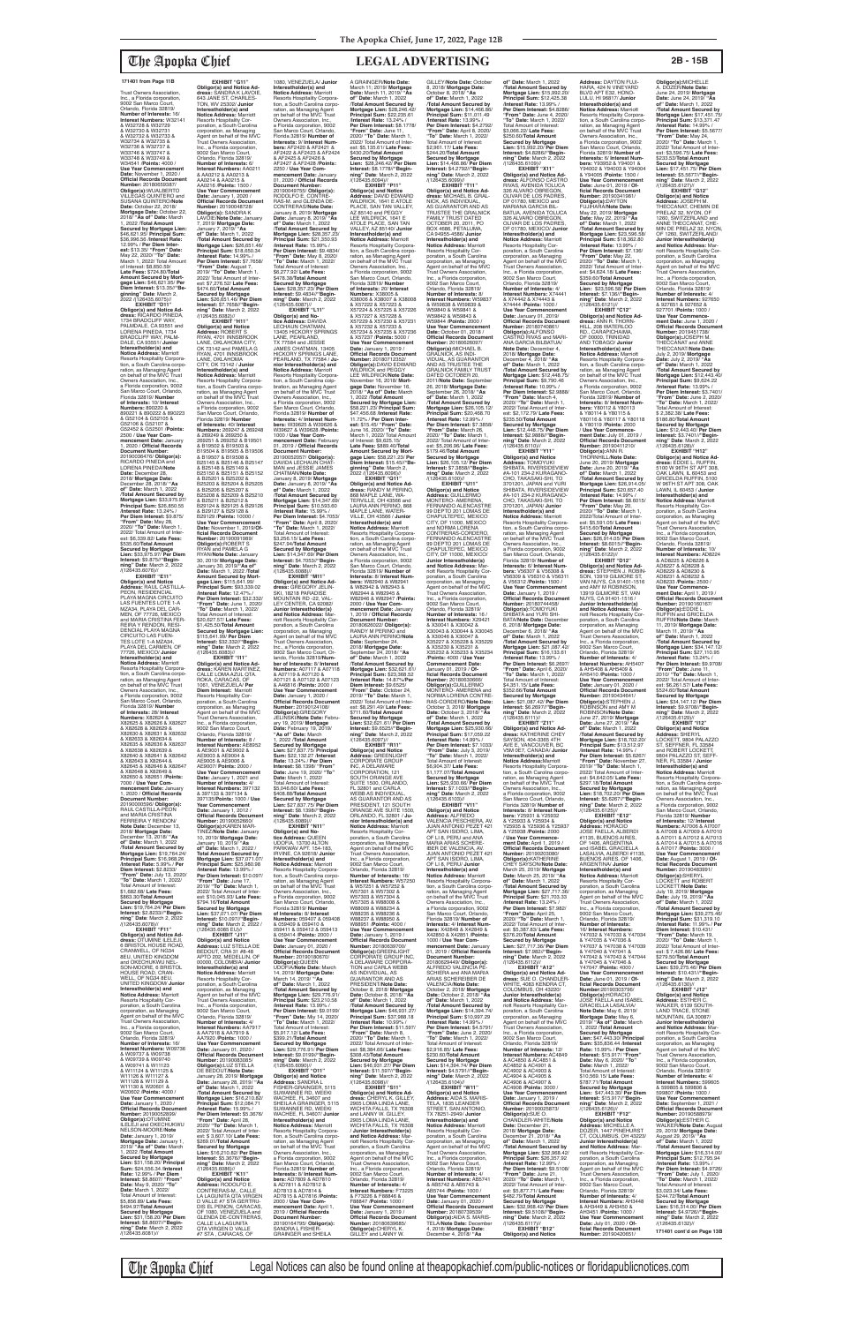Trust Owners Association, Inc., a Florida corporation, 9002 San Marco Court, Orlando, Florida 32819/ **Number of Interests:** 16/ **Interest Numbers:** W32141 & W32728 & W32729 & W32730 & W32731 & W32732 & W32733 & W32734 & W32735 & W32736 & W32737 & W33746 & W33747 & W33748 & W33749 & W34541 /**Points:** 4000 / **Use Year Commencement Date:** November 1, 2020 / **Official Records Document**<br> **Number: 20180659387/ Number:** 20180659387/ **Obligor(s):**WUALBERTO VILLEGAS QUINTERO and SUSANA QUINTERO/**Note Date:** October 22, 2018/ **Mortgage Date:** October 22, 2018/ **"As of" Date:** March 1, 2022 /**Total Amount Secured by Mortgage Lien:**  \$46,621.95/ **Principal Sum:** \$36,996.56 /**Interest Rate:** 12.99% / **Per Diem Interest:** \$13.35/ "**From" Date:**<br>May 22, 2020/ "**To" Date:**<br>March 1, 2022/ Total Amount<br>of Interest: \$8,650.59/ **Late Fees:** \$724.80/**Total Amount Secured by Mort-gage Lien:** \$46,621.95/ **Per Diem Interest:** \$13.35//**"Be-ginning" Date**: March 2, 2022 /(126435.6075)// **EXHIBIT "D11" Obligor(s) and Notice Ad-dress:** RICARDO PINEDA, 1734 BRADCLIFF WAY, PALMDALE, CA 93551 and LORENA PINEDA, 1734 BRADCLIFF WAY, PALM-

DALE, CA 93551/ **Junior Interestholder(s) and Notice Address:** Marriott Resorts Hospitality Corpora-tion, a South Carolina corporation, as Managing Agent<br>Owners Association, Inc.,<br>Owners Association, Inc.,<br>a Florida corporation, 9002<br>San Marco Court, Orlando,<br>Florida 32819/ **Number of Interests:** 10/ **Interest Numbers:** 890220 & 890221 & 890222 & 890223 & G52104 & G52105 & G52106 & G52107 & G52452 & G52501 /**Points:** 2500 / **Use Year Commencement Date:** January 1, 2020 / **Official Records Document Number:** 20190036476/ **Obligor(s):** RICARDO PINEDA and LORENA PINEDA/**Note Date:** December 28, 2018/ **Mortgage Date:** December 28, 2018/ **"As of" Date:** March 1, 2022 /**Total Amount Secured by Mortgage Lien:** \$33,975.97/ **Principal Sum:** \$26,850.55 /**Interest Rate:** 13.24% / **Per Diem Interest:** \$9.875/ **"From" Date:** May 28, 2020/ **"To" Date:** March 1, 2022/ Total Amount of Inter est: \$6,339.82/ **Late Fees:** \$535.60/**Total Amount Secured by Mortgage Lien:** \$33,975.97/ **Per Diem Interest:** \$9.875//**"Beginning" Date**: March 2, 2022

**EXHIBIT "G11" Obligor(s) and Notice Ad-dress:** SANDRA K LAVOIE, 643 JANE ST, CHARLES-TON, WV 25302/ **Junior Interestholder(s) and<br><b>Notice Address:** Marriott<br>Resorts Hospitality Corporation, a South Carolina corporation, as Managing Agent on behalf of the MVC Trust Owners Association, Inc., a Florida corporation, 9002 San Marco Court, Orlando, Florida 32819/ **Number of Interests:** 6/ **Interest Numbers:** AA0211 & AA0212 & AA0213 & AA0214 & AA0215 & AA0216 /**Points:** 1500 / **Use Year Commencement Date:** January 1, 2020 / **Official Records Document Number:** 20190048728/ **Obligor(s):** SANDRA K LAVOIE/**Note Date:** January 7, 2019/ **Mortgage Date:** January 7, 2019/ **"As of" Date:** March 1, 2022 /**Total Amount Secured by Mortgage Lien:** \$26,651.46/ **Principal Sum:** \$18,650.34 /**Interest Rate:** 14.99% / **Per Diem Interest:** \$7.7658/ **"From" Date:** August 7, 2019/ **"To" Date:** March 1, 2022/ Total Amount of Interest: \$7,276.52/ **Late Fees:** \$474.60/**Total Amount Secured by Mortgage Lien:** \$26,651.46/ **Per Diem Interest:** \$7.7658//**"Begin-ning" Date**: March 2, 2022 /(126435.6082)// **EXHIBIT "H11" Obligor(s) and Notice Address:** ROBERT S RYAN, 4701 INNSBROOK LANE, OKLAHOMA CITY, OK 73142 and PAMELA G RYAN, 4701 INNSBROOK LANE, OKLAHOMA CITY, OK 73142 / **Junior Interestholder(s) and<br><b>Notice Address:** Marriott<br>Resorts Hospitality Corpora-<br>tion, a South Carolina corporation, as Managing Agent<br>on behalf of the MVC Trust Owners Association, Inc., a Florida corporation, 9002 San Marco Court, Orlando, Florida 32819/ **Number of Interests:** 40/ **Interest Numbers:** 269247 & 269248 & 269249 & 269250 &<br>269251 & 269252 & B19501 269251 & 269252 & B19501 & B19502 & B19503 & B19504 & B19505 & B19506 & B19507 & B19508 & B25145 & B25146 & B25147 & B25148 & B25149 & B25150 & B25151 & B25152 & B25201 & B25202 & B25203 & B25204 & B25205 & B25206 & B25207 & B25208 & B25209 & B25210 & B25211 & B25212 & B29124 & B29125 & B29126 & B29127 & B29128 & B29129 /**Points:** 10000 / **Use Year Commencement Date:** November 1, 2019/**Of-ficial Records Document Number:** 20190091989/ **Obligor(s):**ROBERT S RYAN and PAMELA G RYAN/**Note Date:** January 30, 2019/ **Mortgage Date:** January 30, 2019/**"As of" Date:** March 1, 2022 /**Total Amount Secured by Mort-gage Lien:** \$115,641.99/ **Principal Sum:** \$93,339.02 /**Interest Rate:** 12.47% / **Per Diem Interest:** \$32.332/ **"From" Date:** June 1, 2020/ **"To" Date:** March 1, 2022/ Total Amount of Interest: \$20,627.57/ **Late Fees:** \$1,425.50/**Total Amount Secured by Mortgage Lien:**  \$115,641.99/ **Per Diem Interest:** \$32.332//**"Begin-ning" Date**: March 2, 2022 /(126435.6083)// **EXHIBIT "I11" Obligor(s) and Notice Ad-dress:** KAREN MARTINEZ, CALLE LOMA AZUL QTA. ROKA, CARACAS, OF 1061, VENEZUELA/ **Per Diem Interest:** Marriott<br>Resorts Hospitality Cor-<br>poration, a South Carolina<br>corporation, as Managing<br>Agent on behalf of the MVC<br>Trust Owners Association, Inc., a Florida corporation, 9002 San Marco Court, Orlando, Florida 32819/ **Number of Interests:** 8 / **Interest Numbers:** AE8952 & AE9001 & AE9002 & AE9003 & AE9004 & AE9005 & AE9006 & AE9007/ **Points:** 2000 / **Use Year Commencement Date:** January 1, 2021 and **Number of Interests:** 4/ **Interest Numbers:** 397132 & 397133 & 397134 & 397135/**Points:** 1000 / **Use Year Commencement Date:** January 1, 2012 / **Official Records Document Number:** 20190052660/ **Obligor(s):**KAREN MAR-TINEZ/**Note Date:** January 10, 2019/ **Mortgage Date:** January 10, 2019/ **"As of" Date:** March 1, 2022 / **Total Amount Secured by Mortgage Lien:** \$37,071.07/ **Principal Sum:** \$25,980.98 /**Interest Rate:** 13.99% / **Per Diem Interest:** \$10.097/ **"From" Date:** June 17, 2019/ **"To" Date:** March 1, 2022/ Total Amount of Inter-est: \$10,045.93/ **Late Fees:** \$794.16/**Total Amount Secured by Mortgage Lien:** \$37,071.07/ **Per Diem Interest:** \$10.097//**"Beginning" Date**: March 2, 2022 / (126435.6085 EU)// **EXHIBIT "J11" Obligor(s) and Notice Address:** LUZ STELLA DE BEDOUT, CRA 31 #8-48 APTO 202, MEDELLIN, OF<br>00000. COLOMBIA/ Junior 00000, COLOMBIA/ **Junior Interestholder(s) and Notice Address:** Marriott Resorts Hospitality Cor-<br>poration, a South Carolina poration, a South Carolina corporation, as Managing Agent on behalf of the MVC Trust Owners Association, Inc., a Florida corporation, 9002 San Marco Court,<br>Orlando, Florida 32819/ Orlando, Florida 32819/<br>**Number of Interests:** 4/<br>**Interest Numbers:** AA7917 & AA7918 & AA7919 & AA7920 /**Points:** 1000 / **Use Year Commencement Date:** January 01, 2020 / **Official Records Document Number:** 20190083085/ **Obligor(s):**LUZ STELLA DE BEDOUT/**Note Date:** January 28, 2019/ **Mortgage Date:** January 28, 2019/ **"As of" Date:** March 1, 2022 /**Total Amount Secured by**  Mortgage Lien: \$16,210 **Principal Sum:** \$12,084.71 /**Interest Rate:** 15.99% / **Per Diem Interest:** \$5.3676/ **"From" Date:** April 28, 2020/ **"To" Date:** March 1, 2022/ Total Amount of Inter-est: \$ 3,607.10/ **Late Fees:** \$269.01/**Total Amount Secured by Mortgage Lien:** \$16,210.82/ **Per Diem Interest:** \$5.3676//**"Begin-ning" Date**: March 2, 2022 /(126435.6086)// **EXHIBIT "K11" Obligor(s) and Notice Address:** RODOLFO E. CONTRERAS-M., CALLE LA LAGUNITA QTA VIRGEN D VALLE #7 STA GERTRU-DIS EL PENON, CARACAS, OF 1080, VENEZUELA and GLENDA DE-CONTRERAS, CALLE LA LAGUNITA QTA VIRGEN D VALLE<br>#7 STA , CARACAS, OF

/(126435.6076)// **EXHIBIT "E11" Obligor(s) and Notice Address:** RAUL CASTILLA-PEON, RESIDENCIAL PLAYA MAGNA CIRCUITO LAS FUENTES LOTE 1-A<br>MZA34, PLAYA DEL CAR-<br>MEN, OF 77726, MEXICO<br>and MARIA CRISTINA FER-<br>REIRA Y RENDON, RESI-DENCIAL PLAYA MAGNA CIRCUITO LAS FUEN-<br>TES LOTE 1-A MZA34 TES LOTE 1-A MZA34, PLAYA DEL CARMEN, OF 77726, MEXICO/ **Junior Interestholder(s) and Notice Address:** Marriott Resorts Hospitality Corpora-<br>tion, a South Carolina corpo tion, a South Carolina corpo-ration, as Managing Agent on behalf of the MVC Trust Owners Association, Inc., a Florida corporation, 9002 San Marco Court, Orlando, Florida 32819/ **Number of Interests:** 28/ **Interest Numbers:** X82624 &<br>X82625 & X82626 & X82627 & X82628 & X82629 & X82630 & X82631 & X82632 & X82633 & X82634 & X82635 & X82636 & X82637 & X82638 & X82639 & X82640 & X82641 & X82642 & X82643 & X82644 & X82645 & X82646 & X82647 & X82648 & X82649 & X82650 & X82651 /**Points:** 7000 / **Use Year Com-mencement Date:** January 1, 2020 / **Official Records Document Number:** 20190000596/ **Obligor(s):** RAUL CASTILLA-PEON and MARIA CRISTINA FERREIRA Y RENDON/ **Note Date:** December 13, 2018/ **Mortgage Date:** December 13, 2018/ **"As of" Date:** March 1, 2022 /**Total Amount Secured by Mortgage Lien:** \$19,764.24/ **Principal Sum:** \$16,968.26 /**Interest Rate:** 5.99% / **Per Diem Interest:** \$2.8233/ **"From" Date:** July 13, 2020/ **"To" Date:** March 1, 2022/ Total Amount of Interest: \$1,682.68/ **Late Fees:** \$863.30/**Total Amount Secured by Mortgage Lien:** \$19,764.24/ **Per Diem Interest:** \$2.8233//**"Begin-ning" Date**: March 2, 2022 /(126435.6078)// **EXHIBIT "F11" Obligor(s) and Notice Ad-dress:** OTUMINE ILELEJI, 6 BRISTOL HOUSE ROAD, CRANWELL, OF NG34 8EU, UNITED KINGDOM and OKECHUKWU NEL-SON-MOORE, 6 BRISTOL HOUSE ROAD, CRAN-WELL, OF NG34 8EU, UNITED KINGDOM/ **Junior Interestholder(s) and Notice Address:** Marriott Resorts Hospitality Corporation, a South Carolina corporation, as Managing Agent on behalf of the MVC Trust Owners Association, Inc., a Florida corporation, 9002 San Marco Court, Orlando, Florida 32819/ **Number of Interests:** 16/ **Interest Numbers:** W09736 & W09737 & W09738 & W09739 & W09740 & W09741 & W11123 & W11124 & W11125 & W11126 & W11127 & W11128 & W11129 & W11130 & W20601 & W20602 /**Points:** 4000 / **Use Year Commencement Date:** January 1, 2020 / **Official Records Documer Number: 201900 Obligor(s):**OTUMINE ILELEJI and OKECHUKWU NELSON-MOORE/**Note Date:** January 1, 2019/ **Mortgage Date:** January 1, 2019/ **"As of" Date:** March 1, 2022 /**Total Amount Secured by Mortgage Lien:** \$31,158.20/ **Principal Sum:** \$24,556.34 /**Interest Rate:** 12.99% / **Per Diem Interest:** \$8.8607/ **"From" Date:** May 9, 2020/ **"To" Date:** March 1, 2022/ Total Amount of Interest: \$5,856.89/ **Late Fees:** \$494.97/**Total Amount Secured by Mortgage Lien:** \$31,158.20/ **Per Diem Interest:** \$8.8607//**"Begin-ning" Date**: March 2, 2022 /(126435.6081)//

1080, VENEZUELA/ **Junior Interestholder(s) and Notice Address:** Marriott Resorts Hospitality Corpora-<br>tion, a South Carolina corpo tion, a South Carolina corpo-ration, as Managing Agent on behalf of the MVC Trust Owners Association, Inc., a Florida corporation, 9002 San Marco Court, Orlando, Florida 32819/ **Number of Interests:** 9/ **Interest Num-bers:** AF2420 & AF2421 & AF2422 & AF2423 & AF2424 & AF2425 & AF2426 & AF2427 & AF2428 /**Points:** 2250 / **Use Year Commencement Date:** January 01, 2020 / **Official Records Document Number:** 20190049755/ **Obligor(s):** RODOLFO E. CONTRE-RAS-M. and GLENDA DE-CONTRERAS/**Note Date:** January 8, 2019/ **Mortgage Date:** January 8, 2019/ **"As of" Date:** March 1, 2022 /**Total Amount Secured by Mortgage Lien:** \$28,357.23/ **Principal Sum:** \$21,350.93 /**Interest Rate:** 15.99% / **Per Diem Interest:** \$9.4834/ **"From" Date:** May 8, 2020/ **"To" Date:** March 1, 2022/ Total Amount of Interest: \$6,277.92/ **Late Fees:** \$478.38/**Total Amount Secured by Mortgage Lien:** \$28,357.23/ **Per Diem Interest:** \$9.4834//**"Beginning" Date**: March 2, 2022 /(126435.6087)//<br>**EXHIBIT** "L11" **EXHIBIT "L11" Obligor(s) and No-tice Address:** DAVIDA LECHAUN CHATMAN, 13405 HICKORY SPRINGS LANE, PEARLAND,<br>TX 77584 and JESSIE<br>JAMES CHATMAN, 13405 HICKORY SPRINGS LANE, PEARLAND, TX 77584 / **Junior Interestholder(s) and Notice Address:** Marriott Resorts Hospitality Corpora-tion, a South Carolina coipbration, as Managing Agent on behalf of the MVC Trust Owners Association, Inc., a Florida corporation, 9002 San Marco Court, Orlando, Florida 32819/ **Number of Interests:** 4/ **Interest Num-bers:** W39625 & W39626 & W39627 & W39628 /**Points:** 1000 / **Use Year Com-mencement Date:** February 01, 2019 / **Official Records Document Number:** 20190052057/ **Obligor(s):** DAVIDA LECHAUN CHAT-MAN and JESSIE JAMES CHATMAN/**Note Date:** January 8, 2019/ **Mortgage Date:** January 8, 2019/ **"As of" Date:** March 1, 2022 /**Total Amount Secured by Mortgage Lien:** \$14,347.69/ **Principal Sum:** \$10,593.60 /**Interest Rate:** 15.99% / **Per Diem Interest:** \$4.7053/ **"From" Date:** April 8, 2020/ **"To" Date:** March 1, 2022/ Total Amount of Interest: \$3,256.15/ **Late Fees:** \$247.94/**Total Amount Secured by Mortgage Lien:** \$14,347.69/ **Per Diem Interest:** \$4.7053//**"Beginning" Date**: March 2, 2022 /(126435.6088)// **EXHIBIT "M11" Obligor(s) and Notice Ad-dress:** GREGORY JELIN-SKI, 18218 PARADISE MOUNTAIN RD -22, VAL-LEY CENTER, CA 92082/ **Junior Interestholder(s) and Notice Address:** Marriott Resorts Hospitality Corporation, a South Carolina corporation, as Managing Agent on behalf of the MVC Trust Owners Association, Inc., a Florida corporation, 9002 San Marco Court, Orlando, Florida 32819/**Number of Interests:** 8/ **Interest Numbers:** A07117 & A07118 & A07119 & A07120 & A07121 & A07122 & A07123 & A46816 /**Points:** 2000 / **Use Year Commencement Date:** January 1, 2020 / **Official Records Document Number:** 20190124108/ **Obligor(s):**GREGORY JELINSKI/**Note Date:** February 19, 2019/ **Mortgage Date:** February 19, 2019/ **"As of" Date:** March 1, 2022 /**Total Amount Secured by Mortgage Lien:** \$27,837.75/ **Principal Sum:** \$22,132.27 /**Interest Rate:** 13.24% / **Per Diem Interest:** \$8.1398/ **"From" Date:** June 19, 2020/ **"To" Date:** March 1, 2022/ Total Amount of Interest: \$5,046.60/ **Late Fees:** \$408.88/**Total Amount Secured by Mortgage Lien:** \$27,837.75/ **Per Diem Interest:** \$8.1398//**"Begin-ning" Date**: March 2, 2022 /(126435.6089)//<br>"EXHIBIT "N11 **EXHIBIT "N11" Obligor(s) and No-tice Address:** QUEEN UDOFIA, 13700 ALTON PARKWAV APT. 154-183, IRVINE, CA 92618/ **Junior Interestholder(s) and Notice Address:** Marriott Resorts Hospitality Corporation, a South Carolina corpo-ration, as Managing Agent on behalf of the MVC Trust Owners Association, Inc., a Florida corporation, 9002 San Marco Court, Orlando, Florida 32819/ **Number of Interests:** 8/ **Interest Numbers:** 059407 & 059408 & 059409 & 059410 & 059411 & 059412 & 059413 & 059414 /**Points:** 2000 / **Use Year Commencement Date:** January 01, 2020 / **Official Records Document<br><b>Number:** 20190180670/<br>**Obligor(s):QUEEN**<br>UDOFIA/Note Date: March<br>14, 2019/ Mortgage Date:<br>March 14, 2019/ '**"As of" Date:** March 1, 2022 /**Total Amount Secured by Mortgage Lien:** \$29,776.91/ **Principal Sum:** \$23,210.58 /**Interest Rate:** 13.99% / **Per Diem Interest:** \$9.0199/ **"From" Date:** Miy 14, 2020/ **"To" Date:** March 1, 2022/ Total Amount of Interest: \$5,917.12/ **Late Fees:** \$399.21/**Total Amount Secured by Mortgage Lien:** \$29,776.91/ **Per Diem Interest:** \$9.0199//**"Begin-ning" Date**: March 2, 2022 /(126435.6090)// **EXHIBIT "O11" Obligor(s) and Notice Address:** SANDRA L FISHER-GRAINGER, 5115<br>SUWANNEE RD, WEEKI<br>WACHEE, FL 34607 and<br>SHEILA A GRAINGER, 5115<br>SUWANNEE RD, WEEKI WACHEE, FL 34607/ **Junio Interestholder(s) and<br><b>Notice Address:** Marriott<br>Resorts Hospitality Corporation, a South Carolina corpo-ration, as Managing Agent on behalf of the MVC Trust Owners Association, Inc.,<br>a Florida corporation, 9002<br>San Marco Court, Orlando,<br>Florida 32819/ **Number of Interests:** 8/ **Interest Numbers:** AD7809 & AD7810 & AD7811 & AD7812 & AD7813 & AD7814 & AD7815 & AD7816 /**Points:** 2000 / **Use Year Com-mencement Date:** April 1, 2019 / **Official Records Document Number:<br>20190164795/ <b>Obligor(s):**<br>SANDRA L FISHER-<br>GRAINGER and SHEILA A GRAINGER/**Note Date:** March 11; 2019/ **Mortgage Date:** March 11, 2019/ **"As of" Date:** March 1, 2022 /**Total Amount Secured by Mortgage Lien:** \$28,246.42/ **Principal Sum:** \$22,235.61 /**Interest Rate:** 13.24% / **Per Diem Interest:** \$8.1778/ **"From" Date:** June 11, 2020/ **"To" Date:** March 1, 2022/ Total Amount of Inter-est: \$5,135.61/ **Late Fees:** \$430.20/**Total Amount Secured by Mortgage Lien:** \$28,246.42/ **Per Diem Interest:** \$8.1778//**"Begin-ning" Date**: March 2, 2022 /(126435.6094)// **EXHIBIT "P11" Obligor(s) and Notice Address:** DAVID EDWARD WILDRICK, 1641 E ATOLE PLACE, SAN TAN VALLEY AZ 85140 and PEGGY LEE WILDRICK, 1641 E ATOLE PLACE, SAN TAN VALLEY, AZ 85140/ **Junior Interestholder(s) and Notice Address:** Marriott Resorts Hospitality Corpora-tion, a South Carolina corporation, as Managing Agent on behalf of the MVC Trust Owners Association, Inc., a Florida corporation, 9002 San Marco Court, Orlando, Florida 32819/ **Number of Interests:** 20/ **Interest Numbers:** X38005 & X38006 & X38007 & X38008 & X57222 & X57223 & X57224 & X57225 & X57226 & X57227 & X57228 & X57229 & X57230 & X57231 & X57232 & X57233 & X57234 & X57235 & X57236 & X57237 /**Points:** 5000 / **Use Year Commencement Date:** January 1, 2019 / **Official Records Document Number:** 20180712352/ **Obligor(s):**DAVID EDWARD WILDRICK and PEGGY LEE WILDRICK/**Note Date:** November 16, 2018/ **Mortgage Date:** November 16, 2018/ **"As of" Date:** March 1, 2022 /**Total Amount Secured by Mortgage Lien:**  \$58,221.23/ **Principal Sum:** \$47,456.68 /**Interest Rate:** 11.72% / **Per Diem Inter-est:** \$15.45/ **"From" Date:** June 16, 2020/ **"To" Date:** March 1, 2022/ Total Amount of Interest: \$9,625.15/ **Late Fees:** \$889.40/**Total Amount Secured by Mort-gage Lien:** \$58,221.23/ **Per Diem Interest:** \$15.45//**"Beginning" Date**: March 2, 2022 /(126435.6096)// **EXHIBIT "Q11" Obligor(s) and Notice Ad-dress:** RANDY M PERINO, 868 MAPLE LANE, WA-TERVILLE, OH 43566 and LAURA ANN PERINO, 868 MAPLE LANE, WATER-VILLE, OH 43566 / **Junior Interestholder(s) and Notice Address:** Marriott Resorts Hospitality Corpora-tion, a South Carolina corpo-ration, as Managing Agent on behalf of the MVC Trust **Owners Association, Inc.** a Florida corporation, 9002 San Marco Court, Orlando, Florida 32819/ **Number of Interests:** 8/ **Interest Numbers:** W82940 & W82941 & W82942 & W82943 & W82944 & W82945 & W82946 & W82947 /**Points:** 2000 / **Use Year Com-mencement Date:** January 1, 2019 / **Official Records Document Number:** 20180626022/ **Obligor(s):** RANDY M PERINO and LAURA ANN PERINO/**Note Date:** September 24, 2018/ **Mortgage Date:** September 24, 2018/ **"As of" Date:** March 1, 2022 /**Total Amount Secured by Mortgage Lien:** \$32,621.61/ **Principal Sum:** \$23,368.52 /**Interest Rate:** 14.87%/**Per Diem Interest:** \$9.6525/ **"From" Date:** October 24, 2019/ **"To" Date:** March 1, 2022/ Total Amount of Interest: \$8,291.49/ **Late Fees:** \$711.60/**Total Amount Secured by Mortgage Lien:** \$32,621.61/ **Per Diem Interest:** \$9.6525//**"Begin-ning" Date**: March 2, 2022 /(126435.6097)// **EXHIBIT "R11" Obligor(s) and Notice Address:** GREENLIGHT CORPORATE GROUP INC, A DELAWARE CORPORATION, 121 SOUTH ORANGE AVE SUITE 1500, ORLANDO, FL 32801 and CARLA WEBB AS INDIVIDUAL,<br>AS GUARANTOR AND AS PRESIDENT, 121 SOUTH ORANGE AVE SUITE 1500, ORLANDO, FL 32801 / **Junior Interestholder(s) and Notice Address:** Marriott<br>Resorts Hospitality Cor-<br>poration, a South Carolina corporation, as Managing Agent on behalf of the MVC Trust Owners Association, Inc., a Florida corporation, 9002 San Marco Court, Orlando, Florida 32819/ **Number of Interests:** 16/ **Interest Numbers:** W57250 & W57251 & W57252 & W57301 & W57302 & W57303 & W57304 & W57305 & W88008 & W88009 & W88234 & W88235 & W88236 & W88237 & W88950 & W88951 /**Points:** 4000 / **Use Year Commencement Date:** January 1, 2019 / **Official Records Docur Number:** 20180639700/ **Obligor(s):**GREENLIGHT CORPORATE GROUP INC, A DELAWARE CORPORA-TION and CARLA WEBB AS INDIVIDUAL, AS GUARANTOR AND AS PRESIDENT/**Note Date:** October 8, 2018/ **Mortgage Date:** October 8, 2018/ **"As of" Date:** March 1, 2022 /**Total Amount Secured by Mortgage Lien:** \$46,931.27/ **Principal Sum:** \$37,988.18 /**Interest Rate:** 10.99% / **Per Diem Interest:** \$11.597/ **"From" Date:** March 8, 2020/ **"To" Date:** March 1, 2022/ Total Amount of Interest: \$8,384.66/ **Late Fees:** \$308.43/**Total Amount Secured by Mortgage Lien:** \$46,931.27/ **Per Diem Interest:** \$11.597//**"Begin-ning" Date**: March 2, 2022 /(126435.6098)//<br>"EXHIBIT "S11" **EXHIBIT "S11" Obligor(s) and Notice Ad-dress:** CHERYL K. GILLEY, 2905 LOMA LINDA LANE, WICHITA FALLS, TX 76308 and LANNY W. GILLEY, 2905 LOMA LINDA LANE, WICHITA FALLS, TX 76308 / **Junior Interestholder(s) and Notice Address: Ma** riott Resorts Hospitality Corporation, a South Carolina corporation, as Managing Agent on behalf of the MVC Trust Owners Association, Inc., a Florida corporation, 9002 San Marco Court, Orlando, Florida 32819/ **Number of Interests:** 4/ **Interest Numbers:** F73225 & F73226 & F88846 & F88847 /**Points:** 1000 / **Use Year Commencement Date:** January 1, 2019 / **Official Records Document Number:** 20180639685/ **Obligor(s):**CHERYL K. GILLEY and LANNY W.

**Official Records Document<br><b>Number:** 20190434641/<br>**Obligor(s):**STEPHEN J.<br>ROBINSON and AMY M<br>ROBINSON/**Note Date:**<br>June 27, 2019/ **Mortgage Interest:** \$3.7401//**"Begin-ning" Date**: March 2, 2022 /(126435.6128)// **EXHIBIT "H12" Obligor(s) and Notice Address:** EDDIE L. RUFFIN, 5100 W 96TH ST APT 308, OAK LAWN, IL 60453 and GRICELDA RUFFIN, 5100 W 96TH ST APT 308, OAK LAWN, IL 60453 / **Junior Interestholder(s) and Notice Address:** Marriott Resorts Hospitality Corporation, a South Carolina corporation, as Managing Agent on behalf of the MVC Trust Owners Association, Inc., a Florida corporation, 9002 San Marco Court, Orlando, Florida 32819/ **Number of Interests:** 10/ **Interest Numbers:** AD8224 & AD8225 & AD8226 & AD8227 & AD8228 & AD8229 & AD8230 & AD8231 & AD8232 & AD8233 /**Points:** 2500 / **Use Year Commencement Date:** April 1, 2019 / **Official Records Document Number:** 20190160167/ **Obligor(s):**EDDIE L. RUFFIN and GRICELDA RUFFIN/**Note Date:** March 11, 2019/ **Mortgage Date:** March 11, 2019/ **"As of" Date:** March 1, 2022 /**Total Amount Secured by Mortgage Lien:** \$34,147.12/ **Principal Sum:** \$27,110.95 /**Interest Rate:** 13.24% / **Per Diem Interest:** \$9.9708/ **"From" Date:** June 11, 2010/ **"To" Date:** March 1, 2022/ Total Amount of Inter-est: \$6,261.57/ **Late Fees:** \$524.60/**Total Amount Secured by Mortgage Lien:** \$34,147.12/ **Per Diem Interest:** \$9.9708//**"Beginning" Date**: March 2, 2022 /(126435.6129)// **EXHIBIT "I12"**

GILLEY/**Note Date:** October 8, 2018/ **Mortgage Date:** October 8, 2018/ **"As of" Date:** March 1, 2022 /**Total Amount Secured by Mortgage Lien:** \$14,466.86/ **Principal Sum:** \$11,011.49 /**Interest Rate:** 13.99% / **Per Diem Interest:** \$4.2792/ **"From" Date:** April 8, 2020/ **"To" Date:** March 1, 2022/ Total Amount of Interest: \$2,961.17/ **Late Fees:** \$244.20/**Total Amount Secured by Mortgage Lien:** \$14,466.86/ **Per Diem Interest:** \$4.2792//**"Beginning" Date**: March 2, 2022 /(126435.6099)// **EXHIBIT "T11" Obligor(s) and Notice Ad-dress:** MICHAEL B. GRAL-NICK, AS INDIVIDUAL, AS GUARANTOR AND AS TRUSTEE THE GRALNICK FAMILY TRUST DATED OCTOBER 20, 2011, PO BOX 4686, PETALUMA, CA 94955-4586/ **Junior Interestholder(s) and Notice Address:** Marriott Resorts Hospitality Corporation, a South Carolina corporation, as Managing Agent on behalf of the MVC Trust Owners Association, Inc., a Florida corporation, 9002 San Marco Court, Orlando, Florida 32819/ **Number of Interests:** 8/ **Interest Numbers:** W59837 & W59838 & W59839 & W59840 & W59841 & W59842 & W59843 & W59844 /**Points:** 2000 / **Use Year Commencement Date:** October 01, 2018 / **Official Records Docume**<br>**Number:** 20180626097/ **Number:** 20180626097/<br>**Obligor(s):**MICHAEL B.<br>GRALNICK, AS INDI-<br>VIDUAL, AS GUARANTOR AND AS TRUSTEE THE GRALNICK FAMILY TRUST DATED OCTOBER 20, 2011/**Note Date:** September 26, 2018/ **Mortgage Date:** September 26, 2018/ **"As of" Date:** March 1, 2022 /**Total Amount Secured by Mortgage Lien:** \$26,105.12/ **Principal Sum:** \$20,468.70 /**Interest Rate:** 12.99% / **Per Diem Interest:** \$7.3858/ **"From" Date:** March 26, 2020/ **"To" Date:** March 1, 2022/ Total Amount of Interest: \$5,206.96/ **Late Fees:** \$179.46/**Total Amount Secured by Mortgage Lien:** \$26,105.12/ **Per Diem Interest:** \$7.3858//**"Begin-ning" Date**: March 2, 2022 /(126435.6100)// **EXHIBIT "U11" Obligor(s) and Notice Address:** GUILLERMO MONTERO- AMERENA,<br>FERNANDO ALENCASTRE FERNANDO ALENCASTRE<br>99 DEPTO 201 LOMAS DE<br>CHAPULTEPEC, MEXICO<br>CITY, DF 11000, MEXICO and NORMA LORENA CONTRERAS-CORDERO, FERNANDO ALENCASTRE 99 DEPTO 201 LOMAS DE CHAPULTEPEC, MEXICO CITY, DF 11000, MEXICO/ **Junior Interestholder(s) and Notice Address: Mariott Resorts Hospitality Comparent** riott Resorts Hospitality Cor-poration, a South Carolina corporation, as Managing Agent on behalf of the MVC Trust Owners Association, Inc., a Florida corporation, 9002 San Marco Court, Orlando, Florida 32819/ **Number of Interests:** 16 / **Interest Numbers:** X29421 & X30041 & X30042 & X30043 & X30044 & X30045 & X30046 & X30047 & X35227 & X35228 & X35229 & X35230 & X35231 & X35232 & X35233 & X35234 /**Points:** 4000 / **Use Year Commencement Date:** January 01, 2019 / **Of-ficial Records Document Number:** 20180630666/<br>**Obligor(s):**GUILLERMO<br>MONTERO- AMERENA and NORMA LORENA CONTRE-RAS-CORDERO/**Note Date:** October 3, 2018/ **Mortgage Date:** October 3, 2018/ **"As of" Date:** March 1, 2022 /**Total Amount Secured by Mortgage Lien:** \$25,930.66/ **Principal Sum:** \$17,059.22 /**Interest Rate:** 14.99% / **Per Diem Interest:** \$7.1033/ **"From" Date:** July 3, 2019/ **"To" Date:** March 1, 2022/ Total Amount of Interest: \$6,904.37/ **Late Fees:** \$1,177.07/**Total Amount Secured by Mortgage Lien:** \$25,930.66/ **Per Diem Interest:** \$7.1033//**"Begin-ning" Date**: March 2, 2022 /(126435.6103)// **EXHIBIT "V11" Obligor(s) and Notice Address:** ALFREDO VALENCIA PESCHIERA, AV. JUAN ANTONIO PEZET 421 APT SAN ISIDRO, LIMA, OF LI 8, PERU and ANA MARIA ARIAS SCHERE-**IBER DE VALENCIA, AV.** JUAN ANTONIO PEZET 421 APT SAN ISIDRO, LIMA, OF LI 8, PERU/ **Junior Interestholder(s) and Notice Address:** Marriott Resorts Hospitality Corporation, a South Carolina corporation, as Managing Agent on behalf of the MVC Trust Owners Association, Inc., a Florida corporation, 9002 San Marco Court, Orlando, Florida 32819/ **Number of Interests:** 4/ **Interest Num-bers:** X42848 & X42849 & X42850 & X42851 /**Points:** 1000 / **Use Year Commencement Date:** January 01, 2019 / **Official Records Document Number:** 20180629449/ **Obligor(s):** ALFREDO VALENCIA SCHIERA and ANA MARIA ARIAS SCHEREIBER DE VALENCIA/**Note Date:** October 2, 2018/ **Mortgage Date:** October 2, 2018/ **"As of" Date:** March 1, 2022 /**Total Amount Secured by Mortgage Lien:** \$14,394.74/ **Principal Sum:** \$10,997.29 /**Interest Rate:** 14.99% / **Per Diem Interest:** \$4.5791/ **"From" Date:** June 2, 2020/ **"To" Date:** March 1, 2022/ Total Amount of Interest:<br>\$2.916.85/Late Fees: \$2,916.85/ **Late Fees:** \$230.60/**Total Amount Secured by Mortgage Lien:** \$14,394.74/ **Per Diem Interest:** \$4.5791//**"Begin-ning" Date**: March 2, 2022 /(126435.6104)//<br>"EXHIBIT "W11 **EXHIBIT "W11" Obligor(s) and Notice Address:** AIDA S. MARIS-TELA, 1835 LEANDER STREET, SAN ANTONIO, TX 78251-2949/ **Junior Interestholder(s) and Notice Address:** Marriott Resorts Hospitality Cor poration, a South Carolina corporation, as Managing Agent on behalf of the MVC Trust Owners Association, Inc., a Florida corporation, 9002 San Marco Court, Orlando, Florida 32819/ **Number of Interests:** 4/ **Interest Numbers:** AB5741 & AB5742 & AB5743 & AB5744 /**Points:** 1000 / **Use Year Commencement Date:** January 01, 2020 / **Official Records Document Number:** 20180739539/ **Obligor(s):**AIDA S. MARIS-TELA/**Note Date:** December 4, 2018/ **Mortgage Date:** December 4, 2018/ **"As**  \$352.66/**Total Amount Secured by Mortgage Lien:** \$21,087.42/ **Per Diem Interest:** \$6.2697//**"Begin-ning" Date**: March 2, 2022 /(126435.6111)// **EXHIBIT "B12" Obligor(s) and Notice** 

**of" Date:** March 1, 2022 /**Total Amount Secured by Mortgage Lien:** \$15,992.20/ **Principal Sum:** \$12,425.38 /**Interest Rate:** 13.99% / **Per Diem Interest:** \$4.8286/ **"From" Date:** June 4, 2020/ **"To" Date:** March 1, 2022/ Total Amount of Interest: \$3,066.22/ **Late Fees:** \$250.60/**Total Amount Secured by Mortgage Lien:** \$15,992.20/ **Per Diem Interest:** \$4.8286//**"Begin-ning" Date**: March 2, 2022 /(126435.6109)// **EXHIBIT "X11"<br><b>Obligor(s) and Notice Ad-**<br>**dress:** ALFONSO CASTRO<br>RIVAS, AVENIDA TOLUCA<br>326 ALVARO OBREGON,<br>OLIVAR DE LOS PADRES, DF 01780, MEXICO and MARIANA GARCIA BIL-BATUA, AVENIDA TOLUCA 326 ALVARO OBREGON, OLIVAR DE LOS PADRES, DF 01780, MEXICO/ **Junior Interestholder(s) and Notice Address:** Marriott<br>Resorts Hospitality Cor-<br>poration, a South Carolina corporation, as Managing Agent on behalf of the MVC Trust Owners Association, Inc., a Florida corporation, 9002 San Marco Court, Orlando, Florida 32819/ **Number of Interests:** 4/ **Interest Numbers:** X74441 & X74442 & X74443 & X74444 /**Points:** 1000 / **Use Year Commencement Date:** January 01, 2019/ **Official Records Docume Number:** 20180740861/ **Obligor(s):**ALFONSO CASTRO RIVAS and MARI-ANA GARCIA BILBATUA/ **Note Date:** December 4, 2018/ **Mortgage Date:** December 4, 2018/ **"As of" Date:** March 1, 2022 /**Total Amount Secured by Mortgage Lien:** \$12,448.75/ **Principal Sum:** \$9,790.46 /**Interest Rate:** 10.99% / **Per Diem Interest:** \$2.9888/ **"From" Date:** March 4, 2020/ **"To" Date:** March 1, 2022/ Total Amount of Inter-est: \$2,172.79/ **Late Fees:** \$235.50/**Total Amount Secured by Mortgage Lien:** \$12,448.75/ **Per Diem Interest:** \$2.9888//**"Begin-ning" Date**: March 2, 2022 /(126435.6110)// **EXHIBIT "Y11" Obligor(s) and Notice<br><b>Address:** TOMOYUKI<br>SHIBATA, RIVERSIDEVIEW<br>#A-101 234-2 KURAGANO-CHO, TAKASAKI-SHI, TO 3701201, JAPAN and YURI SHIBATA, RIVERSIDEVIEW #A-101 234-2 KURAGANO-CHO, TAKASAKI-SHI, TO 3701201, JAPAN/ **Junior Interestholder(s) and Notice Address:** Marriott Resorts Hospitality Corporation, a South Carolina corporation, as Managing Agent on behalf of the MVC Trust Owners Association, Inc., a Florida corporation, 9002 San Marco Court, Orlando, Florida 32819/ **Number of Interests:** 6/ **Interest Num-bers:** V56307 & V56308 & V56309 & V56310 & V56311 & V56312 /**Points:** 1500 / **Use Year Commencement Date:** January 1, 2019 / **Official Records Document Number:** 20180744458/ **Obligor(s):**TOMOYUKI SHIBATA and YURI SHI-BATA/**Note Date:** December 6, 2018/ **Mortgage Date:** December 6, 2018/ **"As of" Date:** March 1, 2022 /**Total Amount Secured by Mortgage Lien:** \$21,087.42/ **Principal Sum:** \$16,133.61 /**Interest Rate:** 13.99% / **Per Diem Interest:** \$6.2697/ **"From" Date:** April 6, 2020/ **"To" Date:** March 1, 2022/ Total Amount of Interest: \$4,351.15/ **Late Fees: Address:** DAYTON FUJI-**Number of Interests:** 4/ **Interest Numbers:** AH5407 & AH5408 & AH5409 & AH5410 /**Points:** 1000 / **Use Year Commencement Date:** January 01, 2020 /

**EXHIBIT "Z11" Obligor(s) and Notice Ad-<br>dress: KATHERINE CHEY dress:** KATHERINE CHEY SAYSON, 404-3365 4TH AVE E, VANCOUVER, BC V5M 0E7, CANADA/ **Junior Interestholder(s) and Notice Address:**Marriott<br>Resorts Hospitality Corpora-<br>tion, a South Carolina corporation, as Managing Agent<br>on behalf of the MVC Trust Owners Association, Inc., a Florida corporation, 9002 San Marco Court, Orlando, Florida 32819/ **Number of Interests:** 8/ **Interest Num-bers:** Y25931 & Y25932 & Y25933 & Y25934 & Y25935 & Y25936 & Y25937 & Y25938 /**Points:** 2000 / **Use Year Commencement Date:** April 1, 2019 / **Official Records Document Number:** 20190203080/ **Obligor(s):**KATHERINE CHEY SAYSON/**Note Date:** March 25, 2019/ **Mortgage Date:** March 25, 2019/ **"As of" Date:** March 1, 2022 /**Total Amount Secured by Mortgage Lien:** \$27,717.36/ **Principal Sum:** \$21,703.33 /**Interest Rate:** 13.24% / **Per Diem Interest:** \$7.982/ **"From" Date:** April 25, 2020/ **"To" Date:** March 1, 2022/ Total Amount of Inter-est: \$5,387.83/ **Late Fees:** \$376.20/**Total Amount Secured by Mortgage Lien:** \$27,717.36/ **Per Diem Interest:** \$7.982//**"Begin-ning" Date**: March 2, 2022 /(126435.6112)// **EXHIBIT "A12" Obligor(s) and Notice Ad-dress:** SUE O. CHANDLER-WHITE, 4083 KENDRA CT COLOMBUS, OH 43220/ **Junior Interestholder(s) and Notice Address:** Ma riott Resorts Hospitality Corporation, a South Carolina corporation, as Managing Agent on behalf of the MVC Trust Owners Association, Inc., a Florida corporation, 9002 San Marco Court, Orlando, Florida 32819/ **Number of Interests:** 12/ **Interest Numbers:** AC4849<br>& AC4850 & AC4851 &<br>AC4852 & AC4901 & AC4902 & AC4903 & AC4904 & AC4905 & AC4906 & AC4907 & AC4908 /**Points:** 3000 / **Use Year Commencement Date:** January 1, 2019 / **Official Records Document Number:** 20190025873/ **Obligor(s):**SUE O. CHANDLER-WHITE/**Note Date:** December 21, 2018/ **Mortgage Date:** December 21, 2018/ **"As of" Date:** March 1, 2022 /**Total Amount Secured by Mortgage Lien:** \$32,968.42/ **Principal Sum:** \$26,357.92 /**Interest Rate:** 12.99% / **Per Diem Interest:** \$9.5108/ **"From" Date:** June 21, 2020/ **"To" Date:** March 1, 2022/ Total Amount of Inter-est: \$5,877.71/ **Late Fees:** \$482.79/**Total Amount Secured by Mortgage Lien:** \$32,968.42/ **Per Diem Interest:** \$9.5108//**"Beginning" Date**: March 2, 2022 /(126435.6117)//

**Date:** June 27, 2019/ **"As** 

HARA, 424 N VINEYARD BLVD APT E32, HONO-LULU, HI 96817/ **Junior Interestholder(s) and Notice Address:** Marriott<br>Resorts Hospitality Corpora-<br>tion, a South Carolina corporation, as Managing Agent<br>on behalf of the MVC Trust Owners Association, Inc., a Florida corporation, 9002 San Marco Court, Orlando, Florida 32819/ **Number of Interests:** 6/ **Interest Num-bers:** Y93952 & Y94001 & Y94002 & Y94003 & Y94004 & Y94005 /**Points:** 1500 / **Use Year Commencement Date:** June 01, 2019 / **Of-ficial Records Document Number:** 20190341981/ **Obligor(s):**DAYTON FUJIHARA/**Note Date:** May 22, 2019/ **Mortgage Date:** May 22, 2019/ **"As of" Date:** March 1, 2022 /**Total Amount Secured by Mortgage Lien:** \$23,596.58/ **Principal Sum:** \$18,362.80 /**Interest Rate:** 13.99% / **Per Diem Interest:** \$7.136/ **"From" Date:** May 22, 2020/ **"To" Date:** March 1, 2022/ Total Amount of Interest: \$4,624.18/ **Late Fees:** \$359.60/**Total Amount Secured by Mortgage Lien:** \$23,596.58/ **Per Diem Interest:** \$7.136//**"Beginning" Date**: March 2, 2022 /(126435.6121)//<br>**EXHIBIT** "C12" **EXHIBIT "C12" Obligor(s) and Notice Ad-dress:** ANN R. THORN-HILL, 208 WATERLOO RD., CARAPICHAIMA, OF 00000, TRINIDAD AND TOBAGO/ **Junior Interestholder(s) and Notice Address:** Marriott Resorts Hospitality Corpora-<br>tion, a South Carolina corpotion, a South Carolina corpo-ration, as Managing Agent on behalf of the MVC Trust Owners Association, Inc., a Florida corporation, 9002 San Marco Court, Orlando, Florida 32819/ **Number of Interests:** 8/ **Interest Num-bers:** Y80112 & Y80113 & Y80114 & Y80115 & Y80116 & Y80117 & Y80118 & Y80119 /**Points:** 2000 / **Use Year Commence-ment Date:** July 01, 2019 / **Official Records Document Number:** 20190411210/ **Obligor(s):**ANN R. THORNHILL/**Note Date:** June 20, 2019/ **Mortgage Date:** June 20, 2019/ **"As of" Date:** March 1, 2022 /**Total Amount Secured by Mortgage Lien:** \$26,914.05/ **Principal Sum:** \$20,657.40 /**Interest Rate:** 14.99% / **Per Diem Interest:** \$8.6015/ **"From" Date:** May 20, 2020/ **"To" Date:** March 1, 2022/Total Amount of Inter-est: \$5,591.05/ **Late Fees:** \$415.60/**Total Amount Secured by Mortgage Lien:** \$26,914.05/ **Per Diem Interest:** \$8.6015//**"Begin-ning" Date**: March 2, 2022 /(126435.6122)// **EXHIBIT "D12" Obligor(s) and Notice Ad-dress:** STEPHEN J. ROBIN-SON, 13919 GILMORE ST, VAN NUYS, CA 91401-1516 and AMY M ROBINSON, 13919 GILMORE ST, VAN NUYS, CA 91401-1516 / **Junior Interestholder(s) and Notice Address:** Marriott Resorts Hospitality Cor-poration, a South Carolina corporation, as Managing Agent on behalf of the MVC Trust Owners Association, Inc., a Florida corporation, 9002 San Marco Court, Orlando, Florida 32819/ **Secured by Mortgage Lien:** \$12,443.40/ **Per Diem** 

/**Interest Rate:** 14.99% / **Per Diem Interest:** \$5.6267/ **"From" Date:** November 27, 2019/ **"To" Date:** March 1, 2022/ Total Amount of Interest: \$4,642.05/ **Late Fees:** \$297.18/**Total Amount Secured by Mortgage Lien:** \$18,702.20/ **Per Diem Interest:** \$5.6267//**"Beginning" Date**: March 2, 2022 /(126435.6125)// **EXHIBIT "E12" Obligor(s) and Notice Address:** HORACIO JOSE FAELLA, ALBERDI #1135, BUENOS AIRES,<br>OF 1406, ARGENTINA<br>and ISABEL GRACIELLA LASALVIA, ALBERDI #1135, BUENOS AIRES, OF 1406, ARGENTINA/ **Junior Interestholder(s) and Notice Address:** Marriott Resorts Hospitality Corporation, a South Carolina corporation, as Managing Agent on behalf of the MVC Trust Owners Association, Inc., a Florida corporation, 9002 San Marco Court, Orlando, Florida 32819/<br>Number of Interests: **Number of Interests:** 16/ **Interest Numbers:** Y47032 & Y47033 & Y47034 & Y47035 & Y47036 & Y47037 & Y47038 & Y47039 & Y47040 & Y47041 & Y47042 & Y47043 & Y47044 & Y47045 & Y47046 & Y47047 /**Points:** 4000 / **Use Year Commencement Date:** June 01, 2019 / **Official Records Document Number:**20190303796/ **Obligor(s):**HORACIO JOSE FAELLA and ISABEL GRACIELLA LASALVIA/ **Note Date:** May 6, 2019/ **Mortgage Date:** May 6, 2019/ **"As of" Date:** March 1, 2022 /**Total Amount Secured by Mortgage Lien:** \$47,443.30/ **Principal Sum:** \$35,836.44 /**Interest Rate:** 15.99% / **Per Diem Interest:** \$15.917/ **"From" Date:** May 6, 2020/ **"To" Date:** March 1, 2022/ Total Amount of Interest: \$10,569.15/ **Late Fees:** \$787.71/**Total Amount Secured by Mortgage Lien:** \$47,443.30/ **Per Diem Interest:** \$15.917//**"Begin-ning" Date**: March 2, 2022 /(126435.6126)// **EXHIBIT "F12" Obligor(s) and Notice Address:** MICHELLE A.<br>DOZER, 1447 PINEHURST<br>CT, COLUMBUS, OH 43223/ **Junior Interestholder(s) and Notice Address:** Marriott Resorts Hospitality Cor-poration, a South Carolina corporation, as Managing Agent on behalf of the MVC Trust Owners Association, Inc., a Florida corporation, 9002 San Marco Court, Orlando, Florida 32819/ **Number of Interests:** 4/ **Interest Numbers:** AH3448 & AH3449 & AH3450 & AH3451 /**Points:** 1000 / **Use Year Commencement Date:** July 01, 2020 / **Of-ficial Records Document Number:** 20190420651/

**Obligor(s):**MICHELLE A. DOZER/**Note Date:** June 24, 2019/ **Mortgage Date:** June 24, 2019/ **"As of" Date:** March 1, 2022 /**Total Amount Secured by Mortgage Lien:** \$17,451.75/ **Principal Sum:** \$13,371.47 /**Interest Rate:** 14.99% / **Per Diem Interest:** \$5.5677/ **"From" Date:** May 24, 2020/ **"To" Date:** March 1, 2022/ Total Amount of Interest: \$3,596.75/ **Late Fees:** \$233.53/**Total Amount Secured by Mortgage Lien:** \$17,451.75/ **Per Diem Interest:** \$5.5677//**"Begin-ning" Date**: March 2, 2022 /(126435.6127)// **EXHIBIT "G12" Obligor(s) and Notice Address:** JOSEPH M. THECCANAT, CHEMIN DE PRELAZ 32, NYON, OF 1260, SWITZERLAND and ANNE THECCANAT, CHE-MIN DE PRELAZ 32, NYON, OF 1260, SWITZERLAND **Junior Interestholder(s) and Notice Address:** Mar-riott Resorts Hospitality Corporation, a South Carolina corporation, as Managing Agent on behalf of the MVC Trust Owners Association, Inc., a Florida corporation, 9002 San Marco Court, Orlando, Florida 32819/ **Number of Interests:** 4/ **Interest Numbers:** 927650 & 927651 & 927652 & 927701 /**Points:** 1000 / **Use Year Commencement Date:** June 1, 2020 / **Official Records Document Number:** 2019451738/ **Obligor(s):**JOSEPH M. THECCANAT and ANNE THECCANAT/**Note Date:** July 2, 2019/ **Mortgage Date:** July 2, 2019/ **"As of" Date:** March 1, 2022 /**Total Amount Secured by Mortgage Lien:** \$12,443.40/ **Principal Sum:** \$9,624.22 /**Interest Rate:** 13.99% / **Per Diem Interest:** \$3.7401/ **"From" Date:** June 2, 2020/ **"To" Date:** March 1, 2022/ Total Amount of Interest: \$ 2,382.38/ **Late Fees:** \$186.80/**Total Amount** 

**of" Date:** March 1, 2022 /**Total Amount Secured by Mortgage Lien:** \$18,702.20/ **Principal Sum:** \$13,512.97 **Obligor(s) and Notice Address:** SHERYL LOCKETT, 9804 PALAZZO ST, SEFFNER, FL 33584 ROBERT 9804 PALAZZO ST, SEFF-NER, FL 33584 / **Junior Interestholder(s) and Notice Address:** Marriott Resorts Hospitality Corporation, a South Carolina corporation, as Managing Agent on behalf of the MVC Trust Owners Association, Inc., a Florida corporation, 9002 San Marco Court, Orlando, Florida 32819/ **Number of Interests:** 12/ **Interest Numbers:** AI7006 & AI7007 & AI7008 & AI7009 & AI7010 & AI7011 & AI7012 & AI7013 & AI7014 & AI7015 & AI7016 & AI7017 /**Points:** 3000 / **Use Year Commencement Date:** August 1, 2019 / **Of-ficial Records Document Number:** 20190483991/ **Obligor(s):**SHERYL<br>LOCKETT and ROBERT LOCKETT/**Note Date:** July 19, 2019/ **Mortgage Date:** July 19, 2019/ **"As of" Date:** March 1, 2022 /**Total Amount Secured by Mortgage Lien:** \$39,275.46/ **Principal Sum:** \$31,319.10 /**Interest Rate:** 11.99% / **Per Diem Interest:** \$10.431/ **"From" Date: Ma** 2020/ **"To" Date:** March 1, 2022/ Total Amount of Interest: \$ 7,426.86/ **Late Fees:** \$279.50/**Total Amount Secured by Mortgage Lien:** \$39,275.46/ **Per Diem Interest:** \$10.431//**"Begin-ning" Date**: March 2, 2022 /(126435.6130)// **EXHIBIT "J12" Obligor(s) and Notice Address:** ESTHER C. WALKER, 6139 SOUTH LAND TRACE, STONE MOUNTAIN, GA 30087/ **Junior Interestholder(s) and Notice Address:** Marriott Resorts Hospitality Corporation, a South Carolina corporation, as Managing Agent on behalf of the MVC Trust Owners Association, Inc., a Florida corporation, 9002 San Marco Court, Orlando, Florida 32819/ **Number of Interests:** 4/ **Interest Numbers:** 599605 & 599805 & 599806 & 599807 /**Points:** 1000 / Use Year Commencem **Date:** September 1, 2021 / **Official Records Document Number:** 20190588979/ **Obligor(s):**ESTHER C. WALKER/**Note Date:** August 29, 2019/ **Mortgage Date:** August 29, 2019/ **"As of" Date:** March 1, 2022 /**Total Amount Secured by Mortgage Lien:** \$16,314.00/ **Principal Sum:** \$12,795.94 /**Interest Rate:** 13.99% / Per Diem Interest: \$4.9726 **"From" Date:** July 1, 2020/ **"To" Date:** March 1, 2022/ Total Amount of Interest: \$3,023.34/ **Late Fees:** \$244.72/**Total Amount Secured by Mortgage Lien:** \$16,314.00/ **Per Diem Interest:** \$4.9726//**"Beginning" Date**: March 2, 2022 /(126435.6132)//

### **171401 from Page 11B**

**171401 cont'd on Page 13B**

The Apopka Chief Legal Notices can also be found online at theapopkachief.com/public-notices or floridapublicnotices.com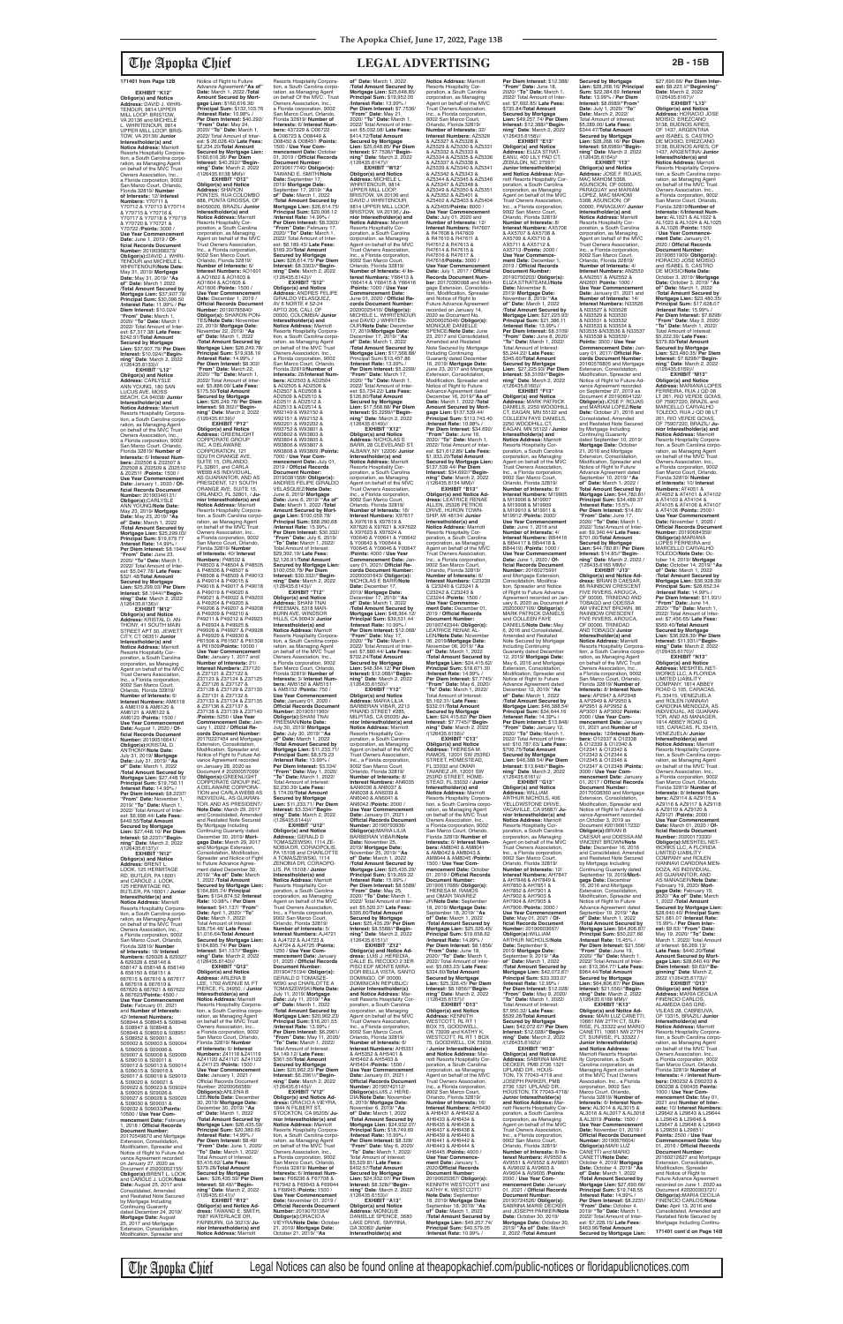**EXHIBIT "K12" Obligor(s) and Notice Address:** DAVID J. WHRI-TENOUR, 9814 UPPER MILL LOOP, BRISTOW, VA 20136 and MICHELE L. WHRITENOUR, 9814 UPPER MILL LOOP, BRIS-TOW, VA 20136/ **Junior Interestholder(s) and<br><b>Notice Address:** Marriott<br>Resorts Hospitality Corporation, a South Carolina corpo-ration, as Managing Agent on behalf of the MVC Trust Owners Association, Inc., a Florida corporation, 9002 San Marco Court, Orlando, Florida 32819/ **Number of Interests:** 12/ **Interest Numbers:** Y70711 & Y70712 & Y70713 &Y70714 & Y70715 & Y70716 & Y70717 & Y70718 & Y70719 & Y70720 & Y70721 & Y70722 /**Points:** 3000 / **Use Year Commencement Date:** June 1, 2019 / **Of-ficial Records Document Number:** 20190368373/ **Obligor(s):**DAVID J. WHRI-TENOUR and MICHELE L. WHRITENOUR/**Note Date:** May 31, 2019/ **Mortgage Date:** May 31, 2019/ **"As of" Date:** March 1 2022 /**Total Amount Secured by Mortgage Lien:** \$37,907.79/ **Principal Sum:** \$30,096.50 /**Interest Rate:** 11.99% / **Per Diem Interest:** \$10.024/ **"From" Date:** March 1, 2020/ **"To" Date:** March 1 2022/ Total Amount of Inter-est: \$7,317.38/ **Late Fees:** \$242.91/**Total Amount Secured by Mortgage Lien:** \$37,907.79/ **Per Diem Interest:** \$10.024//**"Begin-ning" Date**: March 2, 2022

/(126435.6133)//<br>"EXHIBIT "L12 **EXHIBIT "L12" Obligor(s) and Notice Address:** CARLYSLE ANN YOUNG, 180 SAN LUCUS AVE, MOSS BEACH, CA 94038/ **Junior Interestholder(s) and<br><b>Notice Address:** Marriott<br>Resorts Hospitality Corporation, a South Carolina corporation, as Managing Agent<br>on behalf of the MVC Trust Owners Association, Inc.,<br>a Florida corporation, 9002<br>San Marco Court, Orlando,<br>Florida 32819/ **Number of Interests:** 6/ **Interest Numbers:** Z02506 & Z02507 & Z02508 & Z02509 & Z02510 & Z02511 /**Points:** 1500 / Use Year Commenceme **Date:** January 1, 2020 / **Of-ficial Records Document Number:** 20190346131/ **Obligor(s):CARLYSLE**<br>ANN YOUNG/Note Date: ANN YOUNG/**Note Date:** May 23, 2019/ **Mortgage Date:** May 23, 2019/ **"As of" Date:** March 1, 2022 /**Total Amount Secured by Mortgage Lien:** \$25,299.03/ **Principal Sum:** \$19,679.77 /**Interest Rate:** 14.99% / **Per Diem Interest:** \$8.1944/ **"From" Date:** June 23, 2020/ **"To" Date:** March 1, 2022/ Total Amount of Inter-est: \$5,047.78/ **Late Fees:** \$321.48/**Total Amount Secured by Mortgage Lien:** \$25,299.03/ **Per Diem Interest:** \$8.1944//**"Beginning" Date**: March 2, 2022<br>/(126435.6136)//

**EXHIBIT "M12" Obligor(s) and Notice Address:** KRISTAL D. AN-THONY, 41 SOUTH MAIN STREET APT 30, JEWETT CITY, CT 06351/ **Junior Interestholder(s) and<br><b>Notice Address:** Marriott<br>Resorts Hospitality Corporation, a South Carolina corporation, as Managing Agent on behalf of the MVC Trust Owners Association, Inc., a Florida corporation, 9002 San Marco Court, Orlando, Florida 32819/ **Number of Interests:** 6/ **Interest Numbers:** AM6118 & AM6119 & AM6120 & AM6121 & AM6122 & AM6123 /**Points:** 1500 / **Use Year Commencement Date:** August 1, 2020 / **Of-ficial Records Document Number:** 20190516641/ **Obligor(s):**KRISTAL D.

Notice of Right to Future<br>Advance Agreement/"As of Advance Agreement/**"As of" Date:** March 1, 2022 /**Total Amount Secured by Mortgage Lien:** \$160,616.36/ **Principal Sum:** \$132,103.76 /**Interest Rate:** 10.98% / **Per Diem Interest:** \$40.292/ **"From" Date:** May 24, 2020/ **"To" Date:** March 1, 2022/ Total Amount of Inter-est: \$ 26,028.40/ **Late Fees:** \$2,234.20/**Total Amount Secured by Mortgage Lien:**  \$160,616.36/ **Per Diem Interest:** \$40.292//"**Begin-<br><b>ning" Date**: March 2, 2022<br>/(126435.6138 MM)// **EXHIBIT "O12" Obligor(s) and Notice Address:** SHARON PONTES, RUA COLOMBO 888, PONTA GROSSA, OF 84050020, BRAZIL/ **Junior Interestholder(s) and Notice Address:** Marriott<br>Resorts Hospitality Cor-<br>poration, a South Carolina corporation, as Managing Agent on behalf of the MVC Trust Owners Association, Inc., a Florida corporation, 9002 San Marco Court, Orlando, Florida 32819/ **Number of Interests:** 6/ **Interest Numbers:** AO1601 & AO1602 & AO1603 & AO1604 & AO1605 & AO1606 /**Points:** 1500 / **Use Year Commencement Date:** December 1, 2019 / **Official Records Document Number:** 20190785840/ **Obligor(s):** SHARON PON-TES/**Note Date:** November 22, 2019/ **Mortgage Date:** November 22, 2019/ **"As of" Date:** March 1, 2022 /**Total Amount Secured by Mortgage Lien:** \$26,249.78/ **Principal Sum:** \$19,938.19 /**Interest Rate:** 14.99% / **Per Diem Interest:** \$8.302/ **"From" Date:** March 22, 2020/ **"To" Date:** March 1, 2022/ Total Amount of Inter-est: \$5,886.09/ **Late Fees:** \$175.50/**Total Amount Secured by Mortgage Lien:** \$26,249.78/ **Per Diem Interest:** \$8.302//"**Begin-**<br>**ning" Date**: March 2, 2022<br>/(126435.6139)// **EXHIBIT "P12" Obligor(s) and Notice Address:** GREENLIGHT CORPORATE GROUP INC, A DELAWARE CORPORATION, 121 SOUTH ORANGE AVE SUITE 15, ORLANDO,<br>FL 32801, and CARLA<br>WEBB AS INDIVIDUAL, AS GUARANTOR, AND AS PRESIDENT, 121 SOUTH ORANGE AVE, SUITE 15, ORLANDO, FL 32801, / **Junior Interestholder(s) and Notice Address:** Marriott<br>Resorts Hospitality Corpora-<br>tion, a South Carolina corpo-<br>ration, as Managing Agent<br>on behalf of the MVC Trust<br>Owners Association, Inc., a Florida corporation, 9002 San Marco Court, Orlando, Florida 32819/ **Number of Interests:** 40/ **Interest Numbers:** P48502 & P48503 & P48504 & P48505 & P48506 & P48507 & P48508 & P48509 & P49013<br>& P49014 & P49015 & & P49014 & P49015 & P49016 & P49017 & P49018 & P49019 & P49020 & P49021 & P49022 & P49203 & P49204 & P49205 & P49206 & P49207 & P49208 & P49209 & P49210 & P49211 & P49212 & P49923 & P49924 & P49925 & P49926 & P49927 & P49928 & P49929 & P49930 & P61506 & P61507 & P61508 & P61509/**Points:** 10000 / **Use Year Commencement Date:** January 1, 2017 and/ **Number of Interests:** 21/ **Interest Numbers:** Z37120 & Z37121 & Z37122 & Z37123 & Z37124 & Z37125 & Z37126 & Z37127 & Z37128 & Z37129 & Z37130 & Z37131 & Z37132 & Z37133 & Z37134 & Z37135

ANTHONY/**Note Date:** July 31, 2019/ **Mortgage Date:** July 31, 2019/ **"As of" Date:** March 1, 2022 /**Total Amount Secured by Mortgage Lien:** \$27,448.10/ **Principal Sum:** \$19,750.11 /**Interest Rate:** 14.99% / **Per Diem Interest:** \$8.2237/ **"From" Date:** November 1, 2019/ **"To" Date:** March 1, 2022/ Total Amount of Inter-est: \$6,998.44/ **Late Fees:** \$449.55/**Total Amount Secured by Mortgage Lien: \$27,448.10/ Per Diem<br><b>Interest: \$**8.2237//"**Begin-<br>ning" Date**: March 2, 2022<br>/(126435.6137)// **EXHIBIT "N12" Obligor(s) and Notice Address:** BRENT L. LOOK, 125 HERMITAGE RD, BUTLER, PA 16001 and CAROLE J. LOOK, 125 HERMITAGE RD, BUTLER, PA 16001 / **Junior Interestholder(s) and Notice Address:** Marriott Resorts Hospitality Corporation, a South Carolina corporation, as Managing Agent on behalf of the MVC Trust Owners Association, Inc., a Florida corporation, 9002 San Marco Court, Orlando, Florida 32819/ **Number of Interests:** 18/ **Interest Numbers:** 629326 & 629327 & 629328 & 658146 & 658147 & 658148 & 658149 & 658150 & 658151 & 667615 & 667616 & 667617 & 667618 & 667619 & 667620 & 667621 & 667622 & 667623/**Points:** 4500 / Use Year Commencement **Date:** February 01, 2021 and **Number of Interests:** 42/ **Interest Numbers:** S08944 & S08945 & S08946 & S08947 & S08948 & S08949 & S08950 & S08951 & S08952 & S09001 & S09002 & S09003 & S09004 & S09005 & S09006 & S09007 & S09008 & S09009 & S09010 & S09011 & S09012 & S09013 & S09014 & S09015 & S09016 & S09017 & S09018 & S09019 & S09020 & S09021 & S09022 & S09023 & S09024 & S09025 & S09026 & S09027 & S09028 & S09029 & S09030 & S09031 & S09032 & S09033/**Points:** 10500 / **Use Year Commencement Date:** February 1, 2018 / **Official Records Document Number:** 20170549670 and Mortgage ension, Consolidation Modification, Spreader and Notice of Right to Future Advance Agreement recorded on January 27, 2020 as Document # 20200052155/ **Obligor(s):**BRENT L. LOOK and CAROLE J. LOOK/**Note Date:** August 25, 2017 and Consolidated, Amended and Restated Note Secured by Mortgage Including Continuing Guaranty dated December 24, 2019/<br>**Mortgage Date:** August<br>25, 2017 and Mortgage<br>Extension, Consolidation, Modification, Spreader and

& Z37136 & Z37137 & Z37138 & Z37139 & Z37140 /**Points:** 5250 / **Use Year Commencement Date:** Jan-uary 1, 2022 / **Official Records Document Number:**

20170227454 and Mortgage Extension, Consolidation, Modification, Spreader and Notice of Fight to Future Advance Agreement recorded on January 28, 2020 as<br>Document # 20200057099/ Document # 20200057099/<br>**Obligor(s)**:GREENLIGHT<br>CORPORATE GROUP INC,<br>A DELAWARE CORPORA-<br>TION and CARLA WEBB AS INDIVIDUAL, AS GUARAN-TOR, AND AS PRESIDENT/ **Note Date:** March 29, 2017 and Consolidated, Amended and Restated Note Secured By Mortgage Including Continuing Guaranty dated December 30, 2019/ **Mort-gage Date:** March 29, 2017 and Mortgage Extension, Consolidation, Modification, Spreader and Notice of Fight to Future Advance Agree ment dated December 30, 2019/ **"As of" Date:** March 1, 2022 /**Total Amount Secured by Mortgage Lien:**  \$164,895.74/ **Principal Sum:** \$134,874.52 /**Interest Rate:** 10.98% / **Per Diem Interest:** \$41.137/ **"From" Date:** April 1, 2020/ **"To" Date:** March 1, 2022/ Total Amount of Interest: \$28,754.48/ **Late Fees:** \$1,016.64/**Total Amount Secured by Mortgage Lien:**  \$164,895.74/ **Per Diem Interest:** \$41.137//**"Begin-ning" Date**: March 2, 2022  $\frac{7(126435.6140)}{2}$ EXHIBIT "Q12" **EXHIBIT "Q12" Obligor(s) and Notice Address:** ARLENA B LEE, 1702 AVENUE M, FT PIERCE, FL 34950, / **Junior Interestholder(s) and Notice Address:** Marriott<br>Resorts Hospitality Corpora-<br>tion, a South Carolina corporation, as Managing Agent<br>on behalf of the MVC Trust Owners Association, Inc., a Florida corporation, 9002 San Marco Court, Orlando, Florida 32819/ **Number of Interests:** 6/ **Interest Numbers:** Z41118 &Z41119 &Z41120 &Z41121 &Z41122 & Z41123 /**Points:** 1500 / **Use Year Commencement Date:** January 1, 2021 / Official Records Document Number: 2020006 **Obligor(s):**ARLENA B LEE/**Note Date:** December 30, 2019/ **Mortgage Date:** December 30, 2019/ **"As of" Date:** March 1, 2022 /**Total Amount Secured by Mortgage Lien:** \$26,435.59/ **Principal Sum:** \$20,389.69 /**Interest Rate:** 14.99% / **Per Diem Interest:** \$8.49/ **"From" Date:** June 1, 2020/ **"To" Date:** March 1, 2022/ Total Amount of Interest: \$5,416.62/ **Late Fees:** \$379.28/**Total Amount Secured by Mortgage Lien:** \$26,435.59/ **Per Diem Interest:** \$8.49//**"Begin-ning" Date**: March 2, 2022 /(126435.6141)// **EXHIBIT "R12" Obligor(s) and Notice dress:** TAWAND E. SMITH, 7687 WATERLACE DR, FAIRBURN, GA 30213/ **Junior Interestholder(s) and Notice Address:** Marriott

**Notice Address:** Marriott Resorts Hospitality Cor-poration, a South Carolina corporation, as Managing Agent on behalf of the MVC Trust Owners Association, Inc., a Florida corporation, 9002 San Marco Court, Orlando, Florida 32819/ **Number of Interests:** 32/ **Interest Numbers:** AZ5326 & AZ5327 & AZ5328 & AZ5329 & AZ5330 & AZ5331 & AZ5332 & AZ5333 & AZ5334 & AZ5335 & AZ5336 & AZ5337 & AZ5338 & AZ5339 & AZ5340 & AZ5341 & AZ5342 & AZ5343 & AZ5344 & AZ5345 & AZ5346 & AZ5347 & AZ5348 & AZ5349 & AZ5350 & AZ5351 & AZ5352 & AZ5401 & AZ5402 & AZ5403 & AZ5404 & AZ5405/**Points:** 8000 / **Use Year Commencement Date:** July 01, 2020 and **Number of Interests:** 12/ **Interest Numbers:** R47607 & R47608 & R47609 & R47610 & R47611 & R47612 & R47613 & R47614 & R47615 & R47616 & R47617 & R47618/**Points:** 3000 / **Use Year Commencement Date:** July 1, 2017 / **Official Records Document Number:** 20170390068 and Mort-gage Extension, Consolida-tion, Modification, Spreader and Notice of Right to Future Advance Agreement recorded on January 14, 2020 as Document No.<br>20200025046/ **Obligor(s):**<br>MONIQUE DANIELLE SPENCE/**Note Date:** June 23, 2017 and Consolidated, Amended and Restated Note Secured by Mortgage Including Continuing Including Continuing<br>Guaranty dated Dece 16, 2019/ **Mortgage Date:** June 23, 2017 and Mortgage Extension, Consolidation Modification, Spreader and Notice of Right to Future Advance Agreement dated December 16, 2019/**"As of" Date:** March 1, 2022 /**Total Amount Secured by Mortgage Lien:** \$137,539.44/ **Principal Sum:** \$113,743.40 /**Interest Rate:** 10.98% / **Per Diem Interest:** \$34.692/ **"From" Date:** June 16, 2020/ **"To" Date:** March 1, 2022/ Total Amount of Inter-est: \$21,612.89/ **Late Fees:** \$1,933.20/**Total Amount Secured by Mortgage Lien:**  \$137,539.44/ **Per Diem Interest:** \$34.692//**"Beginning" Date**: March 2, 2022 /(126435.6154 MM)// **EXHIBIT "B13" Obligor(s) and Notice Ad-dress:** LEATRICE RENAE ALLEN, 25326 PETROS DRIVE, HURON TOWN-<br>SHIP, MI 48134/ **Junior** SHIP, MI 48134/ **Junior Interestholder(s) and Notice Address:** Marriott Resorts Hospitality Corporation, a South Carolina corporation, as Managing Agent on behalf of the MVC Trust Owners Association, Inc., a Florida corporation, 9002 San Marco Court, Orlando, Florida 32819/ **Number of Interests:** 6/ **Interest Numbers:** C23239 & C23240 & C23241 & C23242 & C23243 & C23244 /**Points:** 1500 / **Use Year Commencement Date:** December 01, 2019 / **Official Records Doment Num** 20190742344/ **Obligor(s):** LEATRICE RENAE AL-LEN/**Note Date:** November 06, 2019/**Mortgage Date:** November 06, 2019/ **"As of" Date:** March 1, 2022 /**Total Amount Secured by Mortgage Lien:** \$24,415.62/ **Principal Sum:** \$18,671.30 /**Interest Rate:** 14.99% / **Per Diem Interest:** \$7.7745/ **"From" Date:** May 6, 2020/ **"To" Date:** March 1, 2022/ Total Amount of Interest: \$5,162.31/ **Late Fees:** \$332.01/**Total Amount Secured by Mortgage Lien:** \$24,415.62/ **Per Diem Interest:** \$7.7745//**"Begin-ning" Date**: March 2, 2022 /(126435.6156)//<br>"EXHIBIT "C13 **EXHIBIT "C13" Obligor(s) and Notice Address:** THERESA M. RAMOS, 12001 SW 253RD STREET, HOMESTEAD, FL 33032 and OMAR TAVAREZ JR, 12001 SW 253RD STREET, HOME-STEAD, FL 33032 / **Junior Interestholder(s) and Notice Address:** Marriott Resorts Hospitality Corporation, a South Carolina corpo-ration, as Managing Agent on behalf of the MVC Trust Owners Association, Inc., a Florida corporation, 9002 San Marco Court, Orlando, Florida 32819/ **Number of Interests:** 6/ **Interest Num-bers:** AM8040 & AM8041 & AM8042 & AM8043 & AM8044 & AM8045 /**Points:** 1500 / **Use Year Commencement Date:** October 01, 2019 / **Official Records Document Number:** 20190617686/ **Obligor(s):** THERESA M. RAMOS and OMAR TAVAREZ JR/**Note Date:** September 18, 2019/ **Mortgage Date:** September 18, 2019/ **"As of" Date:** March 1, 2022 /**Total Amount Secured by Mortgage Lien:** \$25,326.45/ **Principal Sum:** \$19,658.62 /**Interest Rate:** 14.99% / **Per Diem Interest:** \$8.1856/ **"From" Date:** June 18, 2020/ **"To" Date:** March 1, 2022/ Total Amount of Inter est: \$5,083.23/ **Late Fees:** \$334.60/**Total Amount Secured by Mortgage Lien:** \$25,326.45/ **Per Diem Interest:** \$8.1856//**"Beginning" Date**: March 2, 2022 /(126435.6157)// **EXHIBIT "D13" Obligor(s) and Notice Address:** KENNITH<br>WESTCOTT, RL RT 1 BOX 75, GOODWELL OK 73939 and KATHY K.<br>WESTCOTT, RL RT 1 BOX<br>75, GOODWELL, OK 73939, / **Junior Interestholder(s) and Notice Address:** Marriott Resorts Hospitality Corporation, a South Carolina corporation, as Managing Agent on behalf of the MVC Trust Owners Association, Inc., a Florida corporation, 9002 San Marco Court, Orlando, Florida 32819/ **Number of Interests:** 16/ **Interest Numbers:** AH6430 & AH6431 & AH6432 & AH6433 & AH6434 & AH6435 & AH6436 & AH6437 & AH6438 & AH6439 & AH6440 & AH6441 & AH6442 & AH6443 & AH6444 & AH6445 /**Points:** 4000 / Use Year Commence-<br>ment Date: January 1,<br>Document Number:<br>20190620367/ Obligor(s):<br>20190620367/ Obligor(s):<br>KENNITH WESTCOTT and KATHY K. WESTCOTT/<br>Note Date: September<br>18, 2019/ Mortgage Date:<br>September 18, 2019/ "As<br>September 18, 2019/ "As<br>Total Amount Secured by<br>Mortgage Lien: \$49,257.74/<br>Principal Sum: \$40,579.05<br>Thricipal Sum: \$40,579.05

Resorts Hospitality Corporation, a South Carolina corpo-ration, as Managing Agent on behalf Of the MVC . Trust Owners Association, Inc., a Florida corporation, 9002 San Marco Court, Orlando, Florida 32819/ **Number of Interests:** 6/ **Interest Num-bers:** 437229 & O06722 & O06723 & O08449 & O08450 & O08451 /**Points:** 1500 / **Use Year Com-mencement Date:** October 01, 2019 / **Official Records Document Number:** 20190617740/ **Obligor(s):** TAWAND E. SMITH/**Note Date:** September 17, 2019/ **Mortgage Date:** September 17, 2019/ **"As of" Date:** March 1, 2022 /**Total Amount Secured by Mortgage Lien:** \$26,614.75/ **Principal Sum:** \$20,006.12 /**Interest Rate:** 14.99% / **Per Diem Interest:** \$8.3303/ **"From" Date:** February 17, 2020/ **"To" Date:** March 1, 2022/ Total Amount of Inter-est: \$6,189.43/ **Late Fees:** \$169.20/**Total Amount Secured by Mortgage Lien:** \$26,614.75/ **Per Diem Interest:** \$8.3303//**"Begin-ning" Date**: March 2, 2022 /(126435.6142)// **EXHIBIT "S12" Obligor(s) and Notice Address:** ANDRES FELIPE GIRALDO VELASQUEZ, AV 6 NORTE # 52-24 APTO 206, CALI, OF 00000, COLOMBIA/ **Junior Interestholder(s) and Notice Address:** Marriott Resorts Hospitality Corpora-tion, a South Carolina corporation, as Managing Agent<br>on behalf of the MVC Trust<br>Owners Association, Inc.,<br>a Florida corporation, 9002 San Marco Court, Orlando, Florida 32819/**Number of Interests:** 28/**Interest Numbers: AD2503 & AD2504**<br>& AD2505 & AD2506 & & AD2505 & AD2506 & AD2507 & AD2508 & AD2509 & AD2510 & AD2511 & AD2512 & AD2513 & AD2514 & W92149 & W92150 & W92151 & W92152 & W92201 & W92202 & W93752 & W93801 & W93802 & W93803 & W93804 & W93805 & W93806 & W93807 & W93808 & W93809 /**Points:** 7000 / **Use Year Commencement Date:** July 01, 2019 / **Official Records Document Number:** 20190381568/ **Obligor(s):** ANDRES FELIPE GIRALDO VELASQUEZ/**Note Date:** June 6, 2019/ **Mortgage Date:** June 6, 2019/ **"As of" Date:** March 1, 2022 /**Total Amount Secured by Mort-gage Lien:** \$100,059.78/ **Principal Sum:** \$68,290.68 /**Interest Rate:** 15.99% / **Per Diem Interest:** \$30.332/ **"From" Date:** July 6, 2019/ **"To" Date:** March 1, 2022/ Total Amount of Interest: \$29,392.19/ **Late Fees:** \$2,126.91/**Total Amount Secured by Mortgage Lien:**  \$100,059.78/ **Per Diem Interest:** \$30.332//**"Begin-ning" Date**: March 2, 2022 /(126435.6143)// **EXHIBIT "T12" Obligor(s) and Notice Address:** SHANI TNAI FREEMAN, 5318 MAR-BURN AVE, WINDSOR HILLS, CA 90043/ **Junior Interestholder(s) and Notice Address:** Marriott Resorts Hospitality Corpora-tion, a South Carolina corpo-ration, as Managing Agent on behalf of the MVC Trust Owners Association, Inc., a Florida corporation, 9002 San Marco Court, Orlando, Florida 32819/ **Number of Interests:** 3/ **Interest Numbers:** AM5150 & AM5151 & AM5152 /**Points:** 750 / **Use Year Commencement Date:** January 01, 2020 / **Official Records Document Number:** 20190511960/ **Obligor(s):**SHANI TNAI FREEMAN/**Note Date:** July 30, 2019/ **Mortgage Date:** July 30, 2019/ **"As of" Date:** March 1, 2022 /**Total Amount Secured by Mortgage Lien:** \$11,233.71/ **Principal Sum:** \$8,579.23 /**Interest Rate:** 13.99% / **Per Diem Interest:** \$3.334/ **"From" Date:** May 1, 2020/ **"To" Date:** March 1, 2022/ Total Amount of Interest: \$2,230.39/ **Late Fees:** \$ 174.09/**Total Amount Secured by Mortgage Lien:** \$11,233.71/ **Per Diem Interest:** \$3.334//**"Beginning" Date**: March 2, 2022 /(126435.6144)// **EXHIBIT "U12" Obligor(s) and Notice Address:** GERALD D TOMASZEWSKI, 1114 ZE-NOBIA DR, CORAOPOLIS, PA 15108 and CHARLOTTE A TOMASZEWSKI, 1114 ZENOBIA DR, CORAOPO-LIS, PA 15108 / **Junior Interestholder(s) and Notice Address:** Marriott Resorts Hospitality Cor-poration, a South Carolina corporation, as Managing Agent on behalf of the MVC Trust Owners Association, India Owners Association,<br>Inc., a Florida corporation, 9002 San Marco Court, Orlando, Florida 32819/ **Number of Interests:** 5/ **Interest Numbers:** AJ4721 & AJ4722 & AJ4723 & AJ4724 & AJ4725 /**Points:** 1250 / **Use Year Commencement Date:** January 01, 2020 / **Official Records Document Number:** 20190475194/ **Obligor(s):** GERALD D TOMASZE-WSKI and CHARLOTTE A TOMASZEWSKI/**Note Date:** July 11, 2019/ **Mortgage Date:** July 11, 2019/ **"As of" Date:** March 1, 2022 /**Total Amount Secured by Mortgage Lien:** \$20,962.23/ **Principal Sum:** \$16,201.55 /**Interest Rate:** 13.99% / **Per Diem Interest:** \$6.2961/ **"From" Date:** May 11, 2020/ **"To" Date:** March 1, 2022/ Total Amount of Interest: \$4,149.12/ **Late Fees:** \$361.56/**Total Amount Secured by Mortgage Lien:** \$20,962.23/ **Per Diem Interest:** \$6.2961//**"Begin-ning" Date**: March 2, 2022 /(126435.6145)// **EXHIBIT "V12" Obligor(s) and Notice Ad-dress:** ORACIO A VIEYRA, 1844 N FILBERT ST, STOCKTON, CA 95205/ **Junior Interestholder(s) and Notice Address:** Marriott Resorts Hospitality Corpora-<br>tion, a South Carolina corpo tion, a South Carolina corpo-ration, as Managing Agent on behalf of the MVC Trust Owners Association, Inc., a Florida corporation, 9002 San Marco Court, Orlando Florida 32819/ **Number of Interests:** 6/ **Interest Numbers:** F66236 & F67708 & F67942 & F69943 & F69944 & F69945 /**Points:** 1500 / **Use Year Commencement Date:** November 01, 2019 / **Official Records Docume Number:** 20190701354/ **Obligor(s):**ORACIO A VIEYRA/**Note Date:** October 21, 2019/ **Mortgage Date:** October 21, 2019/ **"As of" Date:** March 1, 2022 /**Total Amount Secured by Mortgage Lien:** \$25,648.85/ **Principal Sum:** \$19,952.05 /**Interest Rate:** 13.99% / **Per Diem Interest:** \$7.7536/ **"From" Date:** May 21, 2020/ **"To" Date:** March 1, 2022/ Total Amount of Interest: \$5,032.08/ **Late Fees:** \$414.72/**Total Amount Secured by Mortgage Lien:** \$25,648.85/ **Per Diem Interest:** \$7.7536//**"Begin-ning" Date**: March 2, 2022 /(126435.6147)// **EXHIBIT "W12" Obligor(s) and Notice Address:** MICHELE L. WHRITENOUR, 9814 UPPER MILL LOOP,<br>BRISTOW, VA 20136 and<br>DAVID J WHRITENOUR,<br>9814 UPPER MILL LOOP, BRISTOW, VA 20136,/ **Junior Interestholder(s) and Notice Address:** Marriott Resorts Hospitality Corporation, a South Carolina corporation, as Managing Agent on behalf of the MVC Trust Owners Association, Inc., a Florida corporation, 9002 San Marco Court, Orlando, Florida 32819/ **Number of Interests:** 4/ **Interest Numbers:** Y66413 & Y66414 & Y66415 & Y66416 /**Points:** 1000 / **Use Year Commencement Date:** June 01, 2020 / **Official Re-cords Document Number:** 20200025410/ **Obligor(s):** MICHELE L. WHRITENOUR and DAVID J WHRITEN-OUR/**Note Date:** December 17, 2019/**Mortgage Date:** December 17, 2019/ **"As of" Date:** March 1, 2022 /**Total Amount Secured by Mortgage Lien:** \$17,568.88/ Principal Sumi \$13,457.86 /**Interest Rate:** 13.99% / **Per Diem Interest:** \$5.2299/ **"From" Date:** March 17, 2020/ **"To" Date:** March 1, 2022/ Total Amount of Interest: \$3,734.22/ **Late Fees:** \$126.80/**Total Amount Secured by Mortgage Lien:** \$17,568.88/ **Per Diem Interest:** \$5.2299//**"Begin-ning" Date**: March 2, 2022 /(126435.6149)// **EXHIBIT "X12" Obligor(s) and Notice<br>Address: NICHOLAS F Address:** NICHOLAS E BARR, 28 CLEVELAND ST, ALBANY, NY 12206/ **Junior Interestholder(s) and Notice Address:** Marriott Resorts Hospitality Corporation, a South Carolina corporation, as Managing Agent on behalf of the MVC Trust Owners Association Inc., a Florida corporation, 9002 San Marco Court, Orlando, Florida 32819/ **Number of Interests:** 16/ **Interest Numbers:** X97617 & X97618 & X97619 & X97620 & X97621 & X97622 & X97623 & X97624 & Y00640 & Y00641 & Y00642 & Y00643 & Y00644 & Y00645 & Y00646 & Y00647 /**Points:** 4000 / **Use Year Commencement Date:** Jan-uary 01, 2021/ **Official Records Document Number:** 20200031643/ **Obligor(s):** NICHOLAS E BARR/**Note Date:** December 17, 2019/ **Mortgage Date:** December 17, 2019/ **"As of" Date:** March 1, 2022 /**Total Amount Secured by Mortgage Lien:** \$48,364.12/ **Principal Sum:** \$39,531.44 /**Interest Rate:** 10.99% / **Per Diem Interest:** \$12.068/ **"From" Date:** May 17, 2020/ **"To" Date:** March 1, 2022/ Total Amount of Interest: \$7,880.44/ **Late Fees:** \$702.24/**Total Amount Secured by Mortgage Lien:** \$48,364.12/ **Per Diem Interest:** \$12.068//**"Begin-ning" Date**: March 2, 2022 /(126435.6150)// **EXHIBIT "Y12" Obligor(s) and Notice Address:** MARIA LILIA BARBERAN VIBAR, 2213 PINARD STREET #285, MILPITAS, CA 95035/ **Ju-nior Interestholder(s) and Notice Address:** Marriott Resorts Hospitality Corporation, a South Carolina corporation, as Managing Agent on behalf of the MVC Trust Owners Association, Inc., a Florida corporation, 9002 San Marco Court, Orlando, Florida 32819/ **Number of Interests:** 8/ **Interest Numbers:** AN6035 &AN6036 & AN6037 & AN6038 & AN6039 & AN6040 & AN6041 & AN6042 /**Points:** 2000 / **Use Year Commencement Date:** January 01, 2021 / **Official Records Docum Number:** 20190793936/ **Obligor(s):**MARIA LILIA BARBERAN VIBAR/**Note Date:** November 25, 2019/ **Mortgage Date:** November 25, 2019/ **"As of" Date:** March 1, 2022 /**Total Amount Secured by Mortgage Lien:** \$25,435.29/ **Principal Sum:** \$19,269.32 /**Interest Rate:** 15.99% / **Per Diem Interest:** \$8.5588/ **"From" Date:** May 25, 2020/ **"To" Date:** March 1, 2022/ Total Amount of Inter-est: \$5,520.37/ **Late Fees:** \$395.60/**Total Amount Secured by Mortgage Lien:** \$25,435.29/ **Per Diem Interest:** \$8.5588//**"Begin-ning" Date**: March 2, 2022 /(126435.6151)// **EXHIBIT "Z12" Obligor(s) and Notice Ad-dress:** LUIS J. HEREDIA, CALLE EL RECODO 2 3ER PISO EDF MONTE MIRA-DOR BELLA VISTA, SANTO DOMINGO, OF 00000, DOMINICAN REPUBLIC/ **Junior Interestholder(s) and Notice Address: Mar**riott Resorts Hospitality Cor-poration, a South Carolina corporation, as Managing Agent on behalf of the MVC Trust Owners Association, Inc., a Florida corporation, 9002 San Marco Court, Orlando, Florida 32819/ **Number of Interests:** 6/ **Interest Numbers:** AH5351 & AH5352 & AH5401 & AH5402 & AH5403 & AH5404 /**Points:** 1500 / **Use Year Commencement Date:** January 01, 2021 / **Official Records Documen Number:** 20190742112/ **Obligor(s):**LUIS J. HERE-DIA/**Note Date:** November 6, 2019/ **Mortgage Date:** November 6, 2019/ **"As of" Date:** March 1, 2022 /**Total Amount Secured by Mortgage Lien:** \$24,932.07/ **Principal Sum:** \$18,749.69 /**Interest Rate:** 15.99% / **Per Diem Interest:** \$8.328/ **"From" Date:** May 6, 2020/ **"To" Date:** March 1, 2022/ Total Amount of Interest: \$5,529.81/ **Late Fees:** \$402.57/**Total Amount Secured by Mortgage Lien:** \$24,932.07/ **Per Diem Interest:** \$8.328//**"Begin-ning" Date**: March 2, 2022 /(126435.6153)// **EXHIBIT "A13" Obligor(s) and Notice Address:** MONIQUE<br>DANIELLE SPENCE, 3680 LAKE DRIVE, SMYRNA,<br>GA 30082/ **Junior** GA 30082/ **Junior Interestholder(s) and** 

**Per Diem Interest:** \$12.388/ **"From" Date:** June 18, 2020/ **"To" Date:** March 1, 2022/ Total Amount of Inter-est: \$7,692.85/ **Late Fees:** \$735.84/**Total Amount Secured by Mortgage Lien:** \$49,257.74/ **Per Diem Interest:** \$12.388//**"Begin-ning" Date**: March 2, 2022 /(126435.6158)// **EXHIBIT "E13" Obligor(s) and Notice Address:** ELIZA STRAT-EANU, 400 LILY PAD CT, ZEBULON, NC 27597/ **Junior Interestholder(s) and Notice Address:** Marriott Resorts Hospitality Corporation, a South Carolina corporation, as Managing Agent on behalf of the MVC Trust Owners Association, Inc., a Florida corporation, 9002 San Marco Court, Orlando, Florida 32819/ **Number of Interests:** 8/ **Interest Numbers:** AX5706 & AX5707 & AX5708 & AX5709 & AX5710 & AX5711 & AX5712 & AX5713 /**Points:** 2000 / **Use Year Commence-ment Date:** December 1, 2019 / **Official Records Document Number:** 20190750203/ **Obligor(s):** ELIZA STRATEANU/**Note Date: November 8,<br>2019/ <b>Mortgage Date:**<br>November 8, 2019/ **"As**<br>**of" Date:** March 1, 2022 /**Total Amount Secured by Mortgage Lien:** \$27,225.93/ **Principal Sum:** \$21,386.11 /**Interest Rate:** 13.99% / **Per Diem Interest:** \$8.3109/ **"From" Date:** June 8, 2020/ **"To" Date:** March 1, 2022/ Total Amount of Interest: \$5,244.22/ **Late Fees:** \$345.60/**Total Amount Secured by Mortgage Lien:** \$27,225.93/ **Per Diem Interest:** \$8.3109//**"Begin-ning" Date**: March 2, 2022 /(126435.6160)// **EXHIBIT "F13" Obligor(s) and Notice Address:** MARK PATRICK DANIELS, 2250 WOODHILL CT, EAGAN, MN 55122 and COLLEEN FAYE DANIELS, 2250 WOODHILL CT, EAGAN, MN 55122 / **Junior Interestholder(s) and Notice Address:** Marriott<br>Resorts Hospitality Cor-<br>poration, a South Carolina<br>corporation, as Managing<br>Agent on behalf of the MVC<br>Trust Owners Association, Inc., a Florida corporation, 9002 San Marco Court, Orlando, Florida 32819/ **Number of Interests:** 8/ **Interest Numbers:** M19905<br>& M19906 & M19907 & M19908 & M19909<br>& M19910 & M19911 & & M19910 & M19911 & M19912 /**Points:** 2000/ **Use Year Commencement Date:** June 1, 2016 and **Number of Interests:** 4/ **Interest Numbers:** BB4416 & BB4417 & BB4418 & BB4419) /**Points:** 1000 / Use Year Commenceme **Date:** June 1, 2020 / **Of-ficial Records Document Number:** 20160275991 and Mortgage Extension, Consolidation, Modification, Spreader and Notice of Right to Future Advance Agreement recorded on January 6, 2020 as Document # 20200007109/ **Obligor(s):** MARK PATRICK DANIELS and COLLEEN FAYE DANIELS/**Note Date:** May 6, 2016 and Consolidated, Amended and Restated Note Secured by Mortgage Including Continuing Guaranty dated December 12, 2019/ **Mortgage Date:** May 6, 2016 and Mortgage Extension, Consolidation, Modification, Spreader and Notice of Right to Future Advance Agreement dated December 12, 2019/ **"As of" Date:** March 1, 2022 /**Total Amount Secured by Mortgage Lien:** \$46,388.54/ **Principal Sum:** \$34,644.16 /**Interest Rate:** 14.39% / Per Diem Interest: \$13.848 **"From" Date:** January 12, 2020/ **"To" Date:** March 1, 2022/ Total Amount of Inter-est: \$10,787.63/ **Late Fees:** \$706.75/**Total Amount Secured by Mortgage Lien:** \$46,388.54/ **Per Diem Interest:** \$13.848//**"Begin-ning" Date**: March 2, 2022 /(126435.6161)// **EXHIBIT "G13" Obligor(s) and Notice Address:** WILLIAM ARTHUR NICHOLS, 406 YELLOWSTONE DRIVE, VACAVILLE, CA 95687/ **Junior Interestholder(s) and Notice Address:** Marriott Resorts Hospitality Corporation, a South Carolina corporation, as Managing Agent on behalf of the MVC Trust Owners Association, Inc., a Florida corporation, 9002 San Marco Court, Orlando, Florida 32819/ **Number of Interests:** 12/ **Interest Numbers:** AH7847 & AH7848 & AH7849 & AH7850 & AH7851 & AH7852 & AH7901 & AH7902 & AH7903 & AH7904 & AH7905 & AH7906 /**Points:** 3000 / Use Year Commence **Date:** May 01, 2021 / **Of-ficial Records Document Number:** 20190603667/ **Obligor(s):**WILLIAM ARTHUR NICHOLS/**Note Date:** September 9, 2019/ **Mortgage Date:** September 9, 2019/ **"As of" Date:** March 1, 2022 /**Total Amount Secured by Mortgage Lien:** \$42,072.67/ **Principal Sum:** \$33,333.07 /**Interest Rate:** 12.99% / **Per Diem Interest:** \$12.028/ **"From" Date:** May 9, 2020/ **"To" Date:** March 1, 2022/ Total Amount of Interest: \$7,950.32/ **Late Fees:** \$539.28/**Total Amount Secured by Mortgage Lien:** \$42,072.67/ **Per Diem Interest:** \$12.028//**"Begin-ning" Date**: March 2, 2022 /(126435.6162)// **EXHIBIT "H13" Obligor(s) and Notice Address:** SABRINA MARIE DECKER, PMB 2736 1321 UPLAND DR., HOUS-TON, TX 77043-4718 and JOSEPH PARKER, PMB<br>2736 1321 UPLAND DR., HOUSTON, TX 77043-4718/ **Junior Interestholder(s)<br><b>and Notice Address:** Mar-<br>riott Resorts Hospitality Corporation, a South Carolina corporation, as Managing Agent on behalf of the MVC Trust Owners Association, Inc., a Florida corporation, 9002 San Marco Co Orlando, Florida 32819/ **Number of Interests:** 8/ **Interest Numbers:** AV9550 & AV9551 & AV9552 & AV9601 & AV9602 & AV9603 & AV9604 & AV9605 /**Points:** 2000 / **Use Year Com-mencement Date:** January 01, 2021 / **Official Records Document Number:** 20190724526/ **Obligor(s):** SABRINA MARIE DECKER and JOSEPH PARKER/**Note Date:** October 30, 2019/ **Mortgage Date:** October 30, 2019/ **"As of" Date:** March 2, 2022 /**Total Amount** 

**Secured by Mortgage Lien:** \$28,268.16/ **Principal Sum:** \$22,384.69 /**Interest Rate:** 13.99% / **Per Diem Interest:** \$8.6989/**"From" Date:** July 1, 2020/ **"To" Date:** March 2, 2022/ Total Amount of Interest: \$5,289.00/ **Late Fees:** \$344.47/**Total Amount Secured by Mortgage Lien:** \$28,268.16/ **Per Diem Interest:** \$8,6989//**"Beginning" Date**: March 2, 2022 /(126435.6164)// **EXHIBIT "I13" Obligor(s) and Notice Address:** JOSE F. ROJAS, MAC MAHOM 5368. ASUNCION, OF 00000, PARAGUAY and MARIAM LOPEZ, MAC MAHOM 5368, ASUNCION, OF 00000, PARAGUAY/ **Junior Interestholder(s) and Notice Address:** Marriott<br>Resorts Hospitality Cor-<br>poration, a South Carolina corporation, as Managing Agent on behalf of the MVC Trust Owners Association, Inc., a Florida corporation<br>9002 San Marco Court. 9002 San Marco Court,<br>Orlando, Florida 32819/<br>**Number of Interests:** 4/ **Interest Numbers:** AN2550 & AN2551 & AN2552 & AN2601 **Points:** 1000 / **Use Year Commencement Date:** January 01, 2021 and **Number of Interests:** 14/<br>**Interest Numbers: N**33526<br>& N33527 & N33528 & N33529 & N33530 & N33531 & N33532 & N33533 & N33534 & N33535 &N33536 & N33537 & N33538 & N33539 / **Points:** 3500 / **Use Year Commencement Date:** Jan-uary 01, 2017/ **Official Re-cords Document Number:** 20160576805 and Mortgage Extension, Consolidation Modification, Spreader and Notice of Right to Future Ad-vance Agreement recorded on September 27, 2019 as Document # 20190604122/ **Obligor(s):**JOSE F. ROJAS and MARIAM LOPEZ/**Note**  Date: October 21, 2016 and<br>Consolidated, Amended Consolidated, Amended and Restated Note Secured by Mortgage Including Continuing Guaranty dated September 10, 2019 **Mortgage Date:** October<br>21, 2016 and Mortgage<br>Extension, Consolidation, Modification, Spreader and Notice of Right to Future Advance Agreement dated September 10, 2019/ **"As of" Date:** March 1, 2022 / **Total Amount Secured by Mortgage Lien:** \$44,780.81/ **Principal Sum:** \$34,489.37 /**Interest Rate:** 15.5% / **Per Diem Interest:** \$14.85/ **"From" Date:** June 17, 2020/ **"To" Date:** March 1, 2022/ Total Amount of Inter-est: \$9,340.44/ **Late Fees:** \$701.00/**Total Amount Secured by Mortgage Lien:** \$44,780.81/ **Per Diem Interest:** \$14.85//**"Begin-ning" Date**: March 2, 2022 / (126435.6165 MM)// **EXHIBIT "J13" Obligor(s) and Notice Ad-dress:** BRIAN B CAESAR, 86 RAINBOW CRESCENT FIVE RIVERS, AROUCA, OF 00000, TRINIDAD AND TOBAGO and ODESSA AM VINCENT BROWN, 86 RAINBOW CRESCENT FIVE RIVERS, AROUCA OF 00000, TRINIDAD AND TOBAGO/ **Junior Interestholder(s) and Notice Address:** Marriott<br>Resorts Hospitality Corpora-<br>tion, a South Carolina corporation, as Managing Agent<br>on behalf of the MVC Trust Owners Association, Inc., a Florida corporation, 9002 San Marco Court, Orlando, Florida 32819/ **Number of Interests:** 8/ **Interest Num-bers:** AP2947 & AP2948 & AP2949 & AP2950 & AP2951 & AP2952 & AP3001 & AP3002 **Points:**

2000 / **Use Year Commencement Date:** January 01, 2021 and **Number of Interests:** 12/**Interest Numbers:** O12337 & O12338 & O12339 & O12340 & O12341 & O12342 &

O12343 & O12344 & O12345 & O12346 & O12347 & O12348 /**Points:** 3000 / **Use Year Com-mencement Date:** January 01, 2017 / **Official Records Document Number:** 20170038360 and Mortgage Extension, Consolidation, Modification, Spreader and Notice of Right to Future Advance Agreement recorded on October 3, 2019 as Document #20190617232/ **Obligor(s):**BRIAN B CAESAR and ODESSA AM VINCENT BROWN/**Note Date:** December 16, 2016 and Consolidated, Amended and Restated Note Secured by Mortgage Including Continuing Guaranty dated September 19, 2019/**Mortgage Date:** December 16, 2016 and Mortgage Extension, Consolidation, Modification, Spreader and<br>Advance Agreement dated<br>September 19, 2019/ **"As<br>of" Date:** March 1, 2022<br>**//Total Amount Secured by Mortgage Lien:** \$64,806.87/ **Principal Sum:** \$50,227.66 /**Interest Rate:** 15.45% / **Per Diem Interest:** \$21.556/ **"From" Date:** June 19, 2020/ **"To" Date:** March 1, 2022/ Total Amount of Inter est: \$13,364.77/ **Late Fees:** \$964.44/**Total Amount Secured by Mortgage Lien:** \$64,806.87/ **Per Diem Interest:** \$21.556//**"Beginning" Date**: March 2, 2022 /(126435.6166 MM)// **EXHIBIT "K13" Obligor(s) and Notice Ad-dress:** MARI LUZ CANETTI, 10661 NW 27TH CT, SUN-RISE, FL 33322 and MARIO CANETTI, 10661 NW 27TH CT, SUNRISE, FL 33322 / **Junior Interestholder(s) and Notice Address:** Marriott Resorts Hospitality Corporation, a South Carolina corporation, as Managing Agent on behalf of the MVC Trust Owners Association, Inc., a Florida corporation, 9002 San Marco Court, Orlando, Florida 32819/ **Number of Interests:** 6/ **Interest Num-bers:** AL3014 & AL3015 & AL3016 & AL3017 & AL3018 & AL3019 /**Points:** 1500 / **Use Year Commencement Date:** November 01, 2019 / **Official Records Document Number:** 20190676604/ **Obligor(s):**MARI LUZ CANETTI and MARIO CANETTI/**Note Date:** October 4, 2019/ **Mortgage Date:** October 4, 2019/ **"As of" Date:** March 1, 2022 /**Total Amount Secured by Mortgage Lien:** \$27,690.66/ **Principal Sum:** \$19,748.55 /**Interest Rate:** 14.99% / **Per Diem Interest:** \$8.2231/ **"From" Date:** October 4, 2019/ **"To" Date:** March 1, 2022/ Total Amount of Inte est: \$7,228.15/ **Late Fees:** \$463.96/**Total Amoun Secured by Mortgage Lien:** 

\$27,690.66/ **Per Diem Interest:** \$8.223 l//**"Beginning" Date**: March 2, 2022 /(126435.61 **EXHIBIT "L13" Obligor(s) and Notice Address:** HORACIO JOSE MOISIO, EREZCANO 3138, BUENOS AIRES, OF 1437, ARGENTINA and ISABEL S. CASTRO<br>DE MOISIO, EREZCANO 3138, BUENOS AIRES, OF 1437, ARGENTINA/ **Junior Interestholder(s) and Notice Address:** Marriott Resorts Hospitality Corpora-<br>tion, a South Carolina corpo tion, a South Carolina corpo-ration, as Managing Agent on behalf of the MVC Trust Owners Association, Inc., a Florida corporation, 9002 San Marco Court, Orlando, Florida 32819/**Number of Interests:** 6/**Interest Numbers:** AL1021 & AL1022 & AL1023 & AL1024 & AL1025 & AL1026 /**Points:** 1500 / **Use Year Commence-ment Date:** January 01, 2020 / **Official Records Document Number:** 20190651909/ **Obligor(s):** HORACIO JOSE MOISIO and ISABEL S. CASTRO DE MOISIO/**Note Date:** October 3, 2019/ **Mortgage Date:** October 3, 2019/ **"As of" Date:** March 1, 2022 /**Total Amount Secured by Mortgage Lien:** \$23,480.35/ **Principal Sum:** \$17,628.07 /**Interest Rate:** 15.99% / **Per Diem Interest:** \$7.8298/ **"From" Date:** May 3, 2020/ **"To" Date:** March 1, 2022/ Total Amount of Interest: \$5,222.39/ **Late Fees:** \$379.89/**Total Amount Secured by Mortgage Lien: \$23,480.35/ Per Diem<br><b>Interest: \$**7.8298//"**Begin-<br>ning" Date**: March 2, 2022<br>/(126435.6169)// **EXHIBIT "M13"<br>
<b>Obligor(s) and Notice**<br> **Address:** MARIANA LOPES<br>
FERREIRA, RUA J QD 08<br>LT 261, RIO VERDE GOIAS,<br>OF 75907220, BRAZIL and MARCELLO CARVALHO TOLEDO, RUA J QD 08 LT 261, RIO VERDE GOIAS, OF 75907220, BRAZIL/ **Junior Interestholder(s) and Notice Address:** Marriott Resorts Hospitality Corporation, a South Carolina corpo-ration, as Managing Agent on behalf of the MVC Trust Owners Association, Inc., a Florida corporation, 9002 San Marco Court, Orlando, Florida 32819/ **Number of Interests:** 10/ **Interest Numbers:** AT4051 & AT4052 & AT4101 & AT4102 & AT4103 & AT4104 & AT4105 & AT4106 & AT4107 & AT4108 /**Points:** 2500 / **Use Year Commencement Date:** November 1, 2020 / **Official Records Document Number:** 20190684359/ **Obligor(s):**MARIANA<br>LOPES FERREIRA and MARCELLO CARVALHO TOLEDO/**Note Date:** Oc-tober 14, 2019/ **Mortgage Date:** October 14, 2019/ **"As of" Date:** March 1, 2022 /**Total Amount Secured by Mortgage Lien:** \$36,928.39/ **Principal Sum:** \$28,652.34 /**Interest Rate:** 14.99% / **Per Diem Interest:** \$11.931/ **"From" Date:** June 14, 2020/ **"To" Date:** March 1, 2022/ Total Amount of Interest: \$7,456.65/ **Late Fees:** \$569.40/**Total Amount Secured by Mortgage Lien:** \$36,928.39/ **Per Diem Interest:** \$11.931//**"Begin-ning" Date**: March 2, 2022 /(126435.6170)// **EXHIBIT "N13"**

**Obligor(s) and Notice Address:** MESHTEL NET-WORKS LLC, A FLORIDA LIMITED LIABILITY COMPANY, 1814 ABBEY ROAD G 105, CARACAS, FL 33415, VENEZUELA and ROLEN IVANNAVI CARDONA MENDOZA, AS INDIVIDUAL, AS GUARAN-TOR, AND AS MANAGER, 1814 ABBEY ROAD G 105, CARACAS, FL 33415, VENEZUELA/ **Junior Interestholder(s) and Notice Address:** Marriott Resorts Hospitality Corpora-tion, a South Carolina corporation, as Managing Agent<br>on behalf of the MVC Trust Owners Association, Inc., a Florida corporation, 9002 San Marco Court, Orlando, Florida 32819/ **Number of Interests:** 8/ **Interest Numbers:** AZ9114 & AZ9115 & AZ9116 & AZ9117 & AZ9118 & AZ9119 & AZ9120 & AZ9121 /**Points:** 2000 / **Use Year Commencement Date:** March 01, 2020 / **Official Records Document<br><b>Number:** 20200173330/<br>**Obligor(s):**MESHTEL NET-<br>WORKS LLC, A FLORIDA<br>LIMITED LIABILITY<br>COMPANY and ROLEN IVANNAVI CARDONA MEN-DOZA, AS INDIVIDUAL,<br>AS GUARANTOR, AND AS MANAGER/**Note D** February 19, 2020/ **Mort-gage Date:** February 19, 2020/ **"As of" Date:** March 1, 2022 /**Total Amount Secured by Mortgage Lien:**  \$28,640.40/ **Principal Sum:** \$21,681.07 /**Interest Rate:** 15.99% / **Per Diem Interest:** \$9.63/ **"From" Date:** May 19, 2020/ **"To" Date:** March 1, 2022/ Total Amount of Interest: \$6,269.13/ **Late Fees:** \$440.20/**Total Amount Secured by Mortgage Lien:** \$28,640.40/ **Per Diem Interest:** \$9.63//**"Beginning" Date**: March 2, 2022 /(126435.6173)// **EXHIBIT "O13" Obligor(s) and Notice Address:** MARIA CECILIA FINENCIO CARLOS,<br>ALAMEDA DAS GRE-VILEAS 28, CABREUVA, OF 13315, BRAZIL/ **Junior Interestholder(s) and Notice Address:** Marriott Resorts Hospitality Corpora-tion, a South Carolina corpo-ration, as Managing Agent on behalf of the MVC Trust Owners Association, Inc. a Florida corporation, 9002 San Marco Court, Orlando, Florida 32819/ **Number of Interests:** 4 / **Interest Numbers:** D90232 & D90233 & D90238 & D90435 **Points:** 1000 / **Use Year Commencement Date:** May 01, 2021 and **Number of Interests:** 10/ **Interest Numbers:** L29642 & L29643 & L29644 & L29645 & L29646 & L29647 & L29648 & L29649 & L29650 & L29651/ **Points:** 2500 / **Use Year Commencement Date:** May 01, 2016 / **Official Records Document Number:** 20160212627 and Mortgage Extension, Consolidation, Modification, Spreader and Notice of Right to Future Advance Agreement recorded on June 1, 2020 as Document #20200303721/ **ObIigor(s):**MARIA CECILIA FINENCIO CARLOS/**Note Date:** April 13, 2016 and Consolidated, Amended and Restated Note Secured by Mortgage Including Continu-

### **171401 from Page 12B**

**171401 cont'd on Page 14B**

The Apopka Chief Legal Notices can also be found online at theapopkachief.com/public-notices or floridapublicnotices.com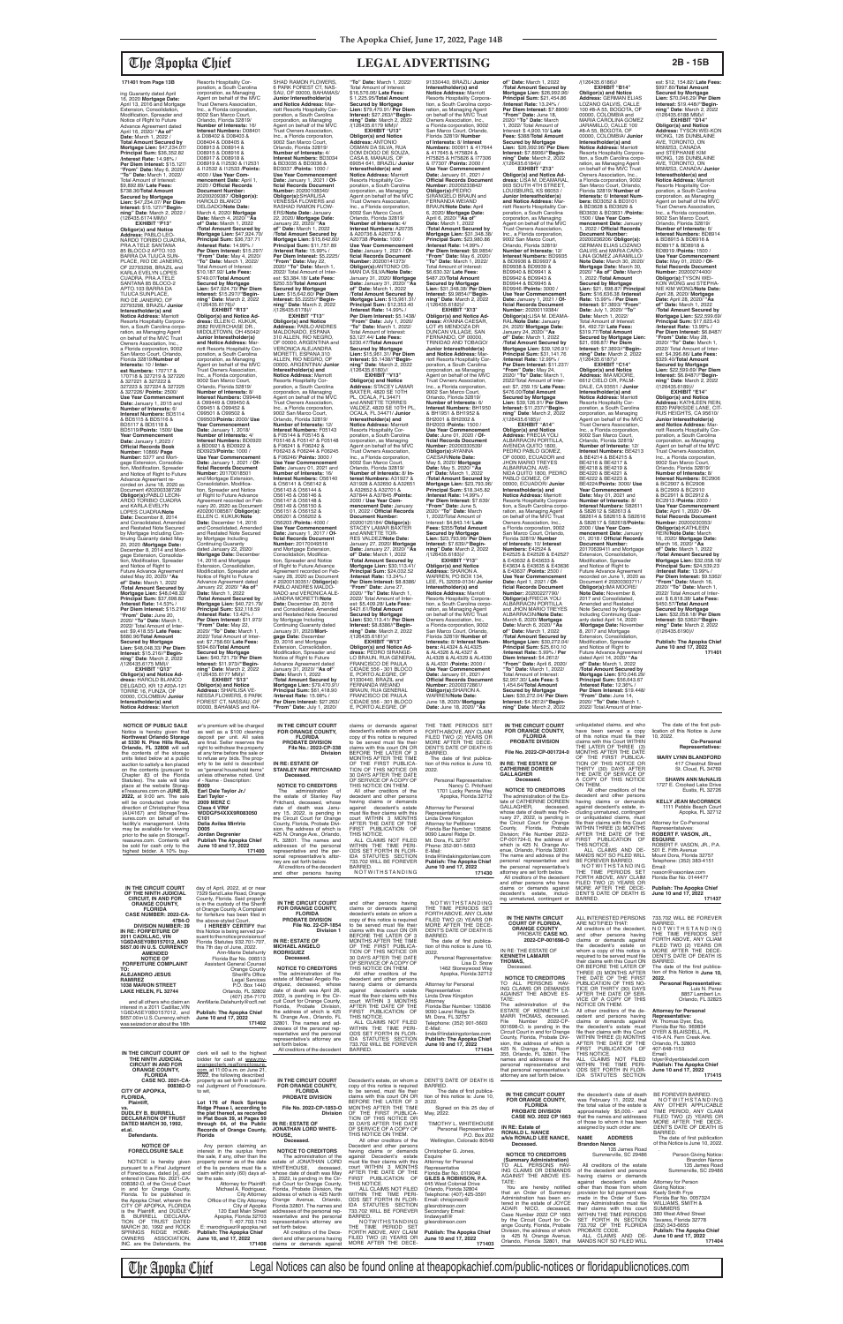ing Guaranty dated April 16, 2020 **Mortgage Date:**<br>April 13, 2016 and Mortgage<br>Extension, Consolidation,<br>Modification, Spreader and<br>Notice of Right to Future Advance Agreement dated April 16, 2020/ **"As of" Date:** March 1, 2022 / **Total Amount Secured by Mortgage Lien:** \$47,234.07/ **Principal Sum:** \$36,352.82 /**Interest Rate:** 14.98% / **Per Diem Interest:** \$15.127/<br>"**From" Date:** May 6, 2020/<br>"To" Date: March 1, 2022/<br>Total Amount of Interest:<br>\$9,892.89/ **Late Fees:**<br>\$738.36/**Total Amount Secured by Mortgage Lien:** \$47,234.07/ **Per Diem Interest:** \$15.127//**"Begin-ning" Date**: March 2, 2022 / (126435.6174 MM)// **EXHIBIT "P13"**

**Obligor(s) and Notice Address:** PABLO LEO-NARDO TORIBIO CUADRA, PRA.A TELE SANTANA 85 BLOCO-2 APTO.103 BARRA DA TIJUCA SUN-PLACE, RIO DE JANEIRO, OF 22793298, BRAZIL and KARLA EVELYN LOPES CUADRA, PRA.A TELE SANTANA 85 BLOCO-2 APTO.103 BARRA DA TIJUCA SUNPLACE, RIO DE JANEIRO, OF 22793298, BRAZIL/ **Junior Interestholder(s) and Notice Address:** Marriott Resorts Hospitality Corporation, a South Carolina corporation, as Managing Agent<br>on behalf of the MVC Trust<br>Owners Association, Inc., a Florida corporation, 9002 San Marco Court, Orlando, Florida 32819/**Number of Interests:** 10 / **Inter-est Numbers:** 170717 & 170718 & 327219 & 327220 & 327221 & 327222 & 327223 & 327224 & 327225 & 327226/ **Points:** 2500/ **Use Year Commencement Date:** January 1, 2015 and **Number of Interests:** 6/ **Interest Numbers:** BD5114 & BD5115 & BD5116 & BD5117 & BD5118 & BD5119/**Points:** 1500/ **Use Year Commencement Date:** January 1,2023 / **Official Records Book Number:** 10866/ **Page Number:** 5377 and Mortgage Extension, Consolida-tion, Modification, Spreader and Notice of Right to Future Advance Agreement re-corded on June 18, 2020 as Document #20200338728/ **Obligor(s):**PABLO LEON-ARDO TORIBIO CUADRA and KARLA EVELYN LOPES CUADRA/**Note Date:** December 8, 2014 and Consolidated, Amended<br>by Mortgage Including Con-<br>tinuing Guaranty dated May<br>20, 2020 /**Mortgage Date:**<br>December 8, 2014 and Mortgage Extension, Consolida-tion, Modification, Spreader and Notice of Right to Future Advance Agreement dated May 20, 2020/ **"As of" Date:** March 1, 2022 /**Total Amount Secured by Mortgage Lien:** \$48,048.33/ **Principal Sum:** \$37,698.82 /**Interest Rate:** 14.53% / **Per Diem Interest:** \$15.216/ **"From" Date:** June 20, 2020/ **"To" Date:** March 1, 2022/ Total Amount of Inter-est: \$9,418.55/ **Late Fees:** \$680.96/**Total Amount Secured by Mortgage Lien:** \$48,048.33/ **Per Diem Interest:** \$15.216//**"Beginning" Date**: March 2, 2022 /(126435.6175 MM)//

**EXHIBIT "Q13" Obligor(s) and Notice Ad-dress:** HAROLD BLANCO DELGADO, KR 12 #20A-121 TORRE 16, FUNZA, OF 00000, COLOMBIA/ **Junior Interestholder(s) and Notice Address:** Marriott

Resorts Hospitality Cor-poration, a South Carolina corporation, as Managing Agent on behalf of the MVC Trust Owners Association, Inc., a Florida corporation, 9002 San Marco Court, Orlando, Florida 32819/ **Number of Interests:** 16/ **Interest Numbers:** D08401 & D08402 & D08403 & D08404 & D08405 & D08913 & D08914 & D08915 & D08916 & D08917 & D08918 & D08919 & I12530 & I12531 & I12532 & I12533 /**Points:** 4000 / **Use Year Commencement Date:** April 1,<br>2020 / **Official Records<br>Document Number:<br>20200209387 /<b>Obligor(s):**<br>HAROLD BLANCO DELGADO/**Note Date:** March 4, 2020/ **Mortgage Date:** March 4, 2020/ **"As of" Date:** March 1, 2022 /**Total Amount Secured by Mortgage Lien:** \$47,924.70/ **Principal Sum:** \$36,737.71 /**Interest Rate:** 14.99% / **Per Diem Interest:** \$15.297/ **"From" Date:** May 4, 2020/ **"To" Date:** March 1, 2022/ Total Amount of Interest: \$10,187.92/ **Late Fees:** \$749.07/**Total Amount Secured by Mortgage Lien:** \$47,924.70/ **Per Diem Interest:** \$15.297//**"Begin-ning" Date**: March 2, 2022 /(126435.6176)//<br>**EXHIBIT "R13" EXHIBIT "R13" Obligor(s) and Notice Ad-dress:** ELLEN C. KUKUK, 2682 RIVERCHASE DR., MIDDLETOWN, OH 45042/ **Junior Interestholder(s) and Notice Address:** Marriott Resorts Hospitality Corporation, a South Carolina corporation, as Managing Agent on behalf of the MVC Trust Owners Association, Inc., a Florida corporation, 9002 San Marco Court, Orlando, Florida 32819/ **Number of Interests:** 8/ **Interest Numbers:** O99448 & O99449 & O99450 & O99451 & O99452 & O99501 & O99502 & O99503/**Points:** 2000/ **Use Year Commencement Date:** January 1, 2018/ **Number of Interests:** 4/ **Interest Numbers:** BD0920 & BD0921 & BD0922 & BD0923/**Points:** 1000 / **Use Year Commencement Date:** January 1, 2021 / **Of-ficial Records Document Number:** 20170018501 and Mortgage Extension Consolidation, Modifica-tion, Spreader and Notice of Right to Future Advance Agreement recorded on Feb-ruary 20, 2020 as Document #20200108587/ **Obligor(s):** ELLEN C. KUKUK/**Note Date:** December 14, 2016 and Consolidated, Amended and Restated Note Secured by Mortgage Including Continuing Guaranty dated January 22, 2020/ **Mortgage Date:** December 14, 2016 and Mortgage Extension, Consolidation, Modification, Spreader and Notice of Right to Future Advance Agreement dated January 22, 2020/ **"As of" Date:** March 1, 2022 /**Total Amount Secured by Mortgage Lien:** \$40,721.79/ **Principal Sum:** \$32,118.59 /**Interest Rate:** 13.42% / **Per Diem Interest:** \$11.973/ **"From" Date:** May 22, 2020/ **"To" Date:** March 1, 2022/ Total Amount of Inter-est: \$7,758.60/ **Late Fees:** \$594.60/**Total Amount Secured by Mortgage Lien:** \$40,721.79/ **Per Diem Interest:** \$11.973//**"Begin-ning" Date**: March 2, 2022 /(126435.6177 MM)// **EXHIBIT "S13" Obligor(s) and Notice Address:** SHARLISA VE-NESSA FLOWERS, 6 PARK FOREST CT, NASSAU, OF

SHAD RAMON FLOWERS,<br>6 PARK FOREST CT, NAS-<br>SAU, OF 00000, BAHAMAS/ **Junior Interestholder(s) and Notice Address:** Marriott Resorts Hospitality Cor-poration, a South Carolina corporation, as Managing Agent on behalf of the MVC Trust Owners Association, Inc., a Florida corporation, 9002 San Marco Court,<br>Orlando, Florida 32819/<br>**Number of Interests:** 4/ **Interest Numbers:** BD3034 & BD3035 & BD3036 & BD3037 /**Points:** 1000 / **Use Year Commencement Date:** January 1, 2021 / **Of-ficial Records Document Number:** 20200108340/<br>**Obligor(s):**SHARLISA<br>VENESSA FLOWERS and RASHAD RAMON FLOW-<br>FRS/Note Date: January ERS/**Note Date:** January 22, 2020/ **Mortgage Date:** January 22, 2020/ **"As of" Date:** March 1, 2022 /**Total Amount Secured by Mortgage Lien:** \$15,642.60/ **Principal Sum:** \$11,757.89 /**Interest Rate:** 15.99% / **Per Diem Interest:** \$5.2225/ **"From" Date:** May 22, 2020/ **"To" Date:** March 1, 2022/ Total Amount of Inter-est: \$3,384.18/ **Late Fees:** \$250.53/**Total Amount Secured by Mortgage Lien:** \$15,642.60/ **Per Diem Interest:** \$5.2225//**"Beginning" Date**: March 2, 2022<br>/(126435.6178)// **EXHIBIT "T13" Obligor(s) and Notice Address:** PABLO ANDRES MALDONADO, ESPANA 310 ALLEN, RIO NEGRO,<br>OF 00000, ARGENTINA and VERONICA ALEJANDRA MORETTI, ESPANA 310 ALLEN, RIO NEGRO, OF 00000, ARGENTINA/ Junio **Interestholder(s) and<br><b>Notice Address:** Marriott<br>Resorts Hospitality Corporation, a South Carolina corporation, as Managing Agent on behalf of the MVC Trust Owners Association, Inc., a Florida corporation, 9002 San Marco Court, Orlando, Florida 32819/ **Number of Interests:** 12/ **Interest Numbers:** F05143 & F05144 & F05145 &<br>F05146 & F05147 & F05148 F05146 & F05147 & F05148 & F06241 & F06242 & F06243 & F06244 & F06245 & F06246/ **Points:** 3000 / **Use Year Commencement Date:** January 01, 2021 and **Number of Interests:** 16/ **Interest Numbers:** O56140<br>& O56141 & O56142 &<br>O56143 & O56144 & O56145 & O56146 & O56147 & O56148 &<br>O56149 & O56150 & O56149 & O56150 & O56151 & O56152 & O56201 & O56202 & O56203 /**Points:** 4000 / **Use Year Commencement Date:** January 1, 2017 / **Official Records Document<br><b>Number:** 20170049516<br>and Mortgage Extension,<br>Consolidation, Modification, Spreader and Notice of Right to Future Advance Agreement recorded on Feb-ruary 28, 2020 as Document # 20200130351/ **Obligor(s):** PABLO ANDRES MALDO-NADO and VERONICA ALE-JANDRA MORETTI/**Note Date:** December 20, 2016 and Consolidated, Amended and Restated Note Secured by Mortgage Including Continuing Guaranty dated<br>January 31, 2020/**Mort-<br><b>gage Date:** December<br>20, 2016 and Mortgage Extension, Consolidation, Modification, Spreader and Notice of Right to Future Advance Agreement dated January 31, 2020/ **"As of" Date:** March 1, 2022 /**Total Amount Secured by Mortgage Lien:** \$79,470.91/ **Principal Sum:** \$61,418.90 /**Interest Rate:** 15.98% / **Per Diem Interest:** \$27.263/ **"From" Date:** July 1, 2020/ **"To" Date:** March 1, 2022/ Total Amount of Interest: \$16,576.06/ **Late Fees:** \$ 1,225.95/**Total Amount Secured by Mortgage Lien:** \$79,470.91/ **Per Diem Interest:** \$27.263//**"Begin-ning" Date**: March 2, 2022 /(126435.6179 MM)// **EXHIBIT "U13" Obligor(s) and Notice Address:** ANTONIO<br>OSMAN DA SILVA, RUA DOM DIOGO DE SOUZA, CASA 8, MANAUS, OF 69054 641, BRAZIL/ **Junior Interestholder(s) and Notice Address:** Marriott<br>Resorts Hospitality Cor-<br>poration, a South Carolina corporation, as Managing Agent on behalf of the MVC Trust Owners Association, Inc., a Florida corporation, 9002 San Marco Court, Orlando, Florida 32819/ **Number of Interests:** 4/ **Interest Numbers:** A20735 & A20736 & A20737 & A20738 /**Points:** 1000 / **Use Year Commencement Date:** January 1, 2021 / **Of-ficial Records Document Number:** 20200141373/ Obligor(s):ANTONIO OS-<br>MAN DA SILVA/Note Date:<br>January 31, 2020/ Mortgage<br>Date: January 31, 2020/ "As<br>The : March 1, 2022<br>Total Amount Secured by<br>Mortgage Lien: \$15,961.31/<br>Principal Sum: \$12,353.40<br>Therest Rate: 14.99%/ **Per Diem Interest:** \$5.1438/ **"From" Date:** July 1, 2020/ **"To" Date:** March 1, 2022/ Total Amount of Interest: \$3,127.44/ **Late Fees:** \$230.47/**Total Amount Secured by Mortgage Lien:** \$15,961.31/ **Per Diem Interest:** \$5.1438//**"Beginning" Date**: March 2, 2022  $\frac{1}{26435.6180}$ //<br>**EXHIBIT** "V13" **EXHIBIT "V13" Obligor(s) and Notice Address:** STACEY LAMAR BAXTER, 4820 SE 10TH PL, OCALA, FL 34471 and ANNETTE TORRES<br>VALDEZ, 4820 SE 10TH PL, OCALA, FL 34471/ **Junior Interestholder(s) and Notice Address:** Marriott Resorts Hospitality Corporation, a South Carolina corporation, as Managing Agent on behalf of the MVC Trust Owners Association, Inc., a Florida corporation, 9002 San Marco Court,<br>Orlando, Florida 32819/<br>**Number of Interests**: 8/ **In-<br>terest Numbers**: A31927 &<br>A31928 & A32650 & A32651<br>& A32652 & A32701 & A37844 & A37845 /**Points:** 2000 / **Use Year Com-mencement Date:** January 01, 2022 / **Official Records Document Number:** 20200125184/ **Obligor(s):** STACEY LAMAR BAXTER<br>and ANNETTE TOR-<br>RES VALDEZ/**Note Date:**<br>January 27, 2020/ **Mortgage<br>Date:** January 27, 2020/ **"As<br>of" Date:** March 1, 2022 /**Total Amount Secured by Mortgage Lien:** \$30,113.41/ **Principal Sum:** \$24,032.52 /**Interest Rate:** 13.24% / **Per Diem Interest:** \$8.8386/ **"From" Date:** June 27, 2020/ **"To" Date:** March 1, 2022/ Total Amount of Inter-est: \$5,409.28/ **Late Fees:** \$421.61/**Total Amount Secured by Mortgage Lien:** \$30,113.41/ **Per Diem Interest:** \$8.8386//"**Begin-<br><b>ning" Date**: March 2, 2022<br>/(126435.6181)// **EXHIBIT "W13" Obligor(s) and Notice Ad-dress:** PEDRO SIRANGE-LO BRAUN, RUA GENERAL FRANCISCO DE PAULA CIDADE 556 - 301 BLOCO E, PORTO ALEGRE, OF 91330440, BRAZIL and FERNANDA WEIAND BRAUN, RUA GENERAL FRANCISCO DE PAULA CIDADE 556 - 301 BLOCO E, PORTO ALEGRE, OF

00000, BAHAMAS and RA-

2020/ **"To" Date:** March 1, 2022/ Total Amount of Interest: \$ 4,900.10/ **Late Fees:** \$388/**Total Amount Secured by Mortgage Lien:** \$26,992.96/ **Per Diem Interest:** \$7.8906//**"Begin-ning" Date**: March 2, 2022 /(126435.6184)// **EXHIBIT "Z13" Obligor(s) and Notice Ad-dress:** LISA M. DEAMARAL, 903 SOUTH 4TH STREET, LOUISBURG, KS 66053 / **Junior Interestholder(s) and Notice Address:** Mar-riott Resorts Hospitality Cor-poration, a South Carolina corporation, as Managing Agent on behalf of the MVC Trust Owners Association, Inc., a Florida corporation, 9002 San Marco Court,<br>Orlando, Florida 32819/<br>**Number of Interests:** 12/ **Interest Numbers:** BD9935 & BD9936 & BD9937 & BD9938 & BD9939 & BD9940 & BD9941 & BD9942 & BD9943 & BD9944 & BD9945 & BD9946 /**Points:** 3000 / **Use Year Commencement**<br> **Date:** January 1, 2021 / Of-Date: January 1, 2021 / Of-<br>ficial Records Document<br>Number: 20200119384/<br>Obligor(s):LISA M. DEAMA-<br>RAL/Note Date: January<br>24, 2020/ Mortgage Date:<br>January 24, 2020/ "As<br>Of" Date: March 1, 2022<br>/Total Amount Secured by **Mortgage Lien:** \$39,126.91/ **Principal Sum:** \$31,141.76 /**Interest Rate:** 12.99% / **Per Diem Interest:** \$11.237/ **"From" Date:** May 24, 2020/ **"To" Date:** March 1, 2022/Total Amount of Inter-est: \$7, 259.15/ **Late Fees:** \$476.00/**Total Amount Secured by Mortgage Lien:** \$39,126.91/ **Per Diem Interest:** \$11.237//**"Begin-ning" Date**: March 2, 2022 /(126435.6185)//<br>"EXHIBIT "A14" **EXHIBIT "A14" Obligor(s) and Notice Address:** FRECIA YOLI ALBARRACIN PORTILLA, AVENIDA QUITO 1800, PEDRO PABLO GOMEZ,<br>OF 00000, ECUADOR and JHON MARIO TREYES ALBARRACIN, AVE-<br>NIDA QUITO 1800, PEDRO NIDA QUITO 1800, PEDRO PABLO GOMEZ, OF 00000, ECUADOR/ **Junior Interestholder(s) and Notice Address:** Marriott<br>Resorts Hospitality Corpora-<br>tion, a South Carolina corpo-<br>ration, as Managing Agent<br>on behalf of the MVC Trust<br>Owners Association, Inc., a Florida corporation, 9002 San Marco Court, Orlando, Florida 32819/ **Number of Interests:** 10/ **Interest Numbers:** E42524 & E42525 & E42526 & E42527 & E43632 & E43633 & E43634 & E43635 & E43636 & E43637 /**Points:** 2500 / Use Year Commencement **Date:** April 1, 2021 / **Of-ficial Records Document Number:** 20200227790/ **Obligor(s):**FRECIA YOLI ALBARRACIN PORTILLA and JHON MARIO TREYES ALBARRACIN/**Note Date:** March 6, 2020/ **Mortgage Date:** March 6, 2020/ **"As of" Date:** March 1, 2022 /**Total Amount Secured by Mortgage Lien:** \$30,272.04/ **Principal Sum:** \$25,610.10 /**Interest Rate:** 5.99% / **Per Diem Interest:** \$4.2612/ **"From" Date:** April 6, 2020/ **"To" Date:** March 1, 2022/ Total Amount of Interest: \$2,957.30/ **Late Fees:** \$ 1,454.64/**Total Amount Secured by Mortgage Lien:** \$30,272.04/ **Per Diem Interest:** \$4.2612//**"Begin-ning" Date**: March 2, 2022 **"From" Date:** June 14, 2020/ **"To" Date:** March 1, 2022/ Total Amount of Inter-**IN THE CIRCUIT COURT FOR ORANGE COUNTY,**  unliquidated claims, and who have been served a copy<br>of this notice must file their

91330440, BRAZIL/ **Junior Interestholder(s) and Notice Address:** Marriott Resorts Hospitality Corporation, a South Carolina corporation, as Managing Agent on behalf of the MVC Trust Owners Association, Inc., a Florida corporation, 9002 San Marco Court, Orlando, Florida 32819/ **Number of Interests:** 8/ **Interest**<br>**Numbers:** 000911 & 417644<br>& 417645 & H75824 & H75825 & H75826 & I77306 & I77307 /**Points:** 2000 / **Use Year Commencement Date:** January 01, 2021 / **Official Records Document<br><b>Number:** 20200233842/<br>**Obligor(s):**PEDRO<br>SIRANGELO BRAUN and FERNANDA WEIAND BRAUN/**Note Date:** April 6, 2020/ **Mortgage Date:** April 6, 2020/ **"As of" Date:** March 1, 2022 /**Total Amount Secured by Mortgage Lien:** \$31,348.38/ **Principal Sum:** \$23,980.86 /**Interest Rate:** 14.99% / **Per Diem Interest:** \$9.9854/ **"From" Date:** May 6, 2020/ **"To" Date:** March 1, 2022/ Total Amount of Interest: \$6,630.32/ **Late Fees:** \$487.20/**Total Amount Secured by Mortgage Lien:** \$31,348.38/ **Per Diem Interest:** \$9.9854//**"Beginning" Date**: March 2, 2022 /(126435.6182)//<br>"EXHIBIT "X13 **EXHIBIT "X13**" **Obligor(s) and Notice Ad-dress:** AYANNA CAESAR, LOT #5 MENDOZA DR DUNCAN VILLAGE, SAN FERNANDO, OF 00000,<br>TRINIDAD AND TOBAGO/ **Junior Interestholder(s) and Notice Address:** Marriott Resorts Hospitality Corporation, a South Carolina corporation, as Managing Agent on behalf of the MVC Trust Owners Association, Inc., a Florida corporation, 9002 San Marco Court, Orlando, Florida 32819/ **Number of Interests:** 6/ **Interest Numbers:** BH1950 & BH1951 & BH1952 & BH2001 & BH2002 & BH2003 /**Points:** 1500 / **Use Year Commencement Date:** June 01, 2020 / **Official Records Document Number:** 20200330539/ **Obligor(s):**AYANNA CAESAR/**Note Date:** May 5, 2020/ **Mortgage Date:** May 5, 2020/ **"As of" Date:** March 1, 2022 /**Total Amount Secured by Mortgage Lien:** \$23,793.96/ **Principal Sum:** \$18,345.82 /**Interest Rate:** 14.99% / **Per Diem Interest:** \$7.639/ **"From" Date:** June 5, 2020/ **"To" Date:** March 1, 2022/Total Amount of Interest: \$4,843.14/ **Late Fees:** \$355/**Total Amount Secured by Mortgage Lien: \$23,793.96/ Per Diem<br><b>Interest: \$**7.639//**"Begin-<br><b>ning" Date**: March 2, 2022<br>/(126435.6183)// **EXHIBIT "Y13" Obligor(s) and Notice Address:** SHARON A. WARREN, PO BOX 134, LEE, FL 32059-0134/ **Junior Interestholder(s) and Notice Address:** Marriott Resorts Hospitality Corpora-tion, a South Carolina corporation, as Managing Agent on behalf of the MVC Trust Owners Association, Inc., a Florida corporation, 9002 San Marco Court, Orlando, Florida 32819/ **Number of Interests:** 8/ **Interest Numbers:** AL4324 & AL4325 & AL4326 & AL4327 & AL4328 & AL4329 & AL4330 & AL4331 /**Points:** 2000 / **Use Year Commencement Date:** January 01, 2021 / **Official Records Docume Number:** 20200372861/ **Obligor(s):**SHARON A. WARREN/**Note Date:** June 18, 2020/ **Mortgage Date:** June 18, 2020/ **"As** 

**of" Date:** March 1, 2022 /**Total Amount Secured by Mortgage Lien:** \$26,992.96/ **Principal Sum:** \$21,454.86 /**Interest Rate:** 13.24% / **Per Diem Interest:** \$7.8906/ **"From" Date:** June 18, /(126435.6186)// **EXHIBIT "B14" Obligor(s) and Notice Address:** GERMAN ELIAS LOZANO GALVIS, CALLE 100 #8-A 55, BOGOTA, OF<br>00000. COLOMBIA and 00000, COLOMBIA and MARIA CAROLINA GOMEZ JARAMILLO, CALLE 100 #8-A 55, BOGOTA, OF 00000, COLOMBIA/ **Junior Interestholder(s) and<br><b>Notice Address:** Marriott<br>Resorts Hospitality Corporation, a South Carolina corpo-ration, as Managing Agent on behalf of the MVC Trust Owners Association, Inc.,<br>a Florida corporation, 9002<br>San Marco Court, Orlando,<br>Florida 32819/ **Number of Interests:** 6/ **Interest Numbers:** BD3052 & BD3101 & BD3628 & BD3629 & BD3630 & BD3631 /**Points:** 1500 / **Use Year Commencement Date:** January 1, 2022 / **Official Records Document Number:** 20200236206/ **Obligor(s):** GERMAN ELIAS LOZANO GALVIS and MARIA CARO-LINA GOMEZ JARAMILLO/ **Note Date:** March 30, 2020/ **Mortgage Date:** March 30, 2020/ **"As of" Date:** March 1, 2022 /**Total Amount Secured by Mortgage Lien:** \$21, 698.87/ **Principal Sum:** \$16,636.38 /**Interest Rate:** 15.99% / **Per Diem Interest:** \$7.3893/ **"From" Date:** July 1, 2020/ **"To" Date:** March 1, 2022/ Total Amount of Interest: \$4, 492.72/ **Late Fees:**  $$319.77$ /**Total Amoun Secured by Mortgage Lien:**  \$21, 698.87/ **Per Diem Interest:** \$7.3893//"**Begin-<br><b>ning" Date**: March 2, 2022<br>/(126435.6187)// **EXHIBIT "C14" Obligor(s) and Notice Address:** IMA MOORE, 6612 CIELO DR, PALM-DALE, CA 93551 / **Junior Interestholder(s) and Notice Address:** Marriott<br>Resorts Hospitality Cor-<br>poration, a South Carolina<br>corporation, as Managing<br>Agent on behalf of the MVC<br>Trust Owners Association, Inc., a Florida corporation, 9002 San Marco Court, Orlando, Florida 32819/ **Number of Interests:** 12/ **Interest Numbers:** BE4213 & BE4214 & BE4215 & BE4216 & BE4217 & BE4218 & BE4219 & BE4220 & BE4221 & BE4222 & BE4223 & BE4224/**Points:** 3000/ **Use Year Commencement Date:** May 01, 2021 and **Number of Interests:** 8/ **Interest Numbers:** S82611 & S82612 & S82613 & S82614 & S82615 & S82616 & S82617 & S82618/**Points:** 2000 / **Use Year Commencement Date:** January 01, 2018 / **Official Records Document Number:** 20170639411 and Mortgage Extension, Consolidation Modification, Spreader and Notice of Right to Future Advance Agreement recorded on June 1, 2020 as Document # 20200303711/ **Obligor(s):**IMA MOORE/ **Note Date:** November 8, 2017 and Consolidated, Amended and Restated Note Secured by Mortgage Including Continuing Guar-anty dated April 14, 2020 /**Mortgage Date:** November<br>8, 2017 and Mortgage<br>Extension, Consolidation,<br>Modification, Spreader and Notice of Right to Future Advance Agreement dated April 14, 2020/ **"As of" Date:** March 1, 2022 /**Total Amount Secured by Mortgage Lien: \$70,046.**<br>**Principal Sum: \$56,643. Principal Sum:** \$56,643.67 /**Interest Rate:** 12.36% / **Per Diem Interest:** \$19.448/

> The date of the first publication of this Notice is June 10, 2022. **Co-Personal Representatives:**

est: \$12, 154.82/ **Late Fees:** \$997.80/**Total Amount Secured by Mortgage Lien:** \$70,046.29/ **Per Diem Interest:** \$19.448//**"Beginning" Date**: March 2, 2022 /(126435.6188 MM)// **EXHIBIT "D14" Obligor(s) and Notice Address:** TYSON WEI-KON WONG, 126 DUNBLAINE AVE, TORONTO, ON M5M2S3, CANADA and STEPHANIE KIM WONG, 126 DUNBLAINE AVE, TORONTO, ON M5M2S3, CANADA/ Junio **Interestholder(s) and Notice Address:** Marriott Resorts Hospitality Corporation, a South Carolina corporation, as Managing Agent on behalf of the MVC Trust Owners Association, Inc., a Florida corporation, 9002 San Marco Court, Orlando, Florida 32819/ **Number of Interests:** 6/ **Interest Numbers:** BD8914 & BD8915 & BD8916 & BD8917 & BD8918 & BD8919 /**Points:** 1500 / **Use Year Commencement Date:** May 01, 2020 / **Official Records Document Number:** 20200274400/ **Obligor(s):**TYSON WEI-KON WONG and STEPHA-NIE KIM WONG/**Note Date:** April 28, 2020/ **Mortgage Date:** April 28, 2020/ **"As of" Date:** March 1, 2022 /**Total Amount Secured by Mortgage Lien:** \$22,599.69/ **Principal Sum:** \$17,623.43 /**Interest Rate:** 13.99% / **Per Diem Interest:** \$6.8487/ **"From" Date:** May 28, 2020/ **"To" Date:** March 1, 2022/ Total Amount of Inter-est: \$4,396.86/ **Late Fees:** \$329.40/**Total Amount Secured by Mortgage Lien:** \$22,599.69/ **Per Diem Interest:** \$6.8487//**"Begin-ning" Date**: March 2, 2022 /(126435.6189)//<br>EXHIBIT "E14" **EXHIBIT "E14" Obligor(s) and Notice Address:** KATHLEEN REIN, 8320 PARKSIDE LANE, CIT-RUS HEIGHTS, CA 95610/ **Junior Interestholder(s) and Notice Address:** Marriott Resorts Hospitality Corporation, a South Carolina corporation, as Managing Agent on behalf of the MVC Trust Owners Association, Inc., a Florida corporation, 9002 San Marco Court, Orlando, Florida 32819/ **Number of Interests:** 8/ **Interest Numbers:** BC2906 & BC2907 & BC2908 & BC2909 & BC2910 & BC2911 & BC2912 & BC2913 /**Points:** 2000 / **Use Year Commencement Date:** April 1, 2020 / **Official Records Document Number:** 20200230353/ **Obligor(s):**KATHLEEN REIN/**Note Date:** March 16, 2020/ **Mortgage Date:** March 16, 2020/ **"As of" Date:** March 1, 2022 /**Total Amount Secured by Mortgage Lien:** \$32,058.18/ **Principal Sum:** \$24,539.23 /**Interest Rate:** 13.99% / **Per Diem Interest:** \$9.5362/ **"From" Date:** March 16, 2020/ **"To" Date:** March 1, 2022/ Total Amount of Interest: \$ 6,818.38/ **Late Fees:** \$450.57/**Total Amount** 

**Secured by Mortgage Lien:** \$32,058.18/ **Per Diem Interest:** \$9.5362//**"Beginning" Date**: March 2, 2022 /(126435.6190)// **Publish: The Apopka Chief June 10 and 17, 2022 171401**

**171401 from Page 13B**

**NOTICE OF PUBLIC SALE** Notice is hereby given that **Northwest Orlando Storage at 5330 N. Pine Hills Road, Orlando, FL 32808** will sell

er's premium will be charged as well as a \$100 cleaning<br>deposit per unit. All sales<br>are final. Seller reserves the right to withdraw the property **IN THE CIRCUIT COURT FOR ORANGE COUNTY, FLORIDA PROBATE DIVISION File No.: 2022-CP-338**

| at 5330 N. Pine Hills Road.<br>Orlando, FL 32808 will sell          | are final. Seller reserves the<br>right to withdraw the property   | PROBATE DIVISION<br>File No.: 2022-CP-338                       | to be served must file their<br>claims with this court ON OR    | MORE AFTER THE DECE-<br>DENT'S DATE OF DEATH IS                | <b>PROBATE DIVISION</b>                                         | claims with this Court WITHIN<br>THE LATER OF THREE (3)            | Co-Personal<br>Representatives:                                   |
|---------------------------------------------------------------------|--------------------------------------------------------------------|-----------------------------------------------------------------|-----------------------------------------------------------------|----------------------------------------------------------------|-----------------------------------------------------------------|--------------------------------------------------------------------|-------------------------------------------------------------------|
| the contents of the storage<br>units listed below at a public       | at any time before the sale or<br>to refuse any bids. The prop-    | Division                                                        | BEFORE THE LATER OF 3<br>MONTHS AFTER THE TIME                  | BARRED.<br>The date of first publica-                          | File No. 2022-CP-001724-0                                       | MONTHS AFTER THE DATE<br>OF THE FIRST PUBLICA-                     | <b>MARY LYNN BLANDFORD</b>                                        |
| auction to satisfy a lien placed<br>on the contents (pursuant to    | erty to be sold is described<br>as "general household items"       | IN RE: ESTATE OF<br><b>STANLEY RAY PRITCHARD</b>                | OF THE FIRST PUBLICA-<br>TION OF THIS NOTICE OR                 | tion of this notice is June 10,<br>2022.                       | IN RE: THE ESTATE OF<br><b>CATHERINE DOREEN</b>                 | TION OF THIS NOTICE OR<br>THIRTY (30) DAYS AFTER                   | 417 Chestnut Street<br>St. Cloud. FL 34769                        |
| Chapter 83 of the Florida<br>Statutes). The sale will take          | unless otherwise noted. Unit<br># - Name - Description:            | Deceased.                                                       | 30 DAYS AFTER THE DATE<br>OF SERVICE OF A COPY OF               | Personal Representative:                                       | <b>GALLAGHER</b><br>Deceased.                                   | THE DATE OF SERVICE OF<br>A COPY OF THIS NOTICE                    | <b>SHAWN ANN McNALIS</b>                                          |
| place at the website Storag-<br>eTreasures.com on JUNE 28.          | <b>B009</b><br>Earl Dale Taylor Jr./                               | <b>NOTICE TO CREDITORS</b><br>The<br>administration of          | THIS NOTICE ON THEM.<br>All other creditors of the              | Nancy C. Pritchard<br>1701 Lucky Pennie Way                    | <b>NOTICE TO CREDITORS</b>                                      | ON THEM.<br>All other creditors of the                             | 1727 E. Crooked Lake Drive<br>Eustis, FL 32726                    |
| 2022, at 9:00 am. The sale                                          | Earl Taylor -<br><b>2009 MERZ C</b>                                | the estate of Stanley Ray                                       | decedent and other persons<br>having claims or demands          | Apopka, Florida 32712                                          | The administration of the Es-<br>tate of CATHERINE DOREEN       | decedent and other persons<br>having claims or demands             | <b>KELLY JEAN McCORMICK</b>                                       |
| will be conducted under the<br>direction of Christopher Rosa        | Class 4 VIN#                                                       | Pritchard, deceased, whose<br>date of death was Janu-           | against decedent's estate                                       | Attorney for Personal                                          | GALLAGHER,<br>deceased,                                         | against decedent's estate, in-                                     | 1111 Pebble Beach Court                                           |
| (AU4167) and StorageTrea-<br>sures.com on behalf of the             | WDDGF54XXX9R083050<br>C101                                         | ary 15, 2022, is pending in<br>the Circuit Court for Orange     | must file their claims with this<br>court WITHIN 3 MONTHS       | Representative:<br>Linda Drew Kingston                         | whose date of death was Feb-<br>ruary 27, 2022, is pending in   | cluding unmatured, contingent<br>or unliquidated claims, must      | Apopka, FL 32712                                                  |
| facility's management. Units<br>may be available for viewing        | Delia Aviles Mirrlrio<br>D005                                      | County, Florida, Probate Divi-<br>sion, the address of which is | AFTER THE DATE OF THE<br>FIRST PUBLICATION OF                   | <b>Attorney for Petitioner</b><br>Florida Bar Number: 135836   | the Circuit Court for Orange<br>County, Florida, Probate        | file their claims with this Court<br>WITHIN THREE (3) MONTHS       | Attorney for Co-Personal<br>Representataives:                     |
| prior to the sale on StorageT-<br>reasures.com. Contents will       | Jordan Degrenier<br><b>Publish The Apopka Chief</b>                | 425 N. Orange Ave., Orlando,<br>FL 32801. The names and         | THIS NOTICE.<br>ALL CLAIMS NOT FILED                            | 9090 Laurel Ridge Dr.<br>Mt. Dora, FL 32757                    | Division; File Number 2022-<br>CP-001724-0, the address of      | AFTER THE DATE OF THE<br>FIRST PUBLICATION<br>OF                   | ROBERT F. VASON, JR.,<br><b>ESQUIRE</b>                           |
| be sold for cash only to the<br>highest bidder. A 10% buy-          | June 10 and 17, 2022<br>171400                                     | addresses of the personal<br>representative and the per-        | WITHIN THE TIME PERI-<br>ODS SET FORTH IN FLOR-                 | Phone: 352-901-5603<br>E-Mail:                                 | which is 425 N. Orange Av-<br>enue, Orlando, Florida 32801.     | THIS NOTICE.<br>ALL CLAIMS AND DE-                                 | ROBERT F. VASON, JR., P.A.<br>501 E. Fifth Avenue                 |
|                                                                     |                                                                    | sonal representative's attor-                                   | IDA STATUTES SECTION<br>733.702 WILL BE FOREVER                 | linda@lindakingstonlaw.com<br><b>Publish: The Apopka Chief</b> | The name and address of the<br>personal representative and      | MANDS NOT SO FILED WILL<br>BE FOREVER BARRED.                      | Mount Dora, Florida 32757<br>Telephone: (352) 383-4151            |
|                                                                     |                                                                    | ney are set forth below.<br>All creditors of the decedent       | BARRED.                                                         | June 10 and 17, 2022                                           | the personal representative's                                   | NOTWITHSTANDING                                                    | Email:                                                            |
|                                                                     |                                                                    | and other persons having                                        | NOTWITHSTANDING                                                 | 171430                                                         | attorney are set forth below.<br>All creditors of the decedent  | THE TIME PERIODS SET<br>FORTH ABOVE, ANY CLAIM                     | rvason@vasonlaw.com<br>Florida Bar No. 0144477                    |
| IN THE CIRCUIT COURT                                                | day of April, 2022, at or near                                     |                                                                 |                                                                 |                                                                | and other persons who have<br>claims or demands against         | FILED TWO (2) YEARS OR<br>MORE AFTER THE DECE-                     | <b>Publish: The Apopka Chief</b>                                  |
| OF THE NINTH JUDICIAL<br><b>CIRCUIT, IN AND FOR</b>                 | 7329 Sand Lake Road, Orange<br>County, Florida. Said property      |                                                                 |                                                                 |                                                                | includ-<br>decedent's estate,<br>ing unmatured, contingent or   | DENT'S DATE OF DEATH IS<br><b>BARRED</b>                           | June 10 and 17, 2022<br>171437                                    |
| <b>ORANGE COUNTY,</b><br><b>FLORIDA</b>                             | is in the custody of the Sheriff<br>of Orange County. A Complaint  | IN THE CIRCUIT COURT<br>FOR ORANGE COUNTY,                      | and other persons having<br>claims or demands against           | NOTWITHSTANDING<br>THE TIME PERIODS SET                        |                                                                 |                                                                    |                                                                   |
| CASE NUMBER: 2022-CA-<br>4784-O                                     | for forfeiture has been filed in<br>the above-styled Court.        | <b>FLORIDA</b><br><b>PROBATE DIVISION</b>                       | decedent's estate on whom a<br>copy of this notice is required  | FORTH ABOVE, ANY CLAIM<br>FILED TWO (2) YEARS OR               | IN THE NINTH CIRCUIT                                            | ALL INTERESTED PERSONS                                             | 733.702 WILL BE FOREVER                                           |
| <b>DIVISION NUMBER: 39</b><br>IN RE: FORFEITURE OF                  | I HEREBY CERTIFY that<br>this Notice is being served pur-          | File No. 22-CP-1854<br><b>Division 1</b>                        | to be served must file their<br>claims with this court ON OR    | MORE AFTER THE DECE-<br>DENT'S DATE OF DEATH IS                | <b>COURT OF FLORIDA,</b><br><b>ORANGE COUNTY</b>                | ARE NOTIFIED THAT:<br>All creditors of the decedent,               | <b>BARRED</b><br>NOTWITHSTANDING                                  |
| 2011 CADILLAC, VIN<br>1G6DA5EY0B0157012, AND                        | suant to the notice provisions of<br>Florida Statutes 932.701-707, | IN RE: ESTATE OF                                                | BEFORE THE LATER OF 3<br>MONTHS AFTER THE TIME                  | BARRED.<br>The date of first publica-                          | PROBATE CASE NO.<br>2022-CP-001698-O                            | and other persons having<br>claims or demands against              | THE TIME PERIODS SET<br>FORTH ABOVE, ANY CLIAM                    |
| \$657.00 IN U.S. CURRENCY                                           | this 7th day of June, 2022.                                        | <b>MICHAEL ANGELO</b><br><b>RODRIGUEZ</b>                       | OF THE FIRST PUBLICA-<br>TION OF THIS NOTICE OR                 | tion of this notice is June 10,<br>2022.                       | IN RE: THE ESTATE OF                                            | the decedent's estate on<br>whom a copy of this notice is          | FILED TWO (2) YEARS OR<br>MORE AFTER THE DECE-                    |
| <b>AMENDED</b><br><b>NOTICE OF</b>                                  | Ann-Marie Delahunty<br>Florida Bar No. 006513                      | Deceased.                                                       | 30 DAYS AFTER THE DATE<br>OF SERVICE OF A COPY OF               | Personal Representative:<br>Lisa D. Snow                       | <b>KENNETH LAMARR</b><br>THOMAS.                                | required to be served must file<br>their claims with this Court ON | DENT'S DATE OF DEATH IS<br>BARRED.                                |
| <b>FORFEITURE COMPLAINT</b><br>TO:                                  | <b>Assistant General Counsel</b><br>Orange County                  | <b>NOTICE TO CREDITORS</b>                                      | THIS NOTICE ON THEM.                                            | 1462 Stoneywood Way                                            | Deceased.                                                       | OR BEFORE THE LATER OF<br>THREE (3) MONTHS AFTER                   | The date of the first publica-<br>tion of this Notice is June 10, |
| <b>ALEJANDRO JESUS</b><br><b>RAMIREZ</b>                            | <b>Sheriff's Office</b><br><b>Legal Services</b>                   | The administration of the<br>estate of Michael Angelo Ro-       | All other creditors of the<br>decedent and other persons        | Apopka, Florida 32712                                          | <b>NOTICE TO CREDITORS</b>                                      | THE DATE OF THE FIRST                                              | 2022.<br><b>Personal Representative:</b>                          |
| <b>1038 MARION STREET</b><br>LAKE HELEN, FL 32744                   | P.O. Box 1440<br>Orlando, FL 32802                                 | driguez, deceased, whose<br>date of death was April 26,         | having claims or demands<br>against decedent's estate           | Attorney for Personal<br>Representative:                       | TO ALL PERSONS HAV-<br>ING CLAIMS OR DEMANDS                    | PUBLICATION OF THIS NO-<br>TICE OR THIRTY (30) DAYS                | Luis N. Perez                                                     |
| and all others who claim an                                         | (407) 254-7170<br>AnnMarie.Delahunty@ocfl.net                      | 2022, is pending in the Cir-<br>cuit Court for Orange County,   | must file their claims with this<br>court WITHIN 3 MONTHS       | Linda Drew Kingston<br>Attorney                                | AGAINST THE ABOVE ES-<br>TATE:                                  | AFTER THE DATE OF SER-<br>VICE OF A COPY OF THIS                   | 8857 Lambert Ln.<br>Orlando, FL 32825                             |
| interest in a 2011 Cadillac, VIN<br>1G6DA5EY0B0157012, and          | <b>Publish: The Apopka Chief</b>                                   | Florida, Probate Division,<br>the address of which is 425       | AFTER THE DATE OF THE<br>FIRST PUBLICATION OF                   | Florida Bar Number: 135836<br>9090 Laurel Ridge Dr.            | The administration of the<br>ESTATE OF KENNETH LA-              | NOTICE ON THEM.<br>All other creditors of the de-                  | <b>Attorney for Personal</b>                                      |
| \$657.00 in U.S. Currency, which<br>was seized on or about the 16th | June 10 and 17, 2022<br>171402                                     | N. Orange Ave., Orlando, FL<br>32801. The names and ad-         | THIS NOTICE.<br>ALL CLAIMS NOT FILED                            | Mt. Dora, FL 32757<br>Telephone: (352) 901-5603                | MARR THOMAS, deceased,<br>2022-CP-<br>Number<br>File            | cedent and persons having<br>claims or demands against             | Representative:<br>W. Thomas Dyer, Esq.                           |
|                                                                     |                                                                    | dresses of the personal rep-<br>resentative and the personal    | WITHIN THE TIME PERI-<br>ODS SET FORTH IN FLOR-                 | E-Mail:<br>linda@lindakingstonlaw.com                          | 001698-O, is pending in the<br>Circuit Court in and for Orange  | the decedent's estate must<br>file their claims with this Court    | Florida Bar No. 969834<br>DYER & BLAISDELL, PL                    |
|                                                                     |                                                                    | representative's attorney are<br>set forth below.               | IDA STATUTES SECTION<br>733.702 WILL BE FOREVER                 | <b>Publish: The Apopka Chief</b><br>June 10 and 17, 2022       | County, Florida, Probate Divi-<br>sion, the address of which is | WITHIN THREE (3) MONTHS<br>AFTER THE DATE OF THE                   | 416-A N. Fern Creek Ave.<br>Orlando, FL 32803                     |
| IN THE CIRCUIT COURT OF                                             | clerk will sell to the highest                                     | All creditors of the decedent                                   | BARRED.                                                         | 171434                                                         | 425 N. Orange Ave., Room<br>355, Orlando, FL 32801. The         | FIRST PUBLICATION OF<br>THIS NOTICE.                               | 407-648-1153<br>Email:                                            |
| THE NINTH JUDICIAL<br><b>CIRCUIT IN AND FOR</b>                     | bidder for cash at www.my-<br>orangeclerk.realforeclosure.         |                                                                 |                                                                 |                                                                | names and addresses of the<br>personal representative and       | ALL CLAIMS NOT FILED<br>WITHIN THE TIME PERI-                      | tdyer@dyerblaisdell.com<br>Publish: The Apopka Chief              |
| <b>ORANGE COUNTY,</b><br><b>FLORIDA</b>                             | com, at 11:00 a.m. on June 21,<br>2022, the following described    |                                                                 |                                                                 |                                                                | that personal representative's<br>attorney are set forth below. | ODS SET FORTH IN FLOR-<br>IDA STATUTES SECTION                     | June 10 and 17, 2022<br>171415                                    |
| <b>CASE NO. 2021-CA-</b><br>008382-O                                | property as set forth in said Fi-<br>nal Judgment of Foreclosure,  | IN THE CIRCUIT COURT<br>FOR ORANGE COUNTY,                      | Decedent's estate, on whom a<br>copy of this notice is required | DENT'S DATE OF DEATH IS<br><b>BARRED</b>                       |                                                                 |                                                                    |                                                                   |
| <b>CITY OF APOPKA,</b><br><b>FLORIDA,</b>                           | to wit.                                                            | <b>FLORIDA</b><br><b>PROBATE DIVISION</b>                       | to be served, must file their<br>claims with this court ON OR   | The date of first publica-<br>tion of this notice is: June 10, | IN THE CIRCUIT COURT                                            | the decedent's date of death                                       | BE FOREVER BARRED.                                                |
| Plaintiff,                                                          | Lot 176 of Rock Springs                                            |                                                                 | BEFORE THE LATER OF 3                                           | 2022.                                                          | FOR ORANGE COUNTY,<br><b>FLORIDA</b>                            | was February 11, 2022, that<br>the total value of the estate is    | NOTWITHSTANDING<br>ANY OTHER APPLICABLE                           |
| VS.<br><b>DUDLEY B. BURRELL</b>                                     | Ridge Phase I, according to<br>the plat thereof, as recorded       | File No. 2022-CP-1853-O<br>Division                             | MONTHS AFTER THE TIME<br>OF THE FIRST PUBLICA-                  | Signed on this 25 day of<br>May, 2022.                         | <b>PROBATE DIVISION</b><br><b>CASE NO. 2022 CP 1663</b>         | approximately \$5,000 .- and<br>that the names and addresses       | TIME PERIOD, ANY CLAIM<br>FILED TWO (2) YEARS OR                  |
| <b>DECLARATION OF TRUST</b><br>DATED MARCH 30, 1992,                | in Plat Book 39, at Pages 59<br>through 64, of the Public          | IN RE: ESTATE OF                                                | TION OF THIS NOTICE OR<br>30 DAYS AFTER THE DATE                | TIMOTHY L. WHITEHOUSE                                          | IN RE: Estate of                                                | of those to whom it has been<br>assigned by such order are:        | MORE AFTER THE DECE-<br>DENT'S DATE OF DEATH IS                   |
| et.al.<br>Defendants.                                               | Records of Orange County,<br>Florida                               | JONATHAN LORD WHITE-<br>HOUSE,                                  | OF SERVICE OF A COPY OF<br>THIS NOTICE ON THEM.                 | Personal Representative<br>P.O. Box 202                        | <b>RONALD L. NANCE</b><br>a/k/a RONALD LEE NANCE,               | <b>ADDRESS</b><br><b>NAME</b>                                      | BARRED.<br>The date of first publication                          |
| <b>NOTICE OF</b>                                                    | Any person claiming an                                             | Deceased.                                                       | All other creditors of the<br>Decedent and other persons        | Wellington, Colorado 80549                                     | Deceased.                                                       | <b>Brandon Nance</b>                                               | of this Notice is June 10, 2022.                                  |
| <b>FORECLOSURE SALE</b>                                             | interest in the surplus from<br>the sale, if any, other than the   | <b>NOTICE TO CREDITORS</b><br>The administration of the         | having claims or demands<br>against Decedent's estate           | Christopher G. Jones,<br>Esquire                               | <b>NOTICE TO CREDITORS</b>                                      | 135 James Road<br>Summerville, SC 29486                            | Person Giving Notice:                                             |
| NOTICE is hereby given<br>pursuant to a Final Judgment              | property owner as of the date<br>of the lis pendens must file a    | estate of JONATHAN LORD<br>WHITEHOUSE, deceased,                | must file their claims with this<br>court WITHIN 3 MONTHS       | Attorney for Personal<br>Representative                        | (Summary Administration)<br>TO ALL PERSONS HAV-                 | All creditors of the estate                                        | <b>Brandon Nance</b><br>135 James Road                            |
| of Foreclosure, dated [x], and<br>entered in Case No. 2021-CA-      | claim within sixty (60) days af-<br>ter the sale.                  | whose date of death was May<br>3, 2022, is pending in the Cir-  | AFTER THE DATE OF THE<br>FIRST PUBLICATION OF                   | Florida Bar No. 0119040<br>GILES & ROBINSON, P.A.              | ING CLAIMS OR DEMANDS<br>AGAINST THE ABOVE ES-                  | of the decedent and persons<br>having claims or demands            | Summerville, SC 29486                                             |
| 008382-O, of the Circuit Court<br>in and for Orange County,         | Attorney for Plaintiff:<br>Michael A. Rodriguez,                   | cuit Court for Orange County,<br>Florida, Probate Division, the | THIS NOTICE.<br>ALL CLAIMS NOT FILED                            | 445 West Colonial Drive<br>Orlando, Florida 32804              | TATE:<br>You are hereby notified                                | against decedent's estate<br>other than those from whom            | Attorney for Person<br><b>Giving Notice:</b>                      |
| Florida. To be published in                                         | <b>City Attorney</b>                                               | address of which is 425 North                                   | WITHIN THE TIME PERI-                                           | Telephone: (407) 425-3591                                      | that an Order of Summary<br>Administration has been en-         | provision for full payment was<br>made in the Order of Sum-        | Kaely Smith Frye<br>Florida Bar No. 0057324                       |
| the Apopka Chief, wherein the<br>CITY OF APOPKA, FLORIDA            | Office of the City Attorney<br>City of Apopka                      | Orange Avenue, Orlando,<br>Florida 32801. The names and         | ODS SET FORTH IN FLOR-<br>IDA STATUTES SECTION                  | Email: chrisiones@<br>gilesrobinson.com                        | tered in the estate of JOYCE<br>ADAIR NICO, deceased,           | mary Administration must file<br>their claims with this court      | WILLIAMS, SMITH &<br><b>SUMMERS</b>                               |
| is the Plaintiff, and DUDLEY<br>B. BURRELL DECLARA-                 | 120 East Main Street<br>Apopka, Florida 32703                      | addresses of the personal rep-<br>resentative and the personal  | 733.702 WILL BE FOREVER<br>BARRED.                              | Secondary Email:<br>lindawyatt@                                | Case Number 2022 CP 1663<br>by the Circuit Court for Or-        | WITHIN THE TIME PERIODS<br>SET FORTH IN SECTION                    | 380 West Alfred Street<br>Tavares, Florida 32778                  |
| TION OF TRUST DATED<br>MARCH 30, 1992 and ROCK                      | T: 407.703.1743<br>E: marodriguez@apopka.net                       | representative's attorney are<br>set forth below.               | NOTWITHSTANDING<br>THE TIME PERIOD SET                          | gilesrobinson.com                                              | ange County, Florida, Probate                                   | 733.702 OF THE FLORIDA                                             | (352) 343-6655                                                    |
| SPRINGS RIDGE HOME-<br>OWNERS<br>ASSOCIATION,                       | <b>Publish: The Apopka Chief</b><br>June 10, and 17, 2022          | All creditors of the Dece-<br>dent and other persons having     | FORTH ABOVE, ANY CLAIM<br>FILED TWO (2) YEARS OR                | <b>Publish: The Apopka Chief</b><br>June 10 and 17, 2022       | Division, the address of which<br>is 425 N. Orange Avenue,      | PROBATE CODE.<br>ALL CLAIMS AND DE-                                | <b>Publish: The Apopka Chief</b><br>June 10 and 17, 2022          |
| INC. are the Defendants, the                                        | 171408                                                             | claims or demands against                                       | MORE AFTER THE DECE-                                            | 171403                                                         | Orlando, Florida 32801, that                                    | MANDS NOT SO FILED WILL                                            | 171404                                                            |

The Apopka Chief Legal Notices can also be found online at theapopkachief.com/public-notices or floridapublicnotices.com

claims or demands against decedent's estate on whom a<br>copy of this notice is required<br>to be served must file their claims with this court ON OR THE TIME PERIODS SET DENT'S DATE OF DEATH IS

FORTH ABOVE, ANY CLAIM FILED TWO (2) YEARS OR MORE AFTER THE DECE-**FLORIDA PROBATE DIVISION**